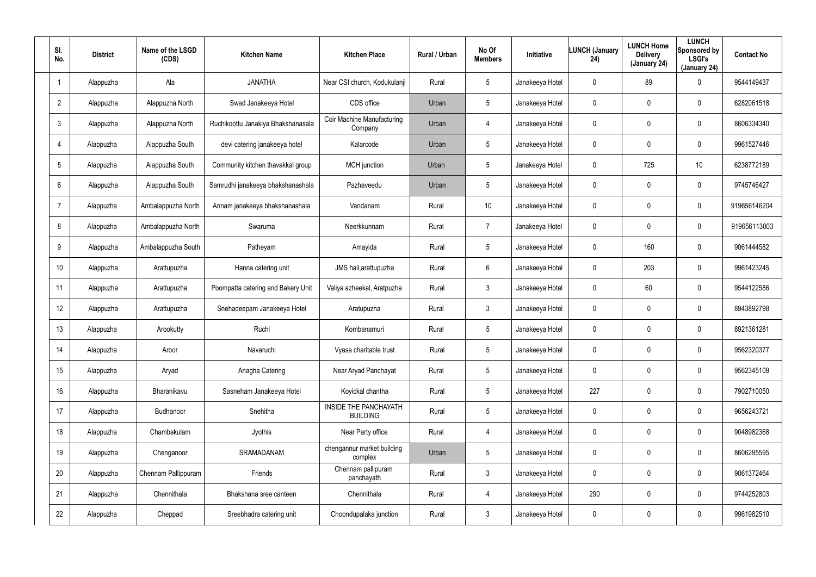| SI.<br>No.              | <b>District</b> | Name of the LSGD<br>(CDS) | <b>Kitchen Name</b>                | <b>Kitchen Place</b>                     | Rural / Urban | No Of<br><b>Members</b> | Initiative      | <b>LUNCH (January</b><br>24) | <b>LUNCH Home</b><br><b>Delivery</b><br>(January 24) | <b>LUNCH</b><br>Sponsored by<br><b>LSGI's</b><br>(January 24) | <b>Contact No</b> |
|-------------------------|-----------------|---------------------------|------------------------------------|------------------------------------------|---------------|-------------------------|-----------------|------------------------------|------------------------------------------------------|---------------------------------------------------------------|-------------------|
| $\overline{\mathbf{1}}$ | Alappuzha       | Ala                       | <b>JANATHA</b>                     | Near CSI church, Kodukulanji             | Rural         | $5\phantom{.0}$         | Janakeeya Hotel | 0                            | 89                                                   | 0                                                             | 9544149437        |
| $\overline{2}$          | Alappuzha       | Alappuzha North           | Swad Janakeeya Hotel               | CDS office                               | Urban         | 5                       | Janakeeya Hotel | 0                            | $\mathbf 0$                                          | 0                                                             | 6282061518        |
| $\mathfrak{Z}$          | Alappuzha       | Alappuzha North           | Ruchikoottu Janakiya Bhakshanasala | Coir Machine Manufacturing<br>Company    | Urban         | 4                       | Janakeeya Hotel | 0                            | $\pmb{0}$                                            | 0                                                             | 8606334340        |
| $\overline{4}$          | Alappuzha       | Alappuzha South           | devi catering janakeeya hotel      | Kalarcode                                | Urban         | 5                       | Janakeeya Hotel | 0                            | $\mathbf 0$                                          | 0                                                             | 9961527446        |
| $\sqrt{5}$              | Alappuzha       | Alappuzha South           | Community kitchen thavakkal group  | <b>MCH</b> junction                      | Urban         | $5\phantom{.0}$         | Janakeeya Hotel | 0                            | 725                                                  | 10                                                            | 6238772189        |
| 6                       | Alappuzha       | Alappuzha South           | Samrudhi janakeeya bhakshanashala  | Pazhaveedu                               | Urban         | 5                       | Janakeeya Hotel | 0                            | $\mathbf 0$                                          | 0                                                             | 9745746427        |
| $\overline{7}$          | Alappuzha       | Ambalappuzha North        | Annam janakeeya bhakshanashala     | Vandanam                                 | Rural         | 10 <sup>°</sup>         | Janakeeya Hotel | 0                            | $\mathbf 0$                                          | 0                                                             | 919656146204      |
| 8                       | Alappuzha       | Ambalappuzha North        | Swaruma                            | Neerkkunnam                              | Rural         | 7                       | Janakeeya Hotel | 0                            | $\mathbf 0$                                          | 0                                                             | 919656113003      |
| 9                       | Alappuzha       | Ambalappuzha South        | Patheyam                           | Amayida                                  | Rural         | $5\phantom{.0}$         | Janakeeya Hotel | 0                            | 160                                                  | 0                                                             | 9061444582        |
| 10 <sup>°</sup>         | Alappuzha       | Arattupuzha               | Hanna catering unit                | JMS hall, arattupuzha                    | Rural         | 6                       | Janakeeya Hotel | 0                            | 203                                                  | 0                                                             | 9961423245        |
| 11                      | Alappuzha       | Arattupuzha               | Poompatta catering and Bakery Unit | Valiya azheekal, Aratpuzha               | Rural         | $\mathbf{3}$            | Janakeeya Hotel | 0                            | 60                                                   | 0                                                             | 9544122586        |
| 12                      | Alappuzha       | Arattupuzha               | Snehadeepam Janakeeya Hotel        | Aratupuzha                               | Rural         | $\mathbf{3}$            | Janakeeya Hotel | 0                            | $\mathbf 0$                                          | 0                                                             | 8943892798        |
| 13                      | Alappuzha       | Arookutty                 | Ruchi                              | Kombanamuri                              | Rural         | $5\phantom{.0}$         | Janakeeya Hotel | 0                            | $\boldsymbol{0}$                                     | 0                                                             | 8921361281        |
| 14                      | Alappuzha       | Aroor                     | Navaruchi                          | Vyasa charitable trust                   | Rural         | $5\phantom{.0}$         | Janakeeya Hotel | 0                            | $\overline{0}$                                       | 0                                                             | 9562320377        |
| 15                      | Alappuzha       | Aryad                     | Anagha Catering                    | Near Aryad Panchayat                     | Rural         | $5\phantom{.0}$         | Janakeeya Hotel | $\mathbf 0$                  | $\overline{0}$                                       | 0                                                             | 9562345109        |
| 16                      | Alappuzha       | Bharanikavu               | Sasneham Janakeeya Hotel           | Koyickal chantha                         | Rural         | $5\phantom{.0}$         | Janakeeya Hotel | 227                          | $\overline{0}$                                       | 0                                                             | 7902710050        |
| 17                      | Alappuzha       | Budhanoor                 | Snehitha                           | INSIDE THE PANCHAYATH<br><b>BUILDING</b> | Rural         | $5\phantom{.0}$         | Janakeeya Hotel | $\mathbf 0$                  | $\overline{0}$                                       | 0                                                             | 9656243721        |
| 18                      | Alappuzha       | Chambakulam               | Jyothis                            | Near Party office                        | Rural         | $\overline{4}$          | Janakeeya Hotel | $\mathbf 0$                  | $\overline{0}$                                       | 0                                                             | 9048982368        |
| 19                      | Alappuzha       | Chenganoor                | SRAMADANAM                         | chengannur market building<br>complex    | Urban         | $5\phantom{.0}$         | Janakeeya Hotel | 0                            | $\mathbf 0$                                          | 0                                                             | 8606295595        |
| 20                      | Alappuzha       | Chennam Pallippuram       | Friends                            | Chennam pallipuram<br>panchayath         | Rural         | $\mathbf{3}$            | Janakeeya Hotel | 0                            | $\mathbf 0$                                          | 0                                                             | 9061372464        |
| 21                      | Alappuzha       | Chennithala               | Bhakshana sree canteen             | Chennithala                              | Rural         | $\overline{4}$          | Janakeeya Hotel | 290                          | $\mathbf 0$                                          | 0                                                             | 9744252803        |
| 22                      | Alappuzha       | Cheppad                   | Sreebhadra catering unit           | Choondupalaka junction                   | Rural         | $\mathfrak{Z}$          | Janakeeya Hotel | 0                            | $\mathbf 0$                                          | 0                                                             | 9961982510        |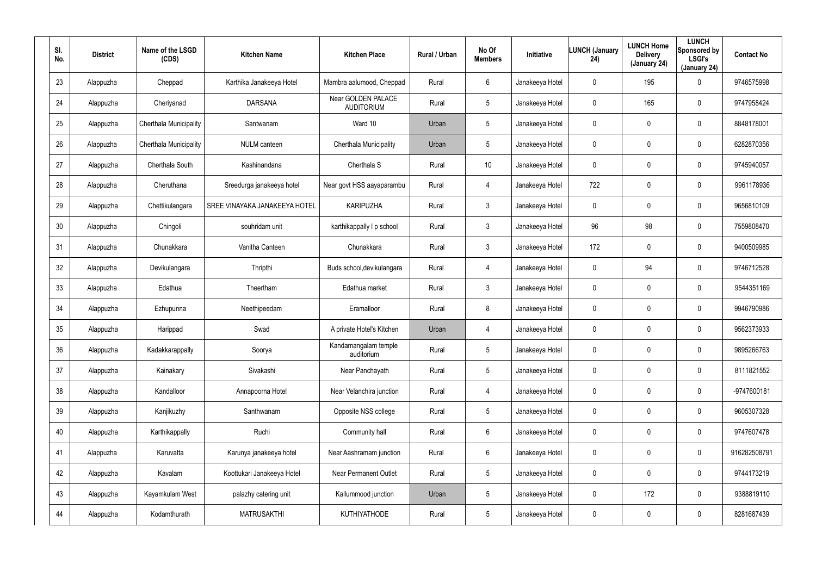| SI.<br>No. | <b>District</b> | Name of the LSGD<br>(CDS) | <b>Kitchen Name</b>           | <b>Kitchen Place</b>                    | Rural / Urban | No Of<br><b>Members</b> | Initiative      | <b>LUNCH (January</b><br>24) | <b>LUNCH Home</b><br><b>Delivery</b><br>(January 24) | <b>LUNCH</b><br>Sponsored by<br><b>LSGI's</b><br>(January 24) | <b>Contact No</b> |
|------------|-----------------|---------------------------|-------------------------------|-----------------------------------------|---------------|-------------------------|-----------------|------------------------------|------------------------------------------------------|---------------------------------------------------------------|-------------------|
| 23         | Alappuzha       | Cheppad                   | Karthika Janakeeya Hotel      | Mambra aalumood, Cheppad                | Rural         | 6                       | Janakeeya Hotel | 0                            | 195                                                  | 0                                                             | 9746575998        |
| 24         | Alappuzha       | Cheriyanad                | <b>DARSANA</b>                | Near GOLDEN PALACE<br><b>AUDITORIUM</b> | Rural         | 5                       | Janakeeya Hotel | 0                            | 165                                                  | 0                                                             | 9747958424        |
| 25         | Alappuzha       | Cherthala Municipality    | Santwanam                     | Ward 10                                 | Urban         | 5                       | Janakeeya Hotel | 0                            | $\mathbf 0$                                          | 0                                                             | 8848178001        |
| 26         | Alappuzha       | Cherthala Municipality    | <b>NULM</b> canteen           | Cherthala Municipality                  | Urban         | 5                       | Janakeeya Hotel | 0                            | $\mathbf 0$                                          | $\mathbf 0$                                                   | 6282870356        |
| 27         | Alappuzha       | Cherthala South           | Kashinandana                  | Cherthala <sub>S</sub>                  | Rural         | 10                      | Janakeeya Hotel | 0                            | $\mathbf 0$                                          | 0                                                             | 9745940057        |
| 28         | Alappuzha       | Cheruthana                | Sreedurga janakeeya hotel     | Near govt HSS aayaparambu               | Rural         | 4                       | Janakeeya Hotel | 722                          | $\mathbf 0$                                          | $\mathbf 0$                                                   | 9961178936        |
| 29         | Alappuzha       | Chettikulangara           | SREE VINAYAKA JANAKEEYA HOTEL | <b>KARIPUZHA</b>                        | Rural         | $\mathbf{3}$            | Janakeeya Hotel | 0                            | $\mathbf 0$                                          | $\mathbf 0$                                                   | 9656810109        |
| 30         | Alappuzha       | Chingoli                  | souhridam unit                | karthikappally I p school               | Rural         | $\mathbf{3}$            | Janakeeya Hotel | 96                           | 98                                                   | $\mathbf 0$                                                   | 7559808470        |
| 31         | Alappuzha       | Chunakkara                | Vanitha Canteen               | Chunakkara                              | Rural         | $\mathbf{3}$            | Janakeeya Hotel | 172                          | $\mathbf 0$                                          | $\mathbf 0$                                                   | 9400509985        |
| 32         | Alappuzha       | Devikulangara             | Thripthi                      | Buds school, devikulangara              | Rural         | 4                       | Janakeeya Hotel | 0                            | 94                                                   | $\mathbf 0$                                                   | 9746712528        |
| 33         | Alappuzha       | Edathua                   | Theertham                     | Edathua market                          | Rural         | $\mathbf{3}$            | Janakeeya Hotel | 0                            | $\mathbf 0$                                          | $\mathbf 0$                                                   | 9544351169        |
| 34         | Alappuzha       | Ezhupunna                 | Neethipeedam                  | Eramalloor                              | Rural         | 8                       | Janakeeya Hotel | 0                            | 0                                                    | 0                                                             | 9946790986        |
| 35         | Alappuzha       | Harippad                  | Swad                          | A private Hotel's Kitchen               | Urban         | 4                       | Janakeeya Hotel | 0                            | $\boldsymbol{0}$                                     | 0                                                             | 9562373933        |
| 36         | Alappuzha       | Kadakkarappally           | Soorya                        | Kandamangalam temple<br>auditorium      | Rural         | 5                       | Janakeeya Hotel | 0                            | $\mathbf 0$                                          | 0                                                             | 9895266763        |
| 37         | Alappuzha       | Kainakary                 | Sivakashi                     | Near Panchayath                         | Rural         | $5\phantom{.0}$         | Janakeeya Hotel | 0                            | $\pmb{0}$                                            | 0                                                             | 8111821552        |
| 38         | Alappuzha       | Kandalloor                | Annapoorna Hotel              | Near Velanchira junction                | Rural         | $\overline{4}$          | Janakeeya Hotel | 0                            | $\mathbf 0$                                          | $\pmb{0}$                                                     | -9747600181       |
| 39         | Alappuzha       | Kanjikuzhy                | Santhwanam                    | Opposite NSS college                    | Rural         | $5\phantom{.0}$         | Janakeeya Hotel | 0                            | $\overline{0}$                                       | 0                                                             | 9605307328        |
| 40         | Alappuzha       | Karthikappally            | Ruchi                         | Community hall                          | Rural         | $6\phantom{.}6$         | Janakeeya Hotel | 0                            | $\mathbf 0$                                          | 0                                                             | 9747607478        |
| 41         | Alappuzha       | Karuvatta                 | Karunya janakeeya hotel       | Near Aashramam junction                 | Rural         | $6\phantom{.}6$         | Janakeeya Hotel | 0                            | $\pmb{0}$                                            | 0                                                             | 916282508791      |
| 42         | Alappuzha       | Kavalam                   | Koottukari Janakeeya Hotel    | <b>Near Permanent Outlet</b>            | Rural         | 5                       | Janakeeya Hotel | 0                            | $\mathbf 0$                                          | 0                                                             | 9744173219        |
| 43         | Alappuzha       | Kayamkulam West           | palazhy catering unit         | Kallummood junction                     | Urban         | 5                       | Janakeeya Hotel | 0                            | 172                                                  | 0                                                             | 9388819110        |
| 44         | Alappuzha       | Kodamthurath              | <b>MATRUSAKTHI</b>            | KUTHIYATHODE                            | Rural         | $5\phantom{.0}$         | Janakeeya Hotel | 0                            | $\boldsymbol{0}$                                     | 0                                                             | 8281687439        |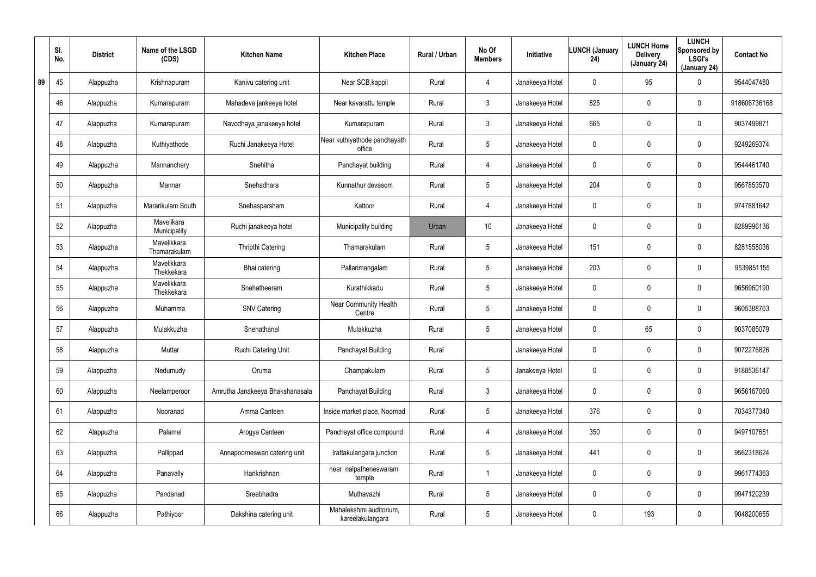|    | SI.<br>No. | <b>District</b> | Name of the LSGD<br>(CDS)   | <b>Kitchen Name</b>             | <b>Kitchen Place</b>                        | Rural / Urban | No Of<br><b>Members</b> | <b>Initiative</b> | <b>LUNCH (January</b><br>24) | <b>LUNCH Home</b><br><b>Delivery</b><br>(January 24) | <b>LUNCH</b><br>Sponsored by<br><b>LSGI's</b><br>(January 24) | <b>Contact No</b> |
|----|------------|-----------------|-----------------------------|---------------------------------|---------------------------------------------|---------------|-------------------------|-------------------|------------------------------|------------------------------------------------------|---------------------------------------------------------------|-------------------|
| 89 | 45         | Alappuzha       | Krishnapuram                | Kanivu catering unit            | Near SCB, kappil                            | Rural         | $\overline{4}$          | Janakeeya Hotel   | 0                            | 95                                                   | $\mathbf 0$                                                   | 9544047480        |
|    | 46         | Alappuzha       | Kumarapuram                 | Mahadeva jankeeya hotel         | Near kavarattu temple                       | Rural         | $\mathbf{3}$            | Janakeeya Hotel   | 825                          | 0                                                    | $\mathbf 0$                                                   | 918606736168      |
|    | 47         | Alappuzha       | Kumarapuram                 | Navodhaya janakeeya hotel       | Kumarapuram                                 | Rural         | $\mathbf{3}$            | Janakeeya Hotel   | 665                          | 0                                                    | $\mathbf 0$                                                   | 9037499871        |
|    | 48         | Alappuzha       | Kuthiyathode                | Ruchi Janakeeya Hotel           | Near kuthiyathode panchayath<br>office      | Rural         | $5\phantom{.0}$         | Janakeeya Hotel   | 0                            | 0                                                    | $\mathbf 0$                                                   | 9249269374        |
|    | 49         | Alappuzha       | Mannanchery                 | Snehitha                        | Panchayat building                          | Rural         | $\overline{4}$          | Janakeeya Hotel   | 0                            | 0                                                    | $\mathbf 0$                                                   | 9544461740        |
|    | 50         | Alappuzha       | Mannar                      | Snehadhara                      | Kunnathur devasom                           | Rural         | $5\overline{)}$         | Janakeeya Hotel   | 204                          | 0                                                    | $\mathbf 0$                                                   | 9567853570        |
|    | 51         | Alappuzha       | Mararikulam South           | Snehasparsham                   | Kattoor                                     | Rural         | $\overline{4}$          | Janakeeya Hotel   | 0                            | 0                                                    | $\mathbf 0$                                                   | 9747881642        |
|    | 52         | Alappuzha       | Mavelikara<br>Municipality  | Ruchi janakeeya hotel           | Municipality building                       | Urban         | 10 <sup>°</sup>         | Janakeeya Hotel   | 0                            | 0                                                    | $\mathbf 0$                                                   | 8289996136        |
|    | 53         | Alappuzha       | Mavelikkara<br>Thamarakulam | Thripthi Catering               | Thamarakulam                                | Rural         | $5\phantom{.0}$         | Janakeeya Hotel   | 151                          | 0                                                    | $\mathbf 0$                                                   | 8281558036        |
|    | 54         | Alappuzha       | Mavelikkara<br>Thekkekara   | Bhai catering                   | Pallarimangalam                             | Rural         | $5\overline{)}$         | Janakeeya Hotel   | 203                          | 0                                                    | $\mathbf 0$                                                   | 9539851155        |
|    | 55         | Alappuzha       | Mavelikkara<br>Thekkekara   | Snehatheeram                    | Kurathikkadu                                | Rural         | $5\phantom{.0}$         | Janakeeya Hotel   | 0                            | 0                                                    | $\mathbf 0$                                                   | 9656960190        |
|    | 56         | Alappuzha       | Muhamma                     | <b>SNV Catering</b>             | <b>Near Community Health</b><br>Centre      | Rural         | $5\overline{)}$         | Janakeeya Hotel   | 0                            | 0                                                    | $\mathbf 0$                                                   | 9605388763        |
|    | 57         | Alappuzha       | Mulakkuzha                  | Snehathanal                     | Mulakkuzha                                  | Rural         | $5\phantom{.0}$         | Janakeeya Hotel   | 0                            | 65                                                   | $\mathbf 0$                                                   | 9037085079        |
|    | 58         | Alappuzha       | Muttar                      | Ruchi Catering Unit             | Panchayat Building                          | Rural         |                         | Janakeeya Hotel   | 0                            | $\mathbf 0$                                          | $\mathbf 0$                                                   | 9072276826        |
|    | 59         | Alappuzha       | Nedumudy                    | Oruma                           | Champakulam                                 | Rural         | $5\phantom{.0}$         | Janakeeya Hotel   | 0                            | 0                                                    | $\pmb{0}$                                                     | 9188536147        |
|    | 60         | Alappuzha       | Neelamperoor                | Amrutha Janakeeya Bhakshanasala | Panchayat Building                          | Rural         | $\mathfrak{Z}$          | Janakeeya Hotel   | 0                            | 0                                                    | $\pmb{0}$                                                     | 9656167060        |
|    | 61         | Alappuzha       | Nooranad                    | Amma Canteen                    | Inside market place, Noornad                | Rural         | $5\phantom{.0}$         | Janakeeya Hotel   | 376                          | 0                                                    | $\pmb{0}$                                                     | 7034377340        |
|    | 62         | Alappuzha       | Palamel                     | Arogya Canteen                  | Panchayat office compound                   | Rural         | 4                       | Janakeeya Hotel   | 350                          | $\mathbf 0$                                          | $\mathbf 0$                                                   | 9497107651        |
|    | 63         | Alappuzha       | Pallippad                   | Annapoorneswari catering unit   | Irattakulangara junction                    | Rural         | $5\phantom{.0}$         | Janakeeya Hotel   | 441                          | 0                                                    | $\mathbf 0$                                                   | 9562318624        |
|    | 64         | Alappuzha       | Panavally                   | Harikrishnan                    | near nalpatheneswaram<br>temple             | Rural         |                         | Janakeeya Hotel   | $\mathbf 0$                  | $\mathbf 0$                                          | $\mathbf 0$                                                   | 9961774363        |
|    | 65         | Alappuzha       | Pandanad                    | Sreebhadra                      | Muthavazhi                                  | Rural         | $5\phantom{.0}$         | Janakeeya Hotel   | 0                            | 0                                                    | $\mathbf 0$                                                   | 9947120239        |
|    | 66         | Alappuzha       | Pathiyoor                   | Dakshina catering unit          | Mahalekshmi auditorium,<br>kareelakulangara | Rural         | $5\phantom{.0}$         | Janakeeya Hotel   | 0                            | 193                                                  | $\pmb{0}$                                                     | 9048200655        |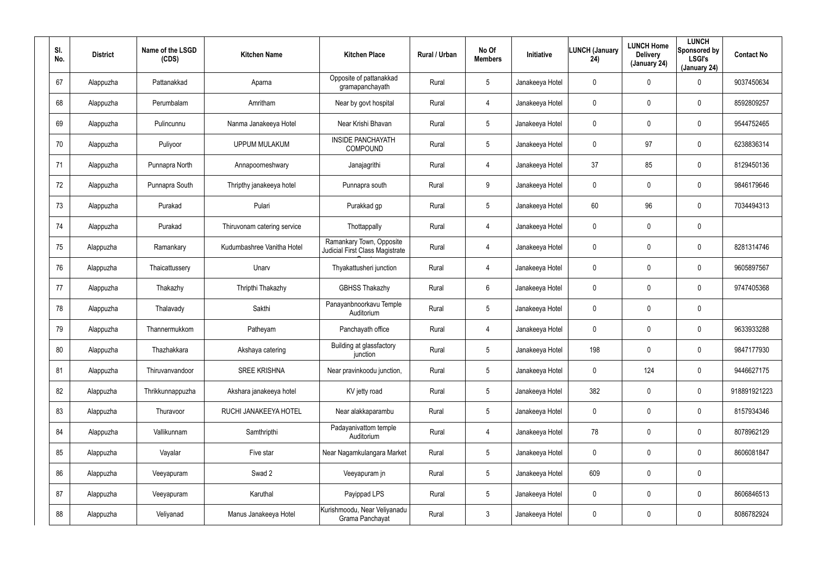| SI.<br>No. | <b>District</b> | Name of the LSGD<br>(CDS) | <b>Kitchen Name</b>         | <b>Kitchen Place</b>                                        | Rural / Urban | No Of<br><b>Members</b> | <b>Initiative</b> | <b>LUNCH (January</b><br>24) | <b>LUNCH Home</b><br><b>Delivery</b><br>(January 24) | <b>LUNCH</b><br>Sponsored by<br><b>LSGI's</b><br>(January 24) | <b>Contact No</b> |
|------------|-----------------|---------------------------|-----------------------------|-------------------------------------------------------------|---------------|-------------------------|-------------------|------------------------------|------------------------------------------------------|---------------------------------------------------------------|-------------------|
| 67         | Alappuzha       | Pattanakkad               | Aparna                      | Opposite of pattanakkad<br>gramapanchayath                  | Rural         | $5\phantom{.0}$         | Janakeeya Hotel   | 0                            | 0                                                    | $\mathbf 0$                                                   | 9037450634        |
| 68         | Alappuzha       | Perumbalam                | Amritham                    | Near by govt hospital                                       | Rural         | 4                       | Janakeeya Hotel   | 0                            | 0                                                    | $\pmb{0}$                                                     | 8592809257        |
| 69         | Alappuzha       | Pulincunnu                | Nanma Janakeeya Hotel       | Near Krishi Bhavan                                          | Rural         | $5\phantom{.0}$         | Janakeeya Hotel   | 0                            | 0                                                    | $\pmb{0}$                                                     | 9544752465        |
| 70         | Alappuzha       | Puliyoor                  | <b>UPPUM MULAKUM</b>        | <b>INSIDE PANCHAYATH</b><br>COMPOUND                        | Rural         | $5\phantom{.0}$         | Janakeeya Hotel   | 0                            | 97                                                   | $\pmb{0}$                                                     | 6238836314        |
| 71         | Alappuzha       | Punnapra North            | Annapoorneshwary            | Janajagrithi                                                | Rural         | 4                       | Janakeeya Hotel   | 37                           | 85                                                   | $\pmb{0}$                                                     | 8129450136        |
| 72         | Alappuzha       | Punnapra South            | Thripthy janakeeya hotel    | Punnapra south                                              | Rural         | 9                       | Janakeeya Hotel   | 0                            | 0                                                    | $\mathbf 0$                                                   | 9846179646        |
| 73         | Alappuzha       | Purakad                   | Pulari                      | Purakkad gp                                                 | Rural         | $5\phantom{.0}$         | Janakeeya Hotel   | 60                           | 96                                                   | $\mathbf 0$                                                   | 7034494313        |
| 74         | Alappuzha       | Purakad                   | Thiruvonam catering service | Thottappally                                                | Rural         | 4                       | Janakeeya Hotel   | 0                            | 0                                                    | $\mathbf 0$                                                   |                   |
| 75         | Alappuzha       | Ramankary                 | Kudumbashree Vanitha Hotel  | Ramankary Town, Opposite<br>Judicial First Class Magistrate | Rural         | 4                       | Janakeeya Hotel   | 0                            | 0                                                    | $\pmb{0}$                                                     | 8281314746        |
| 76         | Alappuzha       | Thaicattussery            | Unarv                       | Thyakattusheri junction                                     | Rural         | 4                       | Janakeeya Hotel   | 0                            | 0                                                    | $\mathbf 0$                                                   | 9605897567        |
| 77         | Alappuzha       | Thakazhy                  | Thripthi Thakazhy           | <b>GBHSS Thakazhy</b>                                       | Rural         | 6                       | Janakeeya Hotel   | 0                            | 0                                                    | $\mathbf 0$                                                   | 9747405368        |
| 78         | Alappuzha       | Thalavady                 | Sakthi                      | Panayanbnoorkavu Temple<br>Auditorium                       | Rural         | $5\phantom{.0}$         | Janakeeya Hotel   | 0                            | 0                                                    | $\mathbf 0$                                                   |                   |
| 79         | Alappuzha       | Thannermukkom             | Patheyam                    | Panchayath office                                           | Rural         | 4                       | Janakeeya Hotel   | 0                            | $\mathbf 0$                                          | $\mathbf 0$                                                   | 9633933288        |
| 80         | Alappuzha       | Thazhakkara               | Akshaya catering            | Building at glassfactory<br>junction                        | Rural         | $5\phantom{.0}$         | Janakeeya Hotel   | 198                          | 0                                                    | $\pmb{0}$                                                     | 9847177930        |
| 81         | Alappuzha       | Thiruvanvandoor           | <b>SREE KRISHNA</b>         | Near pravinkoodu junction,                                  | Rural         | $5\phantom{.0}$         | Janakeeya Hotel   | 0                            | 124                                                  | $\mathsf{0}$                                                  | 9446627175        |
| 82         | Alappuzha       | Thrikkunnappuzha          | Akshara janakeeya hotel     | KV jetty road                                               | Rural         | $5\phantom{.0}$         | Janakeeya Hotel   | 382                          | 0                                                    | $\mathbf 0$                                                   | 918891921223      |
| 83         | Alappuzha       | Thuravoor                 | RUCHI JANAKEEYA HOTEL       | Near alakkaparambu                                          | Rural         | $5\phantom{.0}$         | Janakeeya Hotel   | 0                            | 0                                                    | $\mathbf 0$                                                   | 8157934346        |
| 84         | Alappuzha       | Vallikunnam               | Samthripthi                 | Padayanivattom temple<br>Auditorium                         | Rural         | 4                       | Janakeeya Hotel   | 78                           | 0                                                    | $\mathbf 0$                                                   | 8078962129        |
| 85         | Alappuzha       | Vayalar                   | Five star                   | Near Nagamkulangara Market                                  | Rural         | $5\phantom{.0}$         | Janakeeya Hotel   | 0                            | 0                                                    | $\mathbf 0$                                                   | 8606081847        |
| 86         | Alappuzha       | Veeyapuram                | Swad 2                      | Veeyapuram jn                                               | Rural         | $5\phantom{.0}$         | Janakeeya Hotel   | 609                          | 0                                                    | $\pmb{0}$                                                     |                   |
| 87         | Alappuzha       | Veeyapuram                | Karuthal                    | Payippad LPS                                                | Rural         | $5\phantom{.0}$         | Janakeeya Hotel   | 0                            | 0                                                    | $\mathbf 0$                                                   | 8606846513        |
| 88         | Alappuzha       | Veliyanad                 | Manus Janakeeya Hotel       | Kurishmoodu, Near Veliyanadu<br>Grama Panchayat             | Rural         | $\mathfrak{Z}$          | Janakeeya Hotel   | 0                            | 0                                                    | $\pmb{0}$                                                     | 8086782924        |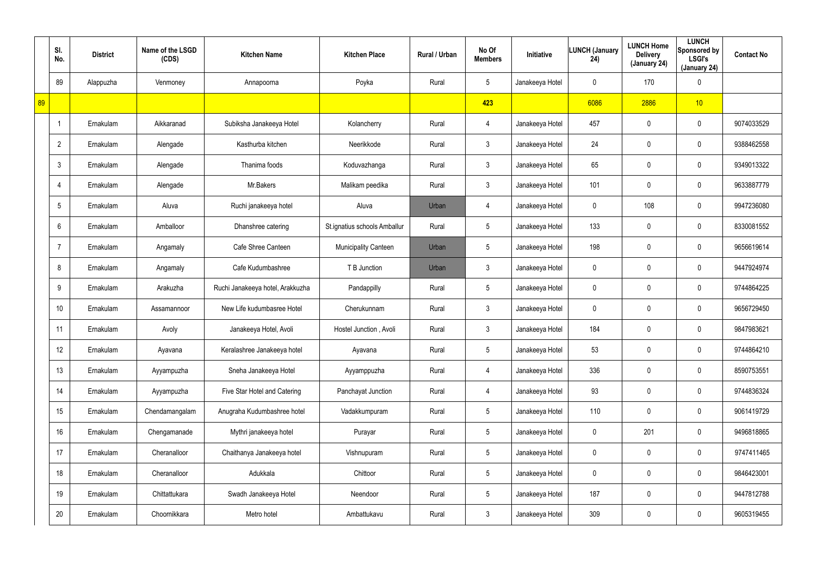|    | SI.<br>No.     | <b>District</b> | Name of the LSGD<br>(CDS) | <b>Kitchen Name</b>              | <b>Kitchen Place</b>         | Rural / Urban | No Of<br><b>Members</b> | Initiative      | <b>LUNCH (January</b><br>24) | <b>LUNCH Home</b><br><b>Delivery</b><br>(January 24) | <b>LUNCH</b><br>Sponsored by<br><b>LSGI's</b><br>(January 24) | <b>Contact No</b> |
|----|----------------|-----------------|---------------------------|----------------------------------|------------------------------|---------------|-------------------------|-----------------|------------------------------|------------------------------------------------------|---------------------------------------------------------------|-------------------|
|    | 89             | Alappuzha       | Venmoney                  | Annapoorna                       | Poyka                        | Rural         | $5\phantom{.0}$         | Janakeeya Hotel | 0                            | 170                                                  | $\boldsymbol{0}$                                              |                   |
| 89 |                |                 |                           |                                  |                              |               | 423                     |                 | 6086                         | 2886                                                 | 10                                                            |                   |
|    |                | Ernakulam       | Aikkaranad                | Subiksha Janakeeya Hotel         | Kolancherry                  | Rural         | 4                       | Janakeeya Hotel | 457                          | 0                                                    | $\boldsymbol{0}$                                              | 9074033529        |
|    | $\overline{2}$ | Ernakulam       | Alengade                  | Kasthurba kitchen                | Neerikkode                   | Rural         | $\mathfrak{Z}$          | Janakeeya Hotel | 24                           | 0                                                    | $\boldsymbol{0}$                                              | 9388462558        |
|    | 3              | Ernakulam       | Alengade                  | Thanima foods                    | Koduvazhanga                 | Rural         | $\mathfrak{Z}$          | Janakeeya Hotel | 65                           | 0                                                    | $\boldsymbol{0}$                                              | 9349013322        |
|    |                | Ernakulam       | Alengade                  | Mr.Bakers                        | Malikam peedika              | Rural         | $\mathfrak{Z}$          | Janakeeya Hotel | 101                          | 0                                                    | $\boldsymbol{0}$                                              | 9633887779        |
|    | 5              | Ernakulam       | Aluva                     | Ruchi janakeeya hotel            | Aluva                        | Urban         | 4                       | Janakeeya Hotel | 0                            | 108                                                  | $\mathbf 0$                                                   | 9947236080        |
|    | 6              | Ernakulam       | Amballoor                 | Dhanshree catering               | St.ignatius schools Amballur | Rural         | $5\phantom{.0}$         | Janakeeya Hotel | 133                          | 0                                                    | $\mathbf 0$                                                   | 8330081552        |
|    |                | Ernakulam       | Angamaly                  | Cafe Shree Canteen               | Municipality Canteen         | Urban         | $5\phantom{.0}$         | Janakeeya Hotel | 198                          | 0                                                    | $\boldsymbol{0}$                                              | 9656619614        |
|    | 8              | Ernakulam       | Angamaly                  | Cafe Kudumbashree                | T B Junction                 | Urban         | $\mathfrak{Z}$          | Janakeeya Hotel | 0                            | 0                                                    | $\mathbf 0$                                                   | 9447924974        |
|    | 9              | Ernakulam       | Arakuzha                  | Ruchi Janakeeya hotel, Arakkuzha | Pandappilly                  | Rural         | $5\phantom{.0}$         | Janakeeya Hotel | 0                            | 0                                                    | $\boldsymbol{0}$                                              | 9744864225        |
|    | 10             | Ernakulam       | Assamannoor               | New Life kudumbasree Hotel       | Cherukunnam                  | Rural         | $\mathfrak{Z}$          | Janakeeya Hotel | 0                            | 0                                                    | $\boldsymbol{0}$                                              | 9656729450        |
|    | 11             | Ernakulam       | Avoly                     | Janakeeya Hotel, Avoli           | Hostel Junction, Avoli       | Rural         | $\mathfrak{Z}$          | Janakeeya Hotel | 184                          | 0                                                    | $\mathbf 0$                                                   | 9847983621        |
|    | 12             | Ernakulam       | Ayavana                   | Keralashree Janakeeya hotel      | Ayavana                      | Rural         | $5\phantom{.0}$         | Janakeeya Hotel | 53                           | 0                                                    | $\pmb{0}$                                                     | 9744864210        |
|    | 13             | Ernakulam       | Ayyampuzha                | Sneha Janakeeya Hotel            | Ayyamppuzha                  | Rural         | 4                       | Janakeeya Hotel | 336                          | 0                                                    | $\pmb{0}$                                                     | 8590753551        |
|    | 14             | Ernakulam       | Ayyampuzha                | Five Star Hotel and Catering     | Panchayat Junction           | Rural         | 4                       | Janakeeya Hotel | 93                           | 0                                                    | $\pmb{0}$                                                     | 9744836324        |
|    | 15             | Ernakulam       | Chendamangalam            | Anugraha Kudumbashree hotel      | Vadakkumpuram                | Rural         | $5\overline{)}$         | Janakeeya Hotel | 110                          | 0                                                    | $\mathbf 0$                                                   | 9061419729        |
|    | 16             | Ernakulam       | Chengamanade              | Mythri janakeeya hotel           | Purayar                      | Rural         | $5\phantom{.0}$         | Janakeeya Hotel | $\mathbf 0$                  | 201                                                  | $\pmb{0}$                                                     | 9496818865        |
|    | 17             | Ernakulam       | Cheranalloor              | Chaithanya Janakeeya hotel       | Vishnupuram                  | Rural         | $5\phantom{.0}$         | Janakeeya Hotel | 0                            | 0                                                    | $\pmb{0}$                                                     | 9747411465        |
|    | 18             | Ernakulam       | Cheranalloor              | Adukkala                         | Chittoor                     | Rural         | $5\phantom{.0}$         | Janakeeya Hotel | $\mathbf 0$                  | 0                                                    | $\pmb{0}$                                                     | 9846423001        |
|    | 19             | Ernakulam       | Chittattukara             | Swadh Janakeeya Hotel            | Neendoor                     | Rural         | $5\phantom{.0}$         | Janakeeya Hotel | 187                          | 0                                                    | $\boldsymbol{0}$                                              | 9447812788        |
|    | 20             | Ernakulam       | Choornikkara              | Metro hotel                      | Ambattukavu                  | Rural         | $\mathfrak{Z}$          | Janakeeya Hotel | 309                          | 0                                                    | $\pmb{0}$                                                     | 9605319455        |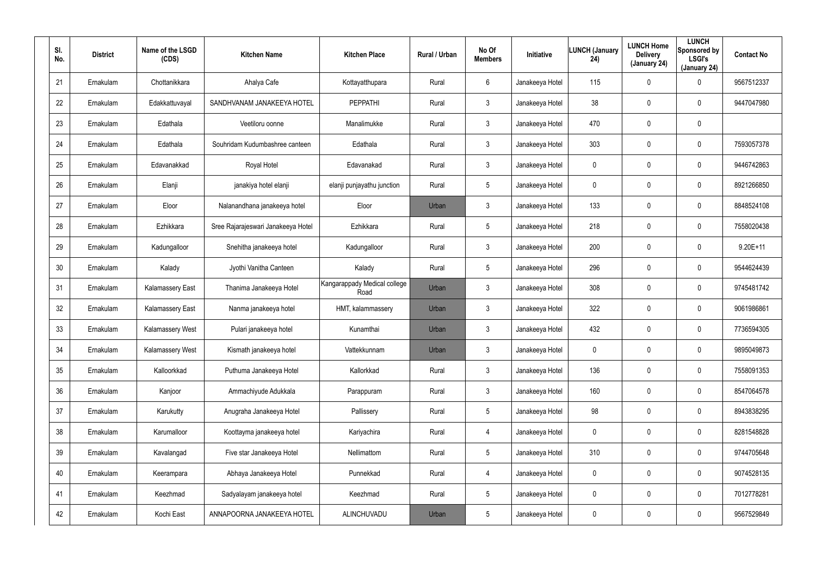| SI.<br>No. | <b>District</b> | Name of the LSGD<br>(CDS) | <b>Kitchen Name</b>                | <b>Kitchen Place</b>                 | Rural / Urban | No Of<br><b>Members</b> | <b>Initiative</b> | <b>LUNCH (January</b><br>24) | <b>LUNCH Home</b><br><b>Delivery</b><br>(January 24) | <b>LUNCH</b><br>Sponsored by<br><b>LSGI's</b><br>(January 24) | <b>Contact No</b> |
|------------|-----------------|---------------------------|------------------------------------|--------------------------------------|---------------|-------------------------|-------------------|------------------------------|------------------------------------------------------|---------------------------------------------------------------|-------------------|
| 21         | Ernakulam       | Chottanikkara             | Ahalya Cafe                        | Kottayatthupara                      | Rural         | 6                       | Janakeeya Hotel   | 115                          | $\mathbf 0$                                          | 0                                                             | 9567512337        |
| 22         | Ernakulam       | Edakkattuvayal            | SANDHVANAM JANAKEEYA HOTEL         | <b>PEPPATHI</b>                      | Rural         | $\mathbf{3}$            | Janakeeya Hotel   | 38                           | 0                                                    | $\mathbf 0$                                                   | 9447047980        |
| 23         | Ernakulam       | Edathala                  | Veetiloru oonne                    | Manalimukke                          | Rural         | 3                       | Janakeeya Hotel   | 470                          | $\mathbf 0$                                          | $\mathbf 0$                                                   |                   |
| 24         | Ernakulam       | Edathala                  | Souhridam Kudumbashree canteen     | Edathala                             | Rural         | $\mathbf{3}$            | Janakeeya Hotel   | 303                          | 0                                                    | $\mathbf 0$                                                   | 7593057378        |
| 25         | Ernakulam       | Edavanakkad               | Royal Hotel                        | Edavanakad                           | Rural         | 3                       | Janakeeya Hotel   | 0                            | 0                                                    | $\mathbf 0$                                                   | 9446742863        |
| 26         | Ernakulam       | Elanji                    | janakiya hotel elanji              | elanji punjayathu junction           | Rural         | 5                       | Janakeeya Hotel   | 0                            | 0                                                    | $\mathbf 0$                                                   | 8921266850        |
| 27         | Ernakulam       | Eloor                     | Nalanandhana janakeeya hotel       | Eloor                                | Urban         | $\mathbf{3}$            | Janakeeya Hotel   | 133                          | $\boldsymbol{0}$                                     | 0                                                             | 8848524108        |
| 28         | Ernakulam       | Ezhikkara                 | Sree Rajarajeswari Janakeeya Hotel | Ezhikkara                            | Rural         | 5                       | Janakeeya Hotel   | 218                          | $\boldsymbol{0}$                                     | $\mathbf 0$                                                   | 7558020438        |
| 29         | Ernakulam       | Kadungalloor              | Snehitha janakeeya hotel           | Kadungalloor                         | Rural         | $\mathbf{3}$            | Janakeeya Hotel   | 200                          | $\boldsymbol{0}$                                     | 0                                                             | $9.20E + 11$      |
| 30         | Ernakulam       | Kalady                    | Jyothi Vanitha Canteen             | Kalady                               | Rural         | 5                       | Janakeeya Hotel   | 296                          | $\boldsymbol{0}$                                     | $\mathbf 0$                                                   | 9544624439        |
| 31         | Ernakulam       | <b>Kalamassery East</b>   | Thanima Janakeeya Hotel            | Kangarappady Medical college<br>Road | Urban         | $\mathbf{3}$            | Janakeeya Hotel   | 308                          | $\boldsymbol{0}$                                     | 0                                                             | 9745481742        |
| 32         | Ernakulam       | <b>Kalamassery East</b>   | Nanma janakeeya hotel              | HMT, kalammassery                    | Urban         | $\mathbf{3}$            | Janakeeya Hotel   | 322                          | $\boldsymbol{0}$                                     | $\mathbf 0$                                                   | 9061986861        |
| 33         | Ernakulam       | <b>Kalamassery West</b>   | Pulari janakeeya hotel             | Kunamthai                            | Urban         | $\mathbf{3}$            | Janakeeya Hotel   | 432                          | $\boldsymbol{0}$                                     | $\mathbf 0$                                                   | 7736594305        |
| 34         | Ernakulam       | Kalamassery West          | Kismath janakeeya hotel            | Vattekkunnam                         | Urban         | $\mathfrak{Z}$          | Janakeeya Hotel   | 0                            | $\pmb{0}$                                            | $\pmb{0}$                                                     | 9895049873        |
| 35         | Ernakulam       | Kalloorkkad               | Puthuma Janakeeya Hotel            | Kallorkkad                           | Rural         | $\mathfrak{Z}$          | Janakeeya Hotel   | 136                          | $\pmb{0}$                                            | 0                                                             | 7558091353        |
| 36         | Ernakulam       | Kanjoor                   | Ammachiyude Adukkala               | Parappuram                           | Rural         | $\mathfrak{Z}$          | Janakeeya Hotel   | 160                          | $\pmb{0}$                                            | $\pmb{0}$                                                     | 8547064578        |
| 37         | Ernakulam       | Karukutty                 | Anugraha Janakeeya Hotel           | Pallissery                           | Rural         | 5                       | Janakeeya Hotel   | 98                           | $\pmb{0}$                                            | $\pmb{0}$                                                     | 8943838295        |
| 38         | Ernakulam       | Karumalloor               | Koottayma janakeeya hotel          | Kariyachira                          | Rural         | $\overline{4}$          | Janakeeya Hotel   | 0                            | $\overline{0}$                                       | 0                                                             | 8281548828        |
| 39         | Ernakulam       | Kavalangad                | Five star Janakeeya Hotel          | Nellimattom                          | Rural         | $5\phantom{.0}$         | Janakeeya Hotel   | 310                          | $\pmb{0}$                                            | 0                                                             | 9744705648        |
| 40         | Ernakulam       | Keerampara                | Abhaya Janakeeya Hotel             | Punnekkad                            | Rural         | $\overline{4}$          | Janakeeya Hotel   | 0                            | $\mathbf 0$                                          | 0                                                             | 9074528135        |
| 41         | Ernakulam       | Keezhmad                  | Sadyalayam janakeeya hotel         | Keezhmad                             | Rural         | $5\phantom{.0}$         | Janakeeya Hotel   | 0                            | $\pmb{0}$                                            | 0                                                             | 7012778281        |
| 42         | Ernakulam       | Kochi East                | ANNAPOORNA JANAKEEYA HOTEL         | ALINCHUVADU                          | Urban         | $5\phantom{.0}$         | Janakeeya Hotel   | 0                            | $\boldsymbol{0}$                                     | 0                                                             | 9567529849        |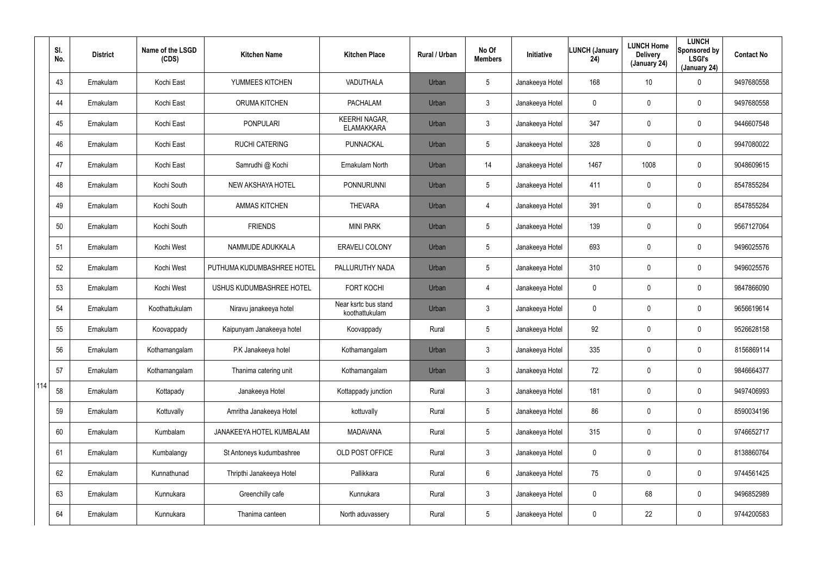|     | SI.<br>No. | <b>District</b> | Name of the LSGD<br>(CDS) | <b>Kitchen Name</b>        | <b>Kitchen Place</b>                      | Rural / Urban | No Of<br><b>Members</b> | <b>Initiative</b> | <b>LUNCH (January</b><br>24) | <b>LUNCH Home</b><br><b>Delivery</b><br>(January 24) | <b>LUNCH</b><br>Sponsored by<br><b>LSGI's</b><br>(January 24) | <b>Contact No</b> |
|-----|------------|-----------------|---------------------------|----------------------------|-------------------------------------------|---------------|-------------------------|-------------------|------------------------------|------------------------------------------------------|---------------------------------------------------------------|-------------------|
|     | 43         | Ernakulam       | Kochi East                | YUMMEES KITCHEN            | VADUTHALA                                 | Urban         | $5\overline{)}$         | Janakeeya Hotel   | 168                          | 10 <sup>°</sup>                                      | $\mathbf 0$                                                   | 9497680558        |
|     | 44         | Ernakulam       | Kochi East                | <b>ORUMA KITCHEN</b>       | <b>PACHALAM</b>                           | Urban         | $\mathbf{3}$            | Janakeeya Hotel   | 0                            | 0                                                    | $\mathbf 0$                                                   | 9497680558        |
|     | 45         | Ernakulam       | Kochi East                | <b>PONPULARI</b>           | <b>KEERHI NAGAR,</b><br><b>ELAMAKKARA</b> | Urban         | $\mathbf{3}$            | Janakeeya Hotel   | 347                          | 0                                                    | $\mathbf 0$                                                   | 9446607548        |
|     | 46         | Ernakulam       | Kochi East                | <b>RUCHI CATERING</b>      | PUNNACKAL                                 | Urban         | $5\overline{)}$         | Janakeeya Hotel   | 328                          | 0                                                    | $\mathbf 0$                                                   | 9947080022        |
|     | 47         | Ernakulam       | Kochi East                | Samrudhi @ Kochi           | Ernakulam North                           | Urban         | 14                      | Janakeeya Hotel   | 1467                         | 1008                                                 | $\mathbf 0$                                                   | 9048609615        |
|     | 48         | Ernakulam       | Kochi South               | NEW AKSHAYA HOTEL          | PONNURUNNI                                | Urban         | $5\overline{)}$         | Janakeeya Hotel   | 411                          | 0                                                    | $\mathbf 0$                                                   | 8547855284        |
|     | 49         | Ernakulam       | Kochi South               | <b>AMMAS KITCHEN</b>       | <b>THEVARA</b>                            | Urban         | $\overline{4}$          | Janakeeya Hotel   | 391                          | $\mathbf 0$                                          | $\mathbf 0$                                                   | 8547855284        |
|     | 50         | Ernakulam       | Kochi South               | <b>FRIENDS</b>             | <b>MINI PARK</b>                          | Urban         | $5\phantom{.0}$         | Janakeeya Hotel   | 139                          | 0                                                    | $\mathbf 0$                                                   | 9567127064        |
|     | 51         | Ernakulam       | Kochi West                | NAMMUDE ADUKKALA           | ERAVELI COLONY                            | Urban         | $5\phantom{.0}$         | Janakeeya Hotel   | 693                          | $\mathbf 0$                                          | $\mathbf 0$                                                   | 9496025576        |
|     | 52         | Ernakulam       | Kochi West                | PUTHUMA KUDUMBASHREE HOTEL | PALLURUTHY NADA                           | Urban         | $5\phantom{.0}$         | Janakeeya Hotel   | 310                          | 0                                                    | $\mathbf 0$                                                   | 9496025576        |
|     | 53         | Ernakulam       | Kochi West                | USHUS KUDUMBASHREE HOTEL   | <b>FORT KOCHI</b>                         | Urban         | $\overline{4}$          | Janakeeya Hotel   | 0                            | 0                                                    | $\mathbf 0$                                                   | 9847866090        |
|     | 54         | Ernakulam       | Koothattukulam            | Niravu janakeeya hotel     | Near ksrtc bus stand<br>koothattukulam    | Urban         | $\mathbf{3}$            | Janakeeya Hotel   | 0                            | 0                                                    | $\mathbf 0$                                                   | 9656619614        |
|     | 55         | Ernakulam       | Koovappady                | Kaipunyam Janakeeya hotel  | Koovappady                                | Rural         | $5\phantom{.0}$         | Janakeeya Hotel   | 92                           | $\mathbf 0$                                          | $\mathbf 0$                                                   | 9526628158        |
|     | 56         | Ernakulam       | Kothamangalam             | P.K Janakeeya hotel        | Kothamangalam                             | Urban         | 3                       | Janakeeya Hotel   | 335                          | $\mathbf 0$                                          | $\mathbf 0$                                                   | 8156869114        |
|     | 57         | Ernakulam       | Kothamangalam             | Thanima catering unit      | Kothamangalam                             | Urban         | $\mathbf{3}$            | Janakeeya Hotel   | 72                           | 0                                                    | $\pmb{0}$                                                     | 9846664377        |
| 114 | 58         | Ernakulam       | Kottapady                 | Janakeeya Hotel            | Kottappady junction                       | Rural         | $\mathbf{3}$            | Janakeeya Hotel   | 181                          | 0                                                    | $\pmb{0}$                                                     | 9497406993        |
|     | 59         | Ernakulam       | Kottuvally                | Amritha Janakeeya Hotel    | kottuvally                                | Rural         | $5\phantom{.0}$         | Janakeeya Hotel   | 86                           | 0                                                    | $\pmb{0}$                                                     | 8590034196        |
|     | 60         | Ernakulam       | Kumbalam                  | JANAKEEYA HOTEL KUMBALAM   | <b>MADAVANA</b>                           | Rural         | $5\phantom{.0}$         | Janakeeya Hotel   | 315                          | $\mathbf 0$                                          | $\mathbf 0$                                                   | 9746652717        |
|     | 61         | Ernakulam       | Kumbalangy                | St Antoneys kudumbashree   | OLD POST OFFICE                           | Rural         | $\mathbf{3}$            | Janakeeya Hotel   | 0                            | 0                                                    | $\mathbf 0$                                                   | 8138860764        |
|     | 62         | Ernakulam       | Kunnathunad               | Thripthi Janakeeya Hotel   | Pallikkara                                | Rural         | 6                       | Janakeeya Hotel   | 75                           | $\mathbf 0$                                          | $\pmb{0}$                                                     | 9744561425        |
|     | 63         | Ernakulam       | Kunnukara                 | Greenchilly cafe           | Kunnukara                                 | Rural         | $\mathfrak{Z}$          | Janakeeya Hotel   | 0                            | 68                                                   | $\mathbf 0$                                                   | 9496852989        |
|     | 64         | Ernakulam       | Kunnukara                 | Thanima canteen            | North aduvassery                          | Rural         | $5\phantom{.0}$         | Janakeeya Hotel   | 0                            | 22                                                   | $\pmb{0}$                                                     | 9744200583        |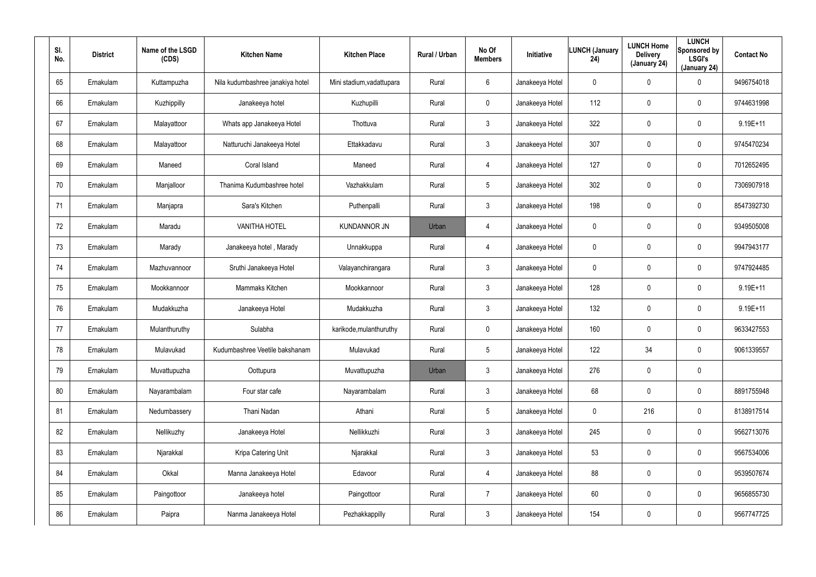| SI.<br>No. | <b>District</b> | Name of the LSGD<br>(CDS) | <b>Kitchen Name</b>              | <b>Kitchen Place</b>      | Rural / Urban | No Of<br><b>Members</b> | <b>Initiative</b> | <b>LUNCH (January</b><br>24) | <b>LUNCH Home</b><br><b>Delivery</b><br>(January 24) | <b>LUNCH</b><br>Sponsored by<br><b>LSGI's</b><br>(January 24) | <b>Contact No</b> |
|------------|-----------------|---------------------------|----------------------------------|---------------------------|---------------|-------------------------|-------------------|------------------------------|------------------------------------------------------|---------------------------------------------------------------|-------------------|
| 65         | Ernakulam       | Kuttampuzha               | Nila kudumbashree janakiya hotel | Mini stadium, vadattupara | Rural         | 6                       | Janakeeya Hotel   | $\mathbf 0$                  | $\mathbf 0$                                          | 0                                                             | 9496754018        |
| 66         | Ernakulam       | Kuzhippilly               | Janakeeya hotel                  | Kuzhupilli                | Rural         | $\mathbf 0$             | Janakeeya Hotel   | 112                          | 0                                                    | $\mathbf 0$                                                   | 9744631998        |
| 67         | Ernakulam       | Malayattoor               | Whats app Janakeeya Hotel        | Thottuva                  | Rural         | $\mathbf{3}$            | Janakeeya Hotel   | 322                          | $\mathbf 0$                                          | $\mathbf 0$                                                   | 9.19E+11          |
| 68         | Ernakulam       | Malayattoor               | Natturuchi Janakeeya Hotel       | Ettakkadavu               | Rural         | $\mathbf{3}$            | Janakeeya Hotel   | 307                          | 0                                                    | $\mathbf 0$                                                   | 9745470234        |
| 69         | Ernakulam       | Maneed                    | Coral Island                     | Maneed                    | Rural         | $\overline{4}$          | Janakeeya Hotel   | 127                          | 0                                                    | $\mathbf 0$                                                   | 7012652495        |
| 70         | Ernakulam       | Manjalloor                | Thanima Kudumbashree hotel       | Vazhakkulam               | Rural         | $5\overline{)}$         | Janakeeya Hotel   | 302                          | 0                                                    | $\mathbf 0$                                                   | 7306907918        |
| 71         | Ernakulam       | Manjapra                  | Sara's Kitchen                   | Puthenpalli               | Rural         | $\mathbf{3}$            | Janakeeya Hotel   | 198                          | $\boldsymbol{0}$                                     | 0                                                             | 8547392730        |
| 72         | Ernakulam       | Maradu                    | <b>VANITHA HOTEL</b>             | <b>KUNDANNOR JN</b>       | Urban         | $\overline{4}$          | Janakeeya Hotel   | 0                            | $\boldsymbol{0}$                                     | $\mathbf 0$                                                   | 9349505008        |
| 73         | Ernakulam       | Marady                    | Janakeeya hotel, Marady          | Unnakkuppa                | Rural         | $\overline{4}$          | Janakeeya Hotel   | 0                            | $\boldsymbol{0}$                                     | 0                                                             | 9947943177        |
| 74         | Ernakulam       | Mazhuvannoor              | Sruthi Janakeeya Hotel           | Valayanchirangara         | Rural         | $\mathbf{3}$            | Janakeeya Hotel   | 0                            | $\boldsymbol{0}$                                     | $\mathbf 0$                                                   | 9747924485        |
| 75         | Ernakulam       | Mookkannoor               | Mammaks Kitchen                  | Mookkannoor               | Rural         | $\mathbf{3}$            | Janakeeya Hotel   | 128                          | $\boldsymbol{0}$                                     | 0                                                             | $9.19E+11$        |
| 76         | Ernakulam       | Mudakkuzha                | Janakeeya Hotel                  | Mudakkuzha                | Rural         | $\mathbf{3}$            | Janakeeya Hotel   | 132                          | $\boldsymbol{0}$                                     | $\mathbf 0$                                                   | $9.19E + 11$      |
| 77         | Ernakulam       | Mulanthuruthy             | Sulabha                          | karikode, mulanthuruthy   | Rural         | $\mathbf 0$             | Janakeeya Hotel   | 160                          | $\boldsymbol{0}$                                     | $\mathbf 0$                                                   | 9633427553        |
| 78         | Ernakulam       | Mulavukad                 | Kudumbashree Veetile bakshanam   | Mulavukad                 | Rural         | 5                       | Janakeeya Hotel   | 122                          | 34                                                   | $\pmb{0}$                                                     | 9061339557        |
| 79         | Ernakulam       | Muvattupuzha              | Oottupura                        | Muvattupuzha              | Urban         | $\mathfrak{Z}$          | Janakeeya Hotel   | 276                          | $\pmb{0}$                                            | $\pmb{0}$                                                     |                   |
| 80         | Ernakulam       | Nayarambalam              | Four star cafe                   | Nayarambalam              | Rural         | $\mathfrak{Z}$          | Janakeeya Hotel   | 68                           | $\boldsymbol{0}$                                     | $\pmb{0}$                                                     | 8891755948        |
| 81         | Ernakulam       | Nedumbassery              | Thani Nadan                      | Athani                    | Rural         | $5\phantom{.0}$         | Janakeeya Hotel   | 0                            | 216                                                  | $\pmb{0}$                                                     | 8138917514        |
| 82         | Ernakulam       | Nellikuzhy                | Janakeeya Hotel                  | Nellikkuzhi               | Rural         | $\mathfrak{Z}$          | Janakeeya Hotel   | 245                          | $\mathbf 0$                                          | $\pmb{0}$                                                     | 9562713076        |
| 83         | Ernakulam       | Njarakkal                 | Kripa Catering Unit              | Njarakkal                 | Rural         | $\mathbf{3}$            | Janakeeya Hotel   | 53                           | $\pmb{0}$                                            | 0                                                             | 9567534006        |
| 84         | Ernakulam       | Okkal                     | Manna Janakeeya Hotel            | Edavoor                   | Rural         | $\overline{4}$          | Janakeeya Hotel   | 88                           | $\mathbf 0$                                          | $\pmb{0}$                                                     | 9539507674        |
| 85         | Ernakulam       | Paingottoor               | Janakeeya hotel                  | Paingottoor               | Rural         | $\overline{7}$          | Janakeeya Hotel   | 60                           | $\pmb{0}$                                            | 0                                                             | 9656855730        |
| 86         | Ernakulam       | Paipra                    | Nanma Janakeeya Hotel            | Pezhakkappilly            | Rural         | $\mathfrak{Z}$          | Janakeeya Hotel   | 154                          | $\boldsymbol{0}$                                     | $\pmb{0}$                                                     | 9567747725        |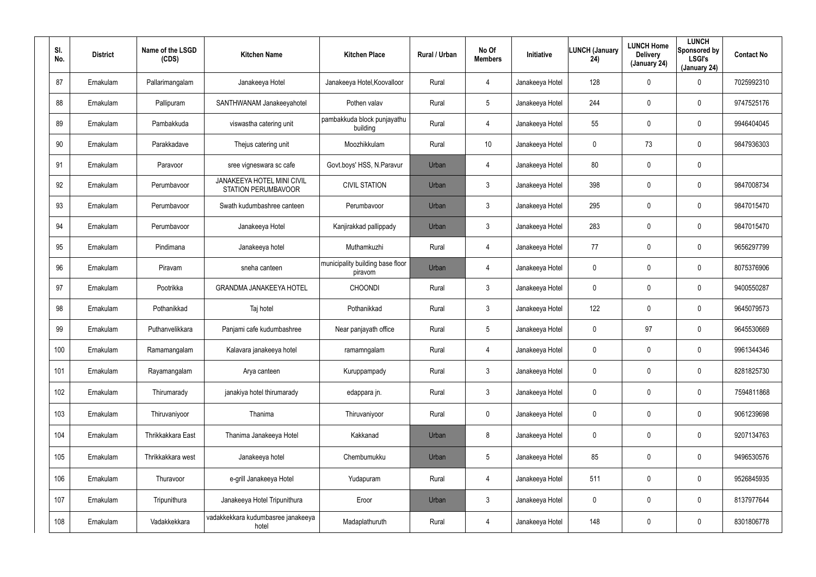| SI.<br>No. | <b>District</b> | Name of the LSGD<br>(CDS) | <b>Kitchen Name</b>                                      | <b>Kitchen Place</b>                        | Rural / Urban | No Of<br><b>Members</b> | Initiative      | <b>LUNCH (January</b><br>24) | <b>LUNCH Home</b><br><b>Delivery</b><br>(January 24) | <b>LUNCH</b><br>Sponsored by<br><b>LSGI's</b><br>(January 24) | <b>Contact No</b> |
|------------|-----------------|---------------------------|----------------------------------------------------------|---------------------------------------------|---------------|-------------------------|-----------------|------------------------------|------------------------------------------------------|---------------------------------------------------------------|-------------------|
| 87         | Ernakulam       | Pallarimangalam           | Janakeeya Hotel                                          | Janakeeya Hotel, Koovalloor                 | Rural         | $\overline{4}$          | Janakeeya Hotel | 128                          | 0                                                    | 0                                                             | 7025992310        |
| 88         | Ernakulam       | Pallipuram                | SANTHWANAM Janakeeyahotel                                | Pothen valav                                | Rural         | $5\phantom{.0}$         | Janakeeya Hotel | 244                          | $\mathbf 0$                                          | 0                                                             | 9747525176        |
| 89         | Ernakulam       | Pambakkuda                | viswastha catering unit                                  | pambakkuda block punjayathu<br>building     | Rural         | 4                       | Janakeeya Hotel | 55                           | $\mathbf 0$                                          | $\mathbf 0$                                                   | 9946404045        |
| 90         | Ernakulam       | Parakkadave               | Thejus catering unit                                     | Moozhikkulam                                | Rural         | 10                      | Janakeeya Hotel | 0                            | 73                                                   | $\mathbf 0$                                                   | 9847936303        |
| 91         | Ernakulam       | Paravoor                  | sree vigneswara sc cafe                                  | Govt.boys' HSS, N.Paravur                   | Urban         | $\overline{4}$          | Janakeeya Hotel | 80                           | $\mathbf 0$                                          | 0                                                             |                   |
| 92         | Ernakulam       | Perumbavoor               | JANAKEEYA HOTEL MINI CIVIL<br><b>STATION PERUMBAVOOR</b> | <b>CIVIL STATION</b>                        | Urban         | $\mathfrak{Z}$          | Janakeeya Hotel | 398                          | 0                                                    | $\mathbf 0$                                                   | 9847008734        |
| 93         | Ernakulam       | Perumbavoor               | Swath kudumbashree canteen                               | Perumbavoor                                 | Urban         | $\mathfrak{Z}$          | Janakeeya Hotel | 295                          | $\mathbf 0$                                          | $\mathbf 0$                                                   | 9847015470        |
| 94         | Ernakulam       | Perumbavoor               | Janakeeya Hotel                                          | Kanjirakkad pallippady                      | Urban         | $\mathfrak{Z}$          | Janakeeya Hotel | 283                          | 0                                                    | 0                                                             | 9847015470        |
| 95         | Ernakulam       | Pindimana                 | Janakeeya hotel                                          | Muthamkuzhi                                 | Rural         | 4                       | Janakeeya Hotel | 77                           | $\mathbf 0$                                          | $\mathbf 0$                                                   | 9656297799        |
| 96         | Ernakulam       | Piravam                   | sneha canteen                                            | municipality building base floor<br>piravom | Urban         | $\overline{4}$          | Janakeeya Hotel | 0                            | 0                                                    | 0                                                             | 8075376906        |
| 97         | Ernakulam       | Pootrikka                 | <b>GRANDMA JANAKEEYA HOTEL</b>                           | <b>CHOONDI</b>                              | Rural         | $\mathfrak{Z}$          | Janakeeya Hotel | 0                            | 0                                                    | $\mathbf 0$                                                   | 9400550287        |
| 98         | Ernakulam       | Pothanikkad               | Taj hotel                                                | Pothanikkad                                 | Rural         | $\mathbf{3}$            | Janakeeya Hotel | 122                          | 0                                                    | 0                                                             | 9645079573        |
| 99         | Ernakulam       | Puthanvelikkara           | Panjami cafe kudumbashree                                | Near panjayath office                       | Rural         | $5\phantom{.0}$         | Janakeeya Hotel | 0                            | 97                                                   | 0                                                             | 9645530669        |
| 100        | Ernakulam       | Ramamangalam              | Kalavara janakeeya hotel                                 | ramamngalam                                 | Rural         | 4                       | Janakeeya Hotel | 0                            | $\pmb{0}$                                            | 0                                                             | 9961344346        |
| 101        | Ernakulam       | Rayamangalam              | Arya canteen                                             | Kuruppampady                                | Rural         | $\mathbf{3}$            | Janakeeya Hotel | 0                            | $\boldsymbol{0}$                                     | $\pmb{0}$                                                     | 8281825730        |
| 102        | Ernakulam       | Thirumarady               | janakiya hotel thirumarady                               | edappara jn.                                | Rural         | $\mathfrak{Z}$          | Janakeeya Hotel | 0                            | $\pmb{0}$                                            | $\pmb{0}$                                                     | 7594811868        |
| 103        | Ernakulam       | Thiruvaniyoor             | Thanima                                                  | Thiruvaniyoor                               | Rural         | $\mathbf 0$             | Janakeeya Hotel | 0                            | $\pmb{0}$                                            | $\pmb{0}$                                                     | 9061239698        |
| 104        | Ernakulam       | Thrikkakkara East         | Thanima Janakeeya Hotel                                  | Kakkanad                                    | Urban         | 8                       | Janakeeya Hotel | 0                            | $\mathbf 0$                                          | $\pmb{0}$                                                     | 9207134763        |
| 105        | Ernakulam       | Thrikkakkara west         | Janakeeya hotel                                          | Chembumukku                                 | Urban         | $5\phantom{.0}$         | Janakeeya Hotel | 85                           | $\pmb{0}$                                            | $\pmb{0}$                                                     | 9496530576        |
| 106        | Ernakulam       | Thuravoor                 | e-grill Janakeeya Hotel                                  | Yudapuram                                   | Rural         | 4                       | Janakeeya Hotel | 511                          | $\boldsymbol{0}$                                     | $\pmb{0}$                                                     | 9526845935        |
| 107        | Ernakulam       | Tripunithura              | Janakeeya Hotel Tripunithura                             | Eroor                                       | Urban         | $\mathfrak{Z}$          | Janakeeya Hotel | 0                            | $\pmb{0}$                                            | $\pmb{0}$                                                     | 8137977644        |
| 108        | Ernakulam       | Vadakkekkara              | vadakkekkara kudumbasree janakeeya<br>hotel              | Madaplathuruth                              | Rural         | 4                       | Janakeeya Hotel | 148                          | $\boldsymbol{0}$                                     | 0                                                             | 8301806778        |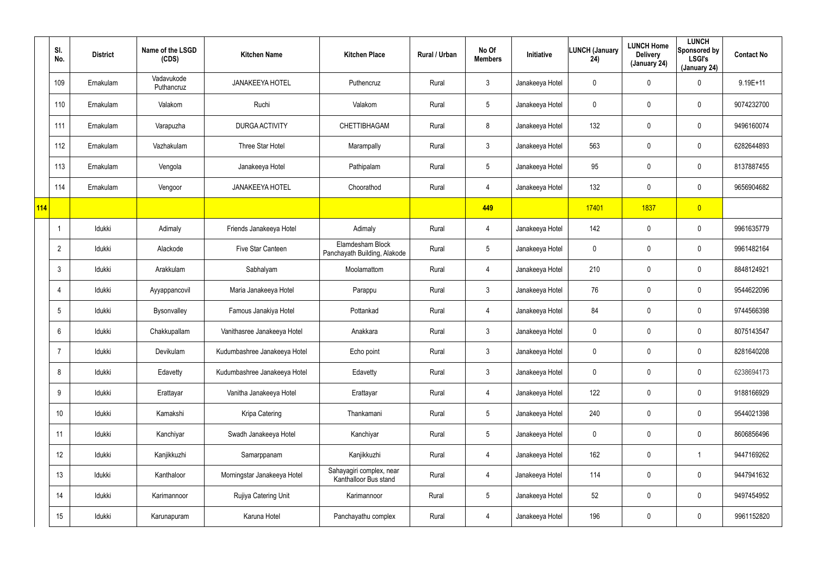|     | SI.<br>No.      | <b>District</b> | Name of the LSGD<br>(CDS) | <b>Kitchen Name</b>          | <b>Kitchen Place</b>                              | Rural / Urban | No Of<br><b>Members</b> | Initiative      | <b>LUNCH (January</b><br>24) | <b>LUNCH Home</b><br><b>Delivery</b><br>(January 24) | <b>LUNCH</b><br>Sponsored by<br><b>LSGI's</b><br>(January 24) | <b>Contact No</b> |
|-----|-----------------|-----------------|---------------------------|------------------------------|---------------------------------------------------|---------------|-------------------------|-----------------|------------------------------|------------------------------------------------------|---------------------------------------------------------------|-------------------|
|     | 109             | Ernakulam       | Vadavukode<br>Puthancruz  | <b>JANAKEEYA HOTEL</b>       | Puthencruz                                        | Rural         | $\mathfrak{Z}$          | Janakeeya Hotel | 0                            | $\overline{0}$                                       | 0                                                             | $9.19E+11$        |
|     | 110             | Ernakulam       | Valakom                   | Ruchi                        | Valakom                                           | Rural         | $5\phantom{.0}$         | Janakeeya Hotel | 0                            | $\pmb{0}$                                            | $\pmb{0}$                                                     | 9074232700        |
|     | 111             | Ernakulam       | Varapuzha                 | <b>DURGA ACTIVITY</b>        | CHETTIBHAGAM                                      | Rural         | 8                       | Janakeeya Hotel | 132                          | $\pmb{0}$                                            | $\pmb{0}$                                                     | 9496160074        |
|     | 112             | Ernakulam       | Vazhakulam                | Three Star Hotel             | Marampally                                        | Rural         | $\mathfrak{Z}$          | Janakeeya Hotel | 563                          | $\mathbf 0$                                          | $\mathbf 0$                                                   | 6282644893        |
|     | 113             | Ernakulam       | Vengola                   | Janakeeya Hotel              | Pathipalam                                        | Rural         | $5\phantom{.0}$         | Janakeeya Hotel | 95                           | $\pmb{0}$                                            | $\pmb{0}$                                                     | 8137887455        |
|     | 114             | Ernakulam       | Vengoor                   | <b>JANAKEEYA HOTEL</b>       | Choorathod                                        | Rural         | 4                       | Janakeeya Hotel | 132                          | $\pmb{0}$                                            | $\pmb{0}$                                                     | 9656904682        |
| 114 |                 |                 |                           |                              |                                                   |               | 449                     |                 | 17401                        | 1837                                                 | $\overline{0}$                                                |                   |
|     |                 | Idukki          | Adimaly                   | Friends Janakeeya Hotel      | Adimaly                                           | Rural         | 4                       | Janakeeya Hotel | 142                          | $\pmb{0}$                                            | $\pmb{0}$                                                     | 9961635779        |
|     | $\overline{2}$  | Idukki          | Alackode                  | Five Star Canteen            | Elamdesham Block<br>Panchayath Building, Alakode  | Rural         | $5\phantom{.0}$         | Janakeeya Hotel | 0                            | $\mathbf 0$                                          | $\pmb{0}$                                                     | 9961482164        |
|     | $\mathbf{3}$    | Idukki          | Arakkulam                 | Sabhalyam                    | Moolamattom                                       | Rural         | 4                       | Janakeeya Hotel | 210                          | $\boldsymbol{0}$                                     | $\pmb{0}$                                                     | 8848124921        |
|     | $\overline{4}$  | Idukki          | Ayyappancovil             | Maria Janakeeya Hotel        | Parappu                                           | Rural         | $\mathfrak{Z}$          | Janakeeya Hotel | 76                           | $\pmb{0}$                                            | $\mathbf 0$                                                   | 9544622096        |
|     | $5\phantom{.0}$ | Idukki          | Bysonvalley               | Famous Janakiya Hotel        | Pottankad                                         | Rural         | 4                       | Janakeeya Hotel | 84                           | $\mathbf 0$                                          | $\mathbf 0$                                                   | 9744566398        |
|     | 6               | Idukki          | Chakkupallam              | Vanithasree Janakeeya Hotel  | Anakkara                                          | Rural         | $\mathfrak{Z}$          | Janakeeya Hotel | 0                            | $\mathbf 0$                                          | $\pmb{0}$                                                     | 8075143547        |
|     | $\overline{7}$  | Idukki          | Devikulam                 | Kudumbashree Janakeeya Hotel | Echo point                                        | Rural         | $\mathfrak{Z}$          | Janakeeya Hotel | 0                            | $\mathbf 0$                                          | $\pmb{0}$                                                     | 8281640208        |
|     | 8               | Idukki          | Edavetty                  | Kudumbashree Janakeeya Hotel | Edavetty                                          | Rural         | $\mathfrak{Z}$          | Janakeeya Hotel | 0                            | 0                                                    | $\pmb{0}$                                                     | 6238694173        |
|     | 9               | Idukki          | Erattayar                 | Vanitha Janakeeya Hotel      | Erattayar                                         | Rural         | 4                       | Janakeeya Hotel | 122                          | $\mathbf 0$                                          | $\pmb{0}$                                                     | 9188166929        |
|     | 10 <sup>°</sup> | Idukki          | Kamakshi                  | Kripa Catering               | Thankamani                                        | Rural         | $\overline{5}$          | Janakeeya Hotel | 240                          | $\overline{0}$                                       | $\pmb{0}$                                                     | 9544021398        |
|     | 11              | ldukki          | Kanchiyar                 | Swadh Janakeeya Hotel        | Kanchiyar                                         | Rural         | $\overline{5}$          | Janakeeya Hotel | 0                            | $\mathbf 0$                                          | $\mathbf 0$                                                   | 8606856496        |
|     | 12              | Idukki          | Kanjikkuzhi               | Samarppanam                  | Kanjikkuzhi                                       | Rural         | 4                       | Janakeeya Hotel | 162                          | $\overline{0}$                                       | -1                                                            | 9447169262        |
|     | 13              | ldukki          | Kanthaloor                | Morningstar Janakeeya Hotel  | Sahayagiri complex, near<br>Kanthalloor Bus stand | Rural         | 4                       | Janakeeya Hotel | 114                          | $\mathbf 0$                                          | $\mathbf 0$                                                   | 9447941632        |
|     | 14              | Idukki          | Karimannoor               | Rujiya Catering Unit         | Karimannoor                                       | Rural         | $\overline{5}$          | Janakeeya Hotel | 52                           | $\mathbf 0$                                          | $\pmb{0}$                                                     | 9497454952        |
|     | 15              | ldukki          | Karunapuram               | Karuna Hotel                 | Panchayathu complex                               | Rural         | 4                       | Janakeeya Hotel | 196                          | $\mathbf 0$                                          | $\pmb{0}$                                                     | 9961152820        |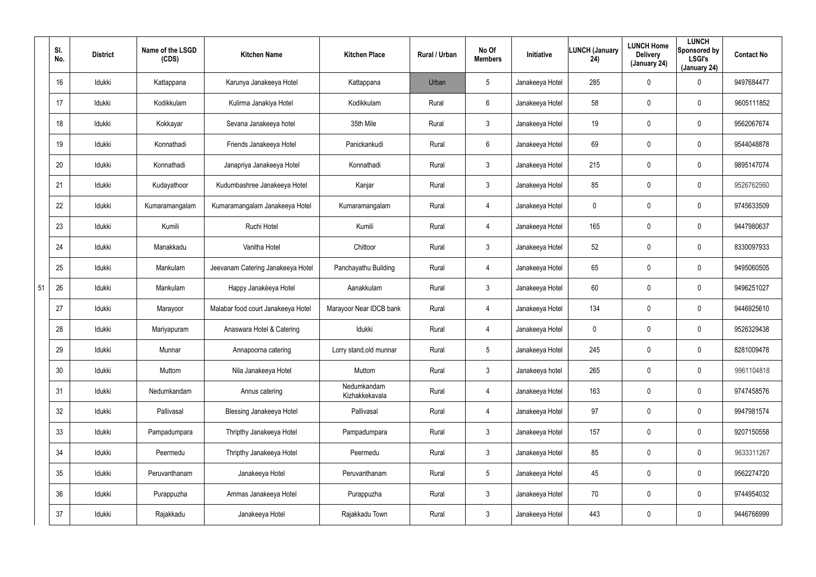|    | SI.<br>No.      | <b>District</b> | Name of the LSGD<br>(CDS) | <b>Kitchen Name</b>                | <b>Kitchen Place</b>          | <b>Rural / Urban</b> | No Of<br><b>Members</b> | Initiative      | LUNCH (January<br>24) | <b>LUNCH Home</b><br><b>Delivery</b><br>(January 24) | <b>LUNCH</b><br>Sponsored by<br><b>LSGI's</b><br>(January 24) | <b>Contact No</b> |
|----|-----------------|-----------------|---------------------------|------------------------------------|-------------------------------|----------------------|-------------------------|-----------------|-----------------------|------------------------------------------------------|---------------------------------------------------------------|-------------------|
|    | 16              | Idukki          | Kattappana                | Karunya Janakeeya Hotel            | Kattappana                    | Urban                | 5                       | Janakeeya Hotel | 285                   | $\mathbf 0$                                          | 0                                                             | 9497684477        |
|    | 17              | Idukki          | Kodikkulam                | Kulirma Janakiya Hotel             | Kodikkulam                    | Rural                | 6                       | Janakeeya Hotel | 58                    | 0                                                    | 0                                                             | 9605111852        |
|    | 18              | Idukki          | Kokkayar                  | Sevana Janakeeya hotel             | 35th Mile                     | Rural                | 3                       | Janakeeya Hotel | 19                    | 0                                                    | 0                                                             | 9562067674        |
|    | 19              | Idukki          | Konnathadi                | Friends Janakeeya Hotel            | Panickankudi                  | Rural                | $6\phantom{.}6$         | Janakeeya Hotel | 69                    | 0                                                    | 0                                                             | 9544048878        |
|    | 20              | Idukki          | Konnathadi                | Janapriya Janakeeya Hotel          | Konnathadi                    | Rural                | 3                       | Janakeeya Hotel | 215                   | 0                                                    | 0                                                             | 9895147074        |
|    | 21              | Idukki          | Kudayathoor               | Kudumbashree Janakeeya Hotel       | Kanjar                        | Rural                | 3                       | Janakeeya Hotel | 85                    | 0                                                    | 0                                                             | 9526762560        |
|    | 22              | Idukki          | Kumaramangalam            | Kumaramangalam Janakeeya Hotel     | Kumaramangalam                | Rural                | 4                       | Janakeeya Hotel | 0                     | 0                                                    | 0                                                             | 9745633509        |
|    | 23              | Idukki          | Kumili                    | Ruchi Hotel                        | Kumili                        | Rural                | 4                       | Janakeeya Hotel | 165                   | 0                                                    | 0                                                             | 9447980637        |
|    | 24              | Idukki          | Manakkadu                 | Vanitha Hotel                      | Chittoor                      | Rural                | $\mathbf{3}$            | Janakeeya Hotel | 52                    | 0                                                    | 0                                                             | 8330097933        |
|    | 25              | Idukki          | Mankulam                  | Jeevanam Catering Janakeeya Hotel  | Panchayathu Building          | Rural                | 4                       | Janakeeya Hotel | 65                    | 0                                                    | 0                                                             | 9495060505        |
| 51 | 26              | Idukki          | Mankulam                  | Happy Janakéeya Hotel              | Aanakkulam                    | Rural                | $\mathbf{3}$            | Janakeeya Hotel | 60                    | 0                                                    | 0                                                             | 9496251027        |
|    | 27              | Idukki          | Marayoor                  | Malabar food court Janakeeya Hotel | Marayoor Near IDCB bank       | Rural                | 4                       | Janakeeya Hotel | 134                   | 0                                                    | 0                                                             | 9446925610        |
|    | 28              | Idukki          | Mariyapuram               | Anaswara Hotel & Catering          | Idukki                        | Rural                | 4                       | Janakeeya Hotel | 0                     | 0                                                    | 0                                                             | 9526329438        |
|    | 29              | Idukki          | Munnar                    | Annapoorna catering                | Lorry stand, old munnar       | Rural                | 5                       | Janakeeya Hotel | 245                   | 0                                                    | 0                                                             | 8281009478        |
|    | 30              | Idukki          | Muttom                    | Nila Janakeeya Hotel               | Muttom                        | Rural                | $\mathbf{3}$            | Janakeeya hotel | 265                   | $\mathbf 0$                                          | 0                                                             | 9961104818        |
|    | 31              | Idukki          | Nedumkandam               | Annus catering                     | Nedumkandam<br>Kizhakkekavala | Rural                | 4                       | Janakeeya Hotel | 163                   | $\mathbf 0$                                          | 0                                                             | 9747458576        |
|    | 32              | Idukki          | Pallivasal                | Blessing Janakeeya Hotel           | Pallivasal                    | Rural                | 4                       | Janakeeya Hotel | 97                    | $\mathbf 0$                                          | 0                                                             | 9947981574        |
|    | 33              | Idukki          | Pampadumpara              | Thripthy Janakeeya Hotel           | Pampadumpara                  | Rural                | $\mathbf{3}$            | Janakeeya Hotel | 157                   | $\mathbf 0$                                          | 0                                                             | 9207150558        |
|    | 34              | Idukki          | Peermedu                  | Thripthy Janakeeya Hotel           | Peermedu                      | Rural                | $\mathbf{3}$            | Janakeeya Hotel | 85                    | $\mathbf 0$                                          | 0                                                             | 9633311267        |
|    | 35 <sub>5</sub> | Idukki          | Peruvanthanam             | Janakeeya Hotel                    | Peruvanthanam                 | Rural                | $5\phantom{.0}$         | Janakeeya Hotel | 45                    | $\mathbf 0$                                          | 0                                                             | 9562274720        |
|    | 36              | Idukki          | Purappuzha                | Ammas Janakeeya Hotel              | Purappuzha                    | Rural                | $\mathbf{3}$            | Janakeeya Hotel | 70                    | $\mathbf 0$                                          | 0                                                             | 9744954032        |
|    | 37              | Idukki          | Rajakkadu                 | Janakeeya Hotel                    | Rajakkadu Town                | Rural                | $\mathbf{3}$            | Janakeeya Hotel | 443                   | $\mathbf 0$                                          | 0                                                             | 9446766999        |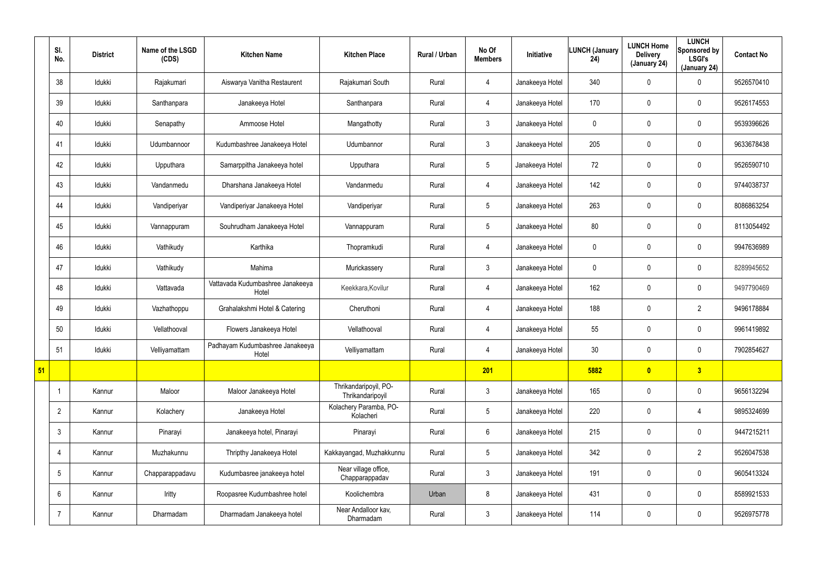|    | SI.<br>No.      | <b>District</b> | Name of the LSGD<br>(CDS) | <b>Kitchen Name</b>                       | <b>Kitchen Place</b>                      | Rural / Urban | No Of<br><b>Members</b> | Initiative      | LUNCH (January<br>24) | <b>LUNCH Home</b><br><b>Delivery</b><br>(January 24) | <b>LUNCH</b><br>Sponsored by<br><b>LSGI's</b><br>(January 24) | <b>Contact No</b> |
|----|-----------------|-----------------|---------------------------|-------------------------------------------|-------------------------------------------|---------------|-------------------------|-----------------|-----------------------|------------------------------------------------------|---------------------------------------------------------------|-------------------|
|    | 38              | Idukki          | Rajakumari                | Aiswarya Vanitha Restaurent               | Rajakumari South                          | Rural         | $\overline{4}$          | Janakeeya Hotel | 340                   | 0                                                    | $\mathbf 0$                                                   | 9526570410        |
|    | 39              | Idukki          | Santhanpara               | Janakeeya Hotel                           | Santhanpara                               | Rural         | $\overline{4}$          | Janakeeya Hotel | 170                   | 0                                                    | $\mathbf 0$                                                   | 9526174553        |
|    | 40              | Idukki          | Senapathy                 | Ammoose Hotel                             | Mangathotty                               | Rural         | $\mathbf{3}$            | Janakeeya Hotel | 0                     | 0                                                    | $\pmb{0}$                                                     | 9539396626        |
|    | 41              | Idukki          | Udumbannoor               | Kudumbashree Janakeeya Hotel              | Udumbannor                                | Rural         | $\mathfrak{Z}$          | Janakeeya Hotel | 205                   | 0                                                    | $\mathbf 0$                                                   | 9633678438        |
|    | 42              | Idukki          | Upputhara                 | Samarppitha Janakeeya hotel               | Upputhara                                 | Rural         | $5\phantom{.0}$         | Janakeeya Hotel | 72                    | 0                                                    | $\pmb{0}$                                                     | 9526590710        |
|    | 43              | Idukki          | Vandanmedu                | Dharshana Janakeeya Hotel                 | Vandanmedu                                | Rural         | $\overline{4}$          | Janakeeya Hotel | 142                   | 0                                                    | $\mathbf 0$                                                   | 9744038737        |
|    | 44              | Idukki          | Vandiperiyar              | Vandiperiyar Janakeeya Hotel              | Vandiperiyar                              | Rural         | $5\phantom{.0}$         | Janakeeya Hotel | 263                   | 0                                                    | $\mathbf 0$                                                   | 8086863254        |
|    | 45              | Idukki          | Vannappuram               | Souhrudham Janakeeya Hotel                | Vannappuram                               | Rural         | $5\phantom{.0}$         | Janakeeya Hotel | 80                    | 0                                                    | $\mathbf 0$                                                   | 8113054492        |
|    | 46              | Idukki          | Vathikudy                 | Karthika                                  | Thopramkudi                               | Rural         | 4                       | Janakeeya Hotel | 0                     | 0                                                    | $\mathbf 0$                                                   | 9947636989        |
|    | 47              | Idukki          | Vathikudy                 | Mahima                                    | Murickassery                              | Rural         | $\mathbf{3}$            | Janakeeya Hotel | 0                     | 0                                                    | $\mathbf 0$                                                   | 8289945652        |
|    | 48              | Idukki          | Vattavada                 | Vattavada Kudumbashree Janakeeya<br>Hotel | Keekkara, Kovilur                         | Rural         | 4                       | Janakeeya Hotel | 162                   | 0                                                    | $\mathbf 0$                                                   | 9497790469        |
|    | 49              | Idukki          | Vazhathoppu               | Grahalakshmi Hotel & Catering             | Cheruthoni                                | Rural         | $\overline{4}$          | Janakeeya Hotel | 188                   | 0                                                    | $\overline{2}$                                                | 9496178884        |
|    | 50              | Idukki          | Vellathooval              | Flowers Janakeeya Hotel                   | Vellathooval                              | Rural         | 4                       | Janakeeya Hotel | 55                    | 0                                                    | $\mathbf 0$                                                   | 9961419892        |
|    | 51              | Idukki          | Velliyamattam             | Padhayam Kudumbashree Janakeeya<br>Hotel  | Velliyamattam                             | Rural         | $\overline{4}$          | Janakeeya Hotel | 30 <sub>o</sub>       | 0                                                    | $\pmb{0}$                                                     | 7902854627        |
| 51 |                 |                 |                           |                                           |                                           |               | 201                     |                 | 5882                  | $\bullet$                                            | 3                                                             |                   |
|    |                 | Kannur          | Maloor                    | Maloor Janakeeya Hotel                    | Thrikandaripoyil, PO-<br>Thrikandaripoyil | Rural         | 3 <sup>1</sup>          | Janakeeya Hotel | 165                   | 0                                                    | $\mathbf 0$                                                   | 9656132294        |
|    | $\overline{2}$  | Kannur          | Kolachery                 | Janakeeya Hotel                           | Kolachery Paramba, PO-<br>Kolacheri       | Rural         | $5\phantom{.0}$         | Janakeeya Hotel | 220                   | 0                                                    | $\overline{4}$                                                | 9895324699        |
|    | $\mathbf{3}$    | Kannur          | Pinarayi                  | Janakeeya hotel, Pinarayi                 | Pinarayi                                  | Rural         | $6\phantom{.0}$         | Janakeeya Hotel | 215                   | 0                                                    | $\pmb{0}$                                                     | 9447215211        |
|    | 4               | Kannur          | Muzhakunnu                | Thripthy Janakeeya Hotel                  | Kakkayangad, Muzhakkunnu                  | Rural         | $5\phantom{.0}$         | Janakeeya Hotel | 342                   | 0                                                    | $\overline{2}$                                                | 9526047538        |
|    | $5\overline{)}$ | Kannur          | Chapparappadavu           | Kudumbasree janakeeya hotel               | Near village office,<br>Chapparappadav    | Rural         | 3 <sup>1</sup>          | Janakeeya Hotel | 191                   | 0                                                    | $\mathbf 0$                                                   | 9605413324        |
|    | $6^{\circ}$     | Kannur          | Iritty                    | Roopasree Kudumbashree hotel              | Koolichembra                              | Urban         | 8                       | Janakeeya Hotel | 431                   | 0                                                    | $\mathbf 0$                                                   | 8589921533        |
|    | $\overline{7}$  | Kannur          | Dharmadam                 | Dharmadam Janakeeya hotel                 | Near Andalloor kav,<br>Dharmadam          | Rural         | 3 <sup>1</sup>          | Janakeeya Hotel | 114                   | 0                                                    | $\pmb{0}$                                                     | 9526975778        |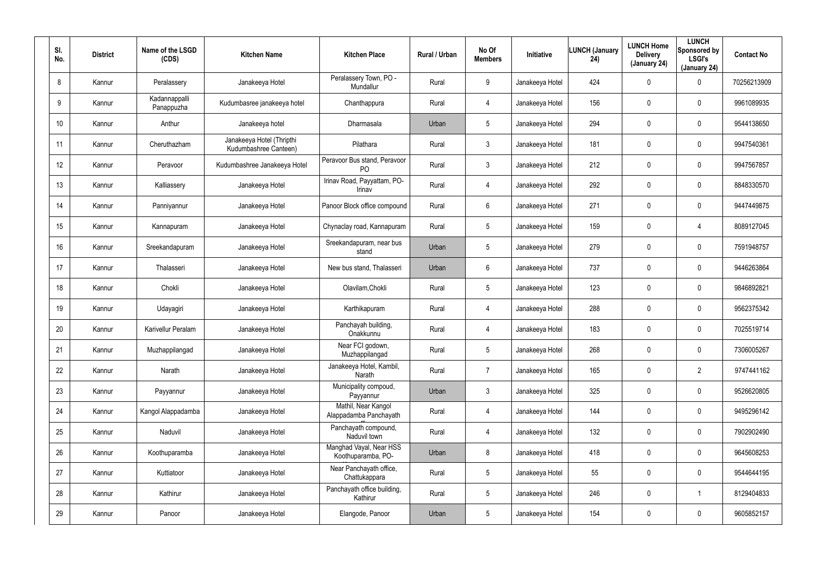| SI.<br>No.      | <b>District</b> | Name of the LSGD<br>(CDS)   | <b>Kitchen Name</b>                                | <b>Kitchen Place</b>                           | Rural / Urban | No Of<br><b>Members</b> | Initiative      | <b>LUNCH (January</b><br>24) | <b>LUNCH Home</b><br><b>Delivery</b><br>(January 24) | <b>LUNCH</b><br>Sponsored by<br><b>LSGI's</b><br>(January 24) | <b>Contact No</b> |
|-----------------|-----------------|-----------------------------|----------------------------------------------------|------------------------------------------------|---------------|-------------------------|-----------------|------------------------------|------------------------------------------------------|---------------------------------------------------------------|-------------------|
| 8               | Kannur          | Peralassery                 | Janakeeya Hotel                                    | Peralassery Town, PO -<br>Mundallur            | Rural         | 9                       | Janakeeya Hotel | 424                          | $\mathbf 0$                                          | 0                                                             | 70256213909       |
| 9               | Kannur          | Kadannappalli<br>Panappuzha | Kudumbasree janakeeya hotel                        | Chanthappura                                   | Rural         | 4                       | Janakeeya Hotel | 156                          | $\mathbf 0$                                          | 0                                                             | 9961089935        |
| 10 <sup>°</sup> | Kannur          | Anthur                      | Janakeeya hotel                                    | Dharmasala                                     | Urban         | $5\phantom{.0}$         | Janakeeya Hotel | 294                          | $\mathbf 0$                                          | 0                                                             | 9544138650        |
| 11              | Kannur          | Cheruthazham                | Janakeeya Hotel (Thripthi<br>Kudumbashree Canteen) | Pilathara                                      | Rural         | 3                       | Janakeeya Hotel | 181                          | $\mathbf 0$                                          | 0                                                             | 9947540361        |
| 12 <sup>°</sup> | Kannur          | Peravoor                    | Kudumbashree Janakeeya Hotel                       | Peravoor Bus stand, Peravoor<br>P <sub>O</sub> | Rural         | $\mathfrak{Z}$          | Janakeeya Hotel | 212                          | $\mathbf 0$                                          | 0                                                             | 9947567857        |
| 13              | Kannur          | Kalliassery                 | Janakeeya Hotel                                    | Irinav Road, Payyattam, PO-<br>Irinav          | Rural         | 4                       | Janakeeya Hotel | 292                          | $\mathbf 0$                                          | 0                                                             | 8848330570        |
| 14              | Kannur          | Panniyannur                 | Janakeeya Hotel                                    | Panoor Block office compound                   | Rural         | 6                       | Janakeeya Hotel | 271                          | $\mathbf 0$                                          | 0                                                             | 9447449875        |
| 15              | Kannur          | Kannapuram                  | Janakeeya Hotel                                    | Chynaclay road, Kannapuram                     | Rural         | $5\overline{)}$         | Janakeeya Hotel | 159                          | $\mathbf 0$                                          | 4                                                             | 8089127045        |
| 16              | Kannur          | Sreekandapuram              | Janakeeya Hotel                                    | Sreekandapuram, near bus<br>stand              | Urban         | $5\phantom{.0}$         | Janakeeya Hotel | 279                          | $\mathbf 0$                                          | 0                                                             | 7591948757        |
| 17              | Kannur          | Thalasseri                  | Janakeeya Hotel                                    | New bus stand, Thalasseri                      | Urban         | 6                       | Janakeeya Hotel | 737                          | $\mathbf 0$                                          | 0                                                             | 9446263864        |
| 18              | Kannur          | Chokli                      | Janakeeya Hotel                                    | Olavilam, Chokli                               | Rural         | $5\phantom{.0}$         | Janakeeya Hotel | 123                          | $\mathbf 0$                                          | 0                                                             | 9846892821        |
| 19              | Kannur          | Udayagiri                   | Janakeeya Hotel                                    | Karthikapuram                                  | Rural         | 4                       | Janakeeya Hotel | 288                          | $\mathbf 0$                                          | 0                                                             | 9562375342        |
| 20              | Kannur          | Karivellur Peralam          | Janakeeya Hotel                                    | Panchayah building,<br>Onakkunnu               | Rural         | 4                       | Janakeeya Hotel | 183                          | $\mathbf 0$                                          | 0                                                             | 7025519714        |
| 21              | Kannur          | Muzhappilangad              | Janakeeya Hotel                                    | Near FCI godown,<br>Muzhappilangad             | Rural         | $5\phantom{.0}$         | Janakeeya Hotel | 268                          | $\mathbf 0$                                          | 0                                                             | 7306005267        |
| 22              | Kannur          | Narath                      | Janakeeya Hotel                                    | Janakeeya Hotel, Kambil,<br>Narath             | Rural         | $\overline{7}$          | Janakeeya Hotel | 165                          | $\mathbf 0$                                          | $\overline{2}$                                                | 9747441162        |
| 23              | Kannur          | Payyannur                   | Janakeeya Hotel                                    | Municipality compoud,<br>Payyannur             | Urban         | $\mathbf{3}$            | Janakeeya Hotel | 325                          | $\overline{0}$                                       | 0                                                             | 9526620805        |
| 24              | Kannur          | Kangol Alappadamba          | Janakeeya Hotel                                    | Mathil, Near Kangol<br>Alappadamba Panchayath  | Rural         | 4                       | Janakeeya Hotel | 144                          | $\mathbf 0$                                          | 0                                                             | 9495296142        |
| 25              | Kannur          | Naduvil                     | Janakeeya Hotel                                    | Panchayath compound,<br>Naduvil town           | Rural         | $\overline{4}$          | Janakeeya Hotel | 132                          | $\mathbf 0$                                          | 0                                                             | 7902902490        |
| 26              | Kannur          | Koothuparamba               | Janakeeya Hotel                                    | Manghad Vayal, Near HSS<br>Koothuparamba, PO-  | Urban         | 8                       | Janakeeya Hotel | 418                          | $\overline{0}$                                       | 0                                                             | 9645608253        |
| 27              | Kannur          | Kuttiatoor                  | Janakeeya Hotel                                    | Near Panchayath office,<br>Chattukappara       | Rural         | $5\phantom{.0}$         | Janakeeya Hotel | 55                           | $\boldsymbol{0}$                                     | 0                                                             | 9544644195        |
| 28              | Kannur          | Kathirur                    | Janakeeya Hotel                                    | Panchayath office building,<br>Kathirur        | Rural         | $5\phantom{.0}$         | Janakeeya Hotel | 246                          | $\boldsymbol{0}$                                     |                                                               | 8129404833        |
| 29              | Kannur          | Panoor                      | Janakeeya Hotel                                    | Elangode, Panoor                               | Urban         | $5\phantom{.0}$         | Janakeeya Hotel | 154                          | $\pmb{0}$                                            | 0                                                             | 9605852157        |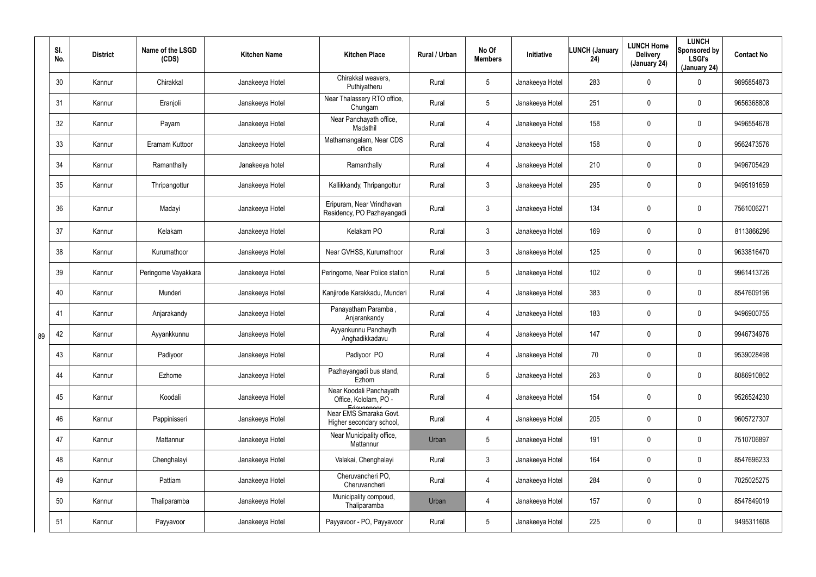|    | SI.<br>No. | <b>District</b> | Name of the LSGD<br>(CDS) | <b>Kitchen Name</b> | <b>Kitchen Place</b>                                           | Rural / Urban | No Of<br><b>Members</b> | Initiative      | <b>LUNCH (January</b><br>24) | <b>LUNCH Home</b><br><b>Delivery</b><br>(January 24) | <b>LUNCH</b><br>Sponsored by<br><b>LSGI's</b><br>(January 24) | <b>Contact No</b> |
|----|------------|-----------------|---------------------------|---------------------|----------------------------------------------------------------|---------------|-------------------------|-----------------|------------------------------|------------------------------------------------------|---------------------------------------------------------------|-------------------|
|    | 30         | Kannur          | Chirakkal                 | Janakeeya Hotel     | Chirakkal weavers,<br>Puthiyatheru                             | Rural         | $5\phantom{.0}$         | Janakeeya Hotel | 283                          | 0                                                    | $\mathbf 0$                                                   | 9895854873        |
|    | 31         | Kannur          | Eranjoli                  | Janakeeya Hotel     | Near Thalassery RTO office,<br>Chungam                         | Rural         | $5\phantom{.0}$         | Janakeeya Hotel | 251                          | 0                                                    | $\mathbf 0$                                                   | 9656368808        |
|    | 32         | Kannur          | Payam                     | Janakeeya Hotel     | Near Panchayath office,<br>Madathil                            | Rural         | 4                       | Janakeeya Hotel | 158                          | 0                                                    | $\pmb{0}$                                                     | 9496554678        |
|    | 33         | Kannur          | Eramam Kuttoor            | Janakeeya Hotel     | Mathamangalam, Near CDS<br>office                              | Rural         | $\overline{4}$          | Janakeeya Hotel | 158                          | 0                                                    | $\pmb{0}$                                                     | 9562473576        |
|    | 34         | Kannur          | Ramanthally               | Janakeeya hotel     | Ramanthally                                                    | Rural         | $\overline{4}$          | Janakeeya Hotel | 210                          | 0                                                    | $\pmb{0}$                                                     | 9496705429        |
|    | 35         | Kannur          | Thripangottur             | Janakeeya Hotel     | Kallikkandy, Thripangottur                                     | Rural         | $\mathfrak{Z}$          | Janakeeya Hotel | 295                          | 0                                                    | $\pmb{0}$                                                     | 9495191659        |
|    | 36         | Kannur          | Madayi                    | Janakeeya Hotel     | Eripuram, Near Vrindhavan<br>Residency, PO Pazhayangadi        | Rural         | $\mathfrak{Z}$          | Janakeeya Hotel | 134                          | 0                                                    | $\pmb{0}$                                                     | 7561006271        |
|    | 37         | Kannur          | Kelakam                   | Janakeeya Hotel     | Kelakam PO                                                     | Rural         | $\mathbf{3}$            | Janakeeya Hotel | 169                          | 0                                                    | $\boldsymbol{0}$                                              | 8113866296        |
|    | 38         | Kannur          | Kurumathoor               | Janakeeya Hotel     | Near GVHSS, Kurumathoor                                        | Rural         | $\mathfrak{Z}$          | Janakeeya Hotel | 125                          | 0                                                    | $\mathbf 0$                                                   | 9633816470        |
|    | 39         | Kannur          | Peringome Vayakkara       | Janakeeya Hotel     | Peringome, Near Police station                                 | Rural         | $5\phantom{.0}$         | Janakeeya Hotel | 102                          | 0                                                    | $\boldsymbol{0}$                                              | 9961413726        |
|    | 40         | Kannur          | Munderi                   | Janakeeya Hotel     | Kanjirode Karakkadu, Munderi                                   | Rural         | 4                       | Janakeeya Hotel | 383                          | 0                                                    | $\mathbf 0$                                                   | 8547609196        |
|    | 41         | Kannur          | Anjarakandy               | Janakeeya Hotel     | Panayatham Paramba,<br>Anjarankandy                            | Rural         | 4                       | Janakeeya Hotel | 183                          | 0                                                    | $\boldsymbol{0}$                                              | 9496900755        |
| 89 | 42         | Kannur          | Ayyankkunnu               | Janakeeya Hotel     | Ayyankunnu Panchayth<br>Anghadikkadavu                         | Rural         | 4                       | Janakeeya Hotel | 147                          | 0                                                    | $\mathbf 0$                                                   | 9946734976        |
|    | 43         | Kannur          | Padiyoor                  | Janakeeya Hotel     | Padiyoor PO                                                    | Rural         | $\overline{4}$          | Janakeeya Hotel | 70                           | 0                                                    | $\mathbf 0$                                                   | 9539028498        |
|    | 44         | Kannur          | Ezhome                    | Janakeeya Hotel     | Pazhayangadi bus stand,<br>Ezhom                               | Rural         | $5\phantom{.0}$         | Janakeeya Hotel | 263                          | 0                                                    | $\pmb{0}$                                                     | 8086910862        |
|    | 45         | Kannur          | Koodali                   | Janakeeya Hotel     | Near Koodali Panchayath<br>Office, Kololam, PO -<br>Edgygnnoor | Rural         | $\overline{4}$          | Janakeeya Hotel | 154                          | 0                                                    | $\pmb{0}$                                                     | 9526524230        |
|    | 46         | Kannur          | Pappinisseri              | Janakeeya Hotel     | Near EMS Smaraka Govt.<br>Higher secondary school,             | Rural         | $\overline{4}$          | Janakeeya Hotel | 205                          | 0                                                    | $\pmb{0}$                                                     | 9605727307        |
|    | 47         | Kannur          | Mattannur                 | Janakeeya Hotel     | Near Municipality office,<br>Mattannur                         | Urban         | $5\,$                   | Janakeeya Hotel | 191                          | 0                                                    | $\pmb{0}$                                                     | 7510706897        |
|    | 48         | Kannur          | Chenghalayi               | Janakeeya Hotel     | Valakai, Chenghalayi                                           | Rural         | $\mathbf{3}$            | Janakeeya Hotel | 164                          | 0                                                    | $\pmb{0}$                                                     | 8547696233        |
|    | 49         | Kannur          | Pattiam                   | Janakeeya Hotel     | Cheruvancheri PO,<br>Cheruvancheri                             | Rural         | $\overline{4}$          | Janakeeya Hotel | 284                          | 0                                                    | $\pmb{0}$                                                     | 7025025275        |
|    | 50         | Kannur          | Thaliparamba              | Janakeeya Hotel     | Municipality compoud,<br>Thaliparamba                          | Urban         | $\overline{4}$          | Janakeeya Hotel | 157                          | 0                                                    | $\pmb{0}$                                                     | 8547849019        |
|    | 51         | Kannur          | Payyavoor                 | Janakeeya Hotel     | Payyavoor - PO, Payyavoor                                      | Rural         | $5\phantom{.0}$         | Janakeeya Hotel | 225                          | 0                                                    | $\pmb{0}$                                                     | 9495311608        |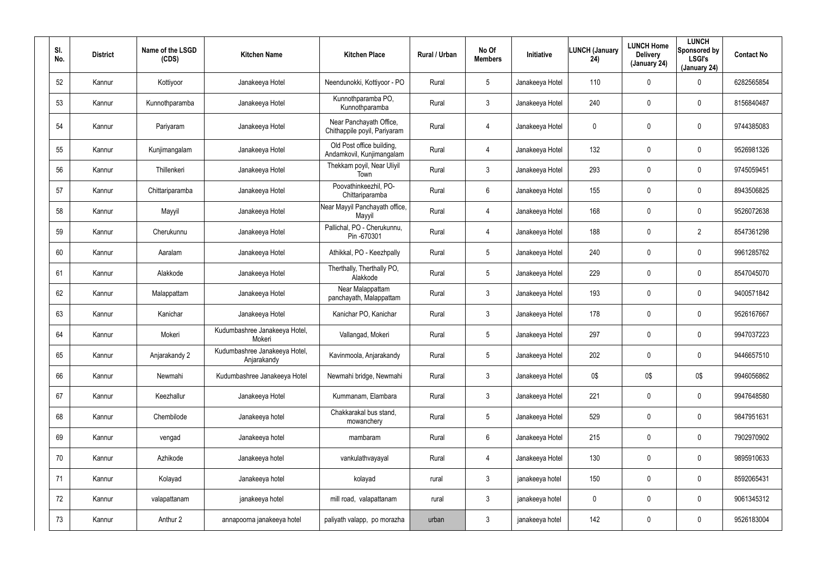| SI.<br>No. | <b>District</b> | Name of the LSGD<br>(CDS) | <b>Kitchen Name</b>                          | <b>Kitchen Place</b>                                    | Rural / Urban | No Of<br><b>Members</b> | Initiative      | <b>LUNCH (January</b><br>24) | <b>LUNCH Home</b><br><b>Delivery</b><br>(January 24) | <b>LUNCH</b><br>Sponsored by<br><b>LSGI's</b><br>(January 24) | <b>Contact No</b> |
|------------|-----------------|---------------------------|----------------------------------------------|---------------------------------------------------------|---------------|-------------------------|-----------------|------------------------------|------------------------------------------------------|---------------------------------------------------------------|-------------------|
| 52         | Kannur          | Kottiyoor                 | Janakeeya Hotel                              | Neendunokki, Kottiyoor - PO                             | Rural         | $5\phantom{.0}$         | Janakeeya Hotel | 110                          | 0                                                    | $\mathbf 0$                                                   | 6282565854        |
| 53         | Kannur          | Kunnothparamba            | Janakeeya Hotel                              | Kunnothparamba PO,<br>Kunnothparamba                    | Rural         | 3                       | Janakeeya Hotel | 240                          | 0                                                    | $\mathbf 0$                                                   | 8156840487        |
| 54         | Kannur          | Pariyaram                 | Janakeeya Hotel                              | Near Panchayath Office,<br>Chithappile poyil, Pariyaram | Rural         | 4                       | Janakeeya Hotel | 0                            | 0                                                    | $\mathbf 0$                                                   | 9744385083        |
| 55         | Kannur          | Kunjimangalam             | Janakeeya Hotel                              | Old Post office building,<br>Andamkovil, Kunjimangalam  | Rural         | 4                       | Janakeeya Hotel | 132                          | 0                                                    | $\mathbf 0$                                                   | 9526981326        |
| 56         | Kannur          | Thillenkeri               | Janakeeya Hotel                              | Thekkam poyil, Near Uliyil<br>Town                      | Rural         | $\mathbf{3}$            | Janakeeya Hotel | 293                          | 0                                                    | $\mathbf 0$                                                   | 9745059451        |
| 57         | Kannur          | Chittariparamba           | Janakeeya Hotel                              | Poovathinkeezhil, PO-<br>Chittariparamba                | Rural         | $6\phantom{.}$          | Janakeeya Hotel | 155                          | $\mathbf 0$                                          | $\boldsymbol{0}$                                              | 8943506825        |
| 58         | Kannur          | Mayyil                    | Janakeeya Hotel                              | Near Mayyil Panchayath office,<br>Mayyil                | Rural         | 4                       | Janakeeya Hotel | 168                          | 0                                                    | $\pmb{0}$                                                     | 9526072638        |
| 59         | Kannur          | Cherukunnu                | Janakeeya Hotel                              | Pallichal, PO - Cherukunnu,<br>Pin-670301               | Rural         | 4                       | Janakeeya Hotel | 188                          | 0                                                    | $\overline{2}$                                                | 8547361298        |
| 60         | Kannur          | Aaralam                   | Janakeeya Hotel                              | Athikkal, PO - Keezhpally                               | Rural         | $5\phantom{.0}$         | Janakeeya Hotel | 240                          | 0                                                    | $\boldsymbol{0}$                                              | 9961285762        |
| 61         | Kannur          | Alakkode                  | Janakeeya Hotel                              | Therthally, Therthally PO,<br>Alakkode                  | Rural         | $5\phantom{.0}$         | Janakeeya Hotel | 229                          | $\pmb{0}$                                            | $\pmb{0}$                                                     | 8547045070        |
| 62         | Kannur          | Malappattam               | Janakeeya Hotel                              | Near Malappattam<br>panchayath, Malappattam             | Rural         | $\mathbf{3}$            | Janakeeya Hotel | 193                          | 0                                                    | $\mathbf 0$                                                   | 9400571842        |
| 63         | Kannur          | Kanichar                  | Janakeeya Hotel                              | Kanichar PO, Kanichar                                   | Rural         | 3                       | Janakeeya Hotel | 178                          | $\pmb{0}$                                            | $\pmb{0}$                                                     | 9526167667        |
| 64         | Kannur          | Mokeri                    | Kudumbashree Janakeeya Hotel,<br>Mokeri      | Vallangad, Mokeri                                       | Rural         | $5\phantom{.0}$         | Janakeeya Hotel | 297                          | 0                                                    | $\mathbf 0$                                                   | 9947037223        |
| 65         | Kannur          | Anjarakandy 2             | Kudumbashree Janakeeya Hotel,<br>Anjarakandy | Kavinmoola, Anjarakandy                                 | Rural         | $5\phantom{.0}$         | Janakeeya Hotel | 202                          | $\mathbf 0$                                          | $\pmb{0}$                                                     | 9446657510        |
| 66         | Kannur          | Newmahi                   | Kudumbashree Janakeeya Hotel                 | Newmahi bridge, Newmahi                                 | Rural         | $\mathfrak{Z}$          | Janakeeya Hotel | 0\$                          | 0\$                                                  | 0\$                                                           | 9946056862        |
| 67         | Kannur          | Keezhallur                | Janakeeya Hotel                              | Kummanam, Elambara                                      | Rural         | $\mathfrak{Z}$          | Janakeeya Hotel | 221                          | $\mathbf 0$                                          | $\pmb{0}$                                                     | 9947648580        |
| 68         | Kannur          | Chembilode                | Janakeeya hotel                              | Chakkarakal bus stand,<br>mowanchery                    | Rural         | $5\phantom{.0}$         | Janakeeya Hotel | 529                          | $\mathbf 0$                                          | $\pmb{0}$                                                     | 9847951631        |
| 69         | Kannur          | vengad                    | Janakeeya hotel                              | mambaram                                                | Rural         | $6\phantom{.}$          | Janakeeya Hotel | 215                          | 0                                                    | $\pmb{0}$                                                     | 7902970902        |
| 70         | Kannur          | Azhikode                  | Janakeeya hotel                              | vankulathvayayal                                        | Rural         | 4                       | Janakeeya Hotel | 130                          | $\mathbf 0$                                          | $\pmb{0}$                                                     | 9895910633        |
| 71         | Kannur          | Kolayad                   | Janakeeya hotel                              | kolayad                                                 | rural         | $\mathfrak{Z}$          | janakeeya hotel | 150                          | 0                                                    | $\pmb{0}$                                                     | 8592065431        |
| 72         | Kannur          | valapattanam              | janakeeya hotel                              | mill road, valapattanam                                 | rural         | $\mathfrak{Z}$          | janakeeya hotel | $\mathbf 0$                  | $\mathbf 0$                                          | $\pmb{0}$                                                     | 9061345312        |
| 73         | Kannur          | Anthur 2                  | annapoorna janakeeya hotel                   | paliyath valapp, po morazha                             | urban         | $\mathfrak{Z}$          | janakeeya hotel | 142                          | 0                                                    | $\pmb{0}$                                                     | 9526183004        |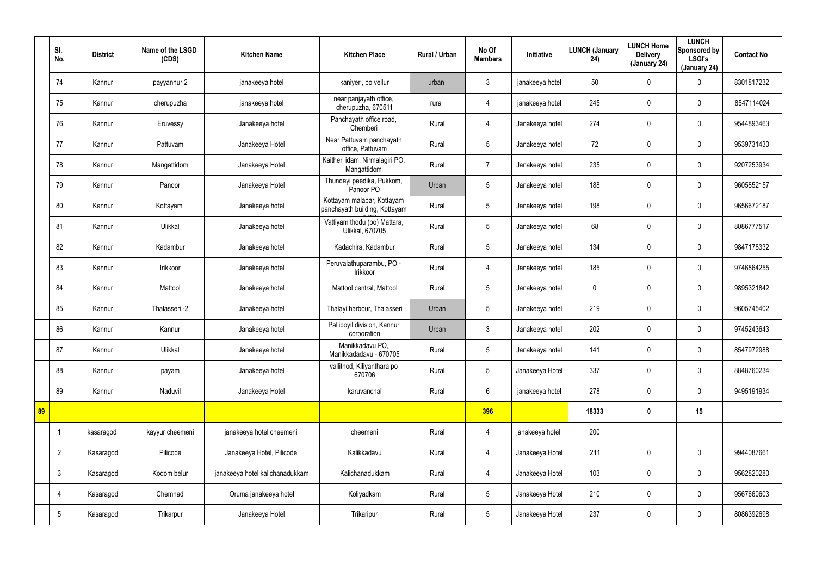|    | SI.<br>No.      | <b>District</b> | Name of the LSGD<br>(CDS) | <b>Kitchen Name</b>             | <b>Kitchen Place</b>                                        | Rural / Urban | No Of<br><b>Members</b> | Initiative      | <b>LUNCH (January</b><br>24) | <b>LUNCH Home</b><br><b>Delivery</b><br>(January 24) | <b>LUNCH</b><br>Sponsored by<br><b>LSGI's</b><br>(January 24) | <b>Contact No</b> |
|----|-----------------|-----------------|---------------------------|---------------------------------|-------------------------------------------------------------|---------------|-------------------------|-----------------|------------------------------|------------------------------------------------------|---------------------------------------------------------------|-------------------|
|    | 74              | Kannur          | payyannur 2               | janakeeya hotel                 | kaniyeri, po vellur                                         | urban         | $\mathbf{3}$            | janakeeya hotel | 50                           | 0                                                    | $\mathbf 0$                                                   | 8301817232        |
|    | 75              | Kannur          | cherupuzha                | janakeeya hotel                 | near panjayath office,<br>cherupuzha, 670511                | rural         | $\overline{4}$          | janakeeya hotel | 245                          | 0                                                    | $\mathbf 0$                                                   | 8547114024        |
|    | 76              | Kannur          | Eruvessy                  | Janakeeya hotel                 | Panchayath office road,<br>Chemberi                         | Rural         | 4                       | Janakeeya hotel | 274                          | 0                                                    | $\mathbf 0$                                                   | 9544893463        |
|    | 77              | Kannur          | Pattuvam                  | Janakeeya Hotel                 | Near Pattuvam panchayath<br>office, Pattuvam                | Rural         | $5\overline{)}$         | Janakeeya hotel | 72                           | 0                                                    | $\mathbf 0$                                                   | 9539731430        |
|    | 78              | Kannur          | Mangattidom               | Janakeeya Hotel                 | Kaitheri idam, Nirmalagiri PO,<br>Mangattidom               | Rural         | $\overline{7}$          | Janakeeya hotel | 235                          | $\mathbf 0$                                          | $\pmb{0}$                                                     | 9207253934        |
|    | 79              | Kannur          | Panoor                    | Janakeeya Hotel                 | Thundayi peedika, Pukkom,<br>Panoor PO                      | Urban         | 5                       | Janakeeya hotel | 188                          | 0                                                    | $\mathbf 0$                                                   | 9605852157        |
|    | 80              | Kannur          | Kottayam                  | Janakeeya hotel                 | Kottayam malabar, Kottayam<br>panchayath building, Kottayam | Rural         | $5\overline{)}$         | Janakeeya hotel | 198                          | 0                                                    | $\pmb{0}$                                                     | 9656672187        |
|    | 81              | Kannur          | Ulikkal                   | Janakeeya hotel                 | Vattiyam thodu (po) Mattara,<br><b>Ulikkal, 670705</b>      | Rural         | $5\overline{)}$         | Janakeeya hotel | 68                           | 0                                                    | $\mathbf 0$                                                   | 8086777517        |
|    | 82              | Kannur          | Kadambur                  | Janakeeya hotel                 | Kadachira, Kadambur                                         | Rural         | $5\overline{)}$         | Janakeeya hotel | 134                          | 0                                                    | $\mathbf 0$                                                   | 9847178332        |
|    | 83              | Kannur          | Irikkoor                  | Janakeeya hotel                 | Peruvalathuparambu, PO -<br>Irikkoor                        | Rural         | $\overline{4}$          | Janakeeya hotel | 185                          | 0                                                    | $\mathbf 0$                                                   | 9746864255        |
|    | 84              | Kannur          | Mattool                   | Janakeeya hotel                 | Mattool central, Mattool                                    | Rural         | $5\overline{)}$         | Janakeeya hotel | $\mathbf 0$                  | 0                                                    | $\mathbf 0$                                                   | 9895321842        |
|    | 85              | Kannur          | Thalasseri -2             | Janakeeya hotel                 | Thalayi harbour, Thalasseri                                 | Urban         | $5\overline{)}$         | Janakeeya hotel | 219                          | 0                                                    | $\mathbf 0$                                                   | 9605745402        |
|    | 86              | Kannur          | Kannur                    | Janakeeya hotel                 | Pallipoyil division, Kannur<br>corporation                  | Urban         | $\mathbf{3}$            | Janakeeya hotel | 202                          | 0                                                    | $\mathbf 0$                                                   | 9745243643        |
|    | 87              | Kannur          | Ulikkal                   | Janakeeya hotel                 | Manikkadavu PO,<br>Manikkadadavu - 670705                   | Rural         | $5\overline{)}$         | Janakeeya hotel | 141                          | 0                                                    | $\pmb{0}$                                                     | 8547972988        |
|    | 88              | Kannur          | payam                     | Janakeeya hotel                 | vallithod, Kiliyanthara po<br>670706                        | Rural         | $5\overline{)}$         | Janakeeya Hotel | 337                          | $\mathbf 0$                                          | $\mathbf 0$                                                   | 8848760234        |
|    | 89              | Kannur          | Naduvil                   | Janakeeya Hotel                 | karuvanchal                                                 | Rural         | $6\overline{6}$         | janakeeya hotel | 278                          | 0                                                    | $\mathbf 0$                                                   | 9495191934        |
| 89 |                 |                 |                           |                                 |                                                             |               | 396                     |                 | 18333                        | $\boldsymbol{0}$                                     | 15                                                            |                   |
|    |                 | kasaragod       | kayyur cheemeni           | janakeeya hotel cheemeni        | cheemeni                                                    | Rural         | $\overline{4}$          | janakeeya hotel | 200                          |                                                      |                                                               |                   |
|    | $\overline{2}$  | Kasaragod       | Pilicode                  | Janakeeya Hotel, Pilicode       | Kalikkadavu                                                 | Rural         | $\overline{4}$          | Janakeeya Hotel | 211                          | 0                                                    | $\mathbf 0$                                                   | 9944087661        |
|    | $\mathbf{3}$    | Kasaragod       | Kodom belur               | janakeeya hotel kalichanadukkam | Kalichanadukkam                                             | Rural         | $\overline{4}$          | Janakeeya Hotel | 103                          | 0                                                    | $\mathbf 0$                                                   | 9562820280        |
|    | 4               | Kasaragod       | Chemnad                   | Oruma janakeeya hotel           | Koliyadkam                                                  | Rural         | $5\overline{)}$         | Janakeeya Hotel | 210                          | 0                                                    | $\mathbf 0$                                                   | 9567660603        |
|    | $5\phantom{.0}$ | Kasaragod       | Trikarpur                 | Janakeeya Hotel                 | Trikaripur                                                  | Rural         | 5 <sub>5</sub>          | Janakeeya Hotel | 237                          | 0                                                    | $\mathbf 0$                                                   | 8086392698        |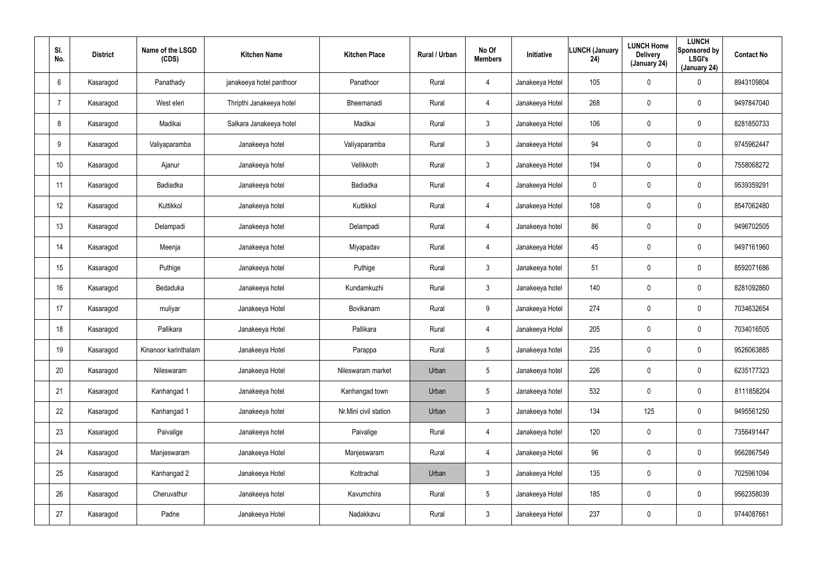| SI.<br>No.      | <b>District</b> | Name of the LSGD<br>(CDS) | <b>Kitchen Name</b>      | <b>Kitchen Place</b>  | Rural / Urban | No Of<br><b>Members</b> | Initiative      | <b>LUNCH (January</b><br>24) | <b>LUNCH Home</b><br><b>Delivery</b><br>(January 24) | <b>LUNCH</b><br>Sponsored by<br><b>LSGI's</b><br>(January 24) | <b>Contact No</b> |
|-----------------|-----------------|---------------------------|--------------------------|-----------------------|---------------|-------------------------|-----------------|------------------------------|------------------------------------------------------|---------------------------------------------------------------|-------------------|
| 6               | Kasaragod       | Panathady                 | janakeeya hotel panthoor | Panathoor             | Rural         | 4                       | Janakeeya Hotel | 105                          | 0                                                    | $\boldsymbol{0}$                                              | 8943109804        |
|                 | Kasaragod       | West eleri                | Thripthi Janakeeya hotel | Bheemanadi            | Rural         | 4                       | Janakeeya Hotel | 268                          | $\boldsymbol{0}$                                     | $\mathbf 0$                                                   | 9497847040        |
| 8               | Kasaragod       | Madikai                   | Salkara Janakeeya hotel  | Madikai               | Rural         | 3 <sup>1</sup>          | Janakeeya Hotel | 106                          | $\boldsymbol{0}$                                     | $\pmb{0}$                                                     | 8281850733        |
| 9               | Kasaragod       | Valiyaparamba             | Janakeeya hotel          | Valiyaparamba         | Rural         | $\mathbf{3}$            | Janakeeya Hotel | 94                           | $\boldsymbol{0}$                                     | $\boldsymbol{0}$                                              | 9745962447        |
| 10 <sup>°</sup> | Kasaragod       | Ajanur                    | Janakeeya hotel          | Vellikkoth            | Rural         | 3                       | Janakeeya Hotel | 194                          | $\boldsymbol{0}$                                     | $\boldsymbol{0}$                                              | 7558068272        |
| 11              | Kasaragod       | Badiadka                  | Janakeeya hotel          | <b>Badiadka</b>       | Rural         | 4                       | Janakeeya Hotel | 0                            | 0                                                    | $\mathbf 0$                                                   | 9539359291        |
| 12              | Kasaragod       | Kuttikkol                 | Janakeeya hotel          | Kuttikkol             | Rural         | $\overline{4}$          | Janakeeya Hotel | 108                          | $\boldsymbol{0}$                                     | $\pmb{0}$                                                     | 8547062480        |
| 13              | Kasaragod       | Delampadi                 | Janakeeya hotel          | Delampadi             | Rural         | 4                       | Janakeeya hotel | 86                           | $\boldsymbol{0}$                                     | $\mathbf 0$                                                   | 9496702505        |
| 14              | Kasaragod       | Meenja                    | Janakeeya hotel          | Miyapadav             | Rural         | 4                       | Janakeeya Hotel | 45                           | $\boldsymbol{0}$                                     | $\boldsymbol{0}$                                              | 9497161960        |
| 15              | Kasaragod       | Puthige                   | Janakeeya hotel          | Puthige               | Rural         | $\mathbf{3}$            | Janakeeya hotel | 51                           | $\boldsymbol{0}$                                     | $\boldsymbol{0}$                                              | 8592071686        |
| 16              | Kasaragod       | Bedaduka                  | Janakeeya hotel          | Kundamkuzhi           | Rural         | $\mathbf{3}$            | Janakeeya hotel | 140                          | $\boldsymbol{0}$                                     | $\pmb{0}$                                                     | 8281092860        |
| 17              | Kasaragod       | muliyar                   | Janakeeya Hotel          | Bovikanam             | Rural         | 9                       | Janakeeya Hotel | 274                          | $\boldsymbol{0}$                                     | $\pmb{0}$                                                     | 7034632654        |
| 18              | Kasaragod       | Pallikara                 | Janakeeya Hotel          | Pallikara             | Rural         | 4                       | Janakeeya Hotel | 205                          | $\boldsymbol{0}$                                     | $\pmb{0}$                                                     | 7034016505        |
| 19              | Kasaragod       | Kinanoor karinthalam      | Janakeeya Hotel          | Parappa               | Rural         | $5\phantom{.0}$         | Janakeeya hotel | 235                          | $\pmb{0}$                                            | $\pmb{0}$                                                     | 9526063885        |
| 20              | Kasaragod       | Nileswaram                | Janakeeya Hotel          | Nileswaram market     | Urban         | $5\phantom{.0}$         | Janakeeya hotel | 226                          | 0                                                    | $\mathbf 0$                                                   | 6235177323        |
| 21              | Kasaragod       | Kanhangad 1               | Janakeeya hotel          | Kanhangad town        | Urban         | 5 <sub>5</sub>          | Janakeeya hotel | 532                          | 0                                                    | $\mathbf 0$                                                   | 8111858204        |
| 22              | Kasaragod       | Kanhangad 1               | Janakeeya hotel          | Nr.Mini civil station | Urban         | $\mathbf{3}$            | Janakeeya hotel | 134                          | 125                                                  | $\mathbf 0$                                                   | 9495561250        |
| 23              | Kasaragod       | Paivalige                 | Janakeeya hotel          | Paivalige             | Rural         | $\overline{4}$          | Janakeeya hotel | 120                          | 0                                                    | $\mathbf 0$                                                   | 7356491447        |
| 24              | Kasaragod       | Manjeswaram               | Janakeeya Hotel          | Manjeswaram           | Rural         | 4                       | Janakeeya Hotel | 96                           | 0                                                    | $\mathbf 0$                                                   | 9562867549        |
| 25              | Kasaragod       | Kanhangad 2               | Janakeeya Hotel          | Kottrachal            | Urban         | 3 <sup>2</sup>          | Janakeeya Hotel | 135                          | 0                                                    | $\mathbf 0$                                                   | 7025961094        |
| 26              | Kasaragod       | Cheruvathur               | Janakeeya hotel          | Kavumchira            | Rural         | 5 <sub>5</sub>          | Janakeeya Hotel | 185                          | $\boldsymbol{0}$                                     | $\mathbf 0$                                                   | 9562358039        |
| 27              | Kasaragod       | Padne                     | Janakeeya Hotel          | Nadakkavu             | Rural         | $\mathbf{3}$            | Janakeeya Hotel | 237                          | $\pmb{0}$                                            | $\bf{0}$                                                      | 9744087661        |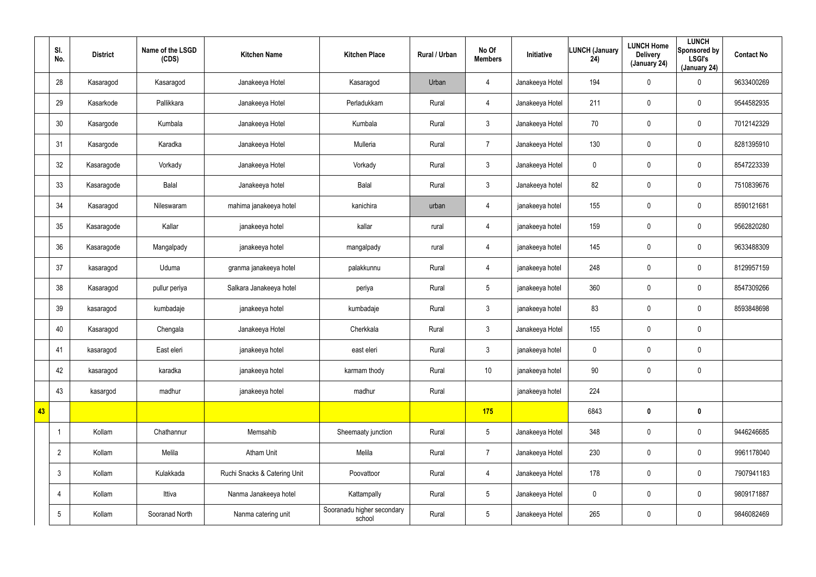|    | SI.<br>No.      | <b>District</b> | Name of the LSGD<br>(CDS) | <b>Kitchen Name</b>          | <b>Kitchen Place</b>                 | Rural / Urban | No Of<br><b>Members</b> | Initiative      | <b>LUNCH (January</b><br>24) | <b>LUNCH Home</b><br><b>Delivery</b><br>(January 24) | <b>LUNCH</b><br>Sponsored by<br><b>LSGI's</b><br>(January 24) | <b>Contact No</b> |
|----|-----------------|-----------------|---------------------------|------------------------------|--------------------------------------|---------------|-------------------------|-----------------|------------------------------|------------------------------------------------------|---------------------------------------------------------------|-------------------|
|    | 28              | Kasaragod       | Kasaragod                 | Janakeeya Hotel              | Kasaragod                            | Urban         | 4                       | Janakeeya Hotel | 194                          | $\mathbf 0$                                          | 0                                                             | 9633400269        |
|    | 29              | Kasarkode       | Pallikkara                | Janakeeya Hotel              | Perladukkam                          | Rural         | $\overline{4}$          | Janakeeya Hotel | 211                          | $\mathbf 0$                                          | $\mathsf{0}$                                                  | 9544582935        |
|    | 30              | Kasargode       | Kumbala                   | Janakeeya Hotel              | Kumbala                              | Rural         | $\mathbf{3}$            | Janakeeya Hotel | 70                           | $\mathbf 0$                                          | $\mathsf{0}$                                                  | 7012142329        |
|    | 31              | Kasargode       | Karadka                   | Janakeeya Hotel              | Mulleria                             | Rural         | $\overline{7}$          | Janakeeya Hotel | 130                          | 0                                                    | $\mathbf 0$                                                   | 8281395910        |
|    | 32              | Kasaragode      | Vorkady                   | Janakeeya Hotel              | Vorkady                              | Rural         | $\mathbf{3}$            | Janakeeya Hotel | 0                            | 0                                                    | $\mathbf 0$                                                   | 8547223339        |
|    | 33              | Kasaragode      | Balal                     | Janakeeya hotel              | Balal                                | Rural         | $\mathbf{3}$            | Janakeeya hotel | 82                           | 0                                                    | $\mathbf 0$                                                   | 7510839676        |
|    | 34              | Kasaragod       | Nileswaram                | mahima janakeeya hotel       | kanichira                            | urban         | $\overline{4}$          | janakeeya hotel | 155                          | $\mathbf 0$                                          | $\mathbf 0$                                                   | 8590121681        |
|    | 35              | Kasaragode      | Kallar                    | janakeeya hotel              | kallar                               | rural         | 4                       | janakeeya hotel | 159                          | 0                                                    | $\mathbf 0$                                                   | 9562820280        |
|    | 36              | Kasaragode      | Mangalpady                | janakeeya hotel              | mangalpady                           | rural         | 4                       | janakeeya hotel | 145                          | $\mathbf 0$                                          | $\mathbf 0$                                                   | 9633488309        |
|    | 37              | kasaragod       | Uduma                     | granma janakeeya hotel       | palakkunnu                           | Rural         | 4                       | janakeeya hotel | 248                          | 0                                                    | $\mathbf 0$                                                   | 8129957159        |
|    | 38              | Kasaragod       | pullur periya             | Salkara Janakeeya hotel      | periya                               | Rural         | $5\phantom{.0}$         | janakeeya hotel | 360                          | $\mathbf 0$                                          | $\mathsf{0}$                                                  | 8547309266        |
|    | 39              | kasaragod       | kumbadaje                 | janakeeya hotel              | kumbadaje                            | Rural         | $\mathbf{3}$            | janakeeya hotel | 83                           | 0                                                    | $\mathbf 0$                                                   | 8593848698        |
|    | 40              | Kasaragod       | Chengala                  | Janakeeya Hotel              | Cherkkala                            | Rural         | $\mathbf{3}$            | Janakeeya Hotel | 155                          | $\pmb{0}$                                            | $\pmb{0}$                                                     |                   |
|    | 41              | kasaragod       | East eleri                | janakeeya hotel              | east eleri                           | Rural         | $\mathbf{3}$            | janakeeya hotel | $\pmb{0}$                    | $\pmb{0}$                                            | $\pmb{0}$                                                     |                   |
|    | 42              | kasaragod       | karadka                   | janakeeya hotel              | karmam thody                         | Rural         | 10 <sup>°</sup>         | janakeeya hotel | 90                           | $\mathbf 0$                                          | $\mathbf 0$                                                   |                   |
|    | 43              | kasargod        | madhur                    | janakeeya hotel              | madhur                               | Rural         |                         | janakeeya hotel | 224                          |                                                      |                                                               |                   |
| 43 |                 |                 |                           |                              |                                      |               | 175                     |                 | 6843                         | $\boldsymbol{0}$                                     | $\mathbf 0$                                                   |                   |
|    | -1              | Kollam          | Chathannur                | Memsahib                     | Sheemaaty junction                   | Rural         | $5\overline{)}$         | Janakeeya Hotel | 348                          | 0                                                    | $\mathbf 0$                                                   | 9446246685        |
|    | $\overline{2}$  | Kollam          | Melila                    | <b>Atham Unit</b>            | Melila                               | Rural         | $\overline{7}$          | Janakeeya Hotel | 230                          | $\mathbf 0$                                          | $\mathbf 0$                                                   | 9961178040        |
|    | $\mathbf{3}$    | Kollam          | Kulakkada                 | Ruchi Snacks & Catering Unit | Poovattoor                           | Rural         | $\overline{4}$          | Janakeeya Hotel | 178                          | 0                                                    | $\mathbf 0$                                                   | 7907941183        |
|    | 4               | Kollam          | Ittiva                    | Nanma Janakeeya hotel        | Kattampally                          | Rural         | $5\overline{)}$         | Janakeeya Hotel | $\pmb{0}$                    | $\mathbf 0$                                          | $\mathbf 0$                                                   | 9809171887        |
|    | $5\phantom{.0}$ | Kollam          | Sooranad North            | Nanma catering unit          | Sooranadu higher secondary<br>school | Rural         | $5\overline{)}$         | Janakeeya Hotel | 265                          | 0                                                    | $\pmb{0}$                                                     | 9846082469        |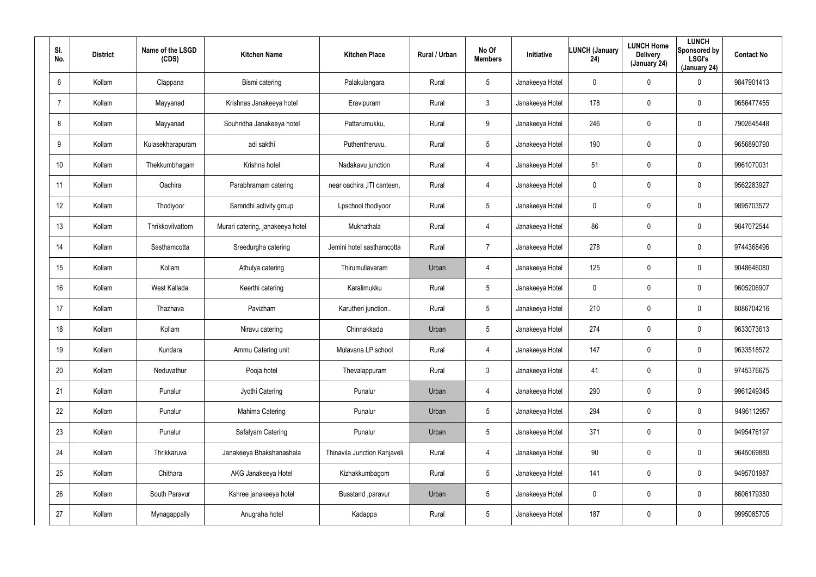| SI.<br>No.     | <b>District</b> | Name of the LSGD<br>(CDS) | <b>Kitchen Name</b>              | <b>Kitchen Place</b>         | Rural / Urban | No Of<br><b>Members</b> | Initiative      | <b>LUNCH (January</b><br>24) | <b>LUNCH Home</b><br><b>Delivery</b><br>(January 24) | <b>LUNCH</b><br>Sponsored by<br><b>LSGI's</b><br>(January 24) | <b>Contact No</b> |
|----------------|-----------------|---------------------------|----------------------------------|------------------------------|---------------|-------------------------|-----------------|------------------------------|------------------------------------------------------|---------------------------------------------------------------|-------------------|
| 6              | Kollam          | Clappana                  | Bismi catering                   | Palakulangara                | Rural         | 5                       | Janakeeya Hotel | 0                            | $\pmb{0}$                                            | 0                                                             | 9847901413        |
| $\overline{7}$ | Kollam          | Mayyanad                  | Krishnas Janakeeya hotel         | Eravipuram                   | Rural         | $\mathbf{3}$            | Janakeeya Hotel | 178                          | $\boldsymbol{0}$                                     | 0                                                             | 9656477455        |
| 8              | Kollam          | Mayyanad                  | Souhridha Janakeeya hotel        | Pattarumukku,                | Rural         | 9                       | Janakeeya Hotel | 246                          | $\pmb{0}$                                            | 0                                                             | 7902645448        |
| 9              | Kollam          | Kulasekharapuram          | adi sakthi                       | Puthentheruvu.               | Rural         | 5                       | Janakeeya Hotel | 190                          | $\mathbf 0$                                          | $\mathbf 0$                                                   | 9656890790        |
| 10             | Kollam          | Thekkumbhagam             | Krishna hotel                    | Nadakavu junction            | Rural         | $\overline{4}$          | Janakeeya Hotel | 51                           | $\mathbf 0$                                          | 0                                                             | 9961070031        |
| 11             | Kollam          | Oachira                   | Parabhramam catering             | near oachira , ITI canteen,  | Rural         | $\overline{4}$          | Janakeeya Hotel | 0                            | $\mathbf 0$                                          | $\mathbf 0$                                                   | 9562283927        |
| 12             | Kollam          | Thodiyoor                 | Samridhi activity group          | Lpschool thodiyoor           | Rural         | $5\phantom{.0}$         | Janakeeya Hotel | 0                            | $\mathbf 0$                                          | $\mathbf 0$                                                   | 9895703572        |
| 13             | Kollam          | Thrikkovilvattom          | Murari catering, janakeeya hotel | Mukhathala                   | Rural         | 4                       | Janakeeya Hotel | 86                           | $\boldsymbol{0}$                                     | $\mathbf 0$                                                   | 9847072544        |
| 14             | Kollam          | Sasthamcotta              | Sreedurgha catering              | Jemini hotel sasthamcotta    | Rural         | $\overline{7}$          | Janakeeya Hotel | 278                          | $\overline{0}$                                       | $\mathbf 0$                                                   | 9744368496        |
| 15             | Kollam          | Kollam                    | Athulya catering                 | Thirumullavaram              | Urban         | 4                       | Janakeeya Hotel | 125                          | $\mathbf 0$                                          | 0                                                             | 9048646080        |
| 16             | Kollam          | West Kallada              | Keerthi catering                 | Karalimukku                  | Rural         | $5\phantom{.0}$         | Janakeeya Hotel | 0                            | $\mathbf 0$                                          | $\mathbf 0$                                                   | 9605206907        |
| 17             | Kollam          | Thazhava                  | Pavizham                         | Karutheri junction           | Rural         | $5\overline{)}$         | Janakeeya Hotel | 210                          | $\boldsymbol{0}$                                     | 0                                                             | 8086704216        |
| 18             | Kollam          | Kollam                    | Niravu catering                  | Chinnakkada                  | Urban         | $5\overline{)}$         | Janakeeya Hotel | 274                          | $\overline{0}$                                       | 0                                                             | 9633073613        |
| 19             | Kollam          | Kundara                   | Ammu Catering unit               | Mulavana LP school           | Rural         | 4                       | Janakeeya Hotel | 147                          | $\mathbf 0$                                          | $\pmb{0}$                                                     | 9633518572        |
| 20             | Kollam          | Neduvathur                | Pooja hotel                      | Thevalappuram                | Rural         | $\mathbf{3}$            | Janakeeya Hotel | 41                           | $\overline{0}$                                       | $\pmb{0}$                                                     | 9745376675        |
| 21             | Kollam          | Punalur                   | Jyothi Catering                  | Punalur                      | Urban         | $\overline{4}$          | Janakeeya Hotel | 290                          | $\mathbf 0$                                          | $\pmb{0}$                                                     | 9961249345        |
| 22             | Kollam          | Punalur                   | Mahima Catering                  | Punalur                      | Urban         | $5\phantom{.0}$         | Janakeeya Hotel | 294                          | $\mathbf 0$                                          | $\pmb{0}$                                                     | 9496112957        |
| 23             | Kollam          | Punalur                   | Safalyam Catering                | Punalur                      | Urban         | $5\phantom{.0}$         | Janakeeya Hotel | 371                          | $\mathbf 0$                                          | 0                                                             | 9495476197        |
| 24             | Kollam          | Thrikkaruva               | Janakeeya Bhakshanashala         | Thinavila Junction Kanjaveli | Rural         | $\overline{4}$          | Janakeeya Hotel | 90                           | $\pmb{0}$                                            | 0                                                             | 9645069880        |
| 25             | Kollam          | Chithara                  | AKG Janakeeya Hotel              | Kizhakkumbagom               | Rural         | $5\phantom{.0}$         | Janakeeya Hotel | 141                          | $\mathbf 0$                                          | 0                                                             | 9495701987        |
| 26             | Kollam          | South Paravur             | Kshree janakeeya hotel           | Busstand , paravur           | Urban         | $5\phantom{.0}$         | Janakeeya Hotel | 0                            | $\pmb{0}$                                            | 0                                                             | 8606179380        |
| 27             | Kollam          | Mynagappally              | Anugraha hotel                   | Kadappa                      | Rural         | $5\phantom{.0}$         | Janakeeya Hotel | 187                          | $\boldsymbol{0}$                                     | 0                                                             | 9995085705        |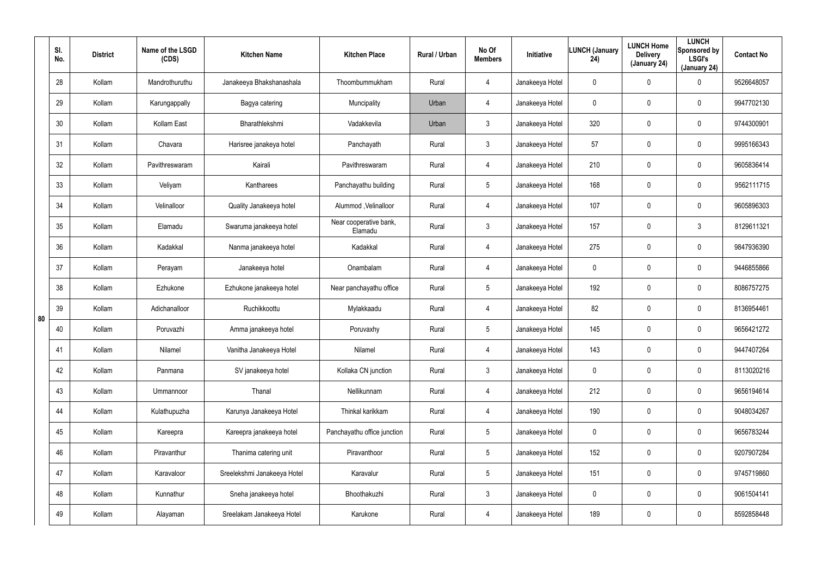|    | SI.<br>No. | <b>District</b> | Name of the LSGD<br>(CDS) | <b>Kitchen Name</b>         | <b>Kitchen Place</b>              | Rural / Urban | No Of<br><b>Members</b> | <b>Initiative</b> | <b>LUNCH (January</b><br>24) | <b>LUNCH Home</b><br><b>Delivery</b><br>(January 24) | <b>LUNCH</b><br>Sponsored by<br><b>LSGI's</b><br>(January 24) | <b>Contact No</b> |
|----|------------|-----------------|---------------------------|-----------------------------|-----------------------------------|---------------|-------------------------|-------------------|------------------------------|------------------------------------------------------|---------------------------------------------------------------|-------------------|
|    | 28         | Kollam          | Mandrothuruthu            | Janakeeya Bhakshanashala    | Thoombummukham                    | Rural         | 4                       | Janakeeya Hotel   | $\mathbf 0$                  | $\mathbf 0$                                          | 0                                                             | 9526648057        |
|    | 29         | Kollam          | Karungappally             | Bagya catering              | Muncipality                       | Urban         | 4                       | Janakeeya Hotel   | 0                            | 0                                                    | 0                                                             | 9947702130        |
|    | 30         | Kollam          | Kollam East               | Bharathlekshmi              | Vadakkevila                       | Urban         | $\mathfrak{Z}$          | Janakeeya Hotel   | 320                          | $\mathbf 0$                                          | 0                                                             | 9744300901        |
|    | 31         | Kollam          | Chavara                   | Harisree janakeya hotel     | Panchayath                        | Rural         | $\mathbf{3}$            | Janakeeya Hotel   | 57                           | 0                                                    | 0                                                             | 9995166343        |
|    | 32         | Kollam          | Pavithreswaram            | Kairali                     | Pavithreswaram                    | Rural         | 4                       | Janakeeya Hotel   | 210                          | $\mathbf 0$                                          | 0                                                             | 9605836414        |
|    | 33         | Kollam          | Veliyam                   | Kantharees                  | Panchayathu building              | Rural         | $5\overline{)}$         | Janakeeya Hotel   | 168                          | 0                                                    | 0                                                             | 9562111715        |
|    | 34         | Kollam          | Velinalloor               | Quality Janakeeya hotel     | Alummod, Velinalloor              | Rural         | 4                       | Janakeeya Hotel   | 107                          | 0                                                    | 0                                                             | 9605896303        |
|    | 35         | Kollam          | Elamadu                   | Swaruma janakeeya hotel     | Near cooperative bank,<br>Elamadu | Rural         | $\mathbf{3}$            | Janakeeya Hotel   | 157                          | $\mathbf 0$                                          | 3                                                             | 8129611321        |
|    | 36         | Kollam          | Kadakkal                  | Nanma janakeeya hotel       | Kadakkal                          | Rural         | 4                       | Janakeeya Hotel   | 275                          | $\mathbf 0$                                          | 0                                                             | 9847936390        |
|    | 37         | Kollam          | Perayam                   | Janakeeya hotel             | Onambalam                         | Rural         | 4                       | Janakeeya Hotel   | 0                            | $\boldsymbol{0}$                                     | 0                                                             | 9446855866        |
|    | 38         | Kollam          | Ezhukone                  | Ezhukone janakeeya hotel    | Near panchayathu office           | Rural         | $5\phantom{.0}$         | Janakeeya Hotel   | 192                          | $\mathbf 0$                                          | 0                                                             | 8086757275        |
| 80 | 39         | Kollam          | Adichanalloor             | Ruchikkoottu                | Mylakkaadu                        | Rural         | 4                       | Janakeeya Hotel   | 82                           | 0                                                    | 0                                                             | 8136954461        |
|    | 40         | Kollam          | Poruvazhi                 | Amma janakeeya hotel        | Poruvaxhy                         | Rural         | $5\overline{)}$         | Janakeeya Hotel   | 145                          | $\mathbf 0$                                          | 0                                                             | 9656421272        |
|    | 41         | Kollam          | Nilamel                   | Vanitha Janakeeya Hotel     | Nilamel                           | Rural         | 4                       | Janakeeya Hotel   | 143                          | $\mathbf 0$                                          | 0                                                             | 9447407264        |
|    | 42         | Kollam          | Panmana                   | SV janakeeya hotel          | Kollaka CN junction               | Rural         | $\mathbf{3}$            | Janakeeya Hotel   | $\pmb{0}$                    | $\mathbf 0$                                          | 0                                                             | 8113020216        |
|    | 43         | Kollam          | Ummannoor                 | Thanal                      | Nellikunnam                       | Rural         | 4                       | Janakeeya Hotel   | 212                          | $\mathbf 0$                                          | 0                                                             | 9656194614        |
|    | 44         | Kollam          | Kulathupuzha              | Karunya Janakeeya Hotel     | Thinkal karikkam                  | Rural         | 4                       | Janakeeya Hotel   | 190                          | $\mathbf 0$                                          | 0                                                             | 9048034267        |
|    | 45         | Kollam          | Kareepra                  | Kareepra janakeeya hotel    | Panchayathu office junction       | Rural         | $5\phantom{.0}$         | Janakeeya Hotel   | $\mathbf 0$                  | $\mathbf 0$                                          | 0                                                             | 9656783244        |
|    | 46         | Kollam          | Piravanthur               | Thanima catering unit       | Piravanthoor                      | Rural         | $5\phantom{.0}$         | Janakeeya Hotel   | 152                          | $\mathbf 0$                                          | 0                                                             | 9207907284        |
|    | 47         | Kollam          | Karavaloor                | Sreelekshmi Janakeeya Hotel | Karavalur                         | Rural         | $5\phantom{.0}$         | Janakeeya Hotel   | 151                          | $\mathbf 0$                                          | 0                                                             | 9745719860        |
|    | 48         | Kollam          | Kunnathur                 | Sneha janakeeya hotel       | Bhoothakuzhi                      | Rural         | $\mathbf{3}$            | Janakeeya Hotel   | 0                            | $\mathbf 0$                                          | 0                                                             | 9061504141        |
|    | 49         | Kollam          | Alayaman                  | Sreelakam Janakeeya Hotel   | Karukone                          | Rural         | 4                       | Janakeeya Hotel   | 189                          | $\mathbf 0$                                          | 0                                                             | 8592858448        |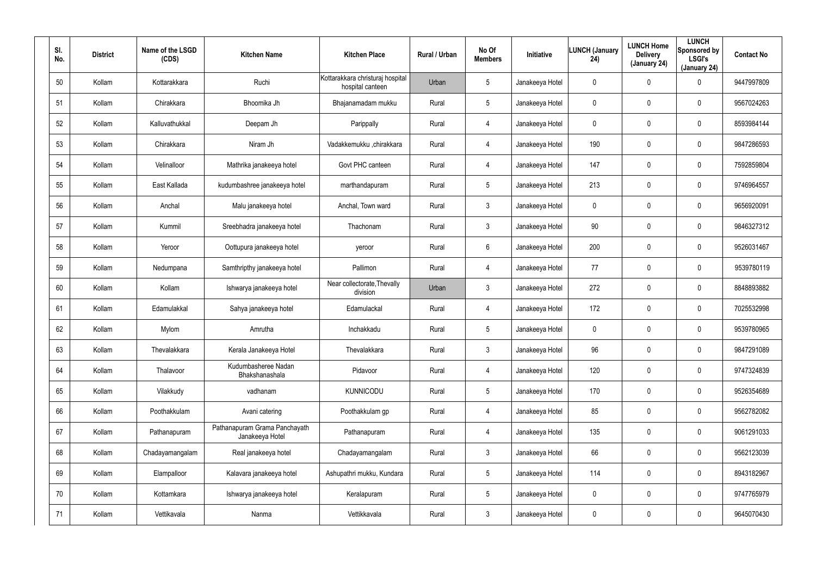| SI.<br>No. | <b>District</b> | Name of the LSGD<br>(CDS) | <b>Kitchen Name</b>                              | <b>Kitchen Place</b>                                 | Rural / Urban | No Of<br><b>Members</b> | Initiative      | <b>LUNCH (January</b><br>24) | <b>LUNCH Home</b><br><b>Delivery</b><br>(January 24) | <b>LUNCH</b><br>Sponsored by<br><b>LSGI's</b><br>(January 24) | <b>Contact No</b> |
|------------|-----------------|---------------------------|--------------------------------------------------|------------------------------------------------------|---------------|-------------------------|-----------------|------------------------------|------------------------------------------------------|---------------------------------------------------------------|-------------------|
| 50         | Kollam          | Kottarakkara              | Ruchi                                            | Kottarakkara christuraj hospital<br>hospital canteen | Urban         | 5                       | Janakeeya Hotel | 0                            | 0                                                    | 0                                                             | 9447997809        |
| 51         | Kollam          | Chirakkara                | Bhoomika Jh                                      | Bhajanamadam mukku                                   | Rural         | 5                       | Janakeeya Hotel | 0                            | 0                                                    | $\mathbf 0$                                                   | 9567024263        |
| 52         | Kollam          | Kalluvathukkal            | Deepam Jh                                        | Parippally                                           | Rural         | $\overline{4}$          | Janakeeya Hotel | 0                            | 0                                                    | $\mathbf 0$                                                   | 8593984144        |
| 53         | Kollam          | Chirakkara                | Niram Jh                                         | Vadakkemukku ,chirakkara                             | Rural         | $\overline{4}$          | Janakeeya Hotel | 190                          | 0                                                    | $\mathbf 0$                                                   | 9847286593        |
| 54         | Kollam          | Velinalloor               | Mathrika janakeeya hotel                         | Govt PHC canteen                                     | Rural         | 4                       | Janakeeya Hotel | 147                          | 0                                                    | $\mathbf 0$                                                   | 7592859804        |
| 55         | Kollam          | East Kallada              | kudumbashree janakeeya hotel                     | marthandapuram                                       | Rural         | 5                       | Janakeeya Hotel | 213                          | 0                                                    | $\mathbf 0$                                                   | 9746964557        |
| 56         | Kollam          | Anchal                    | Malu janakeeya hotel                             | Anchal, Town ward                                    | Rural         | $\mathbf{3}$            | Janakeeya Hotel | 0                            | $\boldsymbol{0}$                                     | 0                                                             | 9656920091        |
| 57         | Kollam          | Kummil                    | Sreebhadra janakeeya hotel                       | Thachonam                                            | Rural         | $\mathbf{3}$            | Janakeeya Hotel | 90                           | $\boldsymbol{0}$                                     | $\mathbf 0$                                                   | 9846327312        |
| 58         | Kollam          | Yeroor                    | Oottupura janakeeya hotel                        | yeroor                                               | Rural         | 6                       | Janakeeya Hotel | 200                          | $\boldsymbol{0}$                                     | 0                                                             | 9526031467        |
| 59         | Kollam          | Nedumpana                 | Samthripthy janakeeya hotel                      | Pallimon                                             | Rural         | $\overline{4}$          | Janakeeya Hotel | 77                           | $\boldsymbol{0}$                                     | $\mathbf 0$                                                   | 9539780119        |
| 60         | Kollam          | Kollam                    | Ishwarya janakeeya hotel                         | Near collectorate, Thevally<br>division              | Urban         | $\mathbf{3}$            | Janakeeya Hotel | 272                          | $\boldsymbol{0}$                                     | 0                                                             | 8848893882        |
| 61         | Kollam          | Edamulakkal               | Sahya janakeeya hotel                            | Edamulackal                                          | Rural         | $\overline{4}$          | Janakeeya Hotel | 172                          | $\boldsymbol{0}$                                     | $\mathbf 0$                                                   | 7025532998        |
| 62         | Kollam          | Mylom                     | Amrutha                                          | Inchakkadu                                           | Rural         | 5                       | Janakeeya Hotel | 0                            | $\boldsymbol{0}$                                     | $\mathbf 0$                                                   | 9539780965        |
| 63         | Kollam          | Thevalakkara              | Kerala Janakeeya Hotel                           | Thevalakkara                                         | Rural         | $\mathbf{3}$            | Janakeeya Hotel | 96                           | $\pmb{0}$                                            | $\pmb{0}$                                                     | 9847291089        |
| 64         | Kollam          | Thalavoor                 | Kudumbasheree Nadan<br>Bhakshanashala            | Pidavoor                                             | Rural         | $\overline{4}$          | Janakeeya Hotel | 120                          | $\pmb{0}$                                            | $\pmb{0}$                                                     | 9747324839        |
| 65         | Kollam          | Vilakkudy                 | vadhanam                                         | <b>KUNNICODU</b>                                     | Rural         | 5                       | Janakeeya Hotel | 170                          | $\pmb{0}$                                            | $\pmb{0}$                                                     | 9526354689        |
| 66         | Kollam          | Poothakkulam              | Avani catering                                   | Poothakkulam gp                                      | Rural         | $\overline{4}$          | Janakeeya Hotel | 85                           | $\pmb{0}$                                            | $\pmb{0}$                                                     | 9562782082        |
| 67         | Kollam          | Pathanapuram              | Pathanapuram Grama Panchayath<br>Janakeeya Hotel | Pathanapuram                                         | Rural         | $\overline{4}$          | Janakeeya Hotel | 135                          | $\mathbf 0$                                          | $\pmb{0}$                                                     | 9061291033        |
| 68         | Kollam          | Chadayamangalam           | Real janakeeya hotel                             | Chadayamangalam                                      | Rural         | $\mathbf{3}$            | Janakeeya Hotel | 66                           | $\pmb{0}$                                            | 0                                                             | 9562123039        |
| 69         | Kollam          | Elampalloor               | Kalavara janakeeya hotel                         | Ashupathri mukku, Kundara                            | Rural         | $5\phantom{.0}$         | Janakeeya Hotel | 114                          | $\mathbf 0$                                          | $\pmb{0}$                                                     | 8943182967        |
| 70         | Kollam          | Kottamkara                | Ishwarya janakeeya hotel                         | Keralapuram                                          | Rural         | $5\phantom{.0}$         | Janakeeya Hotel | 0                            | $\pmb{0}$                                            | 0                                                             | 9747765979        |
| 71         | Kollam          | Vettikavala               | Nanma                                            | Vettikkavala                                         | Rural         | $\mathfrak{Z}$          | Janakeeya Hotel | 0                            | $\boldsymbol{0}$                                     | 0                                                             | 9645070430        |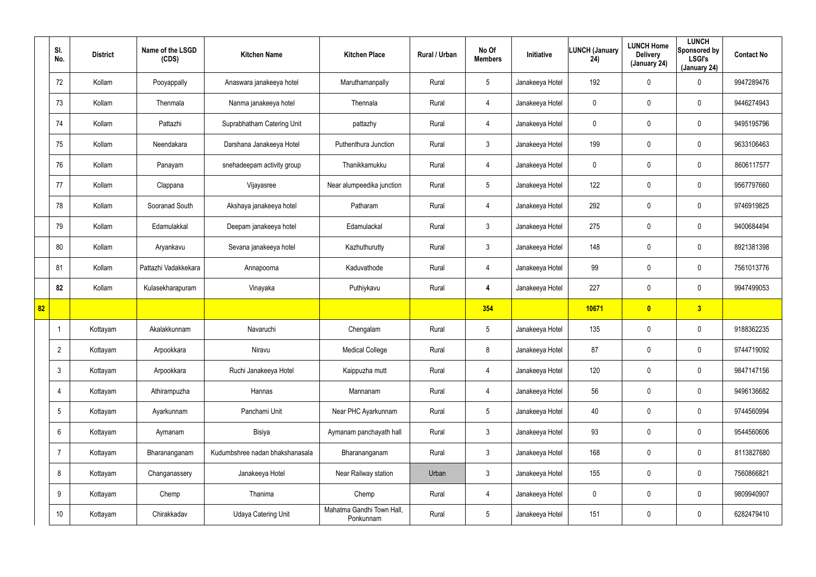|                 | SI.<br>No.      | <b>District</b> | Name of the LSGD<br>(CDS) | <b>Kitchen Name</b>             | <b>Kitchen Place</b>                   | Rural / Urban | No Of<br><b>Members</b> | Initiative      | <b>LUNCH (January</b><br>24) | <b>LUNCH Home</b><br><b>Delivery</b><br>(January 24) | <b>LUNCH</b><br>Sponsored by<br><b>LSGI's</b><br>(January 24) | <b>Contact No</b> |
|-----------------|-----------------|-----------------|---------------------------|---------------------------------|----------------------------------------|---------------|-------------------------|-----------------|------------------------------|------------------------------------------------------|---------------------------------------------------------------|-------------------|
|                 | 72              | Kollam          | Pooyappally               | Anaswara janakeeya hotel        | Maruthamanpally                        | Rural         | $5\phantom{.0}$         | Janakeeya Hotel | 192                          | 0                                                    | $\mathbf 0$                                                   | 9947289476        |
|                 | 73              | Kollam          | Thenmala                  | Nanma janakeeya hotel           | Thennala                               | Rural         | $\overline{4}$          | Janakeeya Hotel | 0                            | 0                                                    | $\mathbf 0$                                                   | 9446274943        |
|                 | 74              | Kollam          | Pattazhi                  | Suprabhatham Catering Unit      | pattazhy                               | Rural         | $\overline{4}$          | Janakeeya Hotel | 0                            | 0                                                    | $\mathbf 0$                                                   | 9495195796        |
|                 | 75              | Kollam          | Neendakara                | Darshana Janakeeya Hotel        | Puthenthura Junction                   | Rural         | $\mathbf{3}$            | Janakeeya Hotel | 199                          | 0                                                    | $\mathbf 0$                                                   | 9633106463        |
|                 | 76              | Kollam          | Panayam                   | snehadeepam activity group      | Thanikkamukku                          | Rural         | $\overline{4}$          | Janakeeya Hotel | 0                            | 0                                                    | $\mathbf 0$                                                   | 8606117577        |
|                 | 77              | Kollam          | Clappana                  | Vijayasree                      | Near alumpeedika junction              | Rural         | $5\overline{)}$         | Janakeeya Hotel | 122                          | 0                                                    | $\mathbf 0$                                                   | 9567797660        |
|                 | 78              | Kollam          | Sooranad South            | Akshaya janakeeya hotel         | Patharam                               | Rural         | $\overline{4}$          | Janakeeya Hotel | 292                          | 0                                                    | $\mathbf 0$                                                   | 9746919825        |
|                 | 79              | Kollam          | Edamulakkal               | Deepam janakeeya hotel          | Edamulackal                            | Rural         | $\mathbf{3}$            | Janakeeya Hotel | 275                          | 0                                                    | $\mathbf 0$                                                   | 9400684494        |
|                 | 80              | Kollam          | Aryankavu                 | Sevana janakeeya hotel          | Kazhuthurutty                          | Rural         | $\mathbf{3}$            | Janakeeya Hotel | 148                          | 0                                                    | $\mathbf 0$                                                   | 8921381398        |
|                 | 81              | Kollam          | Pattazhi Vadakkekara      | Annapoorna                      | Kaduvathode                            | Rural         | $\overline{4}$          | Janakeeya Hotel | 99                           | 0                                                    | $\mathbf 0$                                                   | 7561013776        |
|                 | 82              | Kollam          | Kulasekharapuram          | Vinayaka                        | Puthiykavu                             | Rural         | 4                       | Janakeeya Hotel | 227                          | 0                                                    | $\mathbf 0$                                                   | 9947499053        |
| $\overline{82}$ |                 |                 |                           |                                 |                                        |               | 354                     |                 | 10671                        | $\overline{\mathbf{0}}$                              | 3                                                             |                   |
|                 |                 | Kottayam        | Akalakkunnam              | Navaruchi                       | Chengalam                              | Rural         | $5\phantom{.0}$         | Janakeeya Hotel | 135                          | 0                                                    | $\mathbf 0$                                                   | 9188362235        |
|                 | $\overline{2}$  | Kottayam        | Arpookkara                | Niravu                          | <b>Medical College</b>                 | Rural         | 8                       | Janakeeya Hotel | 87                           | 0                                                    | $\pmb{0}$                                                     | 9744719092        |
|                 | $\mathbf{3}$    | Kottayam        | Arpookkara                | Ruchi Janakeeya Hotel           | Kaippuzha mutt                         | Rural         | $\overline{4}$          | Janakeeya Hotel | 120                          | 0                                                    | $\mathbf 0$                                                   | 9847147156        |
|                 | 4               | Kottayam        | Athirampuzha              | Hannas                          | Mannanam                               | Rural         | $\overline{4}$          | Janakeeya Hotel | 56                           | 0                                                    | $\mathsf{0}$                                                  | 9496136682        |
|                 | $5\phantom{.0}$ | Kottayam        | Ayarkunnam                | Panchami Unit                   | Near PHC Ayarkunnam                    | Rural         | $5\phantom{.0}$         | Janakeeya Hotel | 40                           | 0                                                    | $\mathsf{0}$                                                  | 9744560994        |
|                 | 6               | Kottayam        | Aymanam                   | Bisiya                          | Aymanam panchayath hall                | Rural         | 3 <sup>1</sup>          | Janakeeya Hotel | 93                           | 0                                                    | $\mathbf 0$                                                   | 9544560606        |
|                 | $\overline{7}$  | Kottayam        | Bharananganam             | Kudumbshree nadan bhakshanasala | Bharananganam                          | Rural         | $\mathbf{3}$            | Janakeeya Hotel | 168                          | 0                                                    | $\mathbf 0$                                                   | 8113827680        |
|                 | 8               | Kottayam        | Changanassery             | Janakeeya Hotel                 | Near Railway station                   | Urban         | 3 <sup>1</sup>          | Janakeeya Hotel | 155                          | 0                                                    | $\mathsf{0}$                                                  | 7560866821        |
|                 | 9               | Kottayam        | Chemp                     | Thanima                         | Chemp                                  | Rural         | 4                       | Janakeeya Hotel | 0                            | 0                                                    | $\mathbf 0$                                                   | 9809940907        |
|                 | 10              | Kottayam        | Chirakkadav               | Udaya Catering Unit             | Mahatma Gandhi Town Hall,<br>Ponkunnam | Rural         | $5\phantom{.0}$         | Janakeeya Hotel | 151                          | 0                                                    | $\pmb{0}$                                                     | 6282479410        |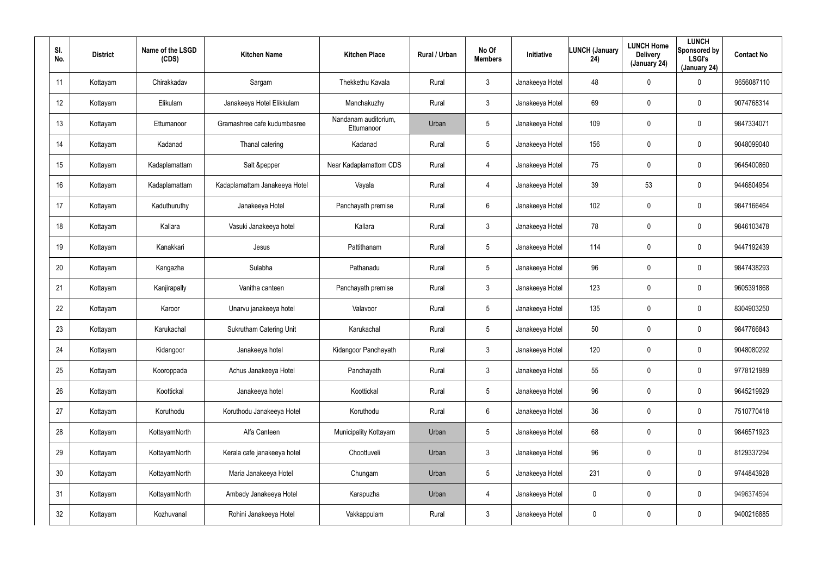| SI.<br>No. | <b>District</b> | Name of the LSGD<br>(CDS) | <b>Kitchen Name</b>            | <b>Kitchen Place</b>               | Rural / Urban | No Of<br><b>Members</b> | Initiative      | <b>LUNCH (January</b><br>24) | <b>LUNCH Home</b><br><b>Delivery</b><br>(January 24) | <b>LUNCH</b><br>Sponsored by<br><b>LSGI's</b><br>(January 24) | <b>Contact No</b> |
|------------|-----------------|---------------------------|--------------------------------|------------------------------------|---------------|-------------------------|-----------------|------------------------------|------------------------------------------------------|---------------------------------------------------------------|-------------------|
| 11         | Kottayam        | Chirakkadav               | Sargam                         | Thekkethu Kavala                   | Rural         | $\mathbf{3}$            | Janakeeya Hotel | 48                           | $\pmb{0}$                                            | 0                                                             | 9656087110        |
| 12         | Kottayam        | Elikulam                  | Janakeeya Hotel Elikkulam      | Manchakuzhy                        | Rural         | $\mathbf{3}$            | Janakeeya Hotel | 69                           | $\boldsymbol{0}$                                     | 0                                                             | 9074768314        |
| 13         | Kottayam        | Ettumanoor                | Gramashree cafe kudumbasree    | Nandanam auditorium.<br>Ettumanoor | Urban         | 5                       | Janakeeya Hotel | 109                          | $\boldsymbol{0}$                                     | 0                                                             | 9847334071        |
| 14         | Kottayam        | Kadanad                   | Thanal catering                | Kadanad                            | Rural         | 5                       | Janakeeya Hotel | 156                          | $\mathbf 0$                                          | 0                                                             | 9048099040        |
| 15         | Kottayam        | Kadaplamattam             | Salt &pepper                   | Near Kadaplamattom CDS             | Rural         | $\overline{4}$          | Janakeeya Hotel | 75                           | $\boldsymbol{0}$                                     | 0                                                             | 9645400860        |
| 16         | Kottayam        | Kadaplamattam             | Kadaplamattam Janakeeya Hotel  | Vayala                             | Rural         | $\overline{4}$          | Janakeeya Hotel | 39                           | 53                                                   | $\mathbf 0$                                                   | 9446804954        |
| 17         | Kottayam        | Kaduthuruthy              | Janakeeya Hotel                | Panchayath premise                 | Rural         | 6                       | Janakeeya Hotel | 102                          | $\overline{0}$                                       | $\mathbf 0$                                                   | 9847166464        |
| 18         | Kottayam        | Kallara                   | Vasuki Janakeeya hotel         | Kallara                            | Rural         | $\mathbf{3}$            | Janakeeya Hotel | 78                           | $\boldsymbol{0}$                                     | $\mathbf 0$                                                   | 9846103478        |
| 19         | Kottayam        | Kanakkari                 | Jesus                          | Pattithanam                        | Rural         | $5\phantom{.0}$         | Janakeeya Hotel | 114                          | $\overline{0}$                                       | $\mathbf 0$                                                   | 9447192439        |
| 20         | Kottayam        | Kangazha                  | Sulabha                        | Pathanadu                          | Rural         | $5\phantom{.0}$         | Janakeeya Hotel | 96                           | 0                                                    | $\mathbf 0$                                                   | 9847438293        |
| 21         | Kottayam        | Kanjirapally              | Vanitha canteen                | Panchayath premise                 | Rural         | $\mathbf{3}$            | Janakeeya Hotel | 123                          | $\overline{0}$                                       | $\mathbf 0$                                                   | 9605391868        |
| 22         | Kottayam        | Karoor                    | Unarvu janakeeya hotel         | Valavoor                           | Rural         | $5\phantom{.0}$         | Janakeeya Hotel | 135                          | $\boldsymbol{0}$                                     | 0                                                             | 8304903250        |
| 23         | Kottayam        | Karukachal                | <b>Sukrutham Catering Unit</b> | Karukachal                         | Rural         | $5\phantom{.0}$         | Janakeeya Hotel | 50                           | $\pmb{0}$                                            | 0                                                             | 9847766843        |
| 24         | Kottayam        | Kidangoor                 | Janakeeya hotel                | Kidangoor Panchayath               | Rural         | $\mathbf{3}$            | Janakeeya Hotel | 120                          | $\mathbf 0$                                          | 0                                                             | 9048080292        |
| 25         | Kottayam        | Kooroppada                | Achus Janakeeya Hotel          | Panchayath                         | Rural         | $\mathbf{3}$            | Janakeeya Hotel | 55                           | $\overline{0}$                                       | $\pmb{0}$                                                     | 9778121989        |
| 26         | Kottayam        | Koottickal                | Janakeeya hotel                | Koottickal                         | Rural         | $5\phantom{.0}$         | Janakeeya Hotel | 96                           | $\mathbf 0$                                          | $\pmb{0}$                                                     | 9645219929        |
| 27         | Kottayam        | Koruthodu                 | Koruthodu Janakeeya Hotel      | Koruthodu                          | Rural         | $6\phantom{.}6$         | Janakeeya Hotel | 36                           | $\mathbf 0$                                          | 0                                                             | 7510770418        |
| 28         | Kottayam        | KottayamNorth             | Alfa Canteen                   | Municipality Kottayam              | Urban         | 5                       | Janakeeya Hotel | 68                           | $\mathbf 0$                                          | 0                                                             | 9846571923        |
| 29         | Kottayam        | KottayamNorth             | Kerala cafe janakeeya hotel    | Choottuveli                        | Urban         | $\mathbf{3}$            | Janakeeya Hotel | 96                           | $\mathbf 0$                                          | 0                                                             | 8129337294        |
| 30         | Kottayam        | KottayamNorth             | Maria Janakeeya Hotel          | Chungam                            | Urban         | 5                       | Janakeeya Hotel | 231                          | $\mathbf 0$                                          | 0                                                             | 9744843928        |
| 31         | Kottayam        | KottayamNorth             | Ambady Janakeeya Hotel         | Karapuzha                          | Urban         | $\overline{4}$          | Janakeeya Hotel | 0                            | $\pmb{0}$                                            | 0                                                             | 9496374594        |
| 32         | Kottayam        | Kozhuvanal                | Rohini Janakeeya Hotel         | Vakkappulam                        | Rural         | $\mathfrak{Z}$          | Janakeeya Hotel | 0                            | $\boldsymbol{0}$                                     | 0                                                             | 9400216885        |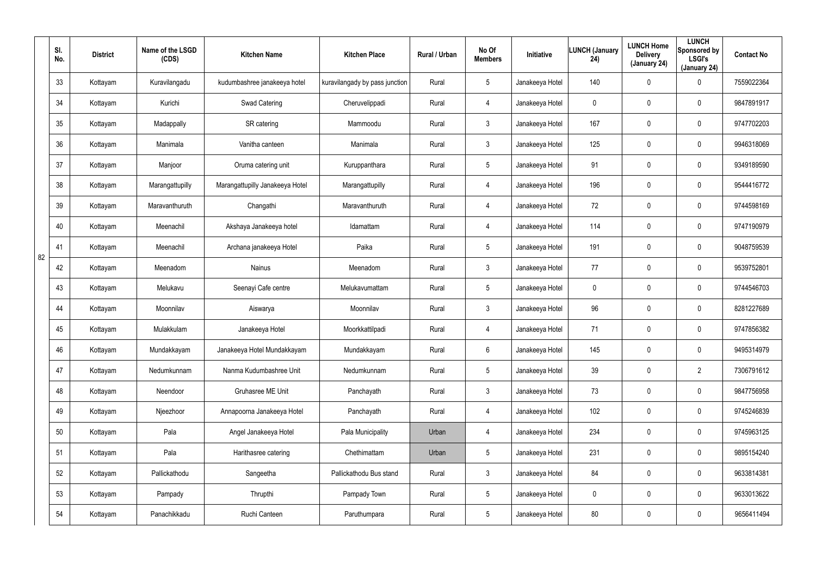|    | SI.<br>No. | <b>District</b> | Name of the LSGD<br>(CDS) | <b>Kitchen Name</b>             | <b>Kitchen Place</b>           | Rural / Urban | No Of<br><b>Members</b> | Initiative      | <b>LUNCH (January</b><br>24) | <b>LUNCH Home</b><br><b>Delivery</b><br>(January 24) | <b>LUNCH</b><br>Sponsored by<br><b>LSGI's</b><br>(January 24) | <b>Contact No</b> |
|----|------------|-----------------|---------------------------|---------------------------------|--------------------------------|---------------|-------------------------|-----------------|------------------------------|------------------------------------------------------|---------------------------------------------------------------|-------------------|
|    | 33         | Kottayam        | Kuravilangadu             | kudumbashree janakeeya hotel    | kuravilangady by pass junction | Rural         | $5\phantom{.0}$         | Janakeeya Hotel | 140                          | 0                                                    | 0                                                             | 7559022364        |
|    | 34         | Kottayam        | Kurichi                   | Swad Catering                   | Cheruvelippadi                 | Rural         | 4                       | Janakeeya Hotel | 0                            | 0                                                    | $\mathbf 0$                                                   | 9847891917        |
|    | 35         | Kottayam        | Madappally                | SR catering                     | Mammoodu                       | Rural         | $\mathfrak{Z}$          | Janakeeya Hotel | 167                          | 0                                                    | $\boldsymbol{0}$                                              | 9747702203        |
|    | 36         | Kottayam        | Manimala                  | Vanitha canteen                 | Manimala                       | Rural         | $\mathfrak{Z}$          | Janakeeya Hotel | 125                          | 0                                                    | $\boldsymbol{0}$                                              | 9946318069        |
|    | 37         | Kottayam        | Manjoor                   | Oruma catering unit             | Kuruppanthara                  | Rural         | $5\phantom{.0}$         | Janakeeya Hotel | 91                           | 0                                                    | $\boldsymbol{0}$                                              | 9349189590        |
|    | 38         | Kottayam        | Marangattupilly           | Marangattupilly Janakeeya Hotel | Marangattupilly                | Rural         | 4                       | Janakeeya Hotel | 196                          | 0                                                    | $\boldsymbol{0}$                                              | 9544416772        |
|    | 39         | Kottayam        | Maravanthuruth            | Changathi                       | Maravanthuruth                 | Rural         | 4                       | Janakeeya Hotel | 72                           | 0                                                    | $\boldsymbol{0}$                                              | 9744598169        |
|    | 40         | Kottayam        | Meenachil                 | Akshaya Janakeeya hotel         | Idamattam                      | Rural         | 4                       | Janakeeya Hotel | 114                          | 0                                                    | $\mathbf 0$                                                   | 9747190979        |
| 82 | 41         | Kottayam        | Meenachil                 | Archana janakeeya Hotel         | Paika                          | Rural         | $5\phantom{.0}$         | Janakeeya Hotel | 191                          | 0                                                    | $\boldsymbol{0}$                                              | 9048759539        |
|    | 42         | Kottayam        | Meenadom                  | Nainus                          | Meenadom                       | Rural         | $\mathbf{3}$            | Janakeeya Hotel | 77                           | 0                                                    | $\boldsymbol{0}$                                              | 9539752801        |
|    | 43         | Kottayam        | Melukavu                  | Seenayi Cafe centre             | Melukavumattam                 | Rural         | $5\phantom{.0}$         | Janakeeya Hotel | 0                            | 0                                                    | $\boldsymbol{0}$                                              | 9744546703        |
|    | 44         | Kottayam        | Moonnilav                 | Aiswarya                        | Moonnilav                      | Rural         | $\mathfrak{Z}$          | Janakeeya Hotel | 96                           | 0                                                    | $\boldsymbol{0}$                                              | 8281227689        |
|    | 45         | Kottayam        | Mulakkulam                | Janakeeya Hotel                 | Moorkkattilpadi                | Rural         | 4                       | Janakeeya Hotel | 71                           | 0                                                    | $\boldsymbol{0}$                                              | 9747856382        |
|    | 46         | Kottayam        | Mundakkayam               | Janakeeya Hotel Mundakkayam     | Mundakkayam                    | Rural         | 6                       | Janakeeya Hotel | 145                          | 0                                                    | $\pmb{0}$                                                     | 9495314979        |
|    | 47         | Kottayam        | Nedumkunnam               | Nanma Kudumbashree Unit         | Nedumkunnam                    | Rural         | $5\phantom{.0}$         | Janakeeya Hotel | 39                           | $\mathbf 0$                                          | $\overline{2}$                                                | 7306791612        |
|    | 48         | Kottayam        | Neendoor                  | Gruhasree ME Unit               | Panchayath                     | Rural         | $\mathbf{3}$            | Janakeeya Hotel | 73                           | $\mathbf 0$                                          | $\pmb{0}$                                                     | 9847756958        |
|    | 49         | Kottayam        | Njeezhoor                 | Annapoorna Janakeeya Hotel      | Panchayath                     | Rural         | 4                       | Janakeeya Hotel | 102                          | $\mathbf 0$                                          | $\mathbf 0$                                                   | 9745246839        |
|    | 50         | Kottayam        | Pala                      | Angel Janakeeya Hotel           | Pala Municipality              | Urban         | 4                       | Janakeeya Hotel | 234                          | $\mathbf 0$                                          | $\pmb{0}$                                                     | 9745963125        |
|    | 51         | Kottayam        | Pala                      | Harithasree catering            | Chethimattam                   | Urban         | $5\phantom{.0}$         | Janakeeya Hotel | 231                          | 0                                                    | $\pmb{0}$                                                     | 9895154240        |
|    | 52         | Kottayam        | Pallickathodu             | Sangeetha                       | Pallickathodu Bus stand        | Rural         | $\mathbf{3}$            | Janakeeya Hotel | 84                           | $\mathbf 0$                                          | $\pmb{0}$                                                     | 9633814381        |
|    | 53         | Kottayam        | Pampady                   | Thrupthi                        | Pampady Town                   | Rural         | $5\phantom{.0}$         | Janakeeya Hotel | $\mathbf 0$                  | 0                                                    | $\mathbf 0$                                                   | 9633013622        |
|    | 54         | Kottayam        | Panachikkadu              | Ruchi Canteen                   | Paruthumpara                   | Rural         | $5\phantom{.0}$         | Janakeeya Hotel | 80                           | $\mathbf 0$                                          | $\pmb{0}$                                                     | 9656411494        |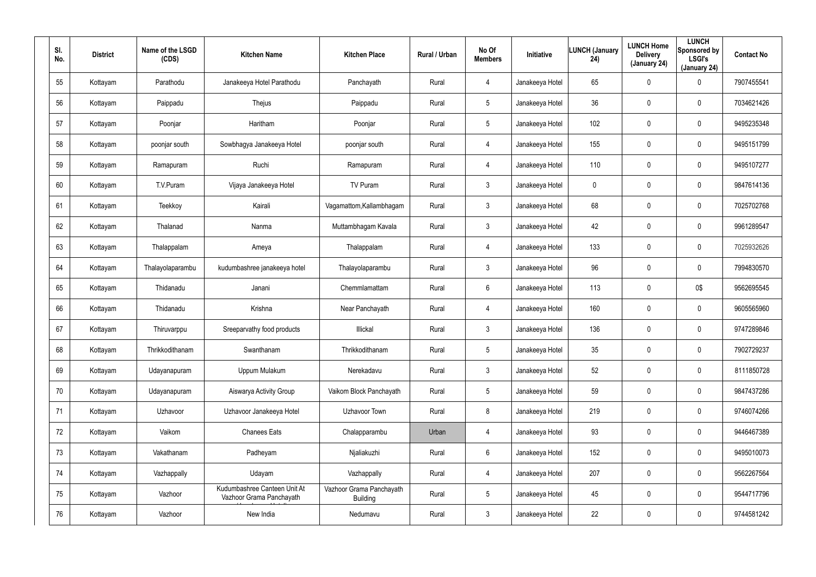| SI.<br>No. | <b>District</b> | Name of the LSGD<br>(CDS) | <b>Kitchen Name</b>                                      | <b>Kitchen Place</b>                        | Rural / Urban | No Of<br><b>Members</b> | Initiative      | <b>LUNCH (January</b><br>24) | <b>LUNCH Home</b><br><b>Delivery</b><br>(January 24) | <b>LUNCH</b><br>Sponsored by<br><b>LSGI's</b><br>(January 24) | <b>Contact No</b> |
|------------|-----------------|---------------------------|----------------------------------------------------------|---------------------------------------------|---------------|-------------------------|-----------------|------------------------------|------------------------------------------------------|---------------------------------------------------------------|-------------------|
| 55         | Kottayam        | Parathodu                 | Janakeeya Hotel Parathodu                                | Panchayath                                  | Rural         | 4                       | Janakeeya Hotel | 65                           | $\pmb{0}$                                            | 0                                                             | 7907455541        |
| 56         | Kottayam        | Paippadu                  | Thejus                                                   | Paippadu                                    | Rural         | 5                       | Janakeeya Hotel | 36                           | $\boldsymbol{0}$                                     | 0                                                             | 7034621426        |
| 57         | Kottayam        | Poonjar                   | Haritham                                                 | Poonjar                                     | Rural         | 5                       | Janakeeya Hotel | 102                          | $\pmb{0}$                                            | 0                                                             | 9495235348        |
| 58         | Kottayam        | poonjar south             | Sowbhagya Janakeeya Hotel                                | poonjar south                               | Rural         | 4                       | Janakeeya Hotel | 155                          | $\boldsymbol{0}$                                     | 0                                                             | 9495151799        |
| 59         | Kottayam        | Ramapuram                 | Ruchi                                                    | Ramapuram                                   | Rural         | $\overline{4}$          | Janakeeya Hotel | 110                          | $\pmb{0}$                                            | 0                                                             | 9495107277        |
| 60         | Kottayam        | T.V.Puram                 | Vijaya Janakeeya Hotel                                   | TV Puram                                    | Rural         | $\mathbf{3}$            | Janakeeya Hotel | 0                            | $\boldsymbol{0}$                                     | 0                                                             | 9847614136        |
| 61         | Kottayam        | Teekkoy                   | Kairali                                                  | Vagamattom, Kallambhagam                    | Rural         | $\mathbf{3}$            | Janakeeya Hotel | 68                           | $\pmb{0}$                                            | 0                                                             | 7025702768        |
| 62         | Kottayam        | Thalanad                  | Nanma                                                    | Muttambhagam Kavala                         | Rural         | $\mathbf{3}$            | Janakeeya Hotel | 42                           | $\boldsymbol{0}$                                     | $\mathbf 0$                                                   | 9961289547        |
| 63         | Kottayam        | Thalappalam               | Ameya                                                    | Thalappalam                                 | Rural         | $\overline{4}$          | Janakeeya Hotel | 133                          | $\overline{0}$                                       | 0                                                             | 7025932626        |
| 64         | Kottayam        | Thalayolaparambu          | kudumbashree janakeeya hotel                             | Thalayolaparambu                            | Rural         | $\mathbf{3}$            | Janakeeya Hotel | 96                           | $\pmb{0}$                                            | $\mathbf 0$                                                   | 7994830570        |
| 65         | Kottayam        | Thidanadu                 | Janani                                                   | Chemmlamattam                               | Rural         | $6\phantom{.}6$         | Janakeeya Hotel | 113                          | $\overline{0}$                                       | 0\$                                                           | 9562695545        |
| 66         | Kottayam        | Thidanadu                 | Krishna                                                  | Near Panchayath                             | Rural         | 4                       | Janakeeya Hotel | 160                          | $\pmb{0}$                                            | $\mathbf 0$                                                   | 9605565960        |
| 67         | Kottayam        | Thiruvarppu               | Sreeparvathy food products                               | Illickal                                    | Rural         | $\mathbf{3}$            | Janakeeya Hotel | 136                          | $\overline{0}$                                       | $\mathbf 0$                                                   | 9747289846        |
| 68         | Kottayam        | Thrikkodithanam           | Swanthanam                                               | Thrikkodithanam                             | Rural         | 5                       | Janakeeya Hotel | 35                           | $\mathbf 0$                                          | $\pmb{0}$                                                     | 7902729237        |
| 69         | Kottayam        | Udayanapuram              | Uppum Mulakum                                            | Nerekadavu                                  | Rural         | $\mathbf{3}$            | Janakeeya Hotel | 52                           | $\overline{0}$                                       | $\pmb{0}$                                                     | 8111850728        |
| 70         | Kottayam        | Udayanapuram              | Aiswarya Activity Group                                  | Vaikom Block Panchayath                     | Rural         | $5\phantom{.0}$         | Janakeeya Hotel | 59                           | $\mathbf 0$                                          | $\pmb{0}$                                                     | 9847437286        |
| 71         | Kottayam        | Uzhavoor                  | Uzhavoor Janakeeya Hotel                                 | Uzhavoor Town                               | Rural         | 8                       | Janakeeya Hotel | 219                          | $\mathbf 0$                                          | $\pmb{0}$                                                     | 9746074266        |
| 72         | Kottayam        | Vaikom                    | <b>Chanees Eats</b>                                      | Chalapparambu                               | Urban         | $\overline{4}$          | Janakeeya Hotel | 93                           | $\mathbf 0$                                          | $\pmb{0}$                                                     | 9446467389        |
| 73         | Kottayam        | Vakathanam                | Padheyam                                                 | Njaliakuzhi                                 | Rural         | $6\phantom{.}6$         | Janakeeya Hotel | 152                          | $\pmb{0}$                                            | 0                                                             | 9495010073        |
| 74         | Kottayam        | Vazhappally               | Udayam                                                   | Vazhappally                                 | Rural         | $\overline{4}$          | Janakeeya Hotel | 207                          | $\mathbf 0$                                          | 0                                                             | 9562267564        |
| 75         | Kottayam        | Vazhoor                   | Kudumbashree Canteen Unit At<br>Vazhoor Grama Panchayath | Vazhoor Grama Panchayath<br><b>Building</b> | Rural         | $5\phantom{.0}$         | Janakeeya Hotel | 45                           | $\pmb{0}$                                            | 0                                                             | 9544717796        |
| 76         | Kottayam        | Vazhoor                   | New India                                                | Nedumavu                                    | Rural         | 3 <sup>1</sup>          | Janakeeya Hotel | 22                           | $\boldsymbol{0}$                                     | 0                                                             | 9744581242        |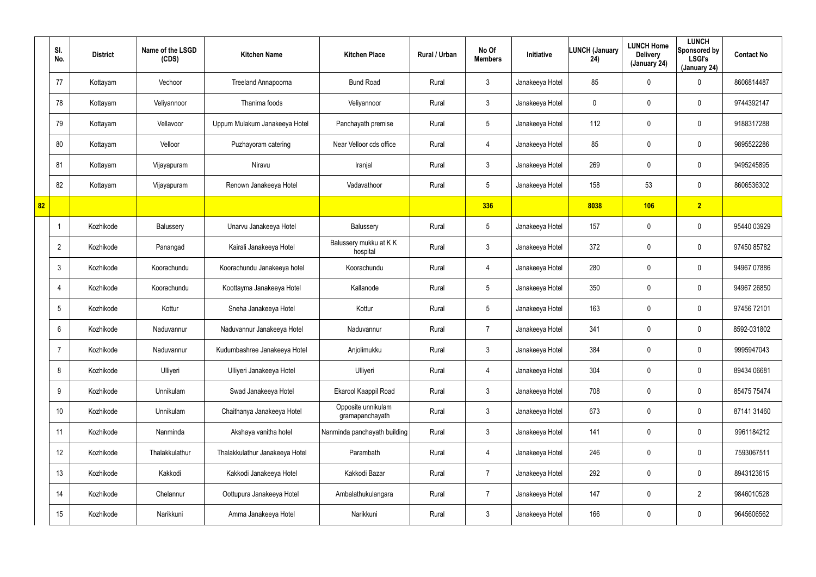|    | SI.<br>No.      | <b>District</b> | Name of the LSGD<br>(CDS) | <b>Kitchen Name</b>            | <b>Kitchen Place</b>                  | Rural / Urban | No Of<br><b>Members</b> | <b>Initiative</b> | <b>LUNCH (January</b><br>24) | <b>LUNCH Home</b><br><b>Delivery</b><br>(January 24) | <b>LUNCH</b><br>Sponsored by<br><b>LSGI's</b><br>(January 24) | <b>Contact No</b> |
|----|-----------------|-----------------|---------------------------|--------------------------------|---------------------------------------|---------------|-------------------------|-------------------|------------------------------|------------------------------------------------------|---------------------------------------------------------------|-------------------|
|    | 77              | Kottayam        | Vechoor                   | Treeland Annapoorna            | <b>Bund Road</b>                      | Rural         | $\mathbf{3}$            | Janakeeya Hotel   | 85                           | $\mathbf 0$                                          | $\mathbf 0$                                                   | 8606814487        |
|    | 78              | Kottayam        | Veliyannoor               | Thanima foods                  | Veliyannoor                           | Rural         | $\mathbf{3}$            | Janakeeya Hotel   | 0                            | 0                                                    | $\mathbf 0$                                                   | 9744392147        |
|    | 79              | Kottayam        | Vellavoor                 | Uppum Mulakum Janakeeya Hotel  | Panchayath premise                    | Rural         | $5\overline{)}$         | Janakeeya Hotel   | 112                          | 0                                                    | $\mathbf 0$                                                   | 9188317288        |
|    | 80              | Kottayam        | Velloor                   | Puzhayoram catering            | Near Velloor cds office               | Rural         | 4                       | Janakeeya Hotel   | 85                           | 0                                                    | $\mathbf 0$                                                   | 9895522286        |
|    | 81              | Kottayam        | Vijayapuram               | Niravu                         | Iranjal                               | Rural         | $\mathbf{3}$            | Janakeeya Hotel   | 269                          | 0                                                    | $\mathbf 0$                                                   | 9495245895        |
|    | 82              | Kottayam        | Vijayapuram               | Renown Janakeeya Hotel         | Vadavathoor                           | Rural         | $5\phantom{.0}$         | Janakeeya Hotel   | 158                          | 53                                                   | $\mathbf 0$                                                   | 8606536302        |
| 82 |                 |                 |                           |                                |                                       |               | 336                     |                   | 8038                         | 106                                                  | $\overline{2}$                                                |                   |
|    | $\mathbf 1$     | Kozhikode       | Balussery                 | Unarvu Janakeeya Hotel         | Balussery                             | Rural         | $5\phantom{.0}$         | Janakeeya Hotel   | 157                          | 0                                                    | $\mathbf 0$                                                   | 95440 03929       |
|    | $\overline{2}$  | Kozhikode       | Panangad                  | Kairali Janakeeya Hotel        | Balussery mukku at KK<br>hospital     | Rural         | $\mathbf{3}$            | Janakeeya Hotel   | 372                          | 0                                                    | $\mathbf 0$                                                   | 97450 85782       |
|    | $\mathbf{3}$    | Kozhikode       | Koorachundu               | Koorachundu Janakeeya hotel    | Koorachundu                           | Rural         | 4                       | Janakeeya Hotel   | 280                          | 0                                                    | $\mathbf 0$                                                   | 94967 07886       |
|    | 4               | Kozhikode       | Koorachundu               | Koottayma Janakeeya Hotel      | Kallanode                             | Rural         | $5\phantom{.0}$         | Janakeeya Hotel   | 350                          | 0                                                    | $\mathbf 0$                                                   | 94967 26850       |
|    | 5               | Kozhikode       | Kottur                    | Sneha Janakeeya Hotel          | Kottur                                | Rural         | $5\phantom{.0}$         | Janakeeya Hotel   | 163                          | 0                                                    | $\mathbf 0$                                                   | 97456 72101       |
|    | 6               | Kozhikode       | Naduvannur                | Naduvannur Janakeeya Hotel     | Naduvannur                            | Rural         | $\overline{7}$          | Janakeeya Hotel   | 341                          | $\mathbf 0$                                          | $\mathbf 0$                                                   | 8592-031802       |
|    | -7              | Kozhikode       | Naduvannur                | Kudumbashree Janakeeya Hotel   | Anjolimukku                           | Rural         | $\mathbf{3}$            | Janakeeya Hotel   | 384                          | 0                                                    | $\pmb{0}$                                                     | 9995947043        |
|    | 8               | Kozhikode       | Ulliyeri                  | Ulliyeri Janakeeya Hotel       | Ulliyeri                              | Rural         | 4                       | Janakeeya Hotel   | 304                          | 0                                                    | $\pmb{0}$                                                     | 89434 06681       |
|    | 9               | Kozhikode       | Unnikulam                 | Swad Janakeeya Hotel           | Ekarool Kaappil Road                  | Rural         | $\mathbf{3}$            | Janakeeya Hotel   | 708                          | 0                                                    | $\pmb{0}$                                                     | 85475 75474       |
|    | 10 <sup>°</sup> | Kozhikode       | Unnikulam                 | Chaithanya Janakeeya Hotel     | Opposite unnikulam<br>gramapanchayath | Rural         | $\mathfrak{Z}$          | Janakeeya Hotel   | 673                          | 0                                                    | $\pmb{0}$                                                     | 87141 31460       |
|    | 11              | Kozhikode       | Nanminda                  | Akshaya vanitha hotel          | Nanminda panchayath building          | Rural         | $\mathbf{3}$            | Janakeeya Hotel   | 141                          | 0                                                    | $\mathbf 0$                                                   | 9961184212        |
|    | 12              | Kozhikode       | Thalakkulathur            | Thalakkulathur Janakeeya Hotel | Parambath                             | Rural         | 4                       | Janakeeya Hotel   | 246                          | 0                                                    | $\mathbf 0$                                                   | 7593067511        |
|    | 13              | Kozhikode       | Kakkodi                   | Kakkodi Janakeeya Hotel        | Kakkodi Bazar                         | Rural         | $\overline{7}$          | Janakeeya Hotel   | 292                          | 0                                                    | $\pmb{0}$                                                     | 8943123615        |
|    | 14              | Kozhikode       | Chelannur                 | Oottupura Janakeeya Hotel      | Ambalathukulangara                    | Rural         | $\overline{7}$          | Janakeeya Hotel   | 147                          | 0                                                    | $\overline{2}$                                                | 9846010528        |
|    | 15              | Kozhikode       | Narikkuni                 | Amma Janakeeya Hotel           | Narikkuni                             | Rural         | $\mathfrak{Z}$          | Janakeeya Hotel   | 166                          | 0                                                    | $\pmb{0}$                                                     | 9645606562        |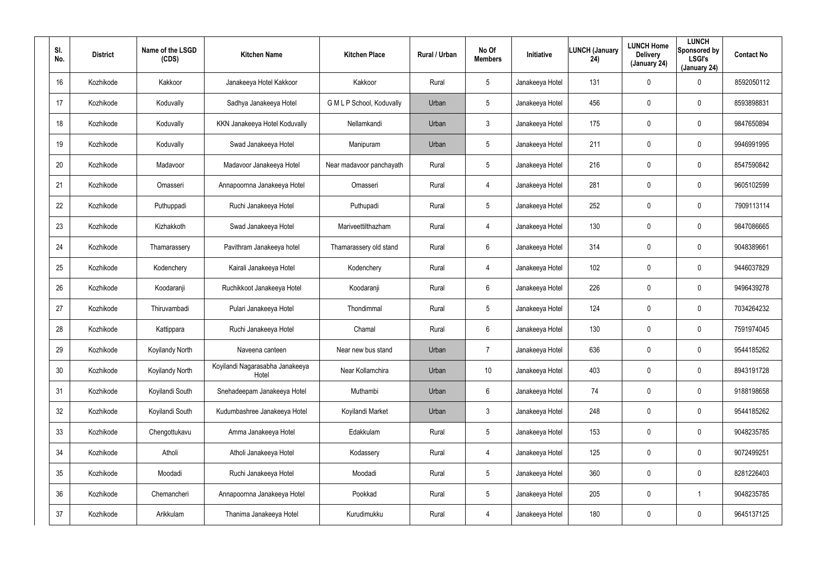| SI.<br>No. | <b>District</b> | Name of the LSGD<br>(CDS) | <b>Kitchen Name</b>                      | <b>Kitchen Place</b>      | Rural / Urban | No Of<br><b>Members</b> | Initiative      | <b>LUNCH (January</b><br>24) | <b>LUNCH Home</b><br><b>Delivery</b><br>(January 24) | <b>LUNCH</b><br>Sponsored by<br><b>LSGI's</b><br>(January 24) | <b>Contact No</b> |
|------------|-----------------|---------------------------|------------------------------------------|---------------------------|---------------|-------------------------|-----------------|------------------------------|------------------------------------------------------|---------------------------------------------------------------|-------------------|
| 16         | Kozhikode       | Kakkoor                   | Janakeeya Hotel Kakkoor                  | Kakkoor                   | Rural         | 5                       | Janakeeya Hotel | 131                          | $\mathbf 0$                                          | 0                                                             | 8592050112        |
| 17         | Kozhikode       | Koduvally                 | Sadhya Janakeeya Hotel                   | G M L P School, Koduvally | Urban         | 5                       | Janakeeya Hotel | 456                          | 0                                                    | $\mathbf 0$                                                   | 8593898831        |
| 18         | Kozhikode       | Koduvally                 | KKN Janakeeya Hotel Koduvally            | Nellamkandi               | Urban         | 3                       | Janakeeya Hotel | 175                          | 0                                                    | $\mathbf 0$                                                   | 9847650894        |
| 19         | Kozhikode       | Koduvally                 | Swad Janakeeya Hotel                     | Manipuram                 | Urban         | 5                       | Janakeeya Hotel | 211                          | 0                                                    | $\mathbf 0$                                                   | 9946991995        |
| 20         | Kozhikode       | Madavoor                  | Madavoor Janakeeya Hotel                 | Near madavoor panchayath  | Rural         | 5                       | Janakeeya Hotel | 216                          | 0                                                    | $\mathbf 0$                                                   | 8547590842        |
| 21         | Kozhikode       | Omasseri                  | Annapoornna Janakeeya Hotel              | Omasseri                  | Rural         | 4                       | Janakeeya Hotel | 281                          | 0                                                    | $\mathbf 0$                                                   | 9605102599        |
| 22         | Kozhikode       | Puthuppadi                | Ruchi Janakeeya Hotel                    | Puthupadi                 | Rural         | 5                       | Janakeeya Hotel | 252                          | $\boldsymbol{0}$                                     | 0                                                             | 7909113114        |
| 23         | Kozhikode       | Kizhakkoth                | Swad Janakeeya Hotel                     | Mariveettilthazham        | Rural         | $\overline{4}$          | Janakeeya Hotel | 130                          | $\boldsymbol{0}$                                     | $\mathbf 0$                                                   | 9847086665        |
| 24         | Kozhikode       | Thamarassery              | Pavithram Janakeeya hotel                | Thamarassery old stand    | Rural         | 6                       | Janakeeya Hotel | 314                          | $\boldsymbol{0}$                                     | 0                                                             | 9048389661        |
| 25         | Kozhikode       | Kodenchery                | Kairali Janakeeya Hotel                  | Kodenchery                | Rural         | $\overline{4}$          | Janakeeya Hotel | 102                          | $\boldsymbol{0}$                                     | $\mathbf 0$                                                   | 9446037829        |
| 26         | Kozhikode       | Koodaranji                | Ruchikkoot Janakeeya Hotel               | Koodaranji                | Rural         | 6                       | Janakeeya Hotel | 226                          | $\boldsymbol{0}$                                     | 0                                                             | 9496439278        |
| 27         | Kozhikode       | Thiruvambadi              | Pulari Janakeeya Hotel                   | Thondimmal                | Rural         | 5                       | Janakeeya Hotel | 124                          | $\boldsymbol{0}$                                     | $\mathbf 0$                                                   | 7034264232        |
| 28         | Kozhikode       | Kattippara                | Ruchi Janakeeya Hotel                    | Chamal                    | Rural         | 6                       | Janakeeya Hotel | 130                          | $\boldsymbol{0}$                                     | 0                                                             | 7591974045        |
| 29         | Kozhikode       | Koyilandy North           | Naveena canteen                          | Near new bus stand        | Urban         | $\overline{7}$          | Janakeeya Hotel | 636                          | $\boldsymbol{0}$                                     | $\pmb{0}$                                                     | 9544185262        |
| 30         | Kozhikode       | Koyilandy North           | Koyilandi Nagarasabha Janakeeya<br>Hotel | Near Kollamchira          | Urban         | 10                      | Janakeeya Hotel | 403                          | $\pmb{0}$                                            | 0                                                             | 8943191728        |
| 31         | Kozhikode       | Koyilandi South           | Snehadeepam Janakeeya Hotel              | Muthambi                  | Urban         | $6\phantom{.}6$         | Janakeeya Hotel | 74                           | $\pmb{0}$                                            | $\pmb{0}$                                                     | 9188198658        |
| 32         | Kozhikode       | Koyilandi South           | Kudumbashree Janakeeya Hotel             | Koyilandi Market          | Urban         | $\mathbf{3}$            | Janakeeya Hotel | 248                          | $\pmb{0}$                                            | $\pmb{0}$                                                     | 9544185262        |
| 33         | Kozhikode       | Chengottukavu             | Amma Janakeeya Hotel                     | Edakkulam                 | Rural         | $5\phantom{.0}$         | Janakeeya Hotel | 153                          | $\mathbf 0$                                          | $\pmb{0}$                                                     | 9048235785        |
| 34         | Kozhikode       | Atholi                    | Atholi Janakeeya Hotel                   | Kodassery                 | Rural         | 4                       | Janakeeya Hotel | 125                          | $\pmb{0}$                                            | 0                                                             | 9072499251        |
| 35         | Kozhikode       | Moodadi                   | Ruchi Janakeeya Hotel                    | Moodadi                   | Rural         | $5\phantom{.0}$         | Janakeeya Hotel | 360                          | $\mathbf 0$                                          | $\pmb{0}$                                                     | 8281226403        |
| 36         | Kozhikode       | Chemancheri               | Annapoornna Janakeeya Hotel              | Pookkad                   | Rural         | $5\phantom{.0}$         | Janakeeya Hotel | 205                          | $\overline{0}$                                       |                                                               | 9048235785        |
| 37         | Kozhikode       | Arikkulam                 | Thanima Janakeeya Hotel                  | Kurudimukku               | Rural         | $\overline{4}$          | Janakeeya Hotel | 180                          | $\boldsymbol{0}$                                     | 0                                                             | 9645137125        |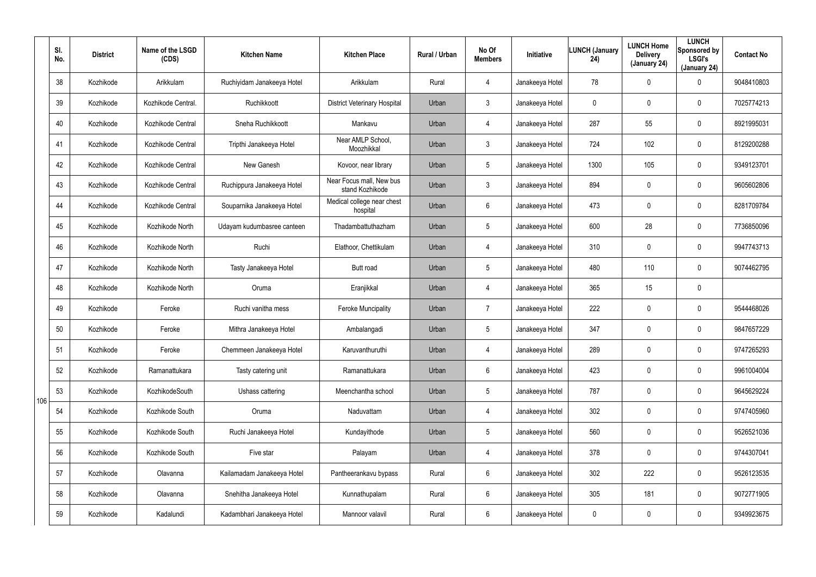|     | SI.<br>No. | <b>District</b> | Name of the LSGD<br>(CDS) | <b>Kitchen Name</b>        | <b>Kitchen Place</b>                        | Rural / Urban | No Of<br><b>Members</b> | Initiative      | <b>LUNCH (January</b><br>24) | <b>LUNCH Home</b><br><b>Delivery</b><br>(January 24) | <b>LUNCH</b><br>Sponsored by<br><b>LSGI's</b><br>(January 24) | <b>Contact No</b> |
|-----|------------|-----------------|---------------------------|----------------------------|---------------------------------------------|---------------|-------------------------|-----------------|------------------------------|------------------------------------------------------|---------------------------------------------------------------|-------------------|
|     | 38         | Kozhikode       | Arikkulam                 | Ruchiyidam Janakeeya Hotel | Arikkulam                                   | Rural         | 4                       | Janakeeya Hotel | 78                           | 0                                                    | $\mathbf 0$                                                   | 9048410803        |
|     | 39         | Kozhikode       | Kozhikode Central.        | Ruchikkoott                | <b>District Veterinary Hospital</b>         | Urban         | 3                       | Janakeeya Hotel | 0                            | 0                                                    | $\boldsymbol{0}$                                              | 7025774213        |
|     | 40         | Kozhikode       | Kozhikode Central         | Sneha Ruchikkoott          | Mankavu                                     | Urban         | 4                       | Janakeeya Hotel | 287                          | 55                                                   | $\boldsymbol{0}$                                              | 8921995031        |
|     | 41         | Kozhikode       | Kozhikode Central         | Tripthi Janakeeya Hotel    | Near AMLP School,<br>Moozhikkal             | Urban         | $\mathbf{3}$            | Janakeeya Hotel | 724                          | 102                                                  | $\boldsymbol{0}$                                              | 8129200288        |
|     | 42         | Kozhikode       | Kozhikode Central         | New Ganesh                 | Kovoor, near library                        | Urban         | $5\phantom{.0}$         | Janakeeya Hotel | 1300                         | 105                                                  | $\boldsymbol{0}$                                              | 9349123701        |
|     | 43         | Kozhikode       | Kozhikode Central         | Ruchippura Janakeeya Hotel | Near Focus mall, New bus<br>stand Kozhikode | Urban         | $\mathbf{3}$            | Janakeeya Hotel | 894                          | 0                                                    | $\mathbf 0$                                                   | 9605602806        |
|     | 44         | Kozhikode       | Kozhikode Central         | Souparnika Janakeeya Hotel | Medical college near chest<br>hospital      | Urban         | 6                       | Janakeeya Hotel | 473                          | 0                                                    | $\mathbf 0$                                                   | 8281709784        |
|     | 45         | Kozhikode       | Kozhikode North           | Udayam kudumbasree canteen | Thadambattuthazham                          | Urban         | $5\phantom{.0}$         | Janakeeya Hotel | 600                          | 28                                                   | $\mathbf 0$                                                   | 7736850096        |
|     | 46         | Kozhikode       | Kozhikode North           | Ruchi                      | Elathoor, Chettikulam                       | Urban         | 4                       | Janakeeya Hotel | 310                          | 0                                                    | $\mathbf 0$                                                   | 9947743713        |
|     | 47         | Kozhikode       | Kozhikode North           | Tasty Janakeeya Hotel      | Butt road                                   | Urban         | $5\phantom{.0}$         | Janakeeya Hotel | 480                          | 110                                                  | $\mathbf 0$                                                   | 9074462795        |
|     | 48         | Kozhikode       | Kozhikode North           | Oruma                      | Eranjikkal                                  | Urban         | 4                       | Janakeeya Hotel | 365                          | 15                                                   | $\pmb{0}$                                                     |                   |
|     | 49         | Kozhikode       | Feroke                    | Ruchi vanitha mess         | Feroke Muncipality                          | Urban         | $\overline{7}$          | Janakeeya Hotel | 222                          | 0                                                    | $\mathbf 0$                                                   | 9544468026        |
|     | 50         | Kozhikode       | Feroke                    | Mithra Janakeeya Hotel     | Ambalangadi                                 | Urban         | $5\phantom{.0}$         | Janakeeya Hotel | 347                          | 0                                                    | $\mathbf 0$                                                   | 9847657229        |
|     | 51         | Kozhikode       | Feroke                    | Chemmeen Janakeeya Hotel   | Karuvanthuruthi                             | Urban         | 4                       | Janakeeya Hotel | 289                          | 0                                                    | $\pmb{0}$                                                     | 9747265293        |
|     | 52         | Kozhikode       | Ramanattukara             | Tasty catering unit        | Ramanattukara                               | Urban         | 6                       | Janakeeya Hotel | 423                          | 0                                                    | $\mathbf 0$                                                   | 9961004004        |
| 106 | 53         | Kozhikode       | KozhikodeSouth            | Ushass cattering           | Meenchantha school                          | Urban         | $5\phantom{.0}$         | Janakeeya Hotel | 787                          | 0                                                    | $\pmb{0}$                                                     | 9645629224        |
|     | 54         | Kozhikode       | Kozhikode South           | Oruma                      | Naduvattam                                  | Urban         | 4                       | Janakeeya Hotel | 302                          | 0                                                    | $\mathbf 0$                                                   | 9747405960        |
|     | 55         | Kozhikode       | Kozhikode South           | Ruchi Janakeeya Hotel      | Kundayithode                                | Urban         | $5\phantom{.0}$         | Janakeeya Hotel | 560                          | 0                                                    | $\pmb{0}$                                                     | 9526521036        |
|     | 56         | Kozhikode       | Kozhikode South           | Five star                  | Palayam                                     | Urban         | 4                       | Janakeeya Hotel | 378                          | 0                                                    | $\pmb{0}$                                                     | 9744307041        |
|     | 57         | Kozhikode       | Olavanna                  | Kailamadam Janakeeya Hotel | Pantheerankavu bypass                       | Rural         | 6                       | Janakeeya Hotel | 302                          | 222                                                  | $\pmb{0}$                                                     | 9526123535        |
|     | 58         | Kozhikode       | Olavanna                  | Snehitha Janakeeya Hotel   | Kunnathupalam                               | Rural         | 6                       | Janakeeya Hotel | 305                          | 181                                                  | $\mathbf 0$                                                   | 9072771905        |
|     | 59         | Kozhikode       | Kadalundi                 | Kadambhari Janakeeya Hotel | Mannoor valavil                             | Rural         | 6                       | Janakeeya Hotel | 0                            | 0                                                    | $\pmb{0}$                                                     | 9349923675        |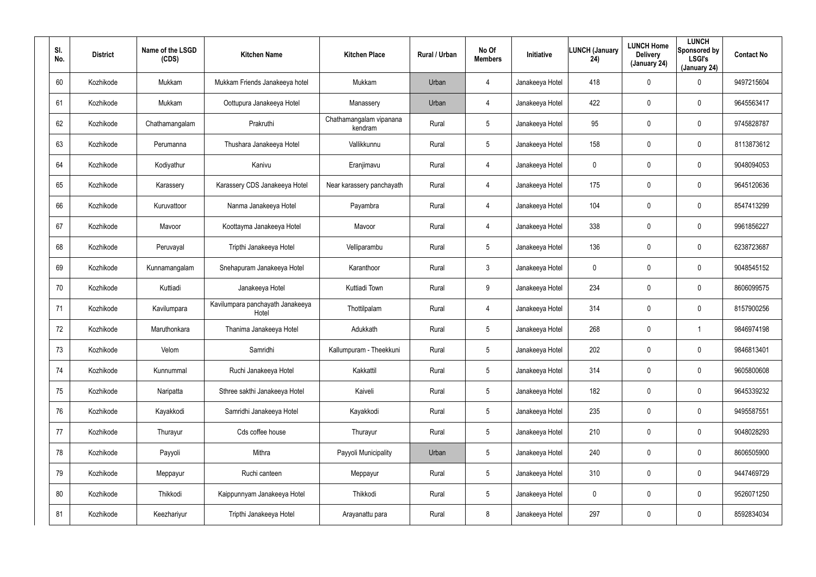| SI.<br>No. | <b>District</b> | Name of the LSGD<br>(CDS) | <b>Kitchen Name</b>                       | <b>Kitchen Place</b>               | Rural / Urban | No Of<br><b>Members</b> | Initiative      | <b>LUNCH (January</b><br>24) | <b>LUNCH Home</b><br><b>Delivery</b><br>(January 24) | <b>LUNCH</b><br>Sponsored by<br><b>LSGI's</b><br>(January 24) | <b>Contact No</b> |
|------------|-----------------|---------------------------|-------------------------------------------|------------------------------------|---------------|-------------------------|-----------------|------------------------------|------------------------------------------------------|---------------------------------------------------------------|-------------------|
| 60         | Kozhikode       | Mukkam                    | Mukkam Friends Janakeeya hotel            | Mukkam                             | Urban         | $\overline{4}$          | Janakeeya Hotel | 418                          | $\mathbf 0$                                          | 0                                                             | 9497215604        |
| 61         | Kozhikode       | Mukkam                    | Oottupura Janakeeya Hotel                 | Manassery                          | Urban         | $\overline{4}$          | Janakeeya Hotel | 422                          | 0                                                    | $\mathbf 0$                                                   | 9645563417        |
| 62         | Kozhikode       | Chathamangalam            | Prakruthi                                 | Chathamangalam vipanana<br>kendram | Rural         | 5                       | Janakeeya Hotel | 95                           | $\mathbf 0$                                          | $\mathbf 0$                                                   | 9745828787        |
| 63         | Kozhikode       | Perumanna                 | Thushara Janakeeya Hotel                  | Vallikkunnu                        | Rural         | 5                       | Janakeeya Hotel | 158                          | 0                                                    | $\mathbf 0$                                                   | 8113873612        |
| 64         | Kozhikode       | Kodiyathur                | Kanivu                                    | Eranjimavu                         | Rural         | $\overline{4}$          | Janakeeya Hotel | 0                            | 0                                                    | $\mathbf 0$                                                   | 9048094053        |
| 65         | Kozhikode       | Karassery                 | Karassery CDS Janakeeya Hotel             | Near karassery panchayath          | Rural         | $\overline{4}$          | Janakeeya Hotel | 175                          | 0                                                    | $\mathbf 0$                                                   | 9645120636        |
| 66         | Kozhikode       | Kuruvattoor               | Nanma Janakeeya Hotel                     | Payambra                           | Rural         | $\overline{4}$          | Janakeeya Hotel | 104                          | $\boldsymbol{0}$                                     | 0                                                             | 8547413299        |
| 67         | Kozhikode       | Mavoor                    | Koottayma Janakeeya Hotel                 | Mavoor                             | Rural         | $\overline{4}$          | Janakeeya Hotel | 338                          | $\boldsymbol{0}$                                     | $\mathbf 0$                                                   | 9961856227        |
| 68         | Kozhikode       | Peruvayal                 | Tripthi Janakeeya Hotel                   | Velliparambu                       | Rural         | 5                       | Janakeeya Hotel | 136                          | $\boldsymbol{0}$                                     | 0                                                             | 6238723687        |
| 69         | Kozhikode       | Kunnamangalam             | Snehapuram Janakeeya Hotel                | Karanthoor                         | Rural         | $\mathbf{3}$            | Janakeeya Hotel | 0                            | $\mathbf 0$                                          | $\mathbf 0$                                                   | 9048545152        |
| 70         | Kozhikode       | Kuttiadi                  | Janakeeya Hotel                           | Kuttiadi Town                      | Rural         | 9                       | Janakeeya Hotel | 234                          | $\boldsymbol{0}$                                     | 0                                                             | 8606099575        |
| 71         | Kozhikode       | Kavilumpara               | Kavilumpara panchayath Janakeeya<br>Hotel | Thottilpalam                       | Rural         | $\overline{4}$          | Janakeeya Hotel | 314                          | $\boldsymbol{0}$                                     | $\mathbf 0$                                                   | 8157900256        |
| 72         | Kozhikode       | Maruthonkara              | Thanima Janakeeya Hotel                   | Adukkath                           | Rural         | 5                       | Janakeeya Hotel | 268                          | $\pmb{0}$                                            |                                                               | 9846974198        |
| 73         | Kozhikode       | Velom                     | Samridhi                                  | Kallumpuram - Theekkuni            | Rural         | 5                       | Janakeeya Hotel | 202                          | $\pmb{0}$                                            | $\pmb{0}$                                                     | 9846813401        |
| 74         | Kozhikode       | Kunnummal                 | Ruchi Janakeeya Hotel                     | Kakkattil                          | Rural         | 5                       | Janakeeya Hotel | 314                          | $\pmb{0}$                                            | $\pmb{0}$                                                     | 9605800608        |
| 75         | Kozhikode       | Naripatta                 | Sthree sakthi Janakeeya Hotel             | Kaiveli                            | Rural         | 5                       | Janakeeya Hotel | 182                          | $\pmb{0}$                                            | $\pmb{0}$                                                     | 9645339232        |
| 76         | Kozhikode       | Kayakkodi                 | Samridhi Janakeeya Hotel                  | Kayakkodi                          | Rural         | 5                       | Janakeeya Hotel | 235                          | $\pmb{0}$                                            | $\pmb{0}$                                                     | 9495587551        |
| 77         | Kozhikode       | Thurayur                  | Cds coffee house                          | Thurayur                           | Rural         | $5\phantom{.0}$         | Janakeeya Hotel | 210                          | $\mathbf 0$                                          | $\pmb{0}$                                                     | 9048028293        |
| 78         | Kozhikode       | Payyoli                   | Mithra                                    | Payyoli Municipality               | Urban         | $5\phantom{.0}$         | Janakeeya Hotel | 240                          | $\pmb{0}$                                            | 0                                                             | 8606505900        |
| 79         | Kozhikode       | Meppayur                  | Ruchi canteen                             | Meppayur                           | Rural         | $5\phantom{.0}$         | Janakeeya Hotel | 310                          | $\mathbf 0$                                          | $\pmb{0}$                                                     | 9447469729        |
| 80         | Kozhikode       | Thikkodi                  | Kaippunnyam Janakeeya Hotel               | Thikkodi                           | Rural         | $5\phantom{.0}$         | Janakeeya Hotel | 0                            | $\pmb{0}$                                            | 0                                                             | 9526071250        |
| 81         | Kozhikode       | Keezhariyur               | Tripthi Janakeeya Hotel                   | Arayanattu para                    | Rural         | 8                       | Janakeeya Hotel | 297                          | $\boldsymbol{0}$                                     | 0                                                             | 8592834034        |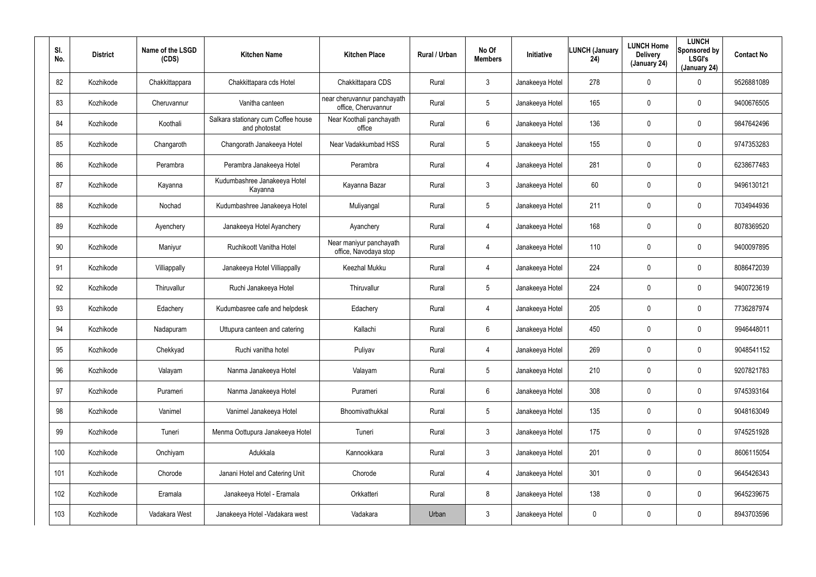| SI.<br>No. | <b>District</b> | Name of the LSGD<br>(CDS) | <b>Kitchen Name</b>                                  | <b>Kitchen Place</b>                               | Rural / Urban | No Of<br><b>Members</b> | Initiative      | <b>LUNCH (January</b><br>24) | <b>LUNCH Home</b><br><b>Delivery</b><br>(January 24) | <b>LUNCH</b><br>Sponsored by<br><b>LSGI's</b><br>(January 24) | <b>Contact No</b> |
|------------|-----------------|---------------------------|------------------------------------------------------|----------------------------------------------------|---------------|-------------------------|-----------------|------------------------------|------------------------------------------------------|---------------------------------------------------------------|-------------------|
| 82         | Kozhikode       | Chakkittappara            | Chakkittapara cds Hotel                              | Chakkittapara CDS                                  | Rural         | $\mathbf{3}$            | Janakeeya Hotel | 278                          | $\mathbf 0$                                          | 0                                                             | 9526881089        |
| 83         | Kozhikode       | Cheruvannur               | Vanitha canteen                                      | near cheruvannur panchayath<br>office, Cheruvannur | Rural         | 5                       | Janakeeya Hotel | 165                          | $\mathbf 0$                                          | $\mathbf 0$                                                   | 9400676505        |
| 84         | Kozhikode       | Koothali                  | Salkara stationary cum Coffee house<br>and photostat | Near Koothali panchayath<br>office                 | Rural         | 6                       | Janakeeya Hotel | 136                          | $\mathbf 0$                                          | $\mathbf 0$                                                   | 9847642496        |
| 85         | Kozhikode       | Changaroth                | Changorath Janakeeya Hotel                           | Near Vadakkumbad HSS                               | Rural         | 5                       | Janakeeya Hotel | 155                          | $\mathbf 0$                                          | $\mathbf 0$                                                   | 9747353283        |
| 86         | Kozhikode       | Perambra                  | Perambra Janakeeya Hotel                             | Perambra                                           | Rural         | $\overline{4}$          | Janakeeya Hotel | 281                          | $\mathbf 0$                                          | $\mathbf 0$                                                   | 6238677483        |
| 87         | Kozhikode       | Kayanna                   | Kudumbashree Janakeeya Hotel<br>Kayanna              | Kayanna Bazar                                      | Rural         | $\mathbf{3}$            | Janakeeya Hotel | 60                           | 0                                                    | $\mathbf 0$                                                   | 9496130121        |
| 88         | Kozhikode       | Nochad                    | Kudumbashree Janakeeya Hotel                         | Muliyangal                                         | Rural         | 5                       | Janakeeya Hotel | 211                          | $\mathbf 0$                                          | $\mathbf 0$                                                   | 7034944936        |
| 89         | Kozhikode       | Ayenchery                 | Janakeeya Hotel Ayanchery                            | Ayanchery                                          | Rural         | 4                       | Janakeeya Hotel | 168                          | 0                                                    | 0                                                             | 8078369520        |
| 90         | Kozhikode       | Maniyur                   | Ruchikoott Vanitha Hotel                             | Near maniyur panchayath<br>office, Navodaya stop   | Rural         | 4                       | Janakeeya Hotel | 110                          | $\mathbf 0$                                          | $\mathbf 0$                                                   | 9400097895        |
| 91         | Kozhikode       | Villiappally              | Janakeeya Hotel Villiappally                         | Keezhal Mukku                                      | Rural         | 4                       | Janakeeya Hotel | 224                          | 0                                                    | $\mathbf 0$                                                   | 8086472039        |
| 92         | Kozhikode       | Thiruvallur               | Ruchi Janakeeya Hotel                                | Thiruvallur                                        | Rural         | 5                       | Janakeeya Hotel | 224                          | $\mathbf 0$                                          | $\mathbf 0$                                                   | 9400723619        |
| 93         | Kozhikode       | Edachery                  | Kudumbasree cafe and helpdesk                        | Edachery                                           | Rural         | 4                       | Janakeeya Hotel | 205                          | $\mathbf 0$                                          | 0                                                             | 7736287974        |
| 94         | Kozhikode       | Nadapuram                 | Uttupura canteen and catering                        | Kallachi                                           | Rural         | 6                       | Janakeeya Hotel | 450                          | $\mathbf 0$                                          | 0                                                             | 9946448011        |
| 95         | Kozhikode       | Chekkyad                  | Ruchi vanitha hotel                                  | Puliyav                                            | Rural         | 4                       | Janakeeya Hotel | 269                          | $\mathbf 0$                                          | 0                                                             | 9048541152        |
| 96         | Kozhikode       | Valayam                   | Nanma Janakeeya Hotel                                | Valayam                                            | Rural         | $5\phantom{.0}$         | Janakeeya Hotel | 210                          | $\overline{0}$                                       | $\pmb{0}$                                                     | 9207821783        |
| 97         | Kozhikode       | Purameri                  | Nanma Janakeeya Hotel                                | Purameri                                           | Rural         | $6\phantom{.}6$         | Janakeeya Hotel | 308                          | $\mathbf 0$                                          | $\pmb{0}$                                                     | 9745393164        |
| 98         | Kozhikode       | Vanimel                   | Vanimel Janakeeya Hotel                              | Bhoomivathukkal                                    | Rural         | $5\phantom{.0}$         | Janakeeya Hotel | 135                          | $\overline{0}$                                       | $\pmb{0}$                                                     | 9048163049        |
| 99         | Kozhikode       | Tuneri                    | Menma Oottupura Janakeeya Hotel                      | Tuneri                                             | Rural         | 3 <sup>1</sup>          | Janakeeya Hotel | 175                          | $\mathbf 0$                                          | 0                                                             | 9745251928        |
| 100        | Kozhikode       | Onchiyam                  | Adukkala                                             | Kannookkara                                        | Rural         | 3 <sup>1</sup>          | Janakeeya Hotel | 201                          | $\mathbf 0$                                          | 0                                                             | 8606115054        |
| 101        | Kozhikode       | Chorode                   | Janani Hotel and Catering Unit                       | Chorode                                            | Rural         | $\overline{4}$          | Janakeeya Hotel | 301                          | $\mathbf 0$                                          | 0                                                             | 9645426343        |
| 102        | Kozhikode       | Eramala                   | Janakeeya Hotel - Eramala                            | Orkkatteri                                         | Rural         | 8                       | Janakeeya Hotel | 138                          | $\mathbf 0$                                          | 0                                                             | 9645239675        |
| 103        | Kozhikode       | Vadakara West             | Janakeeya Hotel - Vadakara west                      | Vadakara                                           | Urban         | $\mathfrak{Z}$          | Janakeeya Hotel | 0                            | $\mathbf 0$                                          | 0                                                             | 8943703596        |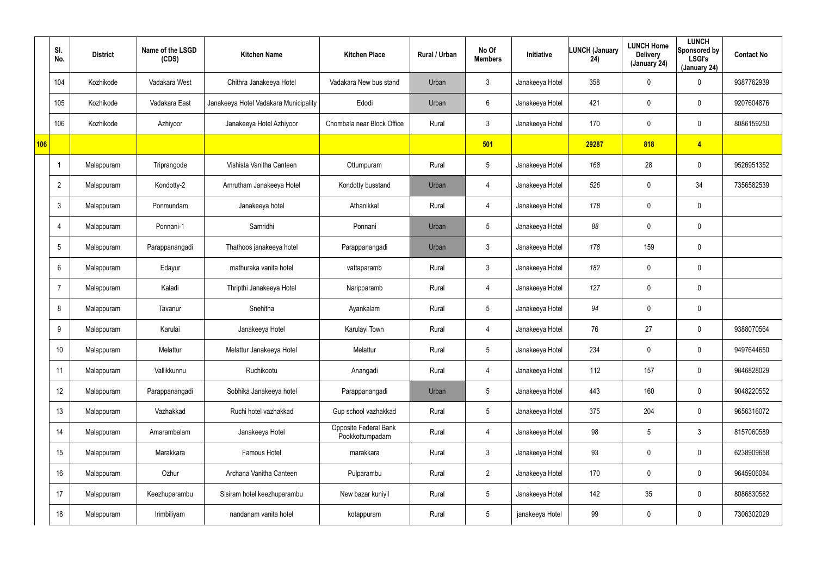|     | SI.<br>No.      | <b>District</b> | Name of the LSGD<br>(CDS) | <b>Kitchen Name</b>                   | <b>Kitchen Place</b>                     | Rural / Urban | No Of<br><b>Members</b> | Initiative      | LUNCH (January<br>24) | <b>LUNCH Home</b><br><b>Delivery</b><br>(January 24) | <b>LUNCH</b><br>Sponsored by<br><b>LSGI's</b><br>(January 24) | <b>Contact No</b> |
|-----|-----------------|-----------------|---------------------------|---------------------------------------|------------------------------------------|---------------|-------------------------|-----------------|-----------------------|------------------------------------------------------|---------------------------------------------------------------|-------------------|
|     | 104             | Kozhikode       | Vadakara West             | Chithra Janakeeya Hotel               | Vadakara New bus stand                   | Urban         | $\mathbf{3}$            | Janakeeya Hotel | 358                   | 0                                                    | $\mathbf 0$                                                   | 9387762939        |
|     | 105             | Kozhikode       | Vadakara East             | Janakeeya Hotel Vadakara Municipality | Edodi                                    | Urban         | 6                       | Janakeeya Hotel | 421                   | 0                                                    | $\mathbf 0$                                                   | 9207604876        |
|     | 106             | Kozhikode       | Azhiyoor                  | Janakeeya Hotel Azhiyoor              | Chombala near Block Office               | Rural         | $\mathbf{3}$            | Janakeeya Hotel | 170                   | 0                                                    | $\mathbf 0$                                                   | 8086159250        |
| 106 |                 |                 |                           |                                       |                                          |               | 501                     |                 | 29287                 | 818                                                  | $\overline{4}$                                                |                   |
|     |                 | Malappuram      | Triprangode               | Vishista Vanitha Canteen              | Ottumpuram                               | Rural         | $5\phantom{.0}$         | Janakeeya Hotel | 168                   | 28                                                   | $\mathbf 0$                                                   | 9526951352        |
|     | $\overline{2}$  | Malappuram      | Kondotty-2                | Amrutham Janakeeya Hotel              | Kondotty busstand                        | Urban         | $\overline{4}$          | Janakeeya Hotel | 526                   | 0                                                    | 34                                                            | 7356582539        |
|     | $\mathbf{3}$    | Malappuram      | Ponmundam                 | Janakeeya hotel                       | Athanikkal                               | Rural         | 4                       | Janakeeya Hotel | 178                   | 0                                                    | $\mathbf 0$                                                   |                   |
|     | $\overline{4}$  | Malappuram      | Ponnani-1                 | Samridhi                              | Ponnani                                  | Urban         | $5\phantom{.0}$         | Janakeeya Hotel | 88                    | 0                                                    | $\mathbf 0$                                                   |                   |
|     | $5\phantom{.0}$ | Malappuram      | Parappanangadi            | Thathoos janakeeya hotel              | Parappanangadi                           | Urban         | $\mathfrak{Z}$          | Janakeeya Hotel | 178                   | 159                                                  | $\pmb{0}$                                                     |                   |
|     | $6^{\circ}$     | Malappuram      | Edayur                    | mathuraka vanita hotel                | vattaparamb                              | Rural         | $\mathbf{3}$            | Janakeeya Hotel | 182                   | 0                                                    | $\mathbf 0$                                                   |                   |
|     | $\overline{7}$  | Malappuram      | Kaladi                    | Thripthi Janakeeya Hotel              | Naripparamb                              | Rural         | 4                       | Janakeeya Hotel | 127                   | 0                                                    | $\mathbf 0$                                                   |                   |
|     | 8               | Malappuram      | Tavanur                   | Snehitha                              | Ayankalam                                | Rural         | $5\phantom{.0}$         | Janakeeya Hotel | 94                    | 0                                                    | $\mathbf 0$                                                   |                   |
|     | 9               | Malappuram      | Karulai                   | Janakeeya Hotel                       | Karulayi Town                            | Rural         | 4                       | Janakeeya Hotel | 76                    | 27                                                   | $\mathbf 0$                                                   | 9388070564        |
|     | 10              | Malappuram      | Melattur                  | Melattur Janakeeya Hotel              | Melattur                                 | Rural         | $5\phantom{.0}$         | Janakeeya Hotel | 234                   | 0                                                    | $\mathbf 0$                                                   | 9497644650        |
|     | 11              | Malappuram      | Vallikkunnu               | Ruchikootu                            | Anangadi                                 | Rural         | 4                       | Janakeeya Hotel | 112                   | 157                                                  | $\mathbf 0$                                                   | 9846828029        |
|     | 12              | Malappuram      | Parappanangadi            | Sobhika Janakeeya hotel               | Parappanangadi                           | Urban         | $5\overline{)}$         | Janakeeya Hotel | 443                   | 160                                                  | $\mathbf 0$                                                   | 9048220552        |
|     | 13              | Malappuram      | Vazhakkad                 | Ruchi hotel vazhakkad                 | Gup school vazhakkad                     | Rural         | $5\overline{)}$         | Janakeeya Hotel | 375                   | 204                                                  | $\mathbf 0$                                                   | 9656316072        |
|     | 14              | Malappuram      | Amarambalam               | Janakeeya Hotel                       | Opposite Federal Bank<br>Pookkottumpadam | Rural         | 4                       | Janakeeya Hotel | 98                    | 5                                                    | $\mathfrak{Z}$                                                | 8157060589        |
|     | 15              | Malappuram      | Marakkara                 | Famous Hotel                          | marakkara                                | Rural         | $\mathbf{3}$            | Janakeeya Hotel | 93                    | 0                                                    | $\mathbf 0$                                                   | 6238909658        |
|     | 16              | Malappuram      | Ozhur                     | Archana Vanitha Canteen               | Pulparambu                               | Rural         | $2^{\circ}$             | Janakeeya Hotel | 170                   | 0                                                    | $\mathbf 0$                                                   | 9645906084        |
|     | 17              | Malappuram      | Keezhuparambu             | Sisiram hotel keezhuparambu           | New bazar kuniyil                        | Rural         | $5\phantom{.0}$         | Janakeeya Hotel | 142                   | 35                                                   | $\mathbf 0$                                                   | 8086830582        |
|     | 18              | Malappuram      | Irimbiliyam               | nandanam vanita hotel                 | kotappuram                               | Rural         | $5\,$                   | janakeeya Hotel | 99                    | 0                                                    | $\pmb{0}$                                                     | 7306302029        |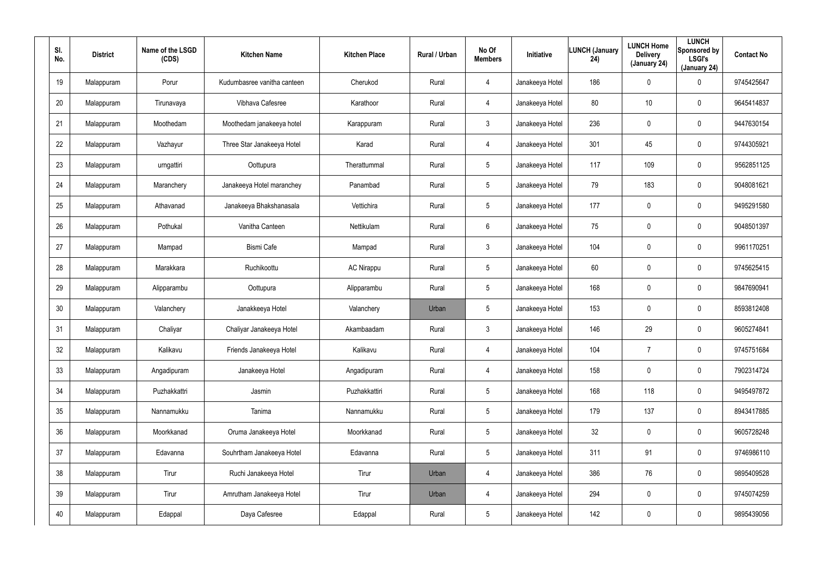| SI.<br>No. | <b>District</b> | Name of the LSGD<br>(CDS) | <b>Kitchen Name</b>         | <b>Kitchen Place</b> | Rural / Urban | No Of<br><b>Members</b> | Initiative      | <b>LUNCH (January</b><br>24) | <b>LUNCH Home</b><br><b>Delivery</b><br>(January 24) | <b>LUNCH</b><br>Sponsored by<br><b>LSGI's</b><br>(January 24) | <b>Contact No</b> |
|------------|-----------------|---------------------------|-----------------------------|----------------------|---------------|-------------------------|-----------------|------------------------------|------------------------------------------------------|---------------------------------------------------------------|-------------------|
| 19         | Malappuram      | Porur                     | Kudumbasree vanitha canteen | Cherukod             | Rural         | 4                       | Janakeeya Hotel | 186                          | $\pmb{0}$                                            | 0                                                             | 9745425647        |
| 20         | Malappuram      | Tirunavaya                | Vibhava Cafesree            | Karathoor            | Rural         | $\overline{4}$          | Janakeeya Hotel | 80                           | 10                                                   | 0                                                             | 9645414837        |
| 21         | Malappuram      | Moothedam                 | Moothedam janakeeya hotel   | Karappuram           | Rural         | $\mathbf{3}$            | Janakeeya Hotel | 236                          | $\pmb{0}$                                            | 0                                                             | 9447630154        |
| 22         | Malappuram      | Vazhayur                  | Three Star Janakeeya Hotel  | Karad                | Rural         | $\overline{4}$          | Janakeeya Hotel | 301                          | 45                                                   | 0                                                             | 9744305921        |
| 23         | Malappuram      | urngattiri                | Oottupura                   | Therattummal         | Rural         | 5                       | Janakeeya Hotel | 117                          | 109                                                  | 0                                                             | 9562851125        |
| 24         | Malappuram      | Maranchery                | Janakeeya Hotel maranchey   | Panambad             | Rural         | 5                       | Janakeeya Hotel | 79                           | 183                                                  | 0                                                             | 9048081621        |
| 25         | Malappuram      | Athavanad                 | Janakeeya Bhakshanasala     | Vettichira           | Rural         | $5\phantom{.0}$         | Janakeeya Hotel | 177                          | $\overline{0}$                                       | $\mathbf 0$                                                   | 9495291580        |
| 26         | Malappuram      | Pothukal                  | Vanitha Canteen             | Nettikulam           | Rural         | 6                       | Janakeeya Hotel | 75                           | $\boldsymbol{0}$                                     | $\mathbf 0$                                                   | 9048501397        |
| 27         | Malappuram      | Mampad                    | Bismi Cafe                  | Mampad               | Rural         | $\mathbf{3}$            | Janakeeya Hotel | 104                          | $\overline{0}$                                       | $\mathbf 0$                                                   | 9961170251        |
| 28         | Malappuram      | Marakkara                 | Ruchikoottu                 | <b>AC Nirappu</b>    | Rural         | $5\phantom{.0}$         | Janakeeya Hotel | 60                           | $\boldsymbol{0}$                                     | $\mathbf 0$                                                   | 9745625415        |
| 29         | Malappuram      | Alipparambu               | Oottupura                   | Alipparambu          | Rural         | $5\phantom{.0}$         | Janakeeya Hotel | 168                          | $\overline{0}$                                       | $\mathbf 0$                                                   | 9847690941        |
| 30         | Malappuram      | Valanchery                | Janakkeeya Hotel            | Valanchery           | Urban         | $5\phantom{.0}$         | Janakeeya Hotel | 153                          | $\boldsymbol{0}$                                     | 0                                                             | 8593812408        |
| 31         | Malappuram      | Chaliyar                  | Chaliyar Janakeeya Hotel    | Akambaadam           | Rural         | $\mathbf{3}$            | Janakeeya Hotel | 146                          | 29                                                   | $\mathbf 0$                                                   | 9605274841        |
| 32         | Malappuram      | Kalikavu                  | Friends Janakeeya Hotel     | Kalikavu             | Rural         | 4                       | Janakeeya Hotel | 104                          | $\overline{7}$                                       | $\pmb{0}$                                                     | 9745751684        |
| 33         | Malappuram      | Angadipuram               | Janakeeya Hotel             | Angadipuram          | Rural         | $\overline{4}$          | Janakeeya Hotel | 158                          | $\mathbf 0$                                          | $\pmb{0}$                                                     | 7902314724        |
| 34         | Malappuram      | Puzhakkattri              | Jasmin                      | Puzhakkattiri        | Rural         | $5\phantom{.0}$         | Janakeeya Hotel | 168                          | 118                                                  | $\pmb{0}$                                                     | 9495497872        |
| 35         | Malappuram      | Nannamukku                | Tanima                      | Nannamukku           | Rural         | $5\phantom{.0}$         | Janakeeya Hotel | 179                          | 137                                                  | $\pmb{0}$                                                     | 8943417885        |
| 36         | Malappuram      | Moorkkanad                | Oruma Janakeeya Hotel       | Moorkkanad           | Rural         | $5\phantom{.0}$         | Janakeeya Hotel | 32                           | $\mathbf 0$                                          | 0                                                             | 9605728248        |
| 37         | Malappuram      | Edavanna                  | Souhrtham Janakeeya Hotel   | Edavanna             | Rural         | $5\phantom{.0}$         | Janakeeya Hotel | 311                          | 91                                                   | 0                                                             | 9746986110        |
| 38         | Malappuram      | Tirur                     | Ruchi Janakeeya Hotel       | Tirur                | Urban         | $\overline{4}$          | Janakeeya Hotel | 386                          | 76                                                   | 0                                                             | 9895409528        |
| 39         | Malappuram      | Tirur                     | Amrutham Janakeeya Hotel    | Tirur                | Urban         | $\overline{4}$          | Janakeeya Hotel | 294                          | $\mathbf 0$                                          | 0                                                             | 9745074259        |
| 40         | Malappuram      | Edappal                   | Daya Cafesree               | Edappal              | Rural         | $5\phantom{.0}$         | Janakeeya Hotel | 142                          | $\boldsymbol{0}$                                     | 0                                                             | 9895439056        |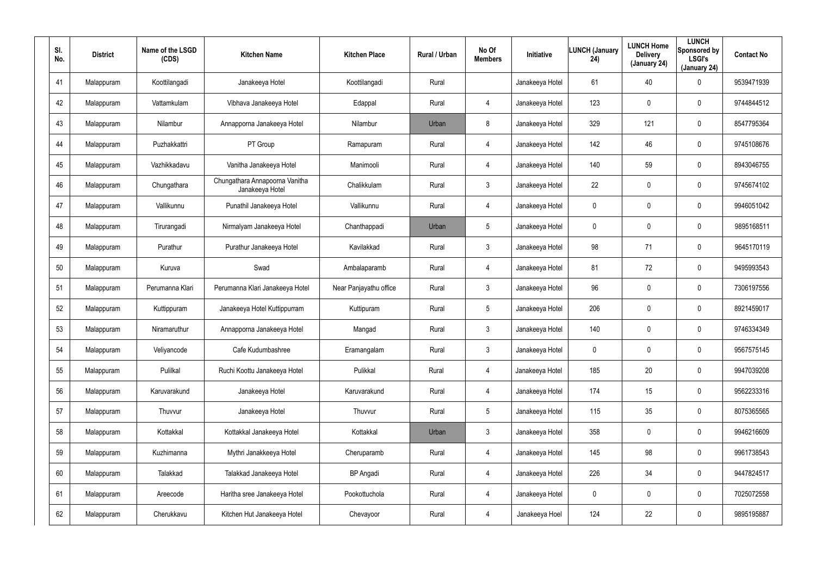| SI.<br>No. | <b>District</b> | Name of the LSGD<br>(CDS) | <b>Kitchen Name</b>                               | <b>Kitchen Place</b>   | Rural / Urban | No Of<br><b>Members</b> | Initiative      | <b>LUNCH (January</b><br>24) | <b>LUNCH Home</b><br><b>Delivery</b><br>(January 24) | <b>LUNCH</b><br>Sponsored by<br><b>LSGI's</b><br>(January 24) | <b>Contact No</b> |
|------------|-----------------|---------------------------|---------------------------------------------------|------------------------|---------------|-------------------------|-----------------|------------------------------|------------------------------------------------------|---------------------------------------------------------------|-------------------|
| 41         | Malappuram      | Koottilangadi             | Janakeeya Hotel                                   | Koottilangadi          | Rural         |                         | Janakeeya Hotel | 61                           | 40                                                   | 0                                                             | 9539471939        |
| 42         | Malappuram      | Vattamkulam               | Vibhava Janakeeya Hotel                           | Edappal                | Rural         | $\overline{4}$          | Janakeeya Hotel | 123                          | $\mathbf 0$                                          | 0                                                             | 9744844512        |
| 43         | Malappuram      | Nilambur                  | Annapporna Janakeeya Hotel                        | Nilambur               | Urban         | 8                       | Janakeeya Hotel | 329                          | 121                                                  | 0                                                             | 8547795364        |
| 44         | Malappuram      | Puzhakkattri              | PT Group                                          | Ramapuram              | Rural         | $\overline{4}$          | Janakeeya Hotel | 142                          | 46                                                   | 0                                                             | 9745108676        |
| 45         | Malappuram      | Vazhikkadavu              | Vanitha Janakeeya Hotel                           | Manimooli              | Rural         | $\overline{4}$          | Janakeeya Hotel | 140                          | 59                                                   | 0                                                             | 8943046755        |
| 46         | Malappuram      | Chungathara               | Chungathara Annapoorna Vanitha<br>Janakeeya Hotel | Chalikkulam            | Rural         | $\mathbf{3}$            | Janakeeya Hotel | 22                           | $\mathbf 0$                                          | $\mathbf 0$                                                   | 9745674102        |
| 47         | Malappuram      | Vallikunnu                | Punathil Janakeeya Hotel                          | Vallikunnu             | Rural         | $\overline{4}$          | Janakeeya Hotel | 0                            | $\mathbf 0$                                          | $\mathbf 0$                                                   | 9946051042        |
| 48         | Malappuram      | Tirurangadi               | Nirmalyam Janakeeya Hotel                         | Chanthappadi           | Urban         | $5\overline{)}$         | Janakeeya Hotel | 0                            | 0                                                    | $\mathbf 0$                                                   | 9895168511        |
| 49         | Malappuram      | Purathur                  | Purathur Janakeeya Hotel                          | Kavilakkad             | Rural         | $\mathbf{3}$            | Janakeeya Hotel | 98                           | 71                                                   | $\mathbf 0$                                                   | 9645170119        |
| 50         | Malappuram      | Kuruva                    | Swad                                              | Ambalaparamb           | Rural         | 4                       | Janakeeya Hotel | 81                           | 72                                                   | 0                                                             | 9495993543        |
| 51         | Malappuram      | Perumanna Klari           | Perumanna Klari Janakeeya Hotel                   | Near Panjayathu office | Rural         | $\mathbf{3}$            | Janakeeya Hotel | 96                           | $\overline{0}$                                       | $\mathbf 0$                                                   | 7306197556        |
| 52         | Malappuram      | Kuttippuram               | Janakeeya Hotel Kuttippurram                      | Kuttipuram             | Rural         | $5\overline{)}$         | Janakeeya Hotel | 206                          | $\mathbf 0$                                          | 0                                                             | 8921459017        |
| 53         | Malappuram      | Niramaruthur              | Annapporna Janakeeya Hotel                        | Mangad                 | Rural         | $\mathbf{3}$            | Janakeeya Hotel | 140                          | $\overline{0}$                                       | 0                                                             | 9746334349        |
| 54         | Malappuram      | Veliyancode               | Cafe Kudumbashree                                 | Eramangalam            | Rural         | $\mathbf{3}$            | Janakeeya Hotel | 0                            | $\mathbf 0$                                          | 0                                                             | 9567575145        |
| 55         | Malappuram      | Pulilkal                  | Ruchi Koottu Janakeeya Hotel                      | Pulikkal               | Rural         | $\overline{4}$          | Janakeeya Hotel | 185                          | 20                                                   | $\pmb{0}$                                                     | 9947039208        |
| 56         | Malappuram      | Karuvarakund              | Janakeeya Hotel                                   | Karuvarakund           | Rural         | $\overline{4}$          | Janakeeya Hotel | 174                          | 15                                                   | $\pmb{0}$                                                     | 9562233316        |
| 57         | Malappuram      | Thuvvur                   | Janakeeya Hotel                                   | Thuvvur                | Rural         | $5\phantom{.0}$         | Janakeeya Hotel | 115                          | 35                                                   | $\pmb{0}$                                                     | 8075365565        |
| 58         | Malappuram      | Kottakkal                 | Kottakkal Janakeeya Hotel                         | Kottakkal              | Urban         | 3 <sup>1</sup>          | Janakeeya Hotel | 358                          | $\mathbf 0$                                          | 0                                                             | 9946216609        |
| 59         | Malappuram      | Kuzhimanna                | Mythri Janakkeeya Hotel                           | Cheruparamb            | Rural         | $\overline{4}$          | Janakeeya Hotel | 145                          | 98                                                   | 0                                                             | 9961738543        |
| 60         | Malappuram      | Talakkad                  | Talakkad Janakeeya Hotel                          | <b>BP</b> Angadi       | Rural         | $\overline{4}$          | Janakeeya Hotel | 226                          | 34                                                   | 0                                                             | 9447824517        |
| 61         | Malappuram      | Areecode                  | Haritha sree Janakeeya Hotel                      | Pookottuchola          | Rural         | $\overline{4}$          | Janakeeya Hotel | 0                            | $\mathbf 0$                                          | 0                                                             | 7025072558        |
| 62         | Malappuram      | Cherukkavu                | Kitchen Hut Janakeeya Hotel                       | Chevayoor              | Rural         | $\overline{4}$          | Janakeeya Hoel  | 124                          | 22                                                   | 0                                                             | 9895195887        |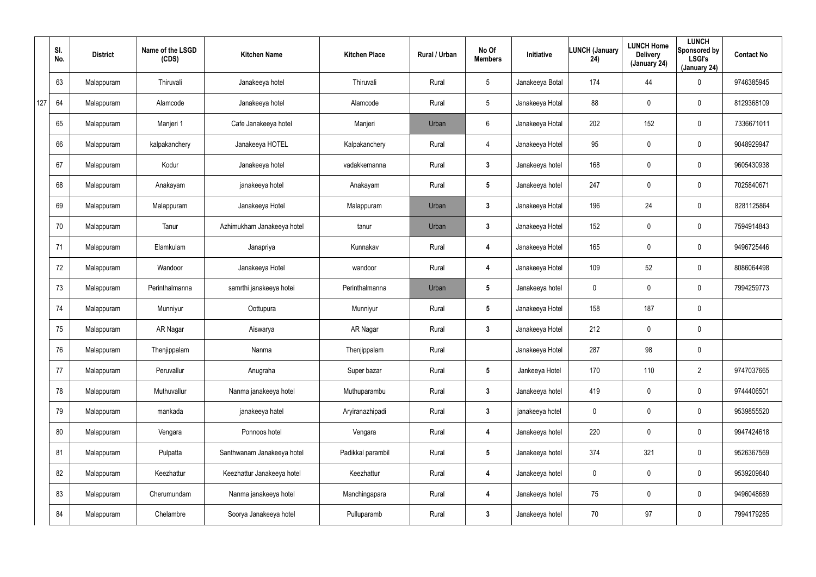|     | SI.<br>No. | <b>District</b> | Name of the LSGD<br>(CDS) | <b>Kitchen Name</b>        | <b>Kitchen Place</b> | Rural / Urban | No Of<br><b>Members</b> | Initiative      | <b>LUNCH (January</b><br>24) | <b>LUNCH Home</b><br><b>Delivery</b><br>(January 24) | <b>LUNCH</b><br>Sponsored by<br><b>LSGI's</b><br>(January 24) | <b>Contact No</b> |
|-----|------------|-----------------|---------------------------|----------------------------|----------------------|---------------|-------------------------|-----------------|------------------------------|------------------------------------------------------|---------------------------------------------------------------|-------------------|
|     | 63         | Malappuram      | Thiruvali                 | Janakeeya hotel            | Thiruvali            | Rural         | $5\overline{)}$         | Janakeeya Botal | 174                          | 44                                                   | 0                                                             | 9746385945        |
| 127 | 64         | Malappuram      | Alamcode                  | Janakeeya hotel            | Alamcode             | Rural         | $5\phantom{.0}$         | Janakeeya Hotal | 88                           | 0                                                    | $\boldsymbol{0}$                                              | 8129368109        |
|     | 65         | Malappuram      | Manjeri 1                 | Cafe Janakeeya hotel       | Manjeri              | Urban         | $6\phantom{.0}$         | Janakeeya Hotal | 202                          | 152                                                  | $\pmb{0}$                                                     | 7336671011        |
|     | 66         | Malappuram      | kalpakanchery             | Janakeeya HOTEL            | Kalpakanchery        | Rural         | 4                       | Janakeeya Hotel | 95                           | 0                                                    | $\boldsymbol{0}$                                              | 9048929947        |
|     | 67         | Malappuram      | Kodur                     | Janakeeya hotel            | vadakkemanna         | Rural         | $3\phantom{a}$          | Janakeeya hotel | 168                          | 0                                                    | $\pmb{0}$                                                     | 9605430938        |
|     | 68         | Malappuram      | Anakayam                  | janakeeya hotel            | Anakayam             | Rural         | $5\overline{)}$         | Janakeeya hotel | 247                          | 0                                                    | $\boldsymbol{0}$                                              | 7025840671        |
|     | 69         | Malappuram      | Malappuram                | Janakeeya Hotel            | Malappuram           | Urban         | $\mathbf{3}$            | Janakeeya Hotal | 196                          | 24                                                   | $\boldsymbol{0}$                                              | 8281125864        |
|     | 70         | Malappuram      | Tanur                     | Azhimukham Janakeeya hotel | tanur                | Urban         | $\mathbf{3}$            | Janakeeya Hotel | 152                          | 0                                                    | $\boldsymbol{0}$                                              | 7594914843        |
|     | 71         | Malappuram      | Elamkulam                 | Janapriya                  | Kunnakav             | Rural         | 4                       | Janakeeya Hotel | 165                          | 0                                                    | $\pmb{0}$                                                     | 9496725446        |
|     | 72         | Malappuram      | Wandoor                   | Janakeeya Hotel            | wandoor              | Rural         | 4                       | Janakeeya Hotel | 109                          | 52                                                   | $\pmb{0}$                                                     | 8086064498        |
|     | 73         | Malappuram      | Perinthalmanna            | samrthi janakeeya hotei    | Perinthalmanna       | Urban         | $5\phantom{.0}$         | Janakeeya hotel | 0                            | 0                                                    | $\pmb{0}$                                                     | 7994259773        |
|     | 74         | Malappuram      | Munniyur                  | Oottupura                  | Munniyur             | Rural         | $5\overline{)}$         | Janakeeya Hotel | 158                          | 187                                                  | $\pmb{0}$                                                     |                   |
|     | 75         | Malappuram      | AR Nagar                  | Aiswarya                   | AR Nagar             | Rural         | $\mathbf{3}$            | Janakeeya Hotel | 212                          | 0                                                    | $\pmb{0}$                                                     |                   |
|     | 76         | Malappuram      | Thenjippalam              | Nanma                      | Thenjippalam         | Rural         |                         | Janakeeya Hotel | 287                          | 98                                                   | $\pmb{0}$                                                     |                   |
|     | 77         | Malappuram      | Peruvallur                | Anugraha                   | Super bazar          | Rural         | $5\phantom{.0}$         | Jankeeya Hotel  | 170                          | 110                                                  | $\overline{2}$                                                | 9747037665        |
|     | 78         | Malappuram      | Muthuvallur               | Nanma janakeeya hotel      | Muthuparambu         | Rural         | $3\phantom{a}$          | Janakeeya hotel | 419                          | 0                                                    | $\pmb{0}$                                                     | 9744406501        |
|     | 79         | Malappuram      | mankada                   | janakeeya hatel            | Aryiranazhipadi      | Rural         | $\mathbf{3}$            | janakeeya hotel | $\mathbf 0$                  | 0                                                    | $\pmb{0}$                                                     | 9539855520        |
|     | 80         | Malappuram      | Vengara                   | Ponnoos hotel              | Vengara              | Rural         | 4                       | Janakeeya hotel | 220                          | 0                                                    | $\pmb{0}$                                                     | 9947424618        |
|     | 81         | Malappuram      | Pulpatta                  | Santhwanam Janakeeya hotel | Padikkal parambil    | Rural         | $5\phantom{.0}$         | Janakeeya hotel | 374                          | 321                                                  | $\pmb{0}$                                                     | 9526367569        |
|     | 82         | Malappuram      | Keezhattur                | Keezhattur Janakeeya hotel | Keezhattur           | Rural         | 4                       | Janakeeya hotel | $\mathbf 0$                  | 0                                                    | $\pmb{0}$                                                     | 9539209640        |
|     | 83         | Malappuram      | Cherumundam               | Nanma janakeeya hotel      | Manchingapara        | Rural         | 4                       | Janakeeya hotel | 75                           | 0                                                    | $\pmb{0}$                                                     | 9496048689        |
|     | 84         | Malappuram      | Chelambre                 | Soorya Janakeeya hotel     | Pulluparamb          | Rural         | $\mathbf{3}$            | Janakeeya hotel | 70                           | 97                                                   | $\pmb{0}$                                                     | 7994179285        |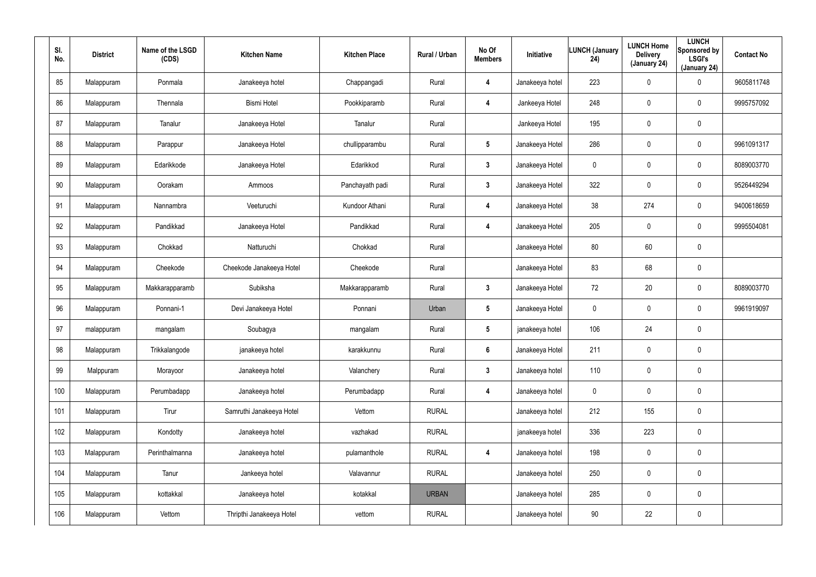| SI.<br>No. | <b>District</b> | Name of the LSGD<br>(CDS) | <b>Kitchen Name</b>      | <b>Kitchen Place</b> | Rural / Urban | No Of<br><b>Members</b> | Initiative      | <b>LUNCH (January</b><br>24) | <b>LUNCH Home</b><br><b>Delivery</b><br>(January 24) | <b>LUNCH</b><br>Sponsored by<br><b>LSGI's</b><br>(January 24) | <b>Contact No</b> |
|------------|-----------------|---------------------------|--------------------------|----------------------|---------------|-------------------------|-----------------|------------------------------|------------------------------------------------------|---------------------------------------------------------------|-------------------|
| 85         | Malappuram      | Ponmala                   | Janakeeya hotel          | Chappangadi          | Rural         | 4                       | Janakeeya hotel | 223                          | 0                                                    | $\mathbf 0$                                                   | 9605811748        |
| 86         | Malappuram      | Thennala                  | <b>Bismi Hotel</b>       | Pookkiparamb         | Rural         | 4                       | Jankeeya Hotel  | 248                          | 0                                                    | $\pmb{0}$                                                     | 9995757092        |
| 87         | Malappuram      | Tanalur                   | Janakeeya Hotel          | Tanalur              | Rural         |                         | Jankeeya Hotel  | 195                          | 0                                                    | $\pmb{0}$                                                     |                   |
| 88         | Malappuram      | Parappur                  | Janakeeya Hotel          | chullipparambu       | Rural         | $5\phantom{.0}$         | Janakeeya Hotel | 286                          | 0                                                    | $\pmb{0}$                                                     | 9961091317        |
| 89         | Malappuram      | Edarikkode                | Janakeeya Hotel          | Edarikkod            | Rural         | $\mathbf{3}$            | Janakeeya Hotel | 0                            | 0                                                    | $\pmb{0}$                                                     | 8089003770        |
| 90         | Malappuram      | Oorakam                   | Ammoos                   | Panchayath padi      | Rural         | $\mathbf{3}$            | Janakeeya Hotel | 322                          | 0                                                    | $\mathbf 0$                                                   | 9526449294        |
| 91         | Malappuram      | Nannambra                 | Veeturuchi               | Kundoor Athani       | Rural         | 4                       | Janakeeya Hotel | 38                           | 274                                                  | $\mathbf 0$                                                   | 9400618659        |
| 92         | Malappuram      | Pandikkad                 | Janakeeya Hotel          | Pandikkad            | Rural         | 4                       | Janakeeya Hotel | 205                          | $\mathbf 0$                                          | $\mathbf 0$                                                   | 9995504081        |
| 93         | Malappuram      | Chokkad                   | Natturuchi               | Chokkad              | Rural         |                         | Janakeeya Hotel | 80                           | 60                                                   | $\pmb{0}$                                                     |                   |
| 94         | Malappuram      | Cheekode                  | Cheekode Janakeeya Hotel | Cheekode             | Rural         |                         | Janakeeya Hotel | 83                           | 68                                                   | $\pmb{0}$                                                     |                   |
| 95         | Malappuram      | Makkarapparamb            | Subiksha                 | Makkarapparamb       | Rural         | $\mathbf{3}$            | Janakeeya Hotel | 72                           | 20                                                   | $\pmb{0}$                                                     | 8089003770        |
| 96         | Malappuram      | Ponnani-1                 | Devi Janakeeya Hotel     | Ponnani              | Urban         | $5\phantom{.0}$         | Janakeeya Hotel | 0                            | $\mathbf 0$                                          | $\mathbf 0$                                                   | 9961919097        |
| 97         | malappuram      | mangalam                  | Soubagya                 | mangalam             | Rural         | $5\phantom{.0}$         | janakeeya hotel | 106                          | 24                                                   | $\pmb{0}$                                                     |                   |
| 98         | Malappuram      | Trikkalangode             | janakeeya hotel          | karakkunnu           | Rural         | $6\phantom{.}$          | Janakeeya Hotel | 211                          | $\mathbf 0$                                          | $\pmb{0}$                                                     |                   |
| 99         | Malppuram       | Morayoor                  | Janakeeya hotel          | Valanchery           | Rural         | $3\phantom{a}$          | Janakeeya hotel | 110                          | $\mathbf 0$                                          | $\mathbf 0$                                                   |                   |
| 100        | Malappuram      | Perumbadapp               | Janakeeya hotel          | Perumbadapp          | Rural         | $\overline{\mathbf{4}}$ | Janakeeya hotel | $\mathbf 0$                  | $\mathbf 0$                                          | $\mathbf 0$                                                   |                   |
| 101        | Malappuram      | Tirur                     | Samruthi Janakeeya Hotel | Vettom               | <b>RURAL</b>  |                         | Janakeeya hotel | 212                          | 155                                                  | $\mathbf 0$                                                   |                   |
| 102        | Malappuram      | Kondotty                  | Janakeeya hotel          | vazhakad             | <b>RURAL</b>  |                         | janakeeya hotel | 336                          | 223                                                  | $\pmb{0}$                                                     |                   |
| 103        | Malappuram      | Perinthalmanna            | Janakeeya hotel          | pulamanthole         | <b>RURAL</b>  | 4                       | Janakeeya hotel | 198                          | 0                                                    | $\mathbf 0$                                                   |                   |
| 104        | Malappuram      | Tanur                     | Jankeeya hotel           | Valavannur           | <b>RURAL</b>  |                         | Janakeeya hotel | 250                          | $\pmb{0}$                                            | $\pmb{0}$                                                     |                   |
| 105        | Malappuram      | kottakkal                 | Janakeeya hotel          | kotakkal             | <b>URBAN</b>  |                         | Janakeeya hotel | 285                          | 0                                                    | $\mathbf 0$                                                   |                   |
| 106        | Malappuram      | Vettom                    | Thripthi Janakeeya Hotel | vettom               | <b>RURAL</b>  |                         | Janakeeya hotel | 90                           | 22                                                   | $\pmb{0}$                                                     |                   |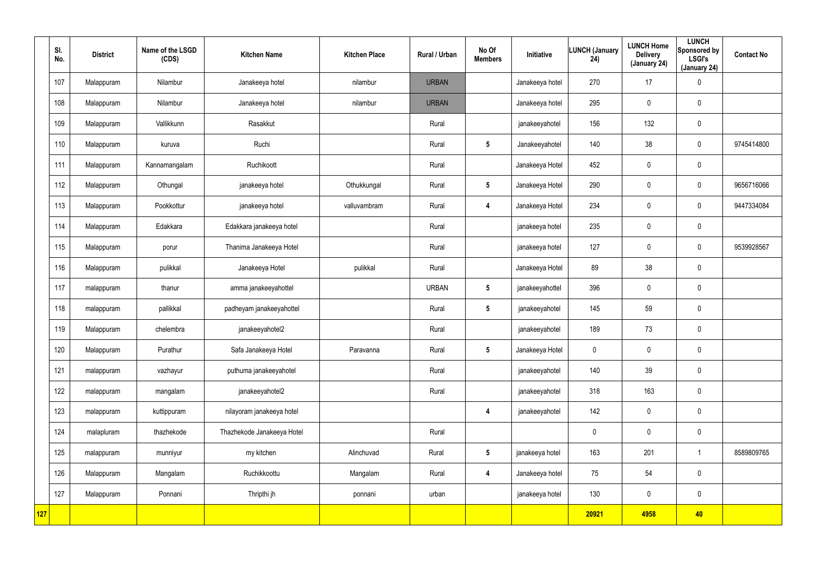|     | SI.<br>No. | <b>District</b> | Name of the LSGD<br>(CDS) | <b>Kitchen Name</b>        | <b>Kitchen Place</b> | Rural / Urban | No Of<br><b>Members</b> | Initiative      | <b>LUNCH (January</b><br>24) | <b>LUNCH Home</b><br><b>Delivery</b><br>(January 24) | <b>LUNCH</b><br>Sponsored by<br><b>LSGI's</b><br>(January 24) | <b>Contact No</b> |
|-----|------------|-----------------|---------------------------|----------------------------|----------------------|---------------|-------------------------|-----------------|------------------------------|------------------------------------------------------|---------------------------------------------------------------|-------------------|
|     | 107        | Malappuram      | Nilambur                  | Janakeeya hotel            | nilambur             | <b>URBAN</b>  |                         | Janakeeya hotel | 270                          | 17                                                   | $\pmb{0}$                                                     |                   |
|     | 108        | Malappuram      | Nilambur                  | Janakeeya hotel            | nilambur             | <b>URBAN</b>  |                         | Janakeeya hotel | 295                          | 0                                                    | $\mathbf 0$                                                   |                   |
|     | 109        | Malappuram      | Vallikkunn                | Rasakkut                   |                      | Rural         |                         | janakeeyahotel  | 156                          | 132                                                  | $\mathbf 0$                                                   |                   |
|     | 110        | Malappuram      | kuruva                    | Ruchi                      |                      | Rural         | $5\phantom{.0}$         | Janakeeyahotel  | 140                          | 38                                                   | $\mathbf 0$                                                   | 9745414800        |
|     | 111        | Malappuram      | Kannamangalam             | Ruchikoott                 |                      | Rural         |                         | Janakeeya Hotel | 452                          | $\mathbf 0$                                          | $\mathbf 0$                                                   |                   |
|     | 112        | Malappuram      | Othungal                  | janakeeya hotel            | Othukkungal          | Rural         | $5\phantom{.0}$         | Janakeeya Hotel | 290                          | 0                                                    | $\mathbf 0$                                                   | 9656716066        |
|     | 113        | Malappuram      | Pookkottur                | janakeeya hotel            | valluvambram         | Rural         | 4                       | Janakeeya Hotel | 234                          | $\mathbf 0$                                          | $\mathbf 0$                                                   | 9447334084        |
|     | 114        | Malappuram      | Edakkara                  | Edakkara janakeeya hotel   |                      | Rural         |                         | janakeeya hotel | 235                          | 0                                                    | $\mathbf 0$                                                   |                   |
|     | 115        | Malappuram      | porur                     | Thanima Janakeeya Hotel    |                      | Rural         |                         | janakeeya hotel | 127                          | $\mathbf 0$                                          | $\mathbf 0$                                                   | 9539928567        |
|     | 116        | Malappuram      | pulikkal                  | Janakeeya Hotel            | pulikkal             | Rural         |                         | Janakeeya Hotel | 89                           | 38                                                   | $\mathbf 0$                                                   |                   |
|     | 117        | malappuram      | thanur                    | amma janakeeyahottel       |                      | <b>URBAN</b>  | $5\phantom{.0}$         | janakeeyahottel | 396                          | $\mathbf 0$                                          | $\mathbf 0$                                                   |                   |
|     | 118        | malappuram      | pallikkal                 | padheyam janakeeyahottel   |                      | Rural         | $5\phantom{.0}$         | janakeeyahotel  | 145                          | 59                                                   | $\mathbf 0$                                                   |                   |
|     | 119        | Malappuram      | chelembra                 | janakeeyahotel2            |                      | Rural         |                         | janakeeyahotel  | 189                          | 73                                                   | $\pmb{0}$                                                     |                   |
|     | 120        | Malappuram      | Purathur                  | Safa Janakeeya Hotel       | Paravanna            | Rural         | $5\phantom{.0}$         | Janakeeya Hotel | 0                            | $\pmb{0}$                                            | $\pmb{0}$                                                     |                   |
|     | 121        | malappuram      | vazhayur                  | puthuma janakeeyahotel     |                      | Rural         |                         | janakeeyahotel  | 140                          | 39                                                   | $\pmb{0}$                                                     |                   |
|     | 122        | malappuram      | mangalam                  | janakeeyahotel2            |                      | Rural         |                         | janakeeyahotel  | 318                          | 163                                                  | $\pmb{0}$                                                     |                   |
|     | 123        | malappuram      | kuttippuram               | nilayoram janakeeya hotel  |                      |               | $\overline{\mathbf{4}}$ | janakeeyahotel  | 142                          | $\pmb{0}$                                            | $\mathbf 0$                                                   |                   |
|     | 124        | malapluram      | thazhekode                | Thazhekode Janakeeya Hotel |                      | Rural         |                         |                 | $\mathbf 0$                  | 0                                                    | $\pmb{0}$                                                     |                   |
|     | 125        | malappuram      | munniyur                  | my kitchen                 | Alinchuvad           | Rural         | $5\phantom{.0}$         | janakeeya hotel | 163                          | 201                                                  | $\mathbf{1}$                                                  | 8589809765        |
|     | 126        | Malappuram      | Mangalam                  | Ruchikkoottu               | Mangalam             | Rural         | $\overline{\mathbf{4}}$ | Janakeeya hotel | 75                           | 54                                                   | $\pmb{0}$                                                     |                   |
|     | 127        | Malappuram      | Ponnani                   | Thripthi jh                | ponnani              | urban         |                         | janakeeya hotel | 130                          | $\mathbf 0$                                          | $\mathbf 0$                                                   |                   |
| 127 |            |                 |                           |                            |                      |               |                         |                 | 20921                        | 4958                                                 | 40                                                            |                   |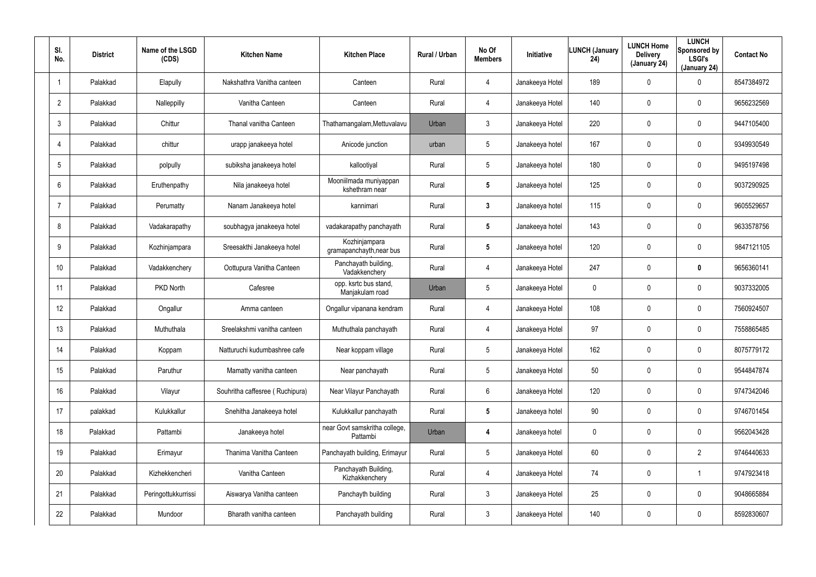| SI.<br>No.      | <b>District</b> | Name of the LSGD<br>(CDS) | <b>Kitchen Name</b>             | <b>Kitchen Place</b>                      | Rural / Urban | No Of<br><b>Members</b> | Initiative      | <b>LUNCH (January</b><br>24) | <b>LUNCH Home</b><br><b>Delivery</b><br>(January 24) | <b>LUNCH</b><br>Sponsored by<br><b>LSGI's</b><br>(January 24) | <b>Contact No</b> |
|-----------------|-----------------|---------------------------|---------------------------------|-------------------------------------------|---------------|-------------------------|-----------------|------------------------------|------------------------------------------------------|---------------------------------------------------------------|-------------------|
|                 | Palakkad        | Elapully                  | Nakshathra Vanitha canteen      | Canteen                                   | Rural         | 4                       | Janakeeya Hotel | 189                          | $\mathbf 0$                                          | 0                                                             | 8547384972        |
| $\overline{2}$  | Palakkad        | Nalleppilly               | Vanitha Canteen                 | Canteen                                   | Rural         | 4                       | Janakeeya Hotel | 140                          | $\mathbf 0$                                          | 0                                                             | 9656232569        |
| 3               | Palakkad        | Chittur                   | Thanal vanitha Canteen          | Thathamangalam, Mettuvalavu               | Urban         | $\mathfrak{Z}$          | Janakeeya Hotel | 220                          | $\mathbf 0$                                          | 0                                                             | 9447105400        |
| $\overline{4}$  | Palakkad        | chittur                   | urapp janakeeya hotel           | Anicode junction                          | urban         | 5                       | Janakeeya hotel | 167                          | $\mathbf 0$                                          | 0                                                             | 9349930549        |
| 5               | Palakkad        | polpully                  | subiksha janakeeya hotel        | kallootiyal                               | Rural         | 5                       | Janakeeya hotel | 180                          | $\mathbf 0$                                          | 0                                                             | 9495197498        |
| 6               | Palakkad        | Eruthenpathy              | Nila janakeeya hotel            | Mooniilmada muniyappan<br>kshethram near  | Rural         | 5                       | Janakeeya hotel | 125                          | $\boldsymbol{0}$                                     | 0                                                             | 9037290925        |
| $\overline{7}$  | Palakkad        | Perumatty                 | Nanam Janakeeya hotel           | kannimari                                 | Rural         | 3                       | Janakeeya hotel | 115                          | 0                                                    | 0                                                             | 9605529657        |
| 8               | Palakkad        | Vadakarapathy             | soubhagya janakeeya hotel       | vadakarapathy panchayath                  | Rural         | 5                       | Janakeeya hotel | 143                          | 0                                                    | 0                                                             | 9633578756        |
| 9               | Palakkad        | Kozhinjampara             | Sreesakthi Janakeeya hotel      | Kozhinjampara<br>gramapanchayth, near bus | Rural         | $5\phantom{.0}$         | Janakeeya hotel | 120                          | 0                                                    | 0                                                             | 9847121105        |
| 10 <sup>°</sup> | Palakkad        | Vadakkenchery             | Oottupura Vanitha Canteen       | Panchayath building,<br>Vadakkenchery     | Rural         | 4                       | Janakeeya Hotel | 247                          | 0                                                    | 0                                                             | 9656360141        |
| 11              | Palakkad        | PKD North                 | Cafesree                        | opp. ksrtc bus stand,<br>Manjakulam road  | Urban         | $5\overline{)}$         | Janakeeya Hotel | 0                            | 0                                                    | 0                                                             | 9037332005        |
| 12              | Palakkad        | Ongallur                  | Amma canteen                    | Ongallur vipanana kendram                 | Rural         | 4                       | Janakeeya Hotel | 108                          | 0                                                    | 0                                                             | 7560924507        |
| 13              | Palakkad        | Muthuthala                | Sreelakshmi vanitha canteen     | Muthuthala panchayath                     | Rural         | 4                       | Janakeeya Hotel | 97                           | 0                                                    | 0                                                             | 7558865485        |
| 14              | Palakkad        | Koppam                    | Natturuchi kudumbashree cafe    | Near koppam village                       | Rural         | $5\overline{)}$         | Janakeeya Hotel | 162                          | $\mathbf 0$                                          | 0                                                             | 8075779172        |
| 15              | Palakkad        | Paruthur                  | Mamatty vanitha canteen         | Near panchayath                           | Rural         | $5\phantom{.0}$         | Janakeeya Hotel | 50                           | $\mathbf 0$                                          | 0                                                             | 9544847874        |
| 16              | Palakkad        | Vilayur                   | Souhritha caffesree (Ruchipura) | Near Vilayur Panchayath                   | Rural         | 6                       | Janakeeya Hotel | 120                          | $\mathbf 0$                                          | 0                                                             | 9747342046        |
| 17              | palakkad        | Kulukkallur               | Snehitha Janakeeya hotel        | Kulukkallur panchayath                    | Rural         | $5\phantom{.0}$         | Janakeeya hotel | 90                           | $\boldsymbol{0}$                                     | 0                                                             | 9746701454        |
| 18              | Palakkad        | Pattambi                  | Janakeeya hotel                 | near Govt samskritha college,<br>Pattambi | Urban         | 4                       | Janakeeya hotel | 0                            | $\pmb{0}$                                            | 0                                                             | 9562043428        |
| 19              | Palakkad        | Erimayur                  | Thanima Vanitha Canteen         | Panchayath building, Erimayur             | Rural         | $5\phantom{.0}$         | Janakeeya Hotel | 60                           | $\boldsymbol{0}$                                     | $\overline{2}$                                                | 9746440633        |
| 20              | Palakkad        | Kizhekkencheri            | Vanitha Canteen                 | Panchayath Building,<br>Kizhakkenchery    | Rural         | 4                       | Janakeeya Hotel | 74                           | $\boldsymbol{0}$                                     |                                                               | 9747923418        |
| 21              | Palakkad        | Peringottukkurrissi       | Aiswarya Vanitha canteen        | Panchayth building                        | Rural         | $\mathbf{3}$            | Janakeeya Hotel | 25                           | $\boldsymbol{0}$                                     | 0                                                             | 9048665884        |
| 22              | Palakkad        | Mundoor                   | Bharath vanitha canteen         | Panchayath building                       | Rural         | $\mathfrak{Z}$          | Janakeeya Hotel | 140                          | $\mathbf 0$                                          | 0                                                             | 8592830607        |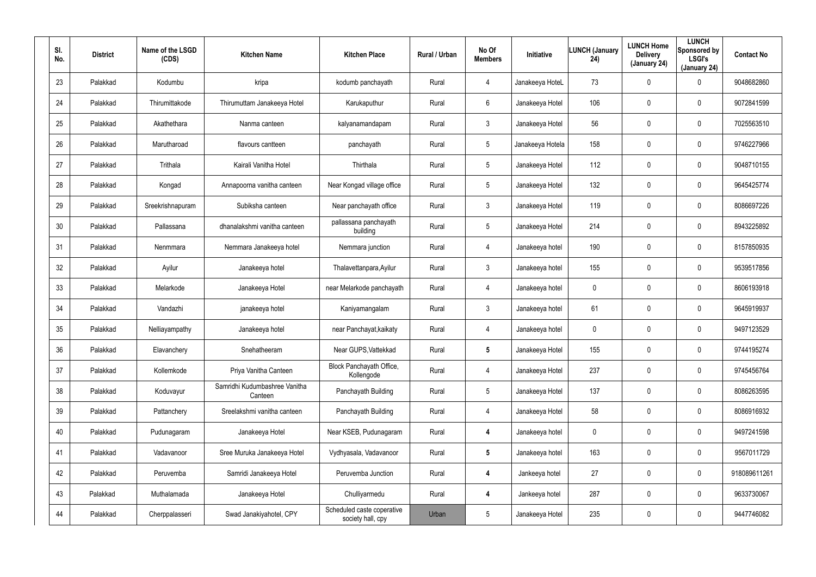| SI.<br>No. | <b>District</b> | Name of the LSGD<br>(CDS) | <b>Kitchen Name</b>                      | <b>Kitchen Place</b>                            | Rural / Urban | No Of<br><b>Members</b> | Initiative       | <b>LUNCH (January</b><br>24) | <b>LUNCH Home</b><br><b>Delivery</b><br>(January 24) | <b>LUNCH</b><br>Sponsored by<br><b>LSGI's</b><br>(January 24) | <b>Contact No</b> |
|------------|-----------------|---------------------------|------------------------------------------|-------------------------------------------------|---------------|-------------------------|------------------|------------------------------|------------------------------------------------------|---------------------------------------------------------------|-------------------|
| 23         | Palakkad        | Kodumbu                   | kripa                                    | kodumb panchayath                               | Rural         | $\overline{4}$          | Janakeeya HoteL  | 73                           | $\mathbf 0$                                          | 0                                                             | 9048682860        |
| 24         | Palakkad        | Thirumittakode            | Thirumuttam Janakeeya Hotel              | Karukaputhur                                    | Rural         | 6                       | Janakeeya Hotel  | 106                          | $\mathbf 0$                                          | 0                                                             | 9072841599        |
| 25         | Palakkad        | Akathethara               | Nanma canteen                            | kalyanamandapam                                 | Rural         | $\mathbf{3}$            | Janakeeya Hotel  | 56                           | $\mathbf 0$                                          | 0                                                             | 7025563510        |
| 26         | Palakkad        | Marutharoad               | flavours cantteen                        | panchayath                                      | Rural         | 5                       | Janakeeya Hotela | 158                          | $\mathbf 0$                                          | $\mathbf 0$                                                   | 9746227966        |
| 27         | Palakkad        | Trithala                  | Kairali Vanitha Hotel                    | Thirthala                                       | Rural         | 5                       | Janakeeya Hotel  | 112                          | $\mathbf 0$                                          | 0                                                             | 9048710155        |
| 28         | Palakkad        | Kongad                    | Annapoorna vanitha canteen               | Near Kongad village office                      | Rural         | 5                       | Janakeeya Hotel  | 132                          | $\mathbf 0$                                          | 0                                                             | 9645425774        |
| 29         | Palakkad        | Sreekrishnapuram          | Subiksha canteen                         | Near panchayath office                          | Rural         | $\mathbf{3}$            | Janakeeya Hotel  | 119                          | $\mathbf 0$                                          | $\mathbf 0$                                                   | 8086697226        |
| 30         | Palakkad        | Pallassana                | dhanalakshmi vanitha canteen             | pallassana panchayath<br>building               | Rural         | 5                       | Janakeeya Hotel  | 214                          | 0                                                    | 0                                                             | 8943225892        |
| 31         | Palakkad        | Nenmmara                  | Nemmara Janakeeya hotel                  | Nemmara junction                                | Rural         | $\overline{4}$          | Janakeeya hotel  | 190                          | $\mathbf 0$                                          | $\mathbf 0$                                                   | 8157850935        |
| 32         | Palakkad        | Ayilur                    | Janakeeya hotel                          | Thalavettanpara, Ayilur                         | Rural         | $\mathbf{3}$            | Janakeeya hotel  | 155                          | 0                                                    | 0                                                             | 9539517856        |
| 33         | Palakkad        | Melarkode                 | Janakeeya Hotel                          | near Melarkode panchayath                       | Rural         | 4                       | Janakeeya hotel  | 0                            | $\mathbf 0$                                          | $\mathbf 0$                                                   | 8606193918        |
| 34         | Palakkad        | Vandazhi                  | janakeeya hotel                          | Kaniyamangalam                                  | Rural         | $\mathbf{3}$            | Janakeeya hotel  | 61                           | 0                                                    | 0                                                             | 9645919937        |
| 35         | Palakkad        | Nelliayampathy            | Janakeeya hotel                          | near Panchayat, kaikaty                         | Rural         | 4                       | Janakeeya hotel  | 0                            | $\boldsymbol{0}$                                     | 0                                                             | 9497123529        |
| 36         | Palakkad        | Elavanchery               | Snehatheeram                             | Near GUPS, Vattekkad                            | Rural         | $5\phantom{.0}$         | Janakeeya Hotel  | 155                          | $\mathbf 0$                                          | 0                                                             | 9744195274        |
| 37         | Palakkad        | Kollemkode                | Priya Vanitha Canteen                    | Block Panchayath Office,<br>Kollengode          | Rural         | 4                       | Janakeeya Hotel  | 237                          | $\pmb{0}$                                            | 0                                                             | 9745456764        |
| 38         | Palakkad        | Koduvayur                 | Samridhi Kudumbashree Vanitha<br>Canteen | Panchayath Building                             | Rural         | 5                       | Janakeeya Hotel  | 137                          | $\pmb{0}$                                            | $\pmb{0}$                                                     | 8086263595        |
| 39         | Palakkad        | Pattanchery               | Sreelakshmi vanitha canteen              | Panchayath Building                             | Rural         | $\overline{4}$          | Janakeeya Hotel  | 58                           | $\pmb{0}$                                            | 0                                                             | 8086916932        |
| 40         | Palakkad        | Pudunagaram               | Janakeeya Hotel                          | Near KSEB, Pudunagaram                          | Rural         | 4                       | Janakeeya hotel  | 0                            | $\mathbf 0$                                          | 0                                                             | 9497241598        |
| 41         | Palakkad        | Vadavanoor                | Sree Muruka Janakeeya Hotel              | Vydhyasala, Vadavanoor                          | Rural         | $5\phantom{.0}$         | Janakeeya hotel  | 163                          | $\pmb{0}$                                            | 0                                                             | 9567011729        |
| 42         | Palakkad        | Peruvemba                 | Samridi Janakeeya Hotel                  | Peruvemba Junction                              | Rural         | $\boldsymbol{4}$        | Jankeeya hotel   | 27                           | $\pmb{0}$                                            | 0                                                             | 918089611261      |
| 43         | Palakkad        | Muthalamada               | Janakeeya Hotel                          | Chulliyarmedu                                   | Rural         | $\boldsymbol{4}$        | Jankeeya hotel   | 287                          | $\pmb{0}$                                            | 0                                                             | 9633730067        |
| 44         | Palakkad        | Cherppalasseri            | Swad Janakiyahotel, CPY                  | Scheduled caste coperative<br>society hall, cpy | Urban         | 5                       | Janakeeya Hotel  | 235                          | $\boldsymbol{0}$                                     | 0                                                             | 9447746082        |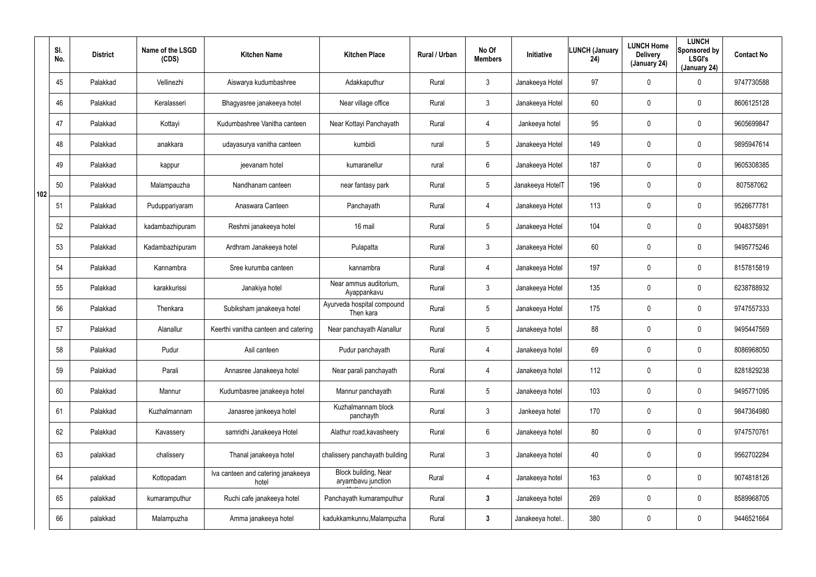|     | SI.<br>No. | <b>District</b> | Name of the LSGD<br>(CDS) | <b>Kitchen Name</b>                         | <b>Kitchen Place</b>                              | Rural / Urban | No Of<br><b>Members</b> | <b>Initiative</b> | <b>LUNCH (January</b><br>24) | <b>LUNCH Home</b><br><b>Delivery</b><br>(January 24) | <b>LUNCH</b><br>Sponsored by<br><b>LSGI's</b><br>(January 24) | <b>Contact No</b> |
|-----|------------|-----------------|---------------------------|---------------------------------------------|---------------------------------------------------|---------------|-------------------------|-------------------|------------------------------|------------------------------------------------------|---------------------------------------------------------------|-------------------|
|     | 45         | Palakkad        | Vellinezhi                | Aiswarya kudumbashree                       | Adakkaputhur                                      | Rural         | $\mathbf{3}$            | Janakeeya Hotel   | 97                           | 0                                                    | $\mathbf 0$                                                   | 9747730588        |
|     | 46         | Palakkad        | Keralasseri               | Bhagyasree janakeeya hotel                  | Near village office                               | Rural         | $\mathbf{3}$            | Janakeeya Hotel   | 60                           | 0                                                    | $\mathbf 0$                                                   | 8606125128        |
|     | 47         | Palakkad        | Kottayi                   | Kudumbashree Vanitha canteen                | Near Kottayi Panchayath                           | Rural         | $\overline{4}$          | Jankeeya hotel    | 95                           | 0                                                    | $\mathbf 0$                                                   | 9605699847        |
|     | 48         | Palakkad        | anakkara                  | udayasurya vanitha canteen                  | kumbidi                                           | rural         | $5\overline{)}$         | Janakeeya Hotel   | 149                          | 0                                                    | $\mathbf 0$                                                   | 9895947614        |
|     | 49         | Palakkad        | kappur                    | jeevanam hotel                              | kumaranellur                                      | rural         | 6                       | Janakeeya Hotel   | 187                          | 0                                                    | $\mathbf 0$                                                   | 9605308385        |
| 102 | 50         | Palakkad        | Malampauzha               | Nandhanam canteen                           | near fantasy park                                 | Rural         | $5\overline{)}$         | Janakeeya HotelT  | 196                          | 0                                                    | $\mathbf 0$                                                   | 807587062         |
|     | 51         | Palakkad        | Puduppariyaram            | Anaswara Canteen                            | Panchayath                                        | Rural         | $\overline{4}$          | Janakeeya Hotel   | 113                          | 0                                                    | $\mathbf 0$                                                   | 9526677781        |
|     | 52         | Palakkad        | kadambazhipuram           | Reshmi janakeeya hotel                      | 16 mail                                           | Rural         | $5\phantom{.0}$         | Janakeeya Hotel   | 104                          | 0                                                    | $\mathbf 0$                                                   | 9048375891        |
|     | 53         | Palakkad        | Kadambazhipuram           | Ardhram Janakeeya hotel                     | Pulapatta                                         | Rural         | $\mathbf{3}$            | Janakeeya Hotel   | 60                           | 0                                                    | $\mathbf 0$                                                   | 9495775246        |
|     | 54         | Palakkad        | Kannambra                 | Sree kurumba canteen                        | kannambra                                         | Rural         | 4                       | Janakeeya Hotel   | 197                          | 0                                                    | $\mathbf 0$                                                   | 8157815819        |
|     | 55         | Palakkad        | karakkurissi              | Janakiya hotel                              | Near ammus auditorium,<br>Ayappankavu             | Rural         | $\mathbf{3}$            | Janakeeya Hotel   | 135                          | 0                                                    | $\mathbf 0$                                                   | 6238788932        |
|     | 56         | Palakkad        | Thenkara                  | Subiksham janakeeya hotel                   | Ayurveda hospital compound<br>Then kara           | Rural         | $5\phantom{.0}$         | Janakeeya Hotel   | 175                          | 0                                                    | $\mathbf 0$                                                   | 9747557333        |
|     | 57         | Palakkad        | Alanallur                 | Keerthi vanitha canteen and catering        | Near panchayath Alanallur                         | Rural         | $5\phantom{.0}$         | Janakeeya hotel   | 88                           | 0                                                    | $\mathbf 0$                                                   | 9495447569        |
|     | 58         | Palakkad        | Pudur                     | Asil canteen                                | Pudur panchayath                                  | Rural         | 4                       | Janakeeya hotel   | 69                           | 0                                                    | $\boldsymbol{0}$                                              | 8086968050        |
|     | 59         | Palakkad        | Parali                    | Annasree Janakeeya hotel                    | Near parali panchayath                            | Rural         | 4                       | Janakeeya hotel   | 112                          | 0                                                    | $\pmb{0}$                                                     | 8281829238        |
|     | 60         | Palakkad        | Mannur                    | Kudumbasree janakeeya hotel                 | Mannur panchayath                                 | Rural         | $5\overline{)}$         | Janakeeya hotel   | 103                          | 0                                                    | $\pmb{0}$                                                     | 9495771095        |
|     | 61         | Palakkad        | Kuzhalmannam              | Janasree jankeeya hotel                     | Kuzhalmannam block<br>panchayth                   | Rural         | $\mathfrak{Z}$          | Jankeeya hotel    | 170                          | 0                                                    | $\pmb{0}$                                                     | 9847364980        |
|     | 62         | Palakkad        | Kavassery                 | samridhi Janakeeya Hotel                    | Alathur road, kavasheery                          | Rural         | $6\overline{6}$         | Janakeeya hotel   | 80                           | 0                                                    | $\mathbf 0$                                                   | 9747570761        |
|     | 63         | palakkad        | chalissery                | Thanal janakeeya hotel                      | chalissery panchayath building                    | Rural         | $\mathfrak{Z}$          | Janakeeya hotel   | 40                           | 0                                                    | $\pmb{0}$                                                     | 9562702284        |
|     | 64         | palakkad        | Kottopadam                | Iva canteen and catering janakeeya<br>hotel | <b>Block building, Near</b><br>aryambavu junction | Rural         | 4                       | Janakeeya hotel   | 163                          | 0                                                    | $\mathbf 0$                                                   | 9074818126        |
|     | 65         | palakkad        | kumaramputhur             | Ruchi cafe janakeeya hotel                  | Panchayath kumaramputhur                          | Rural         | $3\phantom{a}$          | Janakeeya hotel   | 269                          | 0                                                    | $\pmb{0}$                                                     | 8589968705        |
|     | 66         | palakkad        | Malampuzha                | Amma janakeeya hotel                        | kadukkamkunnu, Malampuzha                         | Rural         | $\mathbf{3}$            | Janakeeya hotel   | 380                          | 0                                                    | $\pmb{0}$                                                     | 9446521664        |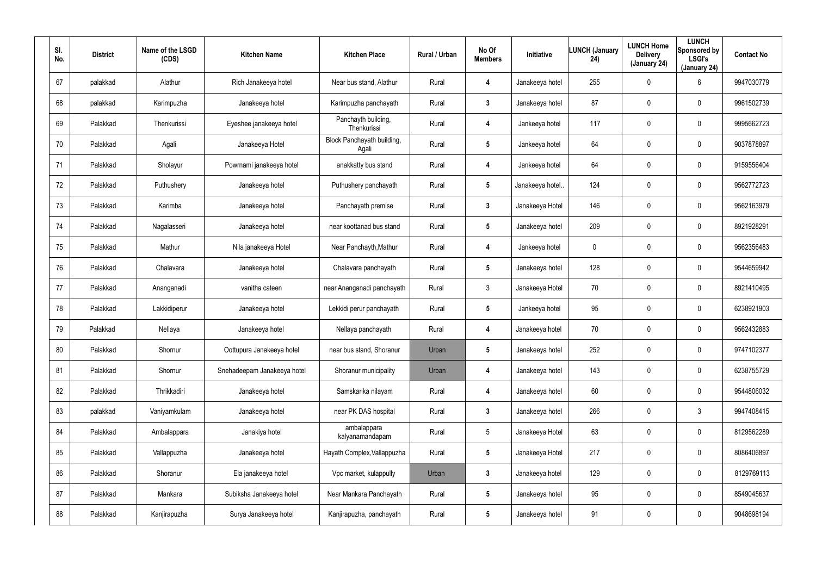| SI.<br>No. | <b>District</b> | Name of the LSGD<br>(CDS) | <b>Kitchen Name</b>         | <b>Kitchen Place</b>                | Rural / Urban | No Of<br><b>Members</b> | <b>Initiative</b> | <b>LUNCH (January</b><br>24) | <b>LUNCH Home</b><br><b>Delivery</b><br>(January 24) | <b>LUNCH</b><br>Sponsored by<br><b>LSGI's</b><br>(January 24) | <b>Contact No</b> |
|------------|-----------------|---------------------------|-----------------------------|-------------------------------------|---------------|-------------------------|-------------------|------------------------------|------------------------------------------------------|---------------------------------------------------------------|-------------------|
| 67         | palakkad        | Alathur                   | Rich Janakeeya hotel        | Near bus stand, Alathur             | Rural         | 4                       | Janakeeya hotel   | 255                          | $\mathbf 0$                                          | 6                                                             | 9947030779        |
| 68         | palakkad        | Karimpuzha                | Janakeeya hotel             | Karimpuzha panchayath               | Rural         | 3                       | Janakeeya hotel   | 87                           | 0                                                    | 0                                                             | 9961502739        |
| 69         | Palakkad        | Thenkurissi               | Eyeshee janakeeya hotel     | Panchayth building,<br>Thenkurissi  | Rural         | 4                       | Jankeeya hotel    | 117                          | $\mathbf 0$                                          | 0                                                             | 9995662723        |
| 70         | Palakkad        | Agali                     | Janakeeya Hotel             | Block Panchayath building,<br>Agali | Rural         | 5                       | Jankeeya hotel    | 64                           | 0                                                    | 0                                                             | 9037878897        |
| 71         | Palakkad        | Sholayur                  | Powrnami janakeeya hotel    | anakkatty bus stand                 | Rural         | 4                       | Jankeeya hotel    | 64                           | $\mathbf 0$                                          | 0                                                             | 9159556404        |
| 72         | Palakkad        | Puthushery                | Janakeeya hotel             | Puthushery panchayath               | Rural         | $\sqrt{5}$              | Janakeeya hotel.  | 124                          | 0                                                    | 0                                                             | 9562772723        |
| 73         | Palakkad        | Karimba                   | Janakeeya hotel             | Panchayath premise                  | Rural         | $\mathbf{3}$            | Janakeeya Hotel   | 146                          | $\mathbf 0$                                          | 0                                                             | 9562163979        |
| 74         | Palakkad        | Nagalasseri               | Janakeeya hotel             | near koottanad bus stand            | Rural         | 5                       | Janakeeya hotel   | 209                          | $\boldsymbol{0}$                                     | 0                                                             | 8921928291        |
| 75         | Palakkad        | Mathur                    | Nila janakeeya Hotel        | Near Panchayth, Mathur              | Rural         | 4                       | Jankeeya hotel    | 0                            | 0                                                    | 0                                                             | 9562356483        |
| 76         | Palakkad        | Chalavara                 | Janakeeya hotel             | Chalavara panchayath                | Rural         | 5                       | Janakeeya hotel   | 128                          | $\boldsymbol{0}$                                     | 0                                                             | 9544659942        |
| 77         | Palakkad        | Ananganadi                | vanitha cateen              | near Ananganadi panchayath          | Rural         | $\mathbf{3}$            | Janakeeya Hotel   | 70                           | $\mathbf 0$                                          | 0                                                             | 8921410495        |
| 78         | Palakkad        | Lakkidiperur              | Janakeeya hotel             | Lekkidi perur panchayath            | Rural         | 5                       | Jankeeya hotel    | 95                           | 0                                                    | 0                                                             | 6238921903        |
| 79         | Palakkad        | Nellaya                   | Janakeeya hotel             | Nellaya panchayath                  | Rural         | 4                       | Janakeeya hotel   | 70                           | $\mathbf 0$                                          | 0                                                             | 9562432883        |
| 80         | Palakkad        | Shornur                   | Oottupura Janakeeya hotel   | near bus stand, Shoranur            | Urban         | $\overline{\mathbf{5}}$ | Janakeeya hotel   | 252                          | $\mathbf 0$                                          | 0                                                             | 9747102377        |
| 81         | Palakkad        | Shornur                   | Snehadeepam Janakeeya hotel | Shoranur municipality               | Urban         | 4                       | Janakeeya hotel   | 143                          | $\mathbf 0$                                          | 0                                                             | 6238755729        |
| 82         | Palakkad        | Thrikkadiri               | Janakeeya hotel             | Samskarika nilayam                  | Rural         | 4                       | Janakeeya hotel   | 60                           | $\mathbf 0$                                          | 0                                                             | 9544806032        |
| 83         | palakkad        | Vaniyamkulam              | Janakeeya hotel             | near PK DAS hospital                | Rural         | $\mathbf{3}$            | Janakeeya hotel   | 266                          | $\boldsymbol{0}$                                     | $\mathfrak{Z}$                                                | 9947408415        |
| 84         | Palakkad        | Ambalappara               | Janakiya hotel              | ambalappara<br>kalyanamandapam      | Rural         | $5\phantom{.0}$         | Janakeeya Hotel   | 63                           | $\mathbf 0$                                          | 0                                                             | 8129562289        |
| 85         | Palakkad        | Vallappuzha               | Janakeeya hotel             | Hayath Complex, Vallappuzha         | Rural         | $5\phantom{.0}$         | Janakeeya Hotel   | 217                          | $\mathbf 0$                                          | 0                                                             | 8086406897        |
| 86         | Palakkad        | Shoranur                  | Ela janakeeya hotel         | Vpc market, kulappully              | Urban         | $\mathbf{3}$            | Janakeeya hotel   | 129                          | $\mathbf 0$                                          | 0                                                             | 8129769113        |
| 87         | Palakkad        | Mankara                   | Subiksha Janakeeya hotel    | Near Mankara Panchayath             | Rural         | $5\phantom{.0}$         | Janakeeya hotel   | 95                           | $\mathbf 0$                                          | 0                                                             | 8549045637        |
| 88         | Palakkad        | Kanjirapuzha              | Surya Janakeeya hotel       | Kanjirapuzha, panchayath            | Rural         | $5\phantom{.0}$         | Janakeeya hotel   | 91                           | $\mathbf 0$                                          | 0                                                             | 9048698194        |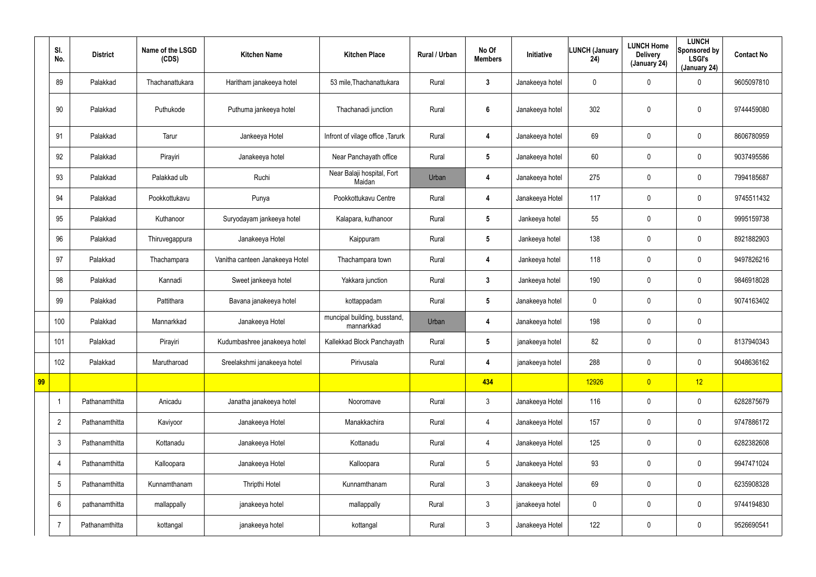|    | SI.<br>No.      | <b>District</b> | Name of the LSGD<br>(CDS) | <b>Kitchen Name</b>             | <b>Kitchen Place</b>                       | Rural / Urban | No Of<br><b>Members</b> | Initiative      | <b>LUNCH (January</b><br>24) | <b>LUNCH Home</b><br><b>Delivery</b><br>(January 24) | <b>LUNCH</b><br>Sponsored by<br><b>LSGI's</b><br>(January 24) | <b>Contact No</b> |
|----|-----------------|-----------------|---------------------------|---------------------------------|--------------------------------------------|---------------|-------------------------|-----------------|------------------------------|------------------------------------------------------|---------------------------------------------------------------|-------------------|
|    | 89              | Palakkad        | Thachanattukara           | Haritham janakeeya hotel        | 53 mile, Thachanattukara                   | Rural         | $\mathbf{3}$            | Janakeeya hotel | 0                            | 0                                                    | $\mathbf 0$                                                   | 9605097810        |
|    | 90              | Palakkad        | Puthukode                 | Puthuma jankeeya hotel          | Thachanadi junction                        | Rural         | $\boldsymbol{6}$        | Janakeeya hotel | 302                          | 0                                                    | $\pmb{0}$                                                     | 9744459080        |
|    | 91              | Palakkad        | Tarur                     | Jankeeya Hotel                  | Infront of vilage office, Tarurk           | Rural         | 4                       | Janakeeya hotel | 69                           | 0                                                    | $\mathbf 0$                                                   | 8606780959        |
|    | 92              | Palakkad        | Pirayiri                  | Janakeeya hotel                 | Near Panchayath office                     | Rural         | $5\phantom{.0}$         | Janakeeya hotel | 60                           | 0                                                    | $\mathbf 0$                                                   | 9037495586        |
|    | 93              | Palakkad        | Palakkad ulb              | Ruchi                           | Near Balaji hospital, Fort<br>Maidan       | Urban         | 4                       | Janakeeya hotel | 275                          | 0                                                    | $\mathbf 0$                                                   | 7994185687        |
|    | 94              | Palakkad        | Pookkottukavu             | Punya                           | Pookkottukavu Centre                       | Rural         | 4                       | Janakeeya Hotel | 117                          | 0                                                    | $\mathbf 0$                                                   | 9745511432        |
|    | 95              | Palakkad        | Kuthanoor                 | Suryodayam jankeeya hotel       | Kalapara, kuthanoor                        | Rural         | $5\phantom{.0}$         | Jankeeya hotel  | 55                           | 0                                                    | $\mathbf 0$                                                   | 9995159738        |
|    | 96              | Palakkad        | Thiruvegappura            | Janakeeya Hotel                 | Kaippuram                                  | Rural         | $5\phantom{.0}$         | Jankeeya hotel  | 138                          | 0                                                    | $\mathbf 0$                                                   | 8921882903        |
|    | 97              | Palakkad        | Thachampara               | Vanitha canteen Janakeeya Hotel | Thachampara town                           | Rural         | 4                       | Jankeeya hotel  | 118                          | 0                                                    | $\mathbf 0$                                                   | 9497826216        |
|    | 98              | Palakkad        | Kannadi                   | Sweet jankeeya hotel            | Yakkara junction                           | Rural         | $\mathbf{3}$            | Jankeeya hotel  | 190                          | 0                                                    | $\mathbf 0$                                                   | 9846918028        |
|    | 99              | Palakkad        | Pattithara                | Bavana janakeeya hotel          | kottappadam                                | Rural         | $5\phantom{.0}$         | Janakeeya hotel | 0                            | 0                                                    | $\mathbf 0$                                                   | 9074163402        |
|    | 100             | Palakkad        | Mannarkkad                | Janakeeya Hotel                 | muncipal building, busstand,<br>mannarkkad | Urban         | 4                       | Janakeeya hotel | 198                          | 0                                                    | $\mathbf 0$                                                   |                   |
|    | 101             | Palakkad        | Pirayiri                  | Kudumbashree janakeeya hotel    | Kallekkad Block Panchayath                 | Rural         | 5                       | janakeeya hotel | 82                           | 0                                                    | $\mathbf 0$                                                   | 8137940343        |
|    | 102             | Palakkad        | Marutharoad               | Sreelakshmi janakeeya hotel     | Pirivusala                                 | Rural         | 4                       | janakeeya hotel | 288                          | 0                                                    | $\mathbf 0$                                                   | 9048636162        |
| 99 |                 |                 |                           |                                 |                                            |               | 434                     |                 | 12926                        | $\overline{0}$                                       | 12                                                            |                   |
|    | -1              | Pathanamthitta  | Anicadu                   | Janatha janakeeya hotel         | Nooromave                                  | Rural         | $\mathfrak{Z}$          | Janakeeya Hotel | 116                          | $\mathbf 0$                                          | $\mathbf 0$                                                   | 6282875679        |
|    | $\overline{2}$  | Pathanamthitta  | Kaviyoor                  | Janakeeya Hotel                 | Manakkachira                               | Rural         | 4                       | Janakeeya Hotel | 157                          | 0                                                    | $\mathsf{0}$                                                  | 9747886172        |
|    | $\mathfrak{Z}$  | Pathanamthitta  | Kottanadu                 | Janakeeya Hotel                 | Kottanadu                                  | Rural         | 4                       | Janakeeya Hotel | 125                          | $\pmb{0}$                                            | $\mathsf{0}$                                                  | 6282382608        |
|    | $\overline{4}$  | Pathanamthitta  | Kalloopara                | Janakeeya Hotel                 | Kalloopara                                 | Rural         | $5\phantom{.0}$         | Janakeeya Hotel | 93                           | $\pmb{0}$                                            | $\mathsf{0}$                                                  | 9947471024        |
|    | $5\phantom{.0}$ | Pathanamthitta  | Kunnamthanam              | Thripthi Hotel                  | Kunnamthanam                               | Rural         | $\mathfrak{Z}$          | Janakeeya Hotel | 69                           | $\pmb{0}$                                            | $\mathsf{0}$                                                  | 6235908328        |
|    | 6               | pathanamthitta  | mallappally               | janakeeya hotel                 | mallappally                                | Rural         | $\mathfrak{Z}$          | janakeeya hotel | 0                            | $\pmb{0}$                                            | $\mathsf{0}$                                                  | 9744194830        |
|    | $\overline{7}$  | Pathanamthitta  | kottangal                 | janakeeya hotel                 | kottangal                                  | Rural         | $\mathfrak{Z}$          | Janakeeya Hotel | 122                          | 0                                                    | $\bf{0}$                                                      | 9526690541        |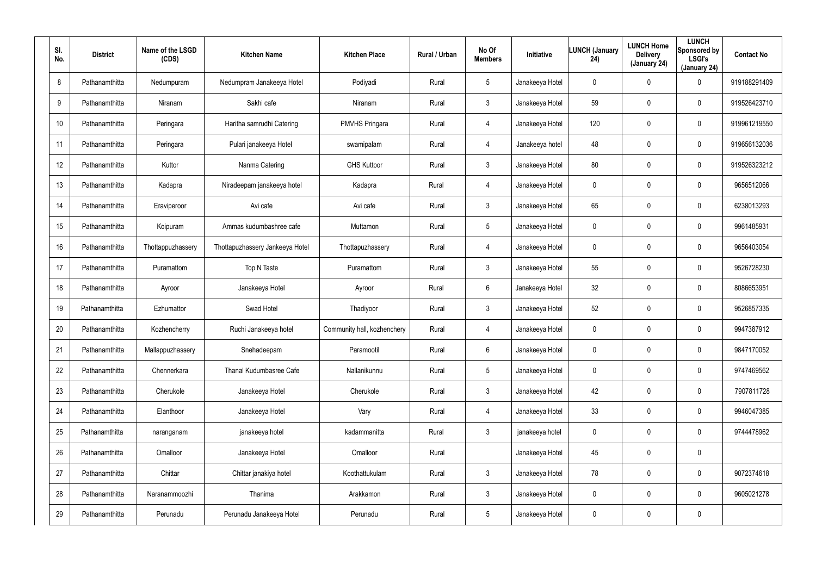| SI.<br>No. | <b>District</b> | Name of the LSGD<br>(CDS) | <b>Kitchen Name</b>             | <b>Kitchen Place</b>        | Rural / Urban | No Of<br><b>Members</b> | Initiative      | <b>LUNCH (January</b><br>24) | <b>LUNCH Home</b><br><b>Delivery</b><br>(January 24) | <b>LUNCH</b><br>Sponsored by<br><b>LSGI's</b><br>(January 24) | <b>Contact No</b> |
|------------|-----------------|---------------------------|---------------------------------|-----------------------------|---------------|-------------------------|-----------------|------------------------------|------------------------------------------------------|---------------------------------------------------------------|-------------------|
| 8          | Pathanamthitta  | Nedumpuram                | Nedumpram Janakeeya Hotel       | Podiyadi                    | Rural         | $5\overline{)}$         | Janakeeya Hotel | 0                            | 0                                                    | $\mathbf 0$                                                   | 919188291409      |
| 9          | Pathanamthitta  | Niranam                   | Sakhi cafe                      | Niranam                     | Rural         | $\mathbf{3}$            | Janakeeya Hotel | 59                           | $\mathbf 0$                                          | $\pmb{0}$                                                     | 919526423710      |
| 10         | Pathanamthitta  | Peringara                 | Haritha samrudhi Catering       | <b>PMVHS Pringara</b>       | Rural         | 4                       | Janakeeya Hotel | 120                          | $\pmb{0}$                                            | $\mathbf 0$                                                   | 919961219550      |
| 11         | Pathanamthitta  | Peringara                 | Pulari janakeeya Hotel          | swamipalam                  | Rural         | $\overline{4}$          | Janakeeya hotel | 48                           | $\pmb{0}$                                            | $\mathbf 0$                                                   | 919656132036      |
| 12         | Pathanamthitta  | Kuttor                    | Nanma Catering                  | <b>GHS Kuttoor</b>          | Rural         | $\mathbf{3}$            | Janakeeya Hotel | 80                           | $\mathbf 0$                                          | $\mathbf 0$                                                   | 919526323212      |
| 13         | Pathanamthitta  | Kadapra                   | Niradeepam janakeeya hotel      | Kadapra                     | Rural         | $\overline{4}$          | Janakeeya Hotel | 0                            | $\mathbf 0$                                          | $\mathbf 0$                                                   | 9656512066        |
| 14         | Pathanamthitta  | Eraviperoor               | Avi cafe                        | Avi cafe                    | Rural         | $\mathbf{3}$            | Janakeeya Hotel | 65                           | $\overline{0}$                                       | $\boldsymbol{0}$                                              | 6238013293        |
| 15         | Pathanamthitta  | Koipuram                  | Ammas kudumbashree cafe         | Muttamon                    | Rural         | $5\overline{)}$         | Janakeeya Hotel | 0                            | $\mathbf 0$                                          | $\mathbf 0$                                                   | 9961485931        |
| 16         | Pathanamthitta  | Thottappuzhassery         | Thottapuzhassery Jankeeya Hotel | Thottapuzhassery            | Rural         | 4                       | Janakeeya Hotel | 0                            | $\overline{0}$                                       | $\boldsymbol{0}$                                              | 9656403054        |
| 17         | Pathanamthitta  | Puramattom                | Top N Taste                     | Puramattom                  | Rural         | $\mathbf{3}$            | Janakeeya Hotel | 55                           | $\pmb{0}$                                            | $\mathbf 0$                                                   | 9526728230        |
| 18         | Pathanamthitta  | Ayroor                    | Janakeeya Hotel                 | Ayroor                      | Rural         | 6                       | Janakeeya Hotel | 32                           | $\overline{0}$                                       | $\boldsymbol{0}$                                              | 8086653951        |
| 19         | Pathanamthitta  | Ezhumattor                | Swad Hotel                      | Thadiyoor                   | Rural         | $\mathbf{3}$            | Janakeeya Hotel | 52                           | $\mathbf 0$                                          | $\mathbf 0$                                                   | 9526857335        |
| 20         | Pathanamthitta  | Kozhencherry              | Ruchi Janakeeya hotel           | Community hall, kozhenchery | Rural         | 4                       | Janakeeya Hotel | 0                            | $\mathbf 0$                                          | $\mathbf 0$                                                   | 9947387912        |
| 21         | Pathanamthitta  | Mallappuzhassery          | Snehadeepam                     | Paramootil                  | Rural         | $6\overline{6}$         | Janakeeya Hotel | 0                            | $\mathbf 0$                                          | $\pmb{0}$                                                     | 9847170052        |
| 22         | Pathanamthitta  | Chennerkara               | Thanal Kudumbasree Cafe         | Nallanikunnu                | Rural         | $5\overline{)}$         | Janakeeya Hotel | 0                            | $\mathbf 0$                                          | $\boldsymbol{0}$                                              | 9747469562        |
| 23         | Pathanamthitta  | Cherukole                 | Janakeeya Hotel                 | Cherukole                   | Rural         | $\mathbf{3}$            | Janakeeya Hotel | 42                           | $\mathbf 0$                                          | $\pmb{0}$                                                     | 7907811728        |
| 24         | Pathanamthitta  | Elanthoor                 | Janakeeya Hotel                 | Vary                        | Rural         | $\overline{4}$          | Janakeeya Hotel | 33                           | $\mathbf 0$                                          | $\pmb{0}$                                                     | 9946047385        |
| 25         | Pathanamthitta  | naranganam                | janakeeya hotel                 | kadammanitta                | Rural         | $\mathfrak{Z}$          | janakeeya hotel | 0                            | $\mathbf 0$                                          | $\pmb{0}$                                                     | 9744478962        |
| 26         | Pathanamthitta  | Omalloor                  | Janakeeya Hotel                 | Omalloor                    | Rural         |                         | Janakeeya Hotel | 45                           | $\mathbf 0$                                          | $\pmb{0}$                                                     |                   |
| 27         | Pathanamthitta  | Chittar                   | Chittar janakiya hotel          | Koothattukulam              | Rural         | $\mathfrak{Z}$          | Janakeeya Hotel | 78                           | $\mathbf 0$                                          | $\pmb{0}$                                                     | 9072374618        |
| 28         | Pathanamthitta  | Naranammoozhi             | Thanima                         | Arakkamon                   | Rural         | $\mathbf{3}$            | Janakeeya Hotel | 0                            | $\mathbf 0$                                          | $\boldsymbol{0}$                                              | 9605021278        |
| 29         | Pathanamthitta  | Perunadu                  | Perunadu Janakeeya Hotel        | Perunadu                    | Rural         | $5\phantom{.0}$         | Janakeeya Hotel | 0                            | $\mathbf 0$                                          | $\pmb{0}$                                                     |                   |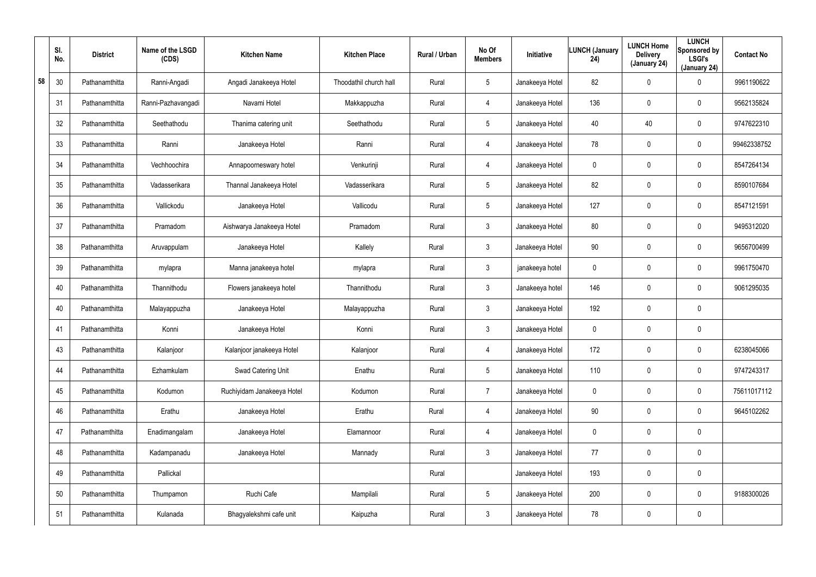|    | SI.<br>No. | <b>District</b> | Name of the LSGD<br>(CDS) | <b>Kitchen Name</b>        | <b>Kitchen Place</b>   | Rural / Urban | No Of<br><b>Members</b> | Initiative      | <b>LUNCH (January</b><br>24) | <b>LUNCH Home</b><br><b>Delivery</b><br>(January 24) | <b>LUNCH</b><br>Sponsored by<br><b>LSGI's</b><br>(January 24) | <b>Contact No</b> |
|----|------------|-----------------|---------------------------|----------------------------|------------------------|---------------|-------------------------|-----------------|------------------------------|------------------------------------------------------|---------------------------------------------------------------|-------------------|
| 58 | 30         | Pathanamthitta  | Ranni-Angadi              | Angadi Janakeeya Hotel     | Thoodathil church hall | Rural         | $5\overline{)}$         | Janakeeya Hotel | 82                           | 0                                                    | 0                                                             | 9961190622        |
|    | 31         | Pathanamthitta  | Ranni-Pazhavangadi        | Navami Hotel               | Makkappuzha            | Rural         | 4                       | Janakeeya Hotel | 136                          | $\mathbf 0$                                          | 0                                                             | 9562135824        |
|    | 32         | Pathanamthitta  | Seethathodu               | Thanima catering unit      | Seethathodu            | Rural         | $5\phantom{.0}$         | Janakeeya Hotel | 40                           | 40                                                   | 0                                                             | 9747622310        |
|    | 33         | Pathanamthitta  | Ranni                     | Janakeeya Hotel            | Ranni                  | Rural         | 4                       | Janakeeya Hotel | 78                           | $\mathbf 0$                                          | 0                                                             | 99462338752       |
|    | 34         | Pathanamthitta  | Vechhoochira              | Annapoorneswary hotel      | Venkurinji             | Rural         | 4                       | Janakeeya Hotel | 0                            | 0                                                    | 0                                                             | 8547264134        |
|    | 35         | Pathanamthitta  | Vadasserikara             | Thannal Janakeeya Hotel    | Vadasserikara          | Rural         | $5\overline{)}$         | Janakeeya Hotel | 82                           | $\mathbf 0$                                          | 0                                                             | 8590107684        |
|    | 36         | Pathanamthitta  | Vallickodu                | Janakeeya Hotel            | Vallicodu              | Rural         | $5\phantom{.0}$         | Janakeeya Hotel | 127                          | $\mathbf 0$                                          | 0                                                             | 8547121591        |
|    | 37         | Pathanamthitta  | Pramadom                  | Aishwarya Janakeeya Hotel  | Pramadom               | Rural         | $\mathbf{3}$            | Janakeeya Hotel | 80                           | $\overline{0}$                                       | 0                                                             | 9495312020        |
|    | 38         | Pathanamthitta  | Aruvappulam               | Janakeeya Hotel            | Kallely                | Rural         | $\mathbf{3}$            | Janakeeya Hotel | 90                           | $\overline{0}$                                       | 0                                                             | 9656700499        |
|    | 39         | Pathanamthitta  | mylapra                   | Manna janakeeya hotel      | mylapra                | Rural         | $\mathbf{3}$            | janakeeya hotel | 0                            | $\mathbf 0$                                          | 0                                                             | 9961750470        |
|    | 40         | Pathanamthitta  | Thannithodu               | Flowers janakeeya hotel    | Thannithodu            | Rural         | $\mathbf{3}$            | Janakeeya hotel | 146                          | $\overline{0}$                                       | 0                                                             | 9061295035        |
|    | 40         | Pathanamthitta  | Malayappuzha              | Janakeeya Hotel            | Malayappuzha           | Rural         | $\mathbf{3}$            | Janakeeya Hotel | 192                          | $\mathbf 0$                                          | 0                                                             |                   |
|    | 41         | Pathanamthitta  | Konni                     | Janakeeya Hotel            | Konni                  | Rural         | $\mathbf{3}$            | Janakeeya Hotel | $\mathbf 0$                  | $\mathbf 0$                                          | 0                                                             |                   |
|    | 43         | Pathanamthitta  | Kalanjoor                 | Kalanjoor janakeeya Hotel  | Kalanjoor              | Rural         | 4                       | Janakeeya Hotel | 172                          | $\mathbf 0$                                          | 0                                                             | 6238045066        |
|    | 44         | Pathanamthitta  | Ezhamkulam                | Swad Catering Unit         | Enathu                 | Rural         | $5\phantom{.0}$         | Janakeeya Hotel | 110                          | $\mathbf 0$                                          | 0                                                             | 9747243317        |
|    | 45         | Pathanamthitta  | Kodumon                   | Ruchiyidam Janakeeya Hotel | Kodumon                | Rural         | $\overline{7}$          | Janakeeya Hotel | $\mathbf 0$                  | $\mathbf 0$                                          | 0                                                             | 75611017112       |
|    | 46         | Pathanamthitta  | Erathu                    | Janakeeya Hotel            | Erathu                 | Rural         | 4                       | Janakeeya Hotel | 90                           | $\mathbf 0$                                          | 0                                                             | 9645102262        |
|    | 47         | Pathanamthitta  | Enadimangalam             | Janakeeya Hotel            | Elamannoor             | Rural         | 4                       | Janakeeya Hotel | $\mathbf 0$                  | $\mathbf 0$                                          | 0                                                             |                   |
|    | 48         | Pathanamthitta  | Kadampanadu               | Janakeeya Hotel            | Mannady                | Rural         | $\mathbf{3}$            | Janakeeya Hotel | 77                           | $\mathbf 0$                                          | 0                                                             |                   |
|    | 49         | Pathanamthitta  | Pallickal                 |                            |                        | Rural         |                         | Janakeeya Hotel | 193                          | $\mathbf 0$                                          | 0                                                             |                   |
|    | 50         | Pathanamthitta  | Thumpamon                 | Ruchi Cafe                 | Mampilali              | Rural         | $5\phantom{.0}$         | Janakeeya Hotel | 200                          | $\mathbf 0$                                          | 0                                                             | 9188300026        |
|    | 51         | Pathanamthitta  | Kulanada                  | Bhagyalekshmi cafe unit    | Kaipuzha               | Rural         | $\mathfrak{Z}$          | Janakeeya Hotel | 78                           | $\mathbf 0$                                          | 0                                                             |                   |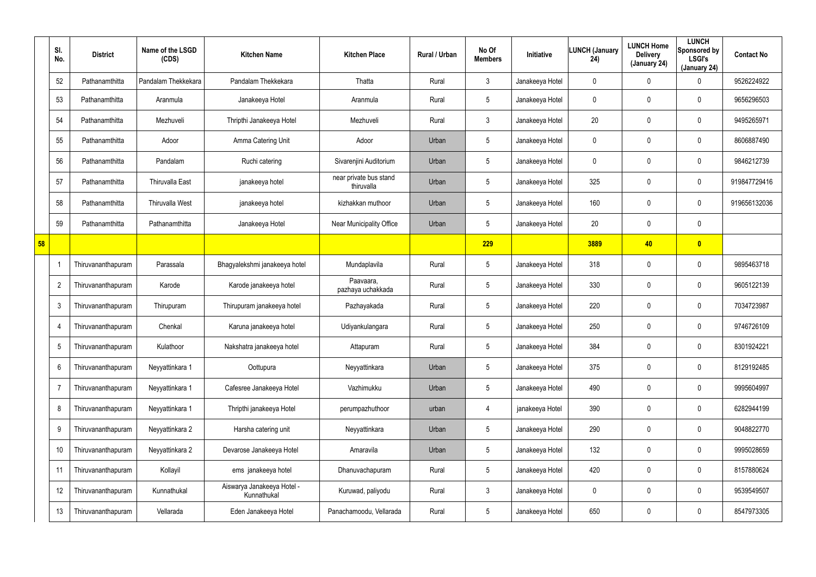|    | SI.<br>No.     | <b>District</b>    | Name of the LSGD<br>(CDS) | <b>Kitchen Name</b>                       | <b>Kitchen Place</b>                 | Rural / Urban | No Of<br><b>Members</b> | <b>Initiative</b> | <b>LUNCH (January</b><br>24) | <b>LUNCH Home</b><br><b>Delivery</b><br>(January 24) | <b>LUNCH</b><br>Sponsored by<br><b>LSGI's</b><br>(January 24) | <b>Contact No</b> |
|----|----------------|--------------------|---------------------------|-------------------------------------------|--------------------------------------|---------------|-------------------------|-------------------|------------------------------|------------------------------------------------------|---------------------------------------------------------------|-------------------|
|    | 52             | Pathanamthitta     | Pandalam Thekkekara       | Pandalam Thekkekara                       | Thatta                               | Rural         | 3                       | Janakeeya Hotel   | 0                            | 0                                                    | 0                                                             | 9526224922        |
|    | 53             | Pathanamthitta     | Aranmula                  | Janakeeya Hotel                           | Aranmula                             | Rural         | $5\phantom{.0}$         | Janakeeya Hotel   | 0                            | 0                                                    | $\mathbf 0$                                                   | 9656296503        |
|    | 54             | Pathanamthitta     | Mezhuveli                 | Thripthi Janakeeya Hotel                  | Mezhuveli                            | Rural         | $\mathbf{3}$            | Janakeeya Hotel   | 20                           | 0                                                    | $\mathbf 0$                                                   | 9495265971        |
|    | 55             | Pathanamthitta     | Adoor                     | Amma Catering Unit                        | Adoor                                | Urban         | $5\phantom{.0}$         | Janakeeya Hotel   | 0                            | 0                                                    | $\mathbf 0$                                                   | 8606887490        |
|    | 56             | Pathanamthitta     | Pandalam                  | Ruchi catering                            | Sivarenjini Auditorium               | Urban         | $5\phantom{.0}$         | Janakeeya Hotel   | 0                            | 0                                                    | $\mathbf 0$                                                   | 9846212739        |
|    | 57             | Pathanamthitta     | <b>Thiruvalla East</b>    | janakeeya hotel                           | near private bus stand<br>thiruvalla | Urban         | $5\phantom{.0}$         | Janakeeya Hotel   | 325                          | 0                                                    | $\mathbf 0$                                                   | 919847729416      |
|    | 58             | Pathanamthitta     | <b>Thiruvalla West</b>    | janakeeya hotel                           | kizhakkan muthoor                    | Urban         | $5\phantom{.0}$         | Janakeeya Hotel   | 160                          | 0                                                    | $\mathbf 0$                                                   | 919656132036      |
|    | 59             | Pathanamthitta     | Pathanamthitta            | Janakeeya Hotel                           | Near Municipality Office             | Urban         | $5\phantom{.0}$         | Janakeeya Hotel   | 20                           | 0                                                    | $\mathbf 0$                                                   |                   |
| 58 |                |                    |                           |                                           |                                      |               | 229                     |                   | 3889                         | 40                                                   | $\bullet$                                                     |                   |
|    |                | Thiruvananthapuram | Parassala                 | Bhagyalekshmi janakeeya hotel             | Mundaplavila                         | Rural         | $5\phantom{.0}$         | Janakeeya Hotel   | 318                          | 0                                                    | $\boldsymbol{0}$                                              | 9895463718        |
|    | $\overline{2}$ | Thiruvananthapuram | Karode                    | Karode janakeeya hotel                    | Paavaara,<br>pazhaya uchakkada       | Rural         | $5\phantom{.0}$         | Janakeeya Hotel   | 330                          | 0                                                    | $\mathbf 0$                                                   | 9605122139        |
|    | 3              | Thiruvananthapuram | Thirupuram                | Thirupuram janakeeya hotel                | Pazhayakada                          | Rural         | $5\phantom{.0}$         | Janakeeya Hotel   | 220                          | 0                                                    | $\mathbf 0$                                                   | 7034723987        |
|    | -4             | Thiruvananthapuram | Chenkal                   | Karuna janakeeya hotel                    | Udiyankulangara                      | Rural         | $5\phantom{.0}$         | Janakeeya Hotel   | 250                          | 0                                                    | $\mathbf 0$                                                   | 9746726109        |
|    | 5              | Thiruvananthapuram | Kulathoor                 | Nakshatra janakeeya hotel                 | Attapuram                            | Rural         | $5\phantom{.0}$         | Janakeeya Hotel   | 384                          | 0                                                    | $\mathbf 0$                                                   | 8301924221        |
|    | 6              | Thiruvananthapuram | Neyyattinkara 1           | Oottupura                                 | Neyyattinkara                        | Urban         | $5\phantom{.0}$         | Janakeeya Hotel   | 375                          | $\mathbf 0$                                          | $\pmb{0}$                                                     | 8129192485        |
|    | $\overline{7}$ | Thiruvananthapuram | Neyyattinkara 1           | Cafesree Janakeeya Hotel                  | Vazhimukku                           | Urban         | $5\phantom{.0}$         | Janakeeya Hotel   | 490                          | 0                                                    | $\pmb{0}$                                                     | 9995604997        |
|    | 8              | Thiruvananthapuram | Neyyattinkara 1           | Thripthi janakeeya Hotel                  | perumpazhuthoor                      | urban         | 4                       | janakeeya Hotel   | 390                          | $\mathbf 0$                                          | $\pmb{0}$                                                     | 6282944199        |
|    | 9              | Thiruvananthapuram | Neyyattinkara 2           | Harsha catering unit                      | Neyyattinkara                        | Urban         | $5\phantom{.0}$         | Janakeeya Hotel   | 290                          | 0                                                    | $\pmb{0}$                                                     | 9048822770        |
|    | 10             | Thiruvananthapuram | Neyyattinkara 2           | Devarose Janakeeya Hotel                  | Amaravila                            | Urban         | $\overline{5}$          | Janakeeya Hotel   | 132                          | $\mathbf 0$                                          | $\pmb{0}$                                                     | 9995028659        |
|    | 11             | Thiruvananthapuram | Kollayil                  | ems janakeeya hotel                       | Dhanuvachapuram                      | Rural         | $5\phantom{.0}$         | Janakeeya Hotel   | 420                          | 0                                                    | $\pmb{0}$                                                     | 8157880624        |
|    | 12             | Thiruvananthapuram | Kunnathukal               | Aiswarya Janakeeya Hotel -<br>Kunnathukal | Kuruwad, paliyodu                    | Rural         | $\mathfrak{Z}$          | Janakeeya Hotel   | 0                            | 0                                                    | $\pmb{0}$                                                     | 9539549507        |
|    | 13             | Thiruvananthapuram | Vellarada                 | Eden Janakeeya Hotel                      | Panachamoodu, Vellarada              | Rural         | $5\phantom{.0}$         | Janakeeya Hotel   | 650                          | 0                                                    | $\pmb{0}$                                                     | 8547973305        |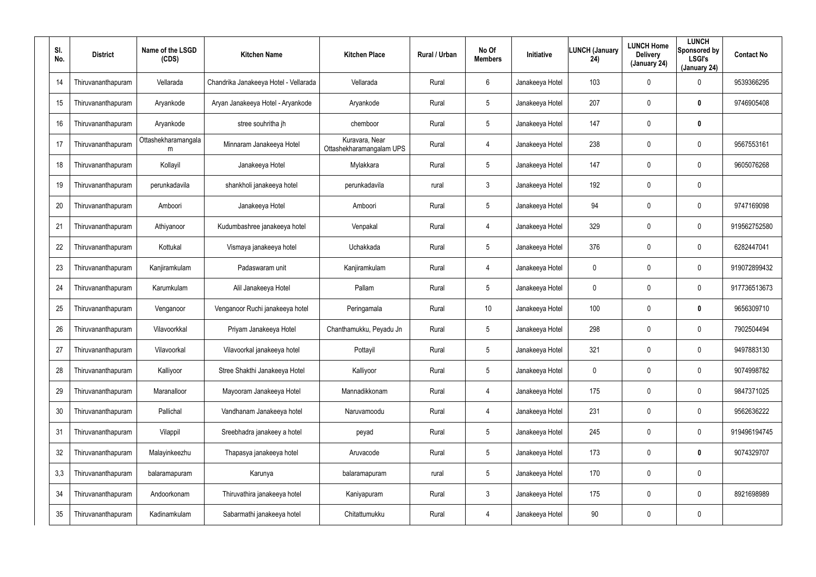| SI.<br>No. | <b>District</b>    | Name of the LSGD<br>(CDS) | <b>Kitchen Name</b>                   | <b>Kitchen Place</b>                       | Rural / Urban | No Of<br><b>Members</b> | <b>Initiative</b> | LUNCH (January<br>24) | <b>LUNCH Home</b><br><b>Delivery</b><br>(January 24) | <b>LUNCH</b><br>Sponsored by<br><b>LSGI's</b><br>(January 24) | <b>Contact No</b> |
|------------|--------------------|---------------------------|---------------------------------------|--------------------------------------------|---------------|-------------------------|-------------------|-----------------------|------------------------------------------------------|---------------------------------------------------------------|-------------------|
| 14         | Thiruvananthapuram | Vellarada                 | Chandrika Janakeeya Hotel - Vellarada | Vellarada                                  | Rural         | 6                       | Janakeeya Hotel   | 103                   | 0                                                    | $\mathbf 0$                                                   | 9539366295        |
| 15         | Thiruvananthapuram | Aryankode                 | Aryan Janakeeya Hotel - Aryankode     | Aryankode                                  | Rural         | 5                       | Janakeeya Hotel   | 207                   | 0                                                    | $\bm{0}$                                                      | 9746905408        |
| 16         | Thiruvananthapuram | Aryankode                 | stree souhritha jh                    | chemboor                                   | Rural         | $5\phantom{.0}$         | Janakeeya Hotel   | 147                   | 0                                                    | $\bm{0}$                                                      |                   |
| 17         | Thiruvananthapuram | Ottashekharamangala<br>m  | Minnaram Janakeeya Hotel              | Kuravara, Near<br>Ottashekharamangalam UPS | Rural         | 4                       | Janakeeya Hotel   | 238                   | 0                                                    | $\mathbf 0$                                                   | 9567553161        |
| 18         | Thiruvananthapuram | Kollayil                  | Janakeeya Hotel                       | Mylakkara                                  | Rural         | $5\phantom{.0}$         | Janakeeya Hotel   | 147                   | 0                                                    | $\mathbf 0$                                                   | 9605076268        |
| 19         | Thiruvananthapuram | perunkadavila             | shankholi janakeeya hotel             | perunkadavila                              | rural         | $\mathbf{3}$            | Janakeeya Hotel   | 192                   | 0                                                    | $\mathbf 0$                                                   |                   |
| 20         | Thiruvananthapuram | Amboori                   | Janakeeya Hotel                       | Amboori                                    | Rural         | $5\phantom{.0}$         | Janakeeya Hotel   | 94                    | 0                                                    | $\boldsymbol{0}$                                              | 9747169098        |
| 21         | Thiruvananthapuram | Athiyanoor                | Kudumbashree janakeeya hotel          | Venpakal                                   | Rural         | 4                       | Janakeeya Hotel   | 329                   | 0                                                    | $\mathbf 0$                                                   | 919562752580      |
| 22         | Thiruvananthapuram | Kottukal                  | Vismaya janakeeya hotel               | Uchakkada                                  | Rural         | $5\phantom{.0}$         | Janakeeya Hotel   | 376                   | 0                                                    | $\boldsymbol{0}$                                              | 6282447041        |
| 23         | Thiruvananthapuram | Kanjiramkulam             | Padaswaram unit                       | Kanjiramkulam                              | Rural         | 4                       | Janakeeya Hotel   | 0                     | 0                                                    | $\mathbf 0$                                                   | 919072899432      |
| 24         | Thiruvananthapuram | Karumkulam                | Alil Janakeeya Hotel                  | Pallam                                     | Rural         | $5\phantom{.0}$         | Janakeeya Hotel   | 0                     | 0                                                    | $\pmb{0}$                                                     | 917736513673      |
| 25         | Thiruvananthapuram | Venganoor                 | Venganoor Ruchi janakeeya hotel       | Peringamala                                | Rural         | 10                      | Janakeeya Hotel   | 100                   | 0                                                    | $\bm{0}$                                                      | 9656309710        |
| 26         | Thiruvananthapuram | Vilavoorkkal              | Priyam Janakeeya Hotel                | Chanthamukku, Peyadu Jn                    | Rural         | $5\phantom{.0}$         | Janakeeya Hotel   | 298                   | 0                                                    | $\mathbf 0$                                                   | 7902504494        |
| 27         | Thiruvananthapuram | Vilavoorkal               | Vilavoorkal janakeeya hotel           | Pottayil                                   | Rural         | 5                       | Janakeeya Hotel   | 321                   | 0                                                    | $\pmb{0}$                                                     | 9497883130        |
| 28         | Thiruvananthapuram | Kalliyoor                 | Stree Shakthi Janakeeya Hotel         | Kalliyoor                                  | Rural         | $5\phantom{.0}$         | Janakeeya Hotel   | $\mathbf 0$           | 0                                                    | $\pmb{0}$                                                     | 9074998782        |
| 29         | Thiruvananthapuram | Maranalloor               | Mayooram Janakeeya Hotel              | Mannadikkonam                              | Rural         | 4                       | Janakeeya Hotel   | 175                   | 0                                                    | $\pmb{0}$                                                     | 9847371025        |
| 30         | Thiruvananthapuram | Pallichal                 | Vandhanam Janakeeya hotel             | Naruvamoodu                                | Rural         | 4                       | Janakeeya Hotel   | 231                   | 0                                                    | $\pmb{0}$                                                     | 9562636222        |
| 31         | Thiruvananthapuram | Vilappil                  | Sreebhadra janakeey a hotel           | peyad                                      | Rural         | $5\phantom{.0}$         | Janakeeya Hotel   | 245                   | 0                                                    | $\pmb{0}$                                                     | 919496194745      |
| 32         | Thiruvananthapuram | Malayinkeezhu             | Thapasya janakeeya hotel              | Aruvacode                                  | Rural         | $5\phantom{.0}$         | Janakeeya Hotel   | 173                   | 0                                                    | $\mathbf 0$                                                   | 9074329707        |
| 3,3        | Thiruvananthapuram | balaramapuram             | Karunya                               | balaramapuram                              | rural         | $5\phantom{.0}$         | Janakeeya Hotel   | 170                   | 0                                                    | $\pmb{0}$                                                     |                   |
| 34         | Thiruvananthapuram | Andoorkonam               | Thiruvathira janakeeya hotel          | Kaniyapuram                                | Rural         | $\mathbf{3}$            | Janakeeya Hotel   | 175                   | 0                                                    | $\pmb{0}$                                                     | 8921698989        |
| 35         | Thiruvananthapuram | Kadinamkulam              | Sabarmathi janakeeya hotel            | Chitattumukku                              | Rural         | 4                       | Janakeeya Hotel   | 90                    | 0                                                    | $\pmb{0}$                                                     |                   |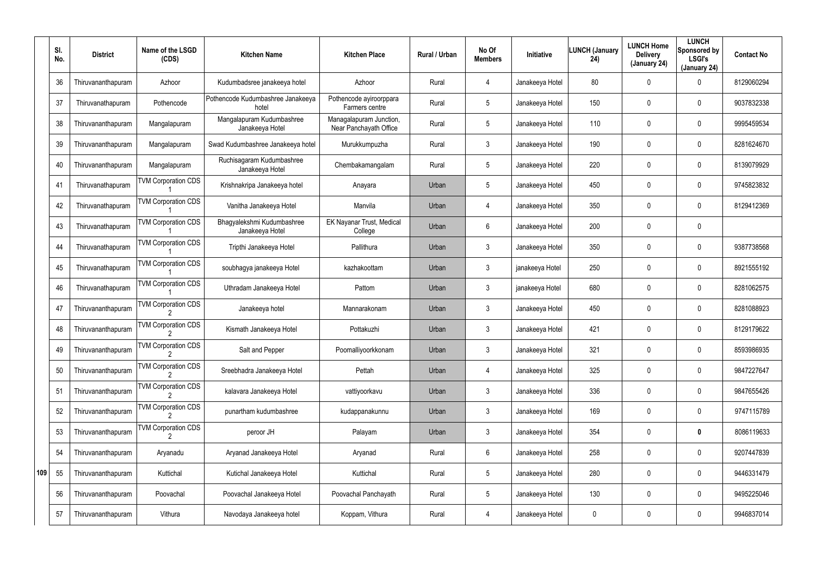|     | SI.<br>No. | <b>District</b>    | Name of the LSGD<br>(CDS)  | <b>Kitchen Name</b>                           | <b>Kitchen Place</b>                              | <b>Rural / Urban</b> | No Of<br><b>Members</b> | <b>Initiative</b> | <b>LUNCH (January</b><br>24) | <b>LUNCH Home</b><br><b>Delivery</b><br>(January 24) | <b>LUNCH</b><br>Sponsored by<br><b>LSGI's</b><br>(January 24) | <b>Contact No</b> |
|-----|------------|--------------------|----------------------------|-----------------------------------------------|---------------------------------------------------|----------------------|-------------------------|-------------------|------------------------------|------------------------------------------------------|---------------------------------------------------------------|-------------------|
|     | 36         | Thiruvananthapuram | Azhoor                     | Kudumbadsree janakeeya hotel                  | Azhoor                                            | Rural                | $\overline{4}$          | Janakeeya Hotel   | 80                           | 0                                                    | 0                                                             | 8129060294        |
|     | 37         | Thiruvanathapuram  | Pothencode                 | Pothencode Kudumbashree Janakeeya<br>hotel    | Pothencode ayiroorppara<br>Farmers centre         | Rural                | $5\phantom{.0}$         | Janakeeya Hotel   | 150                          | 0                                                    | $\mathbf 0$                                                   | 9037832338        |
|     | 38         | Thiruvananthapuram | Mangalapuram               | Mangalapuram Kudumbashree<br>Janakeeya Hotel  | Managalapuram Junction,<br>Near Panchayath Office | Rural                | $5\phantom{.0}$         | Janakeeya Hotel   | 110                          | 0                                                    | $\mathbf 0$                                                   | 9995459534        |
|     | 39         | Thiruvananthapuram | Mangalapuram               | Swad Kudumbashree Janakeeya hotel             | Murukkumpuzha                                     | Rural                | 3                       | Janakeeya Hotel   | 190                          | 0                                                    | $\mathbf 0$                                                   | 8281624670        |
|     | 40         | Thiruvananthapuram | Mangalapuram               | Ruchisagaram Kudumbashree<br>Janakeeya Hotel  | Chembakamangalam                                  | Rural                | $5\phantom{.0}$         | Janakeeya Hotel   | 220                          | 0                                                    | $\mathbf 0$                                                   | 8139079929        |
|     | 41         | Thiruvanathapuram  | <b>TVM Corporation CDS</b> | Krishnakripa Janakeeya hotel                  | Anayara                                           | Urban                | $5\phantom{.0}$         | Janakeeya Hotel   | 450                          | 0                                                    | $\mathbf 0$                                                   | 9745823832        |
|     | 42         | Thiruvanathapuram  | <b>TVM Corporation CDS</b> | Vanitha Janakeeya Hotel                       | Manvila                                           | Urban                | $\overline{4}$          | Janakeeya Hotel   | 350                          | 0                                                    | $\mathbf 0$                                                   | 8129412369        |
|     | 43         | Thiruvanathapuram  | <b>TVM Corporation CDS</b> | Bhagyalekshmi Kudumbashree<br>Janakeeya Hotel | EK Nayanar Trust, Medical<br>College              | Urban                | 6                       | Janakeeya Hotel   | 200                          | 0                                                    | $\mathbf 0$                                                   |                   |
|     | 44         | Thiruvanathapuram  | <b>TVM Corporation CDS</b> | Tripthi Janakeeya Hotel                       | Pallithura                                        | Urban                | 3                       | Janakeeya Hotel   | 350                          | 0                                                    | $\mathbf 0$                                                   | 9387738568        |
|     | 45         | Thiruvanathapuram  | <b>TVM Corporation CDS</b> | soubhagya janakeeya Hotel                     | kazhakoottam                                      | Urban                | 3                       | janakeeya Hotel   | 250                          | 0                                                    | $\mathbf 0$                                                   | 8921555192        |
|     | 46         | Thiruvanathapuram  | <b>TVM Corporation CDS</b> | Uthradam Janakeeya Hotel                      | Pattom                                            | Urban                | $\mathbf{3}$            | janakeeya Hotel   | 680                          | 0                                                    | $\mathbf 0$                                                   | 8281062575        |
|     | 47         | Thiruvananthapuram | <b>TVM Corporation CDS</b> | Janakeeya hotel                               | Mannarakonam                                      | Urban                | 3                       | Janakeeya Hotel   | 450                          | 0                                                    | $\mathbf 0$                                                   | 8281088923        |
|     | 48         | Thiruvananthapuram | <b>TVM Corporation CDS</b> | Kismath Janakeeya Hotel                       | Pottakuzhi                                        | Urban                | 3                       | Janakeeya Hotel   | 421                          | 0                                                    | $\mathbf 0$                                                   | 8129179622        |
|     | 49         | Thiruvananthapuram | <b>TVM Corporation CDS</b> | Salt and Pepper                               | Poomalliyoorkkonam                                | Urban                | $\mathbf{3}$            | Janakeeya Hotel   | 321                          | 0                                                    | $\mathbf 0$                                                   | 8593986935        |
|     | 50         | Thiruvananthapuram | <b>TVM Corporation CDS</b> | Sreebhadra Janakeeya Hotel                    | Pettah                                            | Urban                | $\overline{4}$          | Janakeeya Hotel   | 325                          | 0                                                    | $\mathbf 0$                                                   | 9847227647        |
|     | 51         | Thiruvananthapuram | <b>TVM Corporation CDS</b> | kalavara Janakeeya Hotel                      | vattiyoorkavu                                     | Urban                | $\mathbf{3}$            | Janakeeya Hotel   | 336                          | 0                                                    | $\pmb{0}$                                                     | 9847655426        |
|     | 52         | Thiruvananthapuram | <b>TVM Corporation CDS</b> | punartham kudumbashree                        | kudappanakunnu                                    | Urban                | $\mathbf{3}$            | Janakeeya Hotel   | 169                          | 0                                                    | $\mathbf 0$                                                   | 9747115789        |
|     | 53         | Thiruvananthapuram | <b>TVM Corporation CDS</b> | peroor JH                                     | Palayam                                           | Urban                | $\mathbf{3}$            | Janakeeya Hotel   | 354                          | 0                                                    | $\mathbf 0$                                                   | 8086119633        |
|     | 54         | Thiruvananthapuram | Aryanadu                   | Aryanad Janakeeya Hotel                       | Aryanad                                           | Rural                | 6                       | Janakeeya Hotel   | 258                          | 0                                                    | $\boldsymbol{0}$                                              | 9207447839        |
| 109 | 55         | Thiruvananthapuram | Kuttichal                  | Kutichal Janakeeya Hotel                      | Kuttichal                                         | Rural                | $5\phantom{.0}$         | Janakeeya Hotel   | 280                          | 0                                                    | $\boldsymbol{0}$                                              | 9446331479        |
|     | 56         | Thiruvananthapuram | Poovachal                  | Poovachal Janakeeya Hotel                     | Poovachal Panchayath                              | Rural                | $5\phantom{.0}$         | Janakeeya Hotel   | 130                          | 0                                                    | $\boldsymbol{0}$                                              | 9495225046        |
|     | 57         | Thiruvananthapuram | Vithura                    | Navodaya Janakeeya hotel                      | Koppam, Vithura                                   | Rural                | 4                       | Janakeeya Hotel   | 0                            | 0                                                    | $\pmb{0}$                                                     | 9946837014        |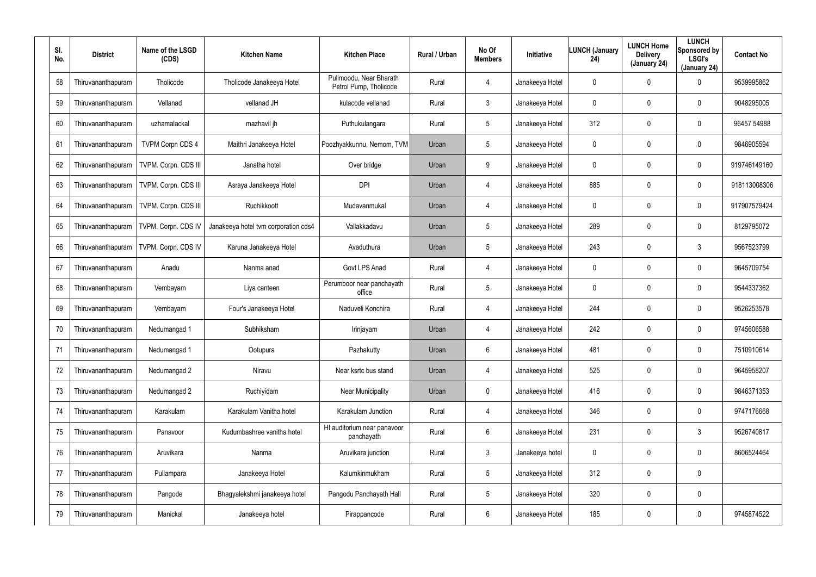| SI.<br>No. | <b>District</b>    | Name of the LSGD<br>(CDS)  | <b>Kitchen Name</b>                  | <b>Kitchen Place</b>                              | <b>Rural / Urban</b> | No Of<br><b>Members</b> | Initiative      | <b>LUNCH (January</b><br>24) | <b>LUNCH Home</b><br><b>Delivery</b><br>(January 24) | <b>LUNCH</b><br>Sponsored by<br><b>LSGI's</b><br>(January 24) | <b>Contact No</b> |
|------------|--------------------|----------------------------|--------------------------------------|---------------------------------------------------|----------------------|-------------------------|-----------------|------------------------------|------------------------------------------------------|---------------------------------------------------------------|-------------------|
| 58         | Thiruvananthapuram | Tholicode                  | Tholicode Janakeeya Hotel            | Pulimoodu, Near Bharath<br>Petrol Pump, Tholicode | Rural                | 4                       | Janakeeya Hotel | 0                            | 0                                                    | 0                                                             | 9539995862        |
| 59         | Thiruvananthapuram | Vellanad                   | vellanad JH                          | kulacode vellanad                                 | Rural                | 3                       | Janakeeya Hotel | 0                            | 0                                                    | $\mathbf 0$                                                   | 9048295005        |
| 60         | Thiruvananthapuram | uzhamalackal               | mazhavil jh                          | Puthukulangara                                    | Rural                | 5                       | Janakeeya Hotel | 312                          | 0                                                    | $\mathbf 0$                                                   | 96457 54988       |
| 61         | Thiruvananthapuram | <b>TVPM Corpn CDS 4</b>    | Maithri Janakeeya Hotel              | Poozhyakkunnu, Nemom, TVM                         | Urban                | 5                       | Janakeeya Hotel | 0                            | 0                                                    | $\mathbf 0$                                                   | 9846905594        |
| 62         | Thiruvananthapuram | TVPM. Corpn. CDS III       | Janatha hotel                        | Over bridge                                       | Urban                | 9                       | Janakeeya Hotel | 0                            | 0                                                    | $\mathbf 0$                                                   | 919746149160      |
| 63         | Thiruvananthapuram | TVPM. Corpn. CDS III       | Asraya Janakeeya Hotel               | <b>DPI</b>                                        | Urban                | 4                       | Janakeeya Hotel | 885                          | 0                                                    | $\mathbf 0$                                                   | 918113008306      |
| 64         | Thiruvananthapuram | TVPM. Corpn. CDS III       | Ruchikkoott                          | Mudavanmukal                                      | Urban                | 4                       | Janakeeya Hotel | $\mathbf 0$                  | 0                                                    | $\mathbf 0$                                                   | 917907579424      |
| 65         | Thiruvananthapuram | <b>TVPM. Corpn. CDS IV</b> | Janakeeya hotel tvm corporation cds4 | Vallakkadavu                                      | Urban                | 5                       | Janakeeya Hotel | 289                          | 0                                                    | 0                                                             | 8129795072        |
| 66         | Thiruvananthapuram | TVPM. Corpn. CDS IV        | Karuna Janakeeya Hotel               | Avaduthura                                        | Urban                | 5                       | Janakeeya Hotel | 243                          | $\mathbf 0$                                          | $\mathbf{3}$                                                  | 9567523799        |
| 67         | Thiruvananthapuram | Anadu                      | Nanma anad                           | Govt LPS Anad                                     | Rural                | 4                       | Janakeeya Hotel | $\mathbf 0$                  | 0                                                    | 0                                                             | 9645709754        |
| 68         | Thiruvananthapuram | Vembayam                   | Liya canteen                         | Perumboor near panchayath<br>office               | Rural                | 5                       | Janakeeya Hotel | $\mathbf 0$                  | 0                                                    | $\mathbf 0$                                                   | 9544337362        |
| 69         | Thiruvananthapuram | Vembayam                   | Four's Janakeeya Hotel               | Naduveli Konchira                                 | Rural                | 4                       | Janakeeya Hotel | 244                          | 0                                                    | 0                                                             | 9526253578        |
| 70         | Thiruvananthapuram | Nedumangad 1               | Subhiksham                           | Irinjayam                                         | Urban                | 4                       | Janakeeya Hotel | 242                          | $\boldsymbol{0}$                                     | 0                                                             | 9745606588        |
| 71         | Thiruvananthapuram | Nedumangad 1               | Ootupura                             | Pazhakutty                                        | Urban                | 6                       | Janakeeya Hotel | 481                          | $\pmb{0}$                                            | 0                                                             | 7510910614        |
| 72         | Thiruvananthapuram | Nedumangad 2               | Niravu                               | Near ksrtc bus stand                              | Urban                | 4                       | Janakeeya Hotel | 525                          | $\boldsymbol{0}$                                     | 0                                                             | 9645958207        |
| 73         | Thiruvananthapuram | Nedumangad 2               | Ruchiyidam                           | <b>Near Municipality</b>                          | Urban                | $\mathbf 0$             | Janakeeya Hotel | 416                          | $\boldsymbol{0}$                                     | $\pmb{0}$                                                     | 9846371353        |
| 74         | Thiruvananthapuram | Karakulam                  | Karakulam Vanitha hotel              | Karakulam Junction                                | Rural                | 4                       | Janakeeya Hotel | 346                          | $\boldsymbol{0}$                                     | 0                                                             | 9747176668        |
| 75         | Thiruvananthapuram | Panavoor                   | Kudumbashree vanitha hotel           | HI auditorium near panavoor<br>panchayath         | Rural                | $6\overline{6}$         | Janakeeya Hotel | 231                          | $\pmb{0}$                                            | 3                                                             | 9526740817        |
| 76         | Thiruvananthapuram | Aruvikara                  | Nanma                                | Aruvikara junction                                | Rural                | 3                       | Janakeeya hotel | $\mathbf 0$                  | $\boldsymbol{0}$                                     | 0                                                             | 8606524464        |
| 77         | Thiruvananthapuram | Pullampara                 | Janakeeya Hotel                      | Kalumkinmukham                                    | Rural                | $5\phantom{.0}$         | Janakeeya Hotel | 312                          | $\pmb{0}$                                            | $\pmb{0}$                                                     |                   |
| 78         | Thiruvananthapuram | Pangode                    | Bhagyalekshmi janakeeya hotel        | Pangodu Panchayath Hall                           | Rural                | 5                       | Janakeeya Hotel | 320                          | $\boldsymbol{0}$                                     | 0                                                             |                   |
| 79         | Thiruvananthapuram | Manickal                   | Janakeeya hotel                      | Pirappancode                                      | Rural                | 6                       | Janakeeya Hotel | 185                          | $\boldsymbol{0}$                                     | 0                                                             | 9745874522        |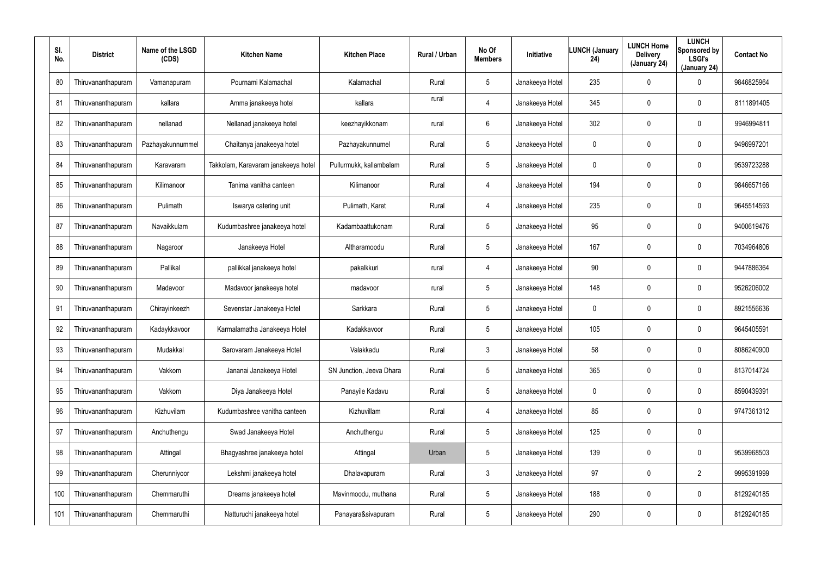| SI.<br>No. | <b>District</b>    | Name of the LSGD<br>(CDS) | <b>Kitchen Name</b>                 | <b>Kitchen Place</b>     | <b>Rural / Urban</b> | No Of<br><b>Members</b> | Initiative      | LUNCH (January<br>24) | <b>LUNCH Home</b><br><b>Delivery</b><br>(January 24) | <b>LUNCH</b><br>Sponsored by<br><b>LSGI's</b><br>(January 24) | <b>Contact No</b> |
|------------|--------------------|---------------------------|-------------------------------------|--------------------------|----------------------|-------------------------|-----------------|-----------------------|------------------------------------------------------|---------------------------------------------------------------|-------------------|
| 80         | Thiruvananthapuram | Vamanapuram               | Pournami Kalamachal                 | Kalamachal               | Rural                | 5                       | Janakeeya Hotel | 235                   | 0                                                    | 0                                                             | 9846825964        |
| 81         | Thiruvananthapuram | kallara                   | Amma janakeeya hotel                | kallara                  | rural                | 4                       | Janakeeya Hotel | 345                   | 0                                                    | $\mathbf 0$                                                   | 8111891405        |
| 82         | Thiruvananthapuram | nellanad                  | Nellanad janakeeya hotel            | keezhayikkonam           | rural                | 6                       | Janakeeya Hotel | 302                   | $\mathbf 0$                                          | $\mathbf 0$                                                   | 9946994811        |
| 83         | Thiruvananthapuram | Pazhayakunnummel          | Chaitanya janakeeya hotel           | Pazhayakunnumel          | Rural                | 5                       | Janakeeya Hotel | 0                     | 0                                                    | $\mathbf 0$                                                   | 9496997201        |
| 84         | Thiruvananthapuram | Karavaram                 | Takkolam, Karavaram janakeeya hotel | Pullurmukk, kallambalam  | Rural                | 5                       | Janakeeya Hotel | 0                     | 0                                                    | $\mathbf 0$                                                   | 9539723288        |
| 85         | Thiruvananthapuram | Kilimanoor                | Tanima vanitha canteen              | Kilimanoor               | Rural                | 4                       | Janakeeya Hotel | 194                   | 0                                                    | $\mathbf 0$                                                   | 9846657166        |
| 86         | Thiruvananthapuram | Pulimath                  | Iswarya catering unit               | Pulimath, Karet          | Rural                | 4                       | Janakeeya Hotel | 235                   | $\mathbf 0$                                          | $\mathbf 0$                                                   | 9645514593        |
| 87         | Thiruvananthapuram | Navaikkulam               | Kudumbashree janakeeya hotel        | Kadambaattukonam         | Rural                | 5                       | Janakeeya Hotel | 95                    | 0                                                    | $\mathbf 0$                                                   | 9400619476        |
| 88         | Thiruvananthapuram | Nagaroor                  | Janakeeya Hotel                     | Altharamoodu             | Rural                | 5                       | Janakeeya Hotel | 167                   | $\mathbf 0$                                          | $\mathbf 0$                                                   | 7034964806        |
| 89         | Thiruvananthapuram | Pallikal                  | pallikkal janakeeya hotel           | pakalkkuri               | rural                | 4                       | Janakeeya Hotel | 90                    | 0                                                    | $\mathbf 0$                                                   | 9447886364        |
| 90         | Thiruvananthapuram | Madavoor                  | Madavoor janakeeya hotel            | madavoor                 | rural                | 5                       | Janakeeya Hotel | 148                   | 0                                                    | $\mathbf 0$                                                   | 9526206002        |
| 91         | Thiruvananthapuram | Chirayinkeezh             | Sevenstar Janakeeya Hotel           | Sarkkara                 | Rural                | 5                       | Janakeeya Hotel | $\mathbf 0$           | 0                                                    | 0                                                             | 8921556636        |
| 92         | Thiruvananthapuram | Kadaykkavoor              | Karmalamatha Janakeeya Hotel        | Kadakkavoor              | Rural                | 5                       | Janakeeya Hotel | 105                   | $\boldsymbol{0}$                                     | 0                                                             | 9645405591        |
| 93         | Thiruvananthapuram | Mudakkal                  | Sarovaram Janakeeya Hotel           | Valakkadu                | Rural                | $\mathfrak{Z}$          | Janakeeya Hotel | 58                    | $\boldsymbol{0}$                                     | 0                                                             | 8086240900        |
| 94         | Thiruvananthapuram | Vakkom                    | Jananai Janakeeya Hotel             | SN Junction, Jeeva Dhara | Rural                | 5                       | Janakeeya Hotel | 365                   | $\boldsymbol{0}$                                     | 0                                                             | 8137014724        |
| 95         | Thiruvananthapuram | Vakkom                    | Diya Janakeeya Hotel                | Panayile Kadavu          | Rural                | 5                       | Janakeeya Hotel | 0                     | $\boldsymbol{0}$                                     | $\pmb{0}$                                                     | 8590439391        |
| 96         | Thiruvananthapuram | Kizhuvilam                | Kudumbashree vanitha canteen        | Kizhuvillam              | Rural                | 4                       | Janakeeya Hotel | 85                    | $\boldsymbol{0}$                                     | 0                                                             | 9747361312        |
| 97         | Thiruvananthapuram | Anchuthengu               | Swad Janakeeya Hotel                | Anchuthengu              | Rural                | $5\phantom{.0}$         | Janakeeya Hotel | 125                   | $\pmb{0}$                                            | $\pmb{0}$                                                     |                   |
| 98         | Thiruvananthapuram | Attingal                  | Bhagyashree janakeeya hotel         | Attingal                 | Urban                | 5                       | Janakeeya Hotel | 139                   | $\boldsymbol{0}$                                     | 0                                                             | 9539968503        |
| 99         | Thiruvananthapuram | Cherunniyoor              | Lekshmi janakeeya hotel             | Dhalavapuram             | Rural                | 3                       | Janakeeya Hotel | 97                    | $\pmb{0}$                                            | $\overline{2}$                                                | 9995391999        |
| 100        | Thiruvananthapuram | Chemmaruthi               | Dreams janakeeya hotel              | Mavinmoodu, muthana      | Rural                | 5                       | Janakeeya Hotel | 188                   | $\boldsymbol{0}$                                     | 0                                                             | 8129240185        |
| 101        | Thiruvananthapuram | Chemmaruthi               | Natturuchi janakeeya hotel          | Panayara&sivapuram       | Rural                | $5\phantom{.0}$         | Janakeeya Hotel | 290                   | $\pmb{0}$                                            | 0                                                             | 8129240185        |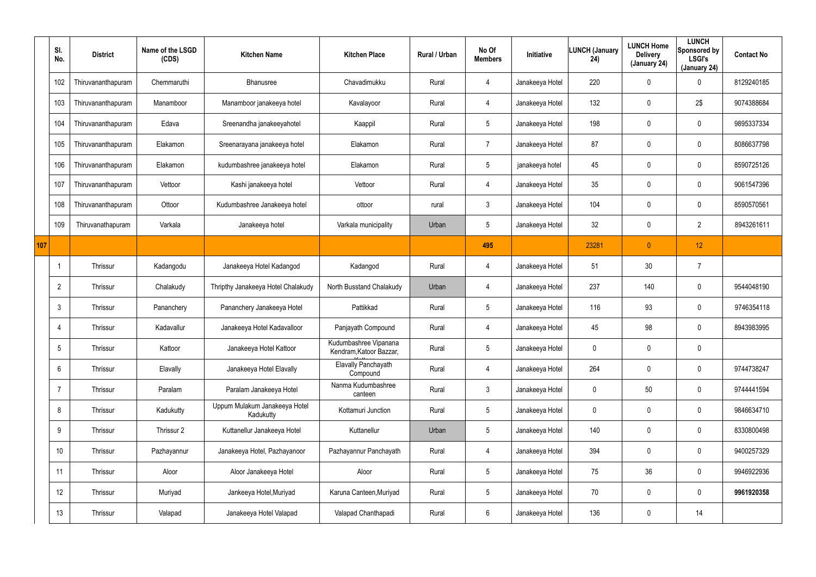|     | SI.<br>No.      | <b>District</b>    | Name of the LSGD<br>(CDS) | <b>Kitchen Name</b>                        | <b>Kitchen Place</b>                             | Rural / Urban | No Of<br><b>Members</b> | Initiative      | LUNCH (January<br>24) | <b>LUNCH Home</b><br><b>Delivery</b><br>(January 24) | <b>LUNCH</b><br>Sponsored by<br><b>LSGI's</b><br>(January 24) | <b>Contact No</b> |
|-----|-----------------|--------------------|---------------------------|--------------------------------------------|--------------------------------------------------|---------------|-------------------------|-----------------|-----------------------|------------------------------------------------------|---------------------------------------------------------------|-------------------|
|     | 102             | Thiruvananthapuram | Chemmaruthi               | Bhanusree                                  | Chavadimukku                                     | Rural         | $\overline{4}$          | Janakeeya Hotel | 220                   | 0                                                    | $\mathbf 0$                                                   | 8129240185        |
|     | 103             | Thiruvananthapuram | Manamboor                 | Manamboor janakeeya hotel                  | Kavalayoor                                       | Rural         | $\overline{4}$          | Janakeeya Hotel | 132                   | 0                                                    | 2\$                                                           | 9074388684        |
|     | 104             | Thiruvananthapuram | Edava                     | Sreenandha janakeeyahotel                  | Kaappil                                          | Rural         | $5\overline{)}$         | Janakeeya Hotel | 198                   | 0                                                    | $\mathbf 0$                                                   | 9895337334        |
|     | 105             | Thiruvananthapuram | Elakamon                  | Sreenarayana janakeeya hotel               | Elakamon                                         | Rural         | $\overline{7}$          | Janakeeya Hotel | 87                    | 0                                                    | $\mathbf 0$                                                   | 8086637798        |
|     | 106             | Thiruvananthapuram | Elakamon                  | kudumbashree janakeeya hotel               | Elakamon                                         | Rural         | $5\overline{)}$         | janakeeya hotel | 45                    | 0                                                    | $\mathbf 0$                                                   | 8590725126        |
|     | 107             | Thiruvananthapuram | Vettoor                   | Kashi janakeeya hotel                      | Vettoor                                          | Rural         | 4                       | Janakeeya Hotel | 35                    | 0                                                    | $\boldsymbol{0}$                                              | 9061547396        |
|     | 108             | Thiruvananthapuram | Ottoor                    | Kudumbashree Janakeeya hotel               | ottoor                                           | rural         | $\mathbf{3}$            | Janakeeya Hotel | 104                   | 0                                                    | $\pmb{0}$                                                     | 8590570561        |
|     | 109             | Thiruvanathapuram  | Varkala                   | Janakeeya hotel                            | Varkala municipality                             | Urban         | $5\phantom{.0}$         | Janakeeya Hotel | 32                    | 0                                                    | $\overline{2}$                                                | 8943261611        |
| 107 |                 |                    |                           |                                            |                                                  |               | 495                     |                 | 23281                 | $\overline{0}$                                       | 12                                                            |                   |
|     |                 | Thrissur           | Kadangodu                 | Janakeeya Hotel Kadangod                   | Kadangod                                         | Rural         | 4                       | Janakeeya Hotel | 51                    | 30                                                   | $\overline{7}$                                                |                   |
|     | $\overline{2}$  | Thrissur           | Chalakudy                 | Thripthy Janakeeya Hotel Chalakudy         | North Busstand Chalakudy                         | Urban         | $\overline{4}$          | Janakeeya Hotel | 237                   | 140                                                  | $\boldsymbol{0}$                                              | 9544048190        |
|     | $\mathbf{3}$    | Thrissur           | Pananchery                | Pananchery Janakeeya Hotel                 | Pattikkad                                        | Rural         | $5\phantom{.0}$         | Janakeeya Hotel | 116                   | 93                                                   | $\boldsymbol{0}$                                              | 9746354118        |
|     | $\overline{4}$  | Thrissur           | Kadavallur                | Janakeeya Hotel Kadavalloor                | Panjayath Compound                               | Rural         | 4                       | Janakeeya Hotel | 45                    | 98                                                   | $\boldsymbol{0}$                                              | 8943983995        |
|     | $5\overline{)}$ | Thrissur           | Kattoor                   | Janakeeya Hotel Kattoor                    | Kudumbashree Vipanana<br>Kendram, Katoor Bazzar, | Rural         | $5\phantom{.0}$         | Janakeeya Hotel | 0                     | 0                                                    | $\pmb{0}$                                                     |                   |
|     | $6\overline{6}$ | Thrissur           | Elavally                  | Janakeeya Hotel Elavally                   | <b>Elavally Panchayath</b><br>Compound           | Rural         | 4                       | Janakeeya Hotel | 264                   | 0                                                    | $\pmb{0}$                                                     | 9744738247        |
|     | $\overline{7}$  | Thrissur           | Paralam                   | Paralam Janakeeya Hotel                    | Nanma Kudumbashree<br>canteen                    | Rural         | 3 <sup>1</sup>          | Janakeeya Hotel | 0                     | 50                                                   | $\mathsf{0}$                                                  | 9744441594        |
|     | 8               | Thrissur           | Kadukutty                 | Uppum Mulakum Janakeeya Hotel<br>Kadukutty | Kottamuri Junction                               | Rural         | $5\phantom{.0}$         | Janakeeya Hotel | 0                     | 0                                                    | $\mathsf{0}$                                                  | 9846634710        |
|     | 9               | Thrissur           | Thrissur 2                | Kuttanellur Janakeeya Hotel                | Kuttanellur                                      | Urban         | $5\,$                   | Janakeeya Hotel | 140                   | 0                                                    | $\mathsf{0}$                                                  | 8330800498        |
|     | 10 <sup>°</sup> | Thrissur           | Pazhayannur               | Janakeeya Hotel, Pazhayanoor               | Pazhayannur Panchayath                           | Rural         | $\overline{4}$          | Janakeeya Hotel | 394                   | 0                                                    | $\mathsf{0}$                                                  | 9400257329        |
|     | 11              | Thrissur           | Aloor                     | Aloor Janakeeya Hotel                      | Aloor                                            | Rural         | $5\phantom{.0}$         | Janakeeya Hotel | 75                    | 36                                                   | $\mathsf{0}$                                                  | 9946922936        |
|     | 12              | Thrissur           | Muriyad                   | Jankeeya Hotel, Muriyad                    | Karuna Canteen, Muriyad                          | Rural         | $5\phantom{.0}$         | Janakeeya Hotel | 70                    | 0                                                    | $\mathsf{0}$                                                  | 9961920358        |
|     | 13              | Thrissur           | Valapad                   | Janakeeya Hotel Valapad                    | Valapad Chanthapadi                              | Rural         | $6\phantom{.}6$         | Janakeeya Hotel | 136                   | 0                                                    | 14                                                            |                   |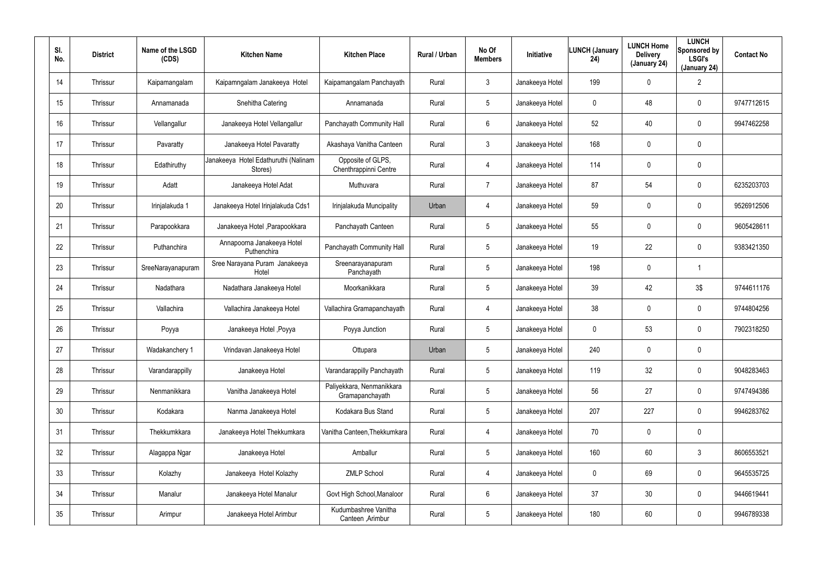| SI.<br>No. | <b>District</b> | Name of the LSGD<br>(CDS) | <b>Kitchen Name</b>                             | <b>Kitchen Place</b>                         | Rural / Urban | No Of<br><b>Members</b> | <b>Initiative</b> | <b>LUNCH (January</b><br>24) | <b>LUNCH Home</b><br><b>Delivery</b><br>(January 24) | <b>LUNCH</b><br>Sponsored by<br><b>LSGI's</b><br>(January 24) | <b>Contact No</b> |
|------------|-----------------|---------------------------|-------------------------------------------------|----------------------------------------------|---------------|-------------------------|-------------------|------------------------------|------------------------------------------------------|---------------------------------------------------------------|-------------------|
| 14         | Thrissur        | Kaipamangalam             | Kaipamngalam Janakeeya Hotel                    | Kaipamangalam Panchayath                     | Rural         | 3                       | Janakeeya Hotel   | 199                          | $\mathbf 0$                                          | $\overline{2}$                                                |                   |
| 15         | Thrissur        | Annamanada                | Snehitha Catering                               | Annamanada                                   | Rural         | $5\phantom{.0}$         | Janakeeya Hotel   | 0                            | 48                                                   | $\boldsymbol{0}$                                              | 9747712615        |
| 16         | Thrissur        | Vellangallur              | Janakeeya Hotel Vellangallur                    | Panchayath Community Hall                    | Rural         | 6                       | Janakeeya Hotel   | 52                           | 40                                                   | $\mathbf 0$                                                   | 9947462258        |
| 17         | Thrissur        | Pavaratty                 | Janakeeya Hotel Pavaratty                       | Akashaya Vanitha Canteen                     | Rural         | $\mathbf{3}$            | Janakeeya Hotel   | 168                          | 0                                                    | $\mathbf 0$                                                   |                   |
| 18         | Thrissur        | Edathiruthy               | Janakeeya Hotel Edathuruthi (Nalinam<br>Stores) | Opposite of GLPS,<br>Chenthrappinni Centre   | Rural         | 4                       | Janakeeya Hotel   | 114                          | 0                                                    | $\pmb{0}$                                                     |                   |
| 19         | Thrissur        | Adatt                     | Janakeeya Hotel Adat                            | Muthuvara                                    | Rural         | $\overline{7}$          | Janakeeya Hotel   | 87                           | 54                                                   | $\mathbf 0$                                                   | 6235203703        |
| 20         | Thrissur        | Irinjalakuda 1            | Janakeeya Hotel Irinjalakuda Cds1               | Irinjalakuda Muncipality                     | Urban         | 4                       | Janakeeya Hotel   | 59                           | 0                                                    | $\mathbf 0$                                                   | 9526912506        |
| 21         | Thrissur        | Parapookkara              | Janakeeya Hotel , Parapookkara                  | Panchayath Canteen                           | Rural         | $5\overline{)}$         | Janakeeya Hotel   | 55                           | 0                                                    | $\mathbf 0$                                                   | 9605428611        |
| 22         | Thrissur        | Puthanchira               | Annapoorna Janakeeya Hotel<br>Puthenchira       | Panchayath Community Hall                    | Rural         | $5\phantom{.0}$         | Janakeeya Hotel   | 19                           | 22                                                   | $\mathbf 0$                                                   | 9383421350        |
| 23         | Thrissur        | SreeNarayanapuram         | Sree Narayana Puram Janakeeya<br>Hotel          | Sreenarayanapuram<br>Panchayath              | Rural         | $5\overline{)}$         | Janakeeya Hotel   | 198                          | 0                                                    | -1                                                            |                   |
| 24         | Thrissur        | Nadathara                 | Nadathara Janakeeya Hotel                       | Moorkanikkara                                | Rural         | $5\phantom{.0}$         | Janakeeya Hotel   | 39                           | 42                                                   | 3\$                                                           | 9744611176        |
| 25         | Thrissur        | Vallachira                | Vallachira Janakeeya Hotel                      | Vallachira Gramapanchayath                   | Rural         | 4                       | Janakeeya Hotel   | 38                           | 0                                                    | $\mathbf 0$                                                   | 9744804256        |
| 26         | Thrissur        | Poyya                     | Janakeeya Hotel, Poyya                          | Poyya Junction                               | Rural         | $5\phantom{.0}$         | Janakeeya Hotel   | 0                            | 53                                                   | $\mathbf 0$                                                   | 7902318250        |
| 27         | Thrissur        | Wadakanchery 1            | Vrindavan Janakeeya Hotel                       | Ottupara                                     | Urban         | 5                       | Janakeeya Hotel   | 240                          | $\mathbf 0$                                          | $\pmb{0}$                                                     |                   |
| 28         | Thrissur        | Varandarappilly           | Janakeeya Hotel                                 | Varandarappilly Panchayath                   | Rural         | $5\phantom{.0}$         | Janakeeya Hotel   | 119                          | 32                                                   | $\pmb{0}$                                                     | 9048283463        |
| 29         | Thrissur        | Nenmanikkara              | Vanitha Janakeeya Hotel                         | Paliyekkara, Nenmanikkara<br>Gramapanchayath | Rural         | $5\phantom{.0}$         | Janakeeya Hotel   | 56                           | 27                                                   | $\mathbf 0$                                                   | 9747494386        |
| 30         | Thrissur        | Kodakara                  | Nanma Janakeeya Hotel                           | Kodakara Bus Stand                           | Rural         | $5\phantom{.0}$         | Janakeeya Hotel   | 207                          | 227                                                  | $\mathbf 0$                                                   | 9946283762        |
| 31         | Thrissur        | Thekkumkkara              | Janakeeya Hotel Thekkumkara                     | Vanitha Canteen, Thekkumkara                 | Rural         | 4                       | Janakeeya Hotel   | 70                           | 0                                                    | $\pmb{0}$                                                     |                   |
| 32         | Thrissur        | Alagappa Ngar             | Janakeeya Hotel                                 | Amballur                                     | Rural         | $5\phantom{.0}$         | Janakeeya Hotel   | 160                          | 60                                                   | $3\phantom{.0}$                                               | 8606553521        |
| 33         | Thrissur        | Kolazhy                   | Janakeeya Hotel Kolazhy                         | <b>ZMLP School</b>                           | Rural         | 4                       | Janakeeya Hotel   | 0                            | 69                                                   | $\pmb{0}$                                                     | 9645535725        |
| 34         | Thrissur        | Manalur                   | Janakeeya Hotel Manalur                         | Govt High School, Manaloor                   | Rural         | 6                       | Janakeeya Hotel   | 37                           | 30                                                   | $\mathbf 0$                                                   | 9446619441        |
| 35         | Thrissur        | Arimpur                   | Janakeeya Hotel Arimbur                         | Kudumbashree Vanitha<br>Canteen, Arimbur     | Rural         | $5\phantom{.0}$         | Janakeeya Hotel   | 180                          | 60                                                   | $\pmb{0}$                                                     | 9946789338        |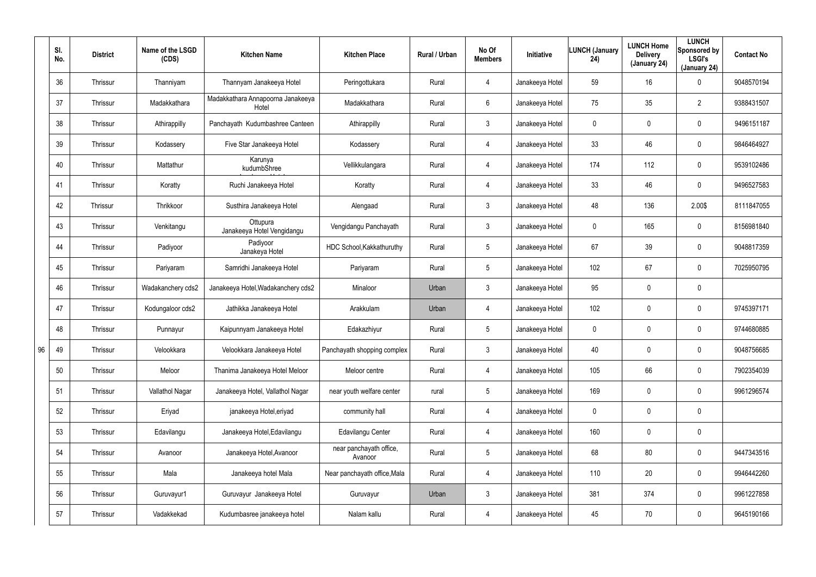|    | SI.<br>No. | <b>District</b> | Name of the LSGD<br>(CDS) | <b>Kitchen Name</b>                        | <b>Kitchen Place</b>               | Rural / Urban | No Of<br><b>Members</b> | Initiative      | <b>LUNCH (January</b><br>24) | <b>LUNCH Home</b><br><b>Delivery</b><br>(January 24) | <b>LUNCH</b><br>Sponsored by<br><b>LSGI's</b><br>(January 24) | <b>Contact No</b> |
|----|------------|-----------------|---------------------------|--------------------------------------------|------------------------------------|---------------|-------------------------|-----------------|------------------------------|------------------------------------------------------|---------------------------------------------------------------|-------------------|
|    | 36         | Thrissur        | Thanniyam                 | Thannyam Janakeeya Hotel                   | Peringottukara                     | Rural         | $\overline{4}$          | Janakeeya Hotel | 59                           | 16                                                   | $\mathbf 0$                                                   | 9048570194        |
|    | 37         | Thrissur        | Madakkathara              | Madakkathara Annapoorna Janakeeya<br>Hotel | Madakkathara                       | Rural         | 6                       | Janakeeya Hotel | 75                           | 35                                                   | $\overline{2}$                                                | 9388431507        |
|    | 38         | Thrissur        | Athirappilly              | Panchayath Kudumbashree Canteen            | Athirappilly                       | Rural         | $\mathbf{3}$            | Janakeeya Hotel | 0                            | 0                                                    | $\mathbf 0$                                                   | 9496151187        |
|    | 39         | Thrissur        | Kodassery                 | Five Star Janakeeya Hotel                  | Kodassery                          | Rural         | $\overline{4}$          | Janakeeya Hotel | 33                           | 46                                                   | $\mathbf 0$                                                   | 9846464927        |
|    | 40         | Thrissur        | Mattathur                 | Karunya<br>kudumbShree                     | Vellikkulangara                    | Rural         | $\overline{4}$          | Janakeeya Hotel | 174                          | 112                                                  | $\mathbf 0$                                                   | 9539102486        |
|    | 41         | Thrissur        | Koratty                   | Ruchi Janakeeya Hotel                      | Koratty                            | Rural         | $\overline{4}$          | Janakeeya Hotel | 33                           | 46                                                   | $\mathbf 0$                                                   | 9496527583        |
|    | 42         | Thrissur        | Thrikkoor                 | Susthira Janakeeya Hotel                   | Alengaad                           | Rural         | $\mathbf{3}$            | Janakeeya Hotel | 48                           | 136                                                  | 2.00\$                                                        | 8111847055        |
|    | 43         | Thrissur        | Venkitangu                | Ottupura<br>Janakeeya Hotel Vengidangu     | Vengidangu Panchayath              | Rural         | 3                       | Janakeeya Hotel | 0                            | 165                                                  | $\mathbf 0$                                                   | 8156981840        |
|    | 44         | Thrissur        | Padiyoor                  | Padiyoor<br>Janakeya Hotel                 | HDC School, Kakkathuruthy          | Rural         | $5\phantom{.0}$         | Janakeeya Hotel | 67                           | 39                                                   | $\mathbf 0$                                                   | 9048817359        |
|    | 45         | Thrissur        | Pariyaram                 | Samridhi Janakeeya Hotel                   | Pariyaram                          | Rural         | $5\phantom{.0}$         | Janakeeya Hotel | 102                          | 67                                                   | $\mathbf 0$                                                   | 7025950795        |
|    | 46         | Thrissur        | Wadakanchery cds2         | Janakeeya Hotel, Wadakanchery cds2         | Minaloor                           | Urban         | $\mathbf{3}$            | Janakeeya Hotel | 95                           | 0                                                    | $\mathbf 0$                                                   |                   |
|    | 47         | Thrissur        | Kodungaloor cds2          | Jathikka Janakeeya Hotel                   | Arakkulam                          | Urban         | $\overline{4}$          | Janakeeya Hotel | 102                          | 0                                                    | $\mathbf 0$                                                   | 9745397171        |
|    | 48         | Thrissur        | Punnayur                  | Kaipunnyam Janakeeya Hotel                 | Edakazhiyur                        | Rural         | $5\phantom{.0}$         | Janakeeya Hotel | 0                            | 0                                                    | $\mathbf 0$                                                   | 9744680885        |
| 96 | 49         | Thrissur        | Velookkara                | Velookkara Janakeeya Hotel                 | Panchayath shopping complex        | Rural         | $\mathfrak{Z}$          | Janakeeya Hotel | 40                           | 0                                                    | $\pmb{0}$                                                     | 9048756685        |
|    | 50         | Thrissur        | Meloor                    | Thanima Janakeeya Hotel Meloor             | Meloor centre                      | Rural         | $\overline{4}$          | Janakeeya Hotel | 105                          | 66                                                   | $\pmb{0}$                                                     | 7902354039        |
|    | 51         | Thrissur        | Vallathol Nagar           | Janakeeya Hotel, Vallathol Nagar           | near youth welfare center          | rural         | $5\phantom{.0}$         | Janakeeya Hotel | 169                          | 0                                                    | $\pmb{0}$                                                     | 9961296574        |
|    | 52         | Thrissur        | Eriyad                    | janakeeya Hotel, eriyad                    | community hall                     | Rural         | $\overline{4}$          | Janakeeya Hotel | 0                            | 0                                                    | $\pmb{0}$                                                     |                   |
|    | 53         | Thrissur        | Edavilangu                | Janakeeya Hotel, Edavilangu                | Edavilangu Center                  | Rural         | $\overline{4}$          | Janakeeya Hotel | 160                          | 0                                                    | $\pmb{0}$                                                     |                   |
|    | 54         | Thrissur        | Avanoor                   | Janakeeya Hotel, Avanoor                   | near panchayath office,<br>Avanoor | Rural         | $5\overline{)}$         | Janakeeya Hotel | 68                           | 80                                                   | $\pmb{0}$                                                     | 9447343516        |
|    | 55         | Thrissur        | Mala                      | Janakeeya hotel Mala                       | Near panchayath office, Mala       | Rural         | $\overline{4}$          | Janakeeya Hotel | 110                          | 20                                                   | $\pmb{0}$                                                     | 9946442260        |
|    | 56         | Thrissur        | Guruvayur1                | Guruvayur Janakeeya Hotel                  | Guruvayur                          | Urban         | $\mathfrak{Z}$          | Janakeeya Hotel | 381                          | 374                                                  | $\pmb{0}$                                                     | 9961227858        |
|    | 57         | Thrissur        | Vadakkekad                | Kudumbasree janakeeya hotel                | Nalam kallu                        | Rural         | 4                       | Janakeeya Hotel | 45                           | 70                                                   | $\pmb{0}$                                                     | 9645190166        |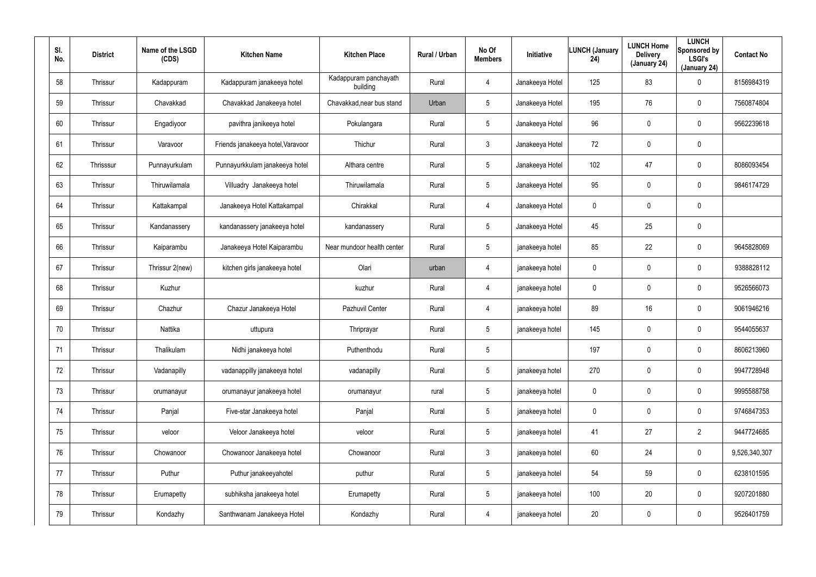| SI.<br>No. | <b>District</b> | Name of the LSGD<br>(CDS) | <b>Kitchen Name</b>               | <b>Kitchen Place</b>              | Rural / Urban | No Of<br><b>Members</b> | Initiative      | <b>LUNCH (January</b><br>24) | <b>LUNCH Home</b><br><b>Delivery</b><br>(January 24) | <b>LUNCH</b><br>Sponsored by<br><b>LSGI's</b><br>(January 24) | <b>Contact No</b> |
|------------|-----------------|---------------------------|-----------------------------------|-----------------------------------|---------------|-------------------------|-----------------|------------------------------|------------------------------------------------------|---------------------------------------------------------------|-------------------|
| 58         | Thrissur        | Kadappuram                | Kadappuram janakeeya hotel        | Kadappuram panchayath<br>building | Rural         | 4                       | Janakeeya Hotel | 125                          | 83                                                   | 0                                                             | 8156984319        |
| 59         | Thrissur        | Chavakkad                 | Chavakkad Janakeeya hotel         | Chavakkad, near bus stand         | Urban         | 5                       | Janakeeya Hotel | 195                          | 76                                                   | 0                                                             | 7560874804        |
| 60         | Thrissur        | Engadiyoor                | pavithra janikeeya hotel          | Pokulangara                       | Rural         | 5                       | Janakeeya Hotel | 96                           | $\pmb{0}$                                            | 0                                                             | 9562239618        |
| 61         | Thrissur        | Varavoor                  | Friends janakeeya hotel, Varavoor | Thichur                           | Rural         | $\mathbf{3}$            | Janakeeya Hotel | 72                           | $\boldsymbol{0}$                                     | $\pmb{0}$                                                     |                   |
| 62         | Thrisssur       | Punnayurkulam             | Punnayurkkulam janakeeya hotel    | Althara centre                    | Rural         | 5                       | Janakeeya Hotel | 102                          | 47                                                   | 0                                                             | 8086093454        |
| 63         | Thrissur        | Thiruwilamala             | Villuadry Janakeeya hotel         | Thiruwilamala                     | Rural         | 5                       | Janakeeya Hotel | 95                           | $\mathbf 0$                                          | $\mathbf 0$                                                   | 9846174729        |
| 64         | Thrissur        | Kattakampal               | Janakeeya Hotel Kattakampal       | Chirakkal                         | Rural         | $\overline{4}$          | Janakeeya Hotel | 0                            | $\pmb{0}$                                            | 0                                                             |                   |
| 65         | Thrissur        | Kandanassery              | kandanassery janakeeya hotel      | kandanassery                      | Rural         | $5\phantom{.0}$         | Janakeeya Hotel | 45                           | 25                                                   | $\mathbf 0$                                                   |                   |
| 66         | Thrissur        | Kaiparambu                | Janakeeya Hotel Kaiparambu        | Near mundoor health center        | Rural         | $5\phantom{.0}$         | janakeeya hotel | 85                           | 22                                                   | 0                                                             | 9645828069        |
| 67         | Thrissur        | Thrissur 2(new)           | kitchen girls janakeeya hotel     | Olari                             | urban         | 4                       | janakeeya hotel | 0                            | $\mathbf 0$                                          | $\mathbf 0$                                                   | 9388828112        |
| 68         | Thrissur        | Kuzhur                    |                                   | kuzhur                            | Rural         | $\overline{4}$          | janakeeya hotel | 0                            | $\pmb{0}$                                            | 0                                                             | 9526566073        |
| 69         | Thrissur        | Chazhur                   | Chazur Janakeeya Hotel            | Pazhuvil Center                   | Rural         | 4                       | janakeeya hotel | 89                           | 16                                                   | 0                                                             | 9061946216        |
| 70         | Thrissur        | Nattika                   | uttupura                          | Thriprayar                        | Rural         | $5\overline{)}$         | janakeeya hotel | 145                          | $\overline{0}$                                       | 0                                                             | 9544055637        |
| 71         | Thrissur        | Thalikulam                | Nidhi janakeeya hotel             | Puthenthodu                       | Rural         | 5                       |                 | 197                          | $\mathbf 0$                                          | $\pmb{0}$                                                     | 8606213960        |
| 72         | Thrissur        | Vadanapilly               | vadanappilly janakeeya hotel      | vadanapilly                       | Rural         | $5\phantom{.0}$         | janakeeya hotel | 270                          | $\mathbf 0$                                          | $\pmb{0}$                                                     | 9947728948        |
| 73         | Thrissur        | orumanayur                | orumanayur janakeeya hotel        | orumanayur                        | rural         | $5\phantom{.0}$         | janakeeya hotel | $\mathbf 0$                  | $\mathbf 0$                                          | $\pmb{0}$                                                     | 9995588758        |
| 74         | Thrissur        | Panjal                    | Five-star Janakeeya hotel         | Panjal                            | Rural         | $5\phantom{.0}$         | janakeeya hotel | 0                            | $\mathbf 0$                                          | $\pmb{0}$                                                     | 9746847353        |
| 75         | Thrissur        | veloor                    | Veloor Janakeeya hotel            | veloor                            | Rural         | $5\phantom{.0}$         | janakeeya hotel | 41                           | 27                                                   | $\overline{2}$                                                | 9447724685        |
| 76         | Thrissur        | Chowanoor                 | Chowanoor Janakeeya hotel         | Chowanoor                         | Rural         | 3 <sup>1</sup>          | janakeeya hotel | 60                           | 24                                                   | 0                                                             | 9,526,340,307     |
| 77         | Thrissur        | Puthur                    | Puthur janakeeyahotel             | puthur                            | Rural         | 5                       | janakeeya hotel | 54                           | 59                                                   | 0                                                             | 6238101595        |
| 78         | Thrissur        | Erumapetty                | subhiksha janakeeya hotel         | Erumapetty                        | Rural         | $5\phantom{.0}$         | janakeeya hotel | 100                          | 20                                                   | 0                                                             | 9207201880        |
| 79         | Thrissur        | Kondazhy                  | Santhwanam Janakeeya Hotel        | Kondazhy                          | Rural         | $\overline{4}$          | janakeeya hotel | 20                           | $\boldsymbol{0}$                                     | 0                                                             | 9526401759        |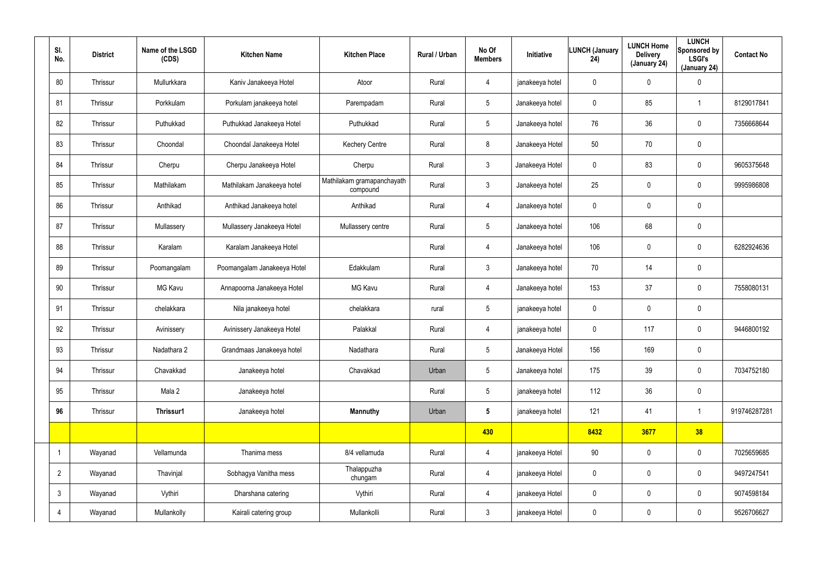| SI.<br>No.     | <b>District</b> | Name of the LSGD<br>(CDS) | <b>Kitchen Name</b>         | <b>Kitchen Place</b>                   | Rural / Urban | No Of<br><b>Members</b> | Initiative      | LUNCH (January<br>24) | <b>LUNCH Home</b><br><b>Delivery</b><br>(January 24) | <b>LUNCH</b><br>Sponsored by<br><b>LSGI's</b><br>(January 24) | <b>Contact No</b> |
|----------------|-----------------|---------------------------|-----------------------------|----------------------------------------|---------------|-------------------------|-----------------|-----------------------|------------------------------------------------------|---------------------------------------------------------------|-------------------|
| 80             | Thrissur        | Mullurkkara               | Kaniv Janakeeya Hotel       | Atoor                                  | Rural         | $\overline{4}$          | janakeeya hotel | $\mathbf 0$           | 0                                                    | $\mathbf 0$                                                   |                   |
| 81             | Thrissur        | Porkkulam                 | Porkulam janakeeya hotel    | Parempadam                             | Rural         | $5\overline{)}$         | Janakeeya hotel | 0                     | 85                                                   | $\overline{1}$                                                | 8129017841        |
| 82             | Thrissur        | Puthukkad                 | Puthukkad Janakeeya Hotel   | Puthukkad                              | Rural         | $5\phantom{.0}$         | Janakeeya hotel | 76                    | 36                                                   | $\mathbf 0$                                                   | 7356668644        |
| 83             | Thrissur        | Choondal                  | Choondal Janakeeya Hotel    | <b>Kechery Centre</b>                  | Rural         | 8                       | Janakeeya Hotel | 50                    | 70                                                   | $\mathbf 0$                                                   |                   |
| 84             | Thrissur        | Cherpu                    | Cherpu Janakeeya Hotel      | Cherpu                                 | Rural         | $\mathbf{3}$            | Janakeeya Hotel | $\mathbf 0$           | 83                                                   | $\mathbf 0$                                                   | 9605375648        |
| 85             | Thrissur        | Mathilakam                | Mathilakam Janakeeya hotel  | Mathilakam gramapanchayath<br>compound | Rural         | $\mathbf{3}$            | Janakeeya hotel | 25                    | 0                                                    | $\mathbf 0$                                                   | 9995986808        |
| 86             | Thrissur        | Anthikad                  | Anthikad Janakeeya hotel    | Anthikad                               | Rural         | $\overline{4}$          | Janakeeya hotel | $\mathbf 0$           | 0                                                    | $\mathbf 0$                                                   |                   |
| 87             | Thrissur        | Mullassery                | Mullassery Janakeeya Hotel  | Mullassery centre                      | Rural         | $5\overline{)}$         | Janakeeya hotel | 106                   | 68                                                   | $\mathbf 0$                                                   |                   |
| 88             | Thrissur        | Karalam                   | Karalam Janakeeya Hotel     |                                        | Rural         | $\overline{4}$          | Janakeeya hotel | 106                   | 0                                                    | $\mathbf 0$                                                   | 6282924636        |
| 89             | Thrissur        | Poomangalam               | Poomangalam Janakeeya Hotel | Edakkulam                              | Rural         | 3                       | Janakeeya hotel | 70                    | 14                                                   | $\mathbf 0$                                                   |                   |
| 90             | Thrissur        | <b>MG Kavu</b>            | Annapoorna Janakeeya Hotel  | <b>MG Kavu</b>                         | Rural         | $\overline{4}$          | Janakeeya hotel | 153                   | 37                                                   | $\mathbf 0$                                                   | 7558080131        |
| 91             | Thrissur        | chelakkara                | Nila janakeeya hotel        | chelakkara                             | rural         | $5\overline{)}$         | janakeeya hotel | 0                     | 0                                                    | $\mathbf 0$                                                   |                   |
| 92             | Thrissur        | Avinissery                | Avinissery Janakeeya Hotel  | Palakkal                               | Rural         | 4                       | janakeeya hotel | 0                     | 117                                                  | $\boldsymbol{0}$                                              | 9446800192        |
| 93             | Thrissur        | Nadathara 2               | Grandmaas Janakeeya hotel   | Nadathara                              | Rural         | $\sqrt{5}$              | Janakeeya Hotel | 156                   | 169                                                  | $\pmb{0}$                                                     |                   |
| 94             | Thrissur        | Chavakkad                 | Janakeeya hotel             | Chavakkad                              | Urban         | $5\phantom{.0}$         | Janakeeya hotel | 175                   | 39                                                   | $\mathbf 0$                                                   | 7034752180        |
| 95             | Thrissur        | Mala 2                    | Janakeeya hotel             |                                        | Rural         | $5\phantom{.0}$         | janakeeya hotel | 112                   | 36                                                   | $\mathbf 0$                                                   |                   |
| 96             | Thrissur        | Thrissur1                 | Janakeeya hotel             | <b>Mannuthy</b>                        | Urban         | $5\phantom{.0}$         | janakeeya hotel | 121                   | 41                                                   | $\mathbf{1}$                                                  | 919746287281      |
|                |                 |                           |                             |                                        |               | 430                     |                 | 8432                  | 3677                                                 | 38                                                            |                   |
| $\overline{1}$ | Wayanad         | Vellamunda                | Thanima mess                | 8/4 vellamuda                          | Rural         | $\overline{4}$          | janakeeya Hotel | 90                    | $\mathbf 0$                                          | $\mathbf 0$                                                   | 7025659685        |
| $2^{\circ}$    | Wayanad         | Thavinjal                 | Sobhagya Vanitha mess       | Thalappuzha<br>chungam                 | Rural         | $\overline{4}$          | janakeeya Hotel | $\mathbf 0$           | $\mathbf 0$                                          | $\mathbf 0$                                                   | 9497247541        |
| $\mathbf{3}$   | Wayanad         | Vythiri                   | Dharshana catering          | Vythiri                                | Rural         | $\overline{4}$          | janakeeya Hotel | 0                     | 0                                                    | $\mathbf 0$                                                   | 9074598184        |
| 4              | Wayanad         | Mullankolly               | Kairali catering group      | Mullankolli                            | Rural         | 3 <sup>1</sup>          | janakeeya Hotel | 0                     | 0                                                    | $\mathbf 0$                                                   | 9526706627        |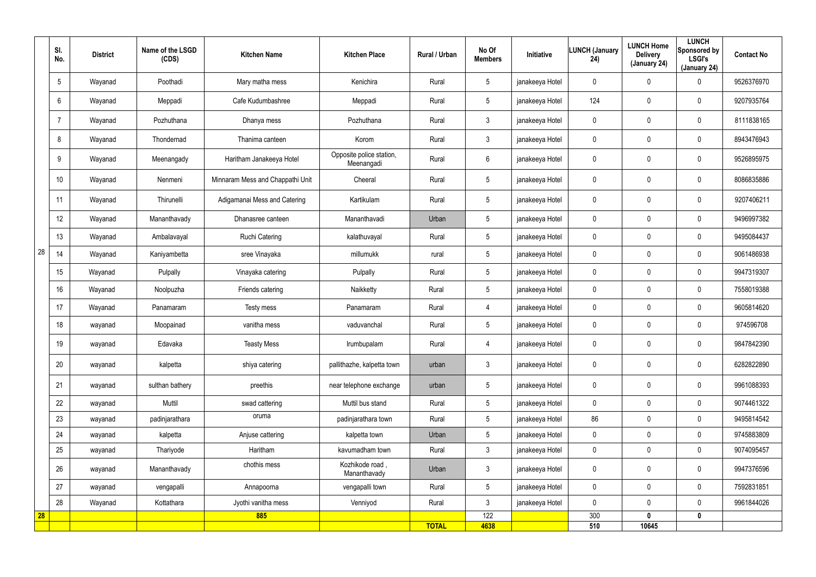|    | SI.<br>No.      | <b>District</b> | Name of the LSGD<br>(CDS) | <b>Kitchen Name</b>              | <b>Kitchen Place</b>                   | Rural / Urban | No Of<br><b>Members</b> | Initiative      | <b>LUNCH (January</b><br>24) | <b>LUNCH Home</b><br><b>Delivery</b><br>(January 24) | <b>LUNCH</b><br>Sponsored by<br><b>LSGI's</b><br>(January 24) | <b>Contact No</b> |
|----|-----------------|-----------------|---------------------------|----------------------------------|----------------------------------------|---------------|-------------------------|-----------------|------------------------------|------------------------------------------------------|---------------------------------------------------------------|-------------------|
|    | $5\overline{)}$ | Wayanad         | Poothadi                  | Mary matha mess                  | Kenichira                              | Rural         | $5\overline{)}$         | janakeeya Hotel | 0                            | 0                                                    | $\mathbf 0$                                                   | 9526376970        |
|    | 6               | Wayanad         | Meppadi                   | Cafe Kudumbashree                | Meppadi                                | Rural         | $5\phantom{.0}$         | janakeeya Hotel | 124                          | 0                                                    | $\mathbf 0$                                                   | 9207935764        |
|    | 7               | Wayanad         | Pozhuthana                | Dhanya mess                      | Pozhuthana                             | Rural         | $\mathbf{3}$            | janakeeya Hotel | 0                            | $\mathbf 0$                                          | $\mathbf 0$                                                   | 8111838165        |
|    | 8               | Wayanad         | Thondernad                | Thanima canteen                  | Korom                                  | Rural         | 3 <sup>1</sup>          | janakeeya Hotel | 0                            | 0                                                    | $\mathbf 0$                                                   | 8943476943        |
|    | 9               | Wayanad         | Meenangady                | Haritham Janakeeya Hotel         | Opposite police station,<br>Meenangadi | Rural         | 6                       | janakeeya Hotel | 0                            | 0                                                    | $\mathbf 0$                                                   | 9526895975        |
|    | 10              | Wayanad         | Nenmeni                   | Minnaram Mess and Chappathi Unit | Cheeral                                | Rural         | $5\phantom{.0}$         | janakeeya Hotel | 0                            | 0                                                    | $\mathbf 0$                                                   | 8086835886        |
|    | 11              | Wayanad         | Thirunelli                | Adigamanai Mess and Catering     | Kartikulam                             | Rural         | $5\phantom{.0}$         | janakeeya Hotel | 0                            | 0                                                    | $\mathbf 0$                                                   | 9207406211        |
|    | 12              | Wayanad         | Mananthavady              | Dhanasree canteen                | Mananthavadi                           | Urban         | $5\overline{)}$         | janakeeya Hotel | 0                            | 0                                                    | $\mathbf 0$                                                   | 9496997382        |
|    | 13              | Wayanad         | Ambalavayal               | <b>Ruchi Catering</b>            | kalathuvayal                           | Rural         | 5 <sup>5</sup>          | janakeeya Hotel | $\mathbf 0$                  | $\mathbf 0$                                          | $\mathbf 0$                                                   | 9495084437        |
| 28 | 14              | Wayanad         | Kaniyambetta              | sree Vinayaka                    | millumukk                              | rural         | 5 <sup>5</sup>          | janakeeya Hotel | $\mathbf 0$                  | 0                                                    | $\mathbf 0$                                                   | 9061486938        |
|    | 15              | Wayanad         | Pulpally                  | Vinayaka catering                | Pulpally                               | Rural         | 5 <sup>5</sup>          | janakeeya Hotel | $\mathbf 0$                  | 0                                                    | $\mathbf 0$                                                   | 9947319307        |
|    | 16              | Wayanad         | Noolpuzha                 | Friends catering                 | Naikketty                              | Rural         | $5\phantom{.0}$         | janakeeya Hotel | 0                            | 0                                                    | $\pmb{0}$                                                     | 7558019388        |
|    | 17              | Wayanad         | Panamaram                 | Testy mess                       | Panamaram                              | Rural         | $\overline{4}$          | janakeeya Hotel | $\mathbf 0$                  | 0                                                    | $\mathbf 0$                                                   | 9605814620        |
|    | 18              | wayanad         | Moopainad                 | vanitha mess                     | vaduvanchal                            | Rural         | $5\overline{)}$         | janakeeya Hotel | $\mathbf 0$                  | 0                                                    | $\mathbf 0$                                                   | 974596708         |
|    | 19              | wayanad         | Edavaka                   | <b>Teasty Mess</b>               | Irumbupalam                            | Rural         | $\overline{4}$          | janakeeya Hotel | $\mathbf 0$                  | $\mathbf 0$                                          | $\mathbf 0$                                                   | 9847842390        |
|    | 20              | wayanad         | kalpetta                  | shiya catering                   | pallithazhe, kalpetta town             | urban         | $\mathbf{3}$            | janakeeya Hotel | 0                            | 0                                                    | $\mathbf 0$                                                   | 6282822890        |
|    | 21              | wayanad         | sulthan bathery           | preethis                         | near telephone exchange                | urban         | $5\phantom{.0}$         | janakeeya Hotel | 0                            | 0                                                    | $\mathbf 0$                                                   | 9961088393        |
|    | 22              | wayanad         | Muttil                    | swad cattering                   | Muttil bus stand                       | Rural         | $5\phantom{.0}$         | janakeeya Hotel | 0                            | 0                                                    | $\mathbf 0$                                                   | 9074461322        |
|    | 23              | wayanad         | padinjarathara            | oruma                            | padinjarathara town                    | Rural         | $5\phantom{.0}$         | janakeeya Hotel | 86                           | 0                                                    | $\mathbf 0$                                                   | 9495814542        |
|    | 24              | wayanad         | kalpetta                  | Anjuse cattering                 | kalpetta town                          | Urban         | $5\phantom{.0}$         | janakeeya Hotel | 0                            | 0                                                    | $\mathbf 0$                                                   | 9745883809        |
|    | 25              | wayanad         | Thariyode                 | Haritham                         | kavumadham town                        | Rural         | 3 <sup>1</sup>          | janakeeya Hotel | $\mathbf 0$                  | 0                                                    | $\mathbf 0$                                                   | 9074095457        |
|    | 26              | wayanad         | Mananthavady              | chothis mess                     | Kozhikode road,<br>Mananthavady        | Urban         | $\mathbf{3}$            | janakeeya Hotel | 0                            | 0                                                    | $\mathbf 0$                                                   | 9947376596        |
|    | 27              | wayanad         | vengapalli                | Annapoorna                       | vengapalli town                        | Rural         | $5\phantom{.0}$         | janakeeya Hotel | 0                            | 0                                                    | $\pmb{0}$                                                     | 7592831851        |
|    | 28              | Wayanad         | Kottathara                | Jyothi vanitha mess              | Venniyod                               | Rural         | 3 <sup>1</sup>          | janakeeya Hotel | $\mathbf 0$                  | 0                                                    | $\mathbf 0$                                                   | 9961844026        |
| 28 |                 |                 |                           | 885                              |                                        | <b>TOTAL</b>  | 122<br>4638             |                 | 300<br>510                   | $\mathbf{0}$<br>10645                                | $\mathbf 0$                                                   |                   |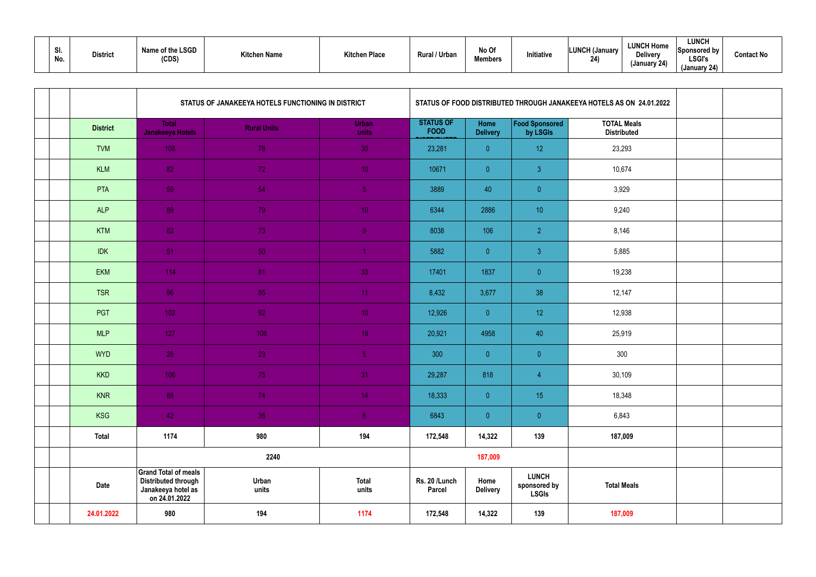|  | .JI<br>No. | <b>District</b> | Name of the LSGD<br>(CDS) | <b>Kitchen Name</b> | <b>Kitchen Place</b> | Rural / Urban | No Of<br><b>Members</b> | Initiative | <b>LUNCH (January</b><br>24) | <b>LUNCH Home</b><br><b>Delivery</b><br>(January 24) | <b>LUNCH</b><br>Sponsored by<br><b>LSGI's</b><br>(January 24) | <b>Contact No</b> |
|--|------------|-----------------|---------------------------|---------------------|----------------------|---------------|-------------------------|------------|------------------------------|------------------------------------------------------|---------------------------------------------------------------|-------------------|
|--|------------|-----------------|---------------------------|---------------------|----------------------|---------------|-------------------------|------------|------------------------------|------------------------------------------------------|---------------------------------------------------------------|-------------------|

|  |                 |                                                                                                  | STATUS OF JANAKEEYA HOTELS FUNCTIONING IN DISTRICT |                       |                                 |                         |                                              | STATUS OF FOOD DISTRIBUTED THROUGH JANAKEEYA HOTELS AS ON 24.01.2022 |  |
|--|-----------------|--------------------------------------------------------------------------------------------------|----------------------------------------------------|-----------------------|---------------------------------|-------------------------|----------------------------------------------|----------------------------------------------------------------------|--|
|  | <b>District</b> | <b>Total</b><br>Janakeeya Hotels                                                                 | <b>Rural Units</b>                                 | <b>Urban</b><br>units | <b>STATUS OF</b><br><b>FOOD</b> | Home<br><b>Delivery</b> | Food Sponsored<br>by LSGIs                   | <b>TOTAL Meals</b><br><b>Distributed</b>                             |  |
|  | <b>TVM</b>      | 108                                                                                              | 78                                                 | 30 <sub>1</sub>       | 23,281                          | $\overline{0}$          | 12                                           | 23,293                                                               |  |
|  | <b>KLM</b>      | 82                                                                                               | 72                                                 | 10 <sub>1</sub>       | 10671                           | $\overline{0}$          | $\mathbf{3}$                                 | 10,674                                                               |  |
|  | <b>PTA</b>      | 59                                                                                               | 54                                                 | 5 <sub>1</sub>        | 3889                            | 40                      | $\pmb{0}$                                    | 3,929                                                                |  |
|  | <b>ALP</b>      | 89                                                                                               | 79                                                 | 10 <sub>1</sub>       | 6344                            | 2886                    | 10                                           | 9,240                                                                |  |
|  | <b>KTM</b>      | 82                                                                                               | 73                                                 | 9 <sup>°</sup>        | 8038                            | 106                     | $\overline{2}$                               | 8,146                                                                |  |
|  | <b>IDK</b>      | $-51$                                                                                            | 50                                                 |                       | 5882                            | $\overline{0}$          | $\mathbf{3}$                                 | 5,885                                                                |  |
|  | EKM             | 114                                                                                              | 81                                                 | 33                    | 17401                           | 1837                    | $\pmb{0}$                                    | 19,238                                                               |  |
|  | <b>TSR</b>      | 96                                                                                               | 85                                                 | 11 <sub>1</sub>       | 8,432                           | 3,677                   | 38                                           | 12,147                                                               |  |
|  | PGT             | $1021$                                                                                           | 92                                                 | 10 <sub>1</sub>       | 12,926                          | $\overline{0}$          | 12                                           | 12,938                                                               |  |
|  | <b>MLP</b>      | 127                                                                                              | 108                                                | 19 <sup>°</sup>       | 20,921                          | 4958                    | 40                                           | 25,919                                                               |  |
|  | <b>WYD</b>      | 28                                                                                               | 23                                                 | 5 <sub>1</sub>        | 300                             | $\overline{0}$          | $\overline{0}$                               | 300                                                                  |  |
|  | <b>KKD</b>      | 106                                                                                              | 75                                                 | 31                    | 29,287                          | 818                     | $\overline{4}$                               | 30,109                                                               |  |
|  | <b>KNR</b>      | 88                                                                                               | 74                                                 | 14                    | 18,333                          | $\overline{0}$          | 15                                           | 18,348                                                               |  |
|  | <b>KSG</b>      | 42                                                                                               | 36                                                 | 6 <sub>1</sub>        | 6843                            | $\overline{0}$          | $\overline{0}$                               | 6,843                                                                |  |
|  | <b>Total</b>    | 1174                                                                                             | 980                                                | 194                   | 172,548                         | 14,322                  | 139                                          | 187,009                                                              |  |
|  |                 |                                                                                                  | 2240                                               |                       |                                 | 187,009                 |                                              |                                                                      |  |
|  | Date            | <b>Grand Total of meals</b><br><b>Distributed through</b><br>Janakeeya hotel as<br>on 24.01.2022 | Urban<br>units                                     | <b>Total</b><br>units | Rs. 20 /Lunch<br><b>Parcel</b>  | Home<br><b>Delivery</b> | <b>LUNCH</b><br>sponsored by<br><b>LSGIs</b> | <b>Total Meals</b>                                                   |  |
|  | 24.01.2022      | 980                                                                                              | 194                                                | 1174                  | 172,548                         | 14,322                  | 139                                          | 187,009                                                              |  |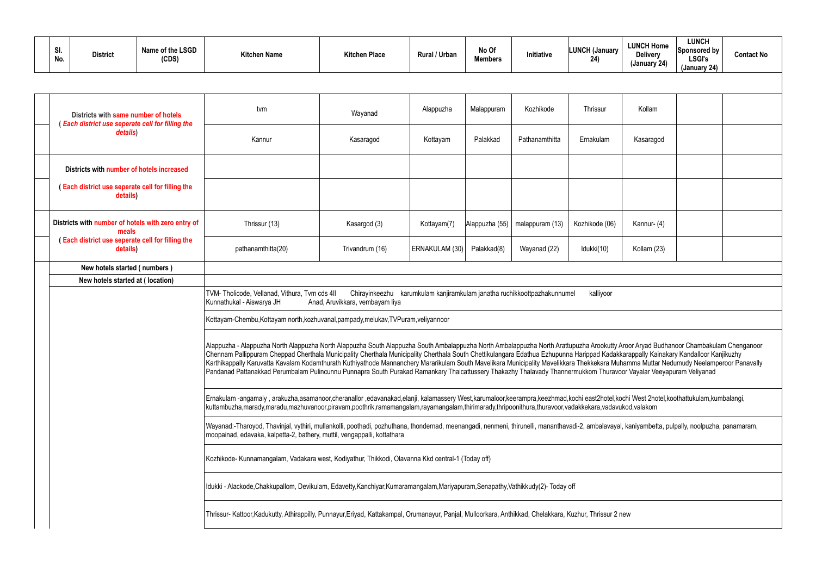| . .<br>vı.<br>No. | <b>District</b> | <b>LSGD</b><br>Name of the L<br>(CDS) | <b>Kitchen Name</b> | <b>Kitchen Place</b> | Rural / Urban | No Of<br><b>Members</b> | Initiative | LINNO LI<br>Januarv<br>24) |
|-------------------|-----------------|---------------------------------------|---------------------|----------------------|---------------|-------------------------|------------|----------------------------|
|-------------------|-----------------|---------------------------------------|---------------------|----------------------|---------------|-------------------------|------------|----------------------------|

| <b>LUNCH Home</b><br><b>Delivery</b><br>(January 24)                                                                                                                              | <b>LUNCH</b><br>Sponsored by<br><b>LSGI's</b><br>(January 24) | <b>Contact No</b> |
|-----------------------------------------------------------------------------------------------------------------------------------------------------------------------------------|---------------------------------------------------------------|-------------------|
|                                                                                                                                                                                   |                                                               |                   |
| Kollam                                                                                                                                                                            |                                                               |                   |
| Kasaragod                                                                                                                                                                         |                                                               |                   |
|                                                                                                                                                                                   |                                                               |                   |
|                                                                                                                                                                                   |                                                               |                   |
| Kannur- (4)                                                                                                                                                                       |                                                               |                   |
| Kollam (23)                                                                                                                                                                       |                                                               |                   |
|                                                                                                                                                                                   |                                                               |                   |
|                                                                                                                                                                                   |                                                               |                   |
|                                                                                                                                                                                   |                                                               |                   |
| Aroor Aryad Budhanoor Chambakulam Chenganoor<br>kkarappally Kainakary Kandalloor Kanjikuzhy<br>uhamma Muttar Nedumudy Neelamperoor Panavally<br>voor Vayalar Veeyapuram Veliyanad |                                                               |                   |
| kochi West 2hotel, koothattukulam, kumbalangi,<br>/ukod,valakom                                                                                                                   |                                                               |                   |
| al, kaniyambetta, pulpally, noolpuzha, panamaram,                                                                                                                                 |                                                               |                   |
|                                                                                                                                                                                   |                                                               |                   |
|                                                                                                                                                                                   |                                                               |                   |
| new                                                                                                                                                                               |                                                               |                   |

| Districts with same number of hotels<br>Each district use seperate cell for filling the | tvm                                                                                                                                                                                                                                                                                                                                                                                                                                                                                                                                                                                                                                                                                                                       | Wayanad                                                                                                                                                                   | Alappuzha      | Malappuram     | Kozhikode       | <b>Thrissur</b> | Kollam      |  |  |  |  |  |  |
|-----------------------------------------------------------------------------------------|---------------------------------------------------------------------------------------------------------------------------------------------------------------------------------------------------------------------------------------------------------------------------------------------------------------------------------------------------------------------------------------------------------------------------------------------------------------------------------------------------------------------------------------------------------------------------------------------------------------------------------------------------------------------------------------------------------------------------|---------------------------------------------------------------------------------------------------------------------------------------------------------------------------|----------------|----------------|-----------------|-----------------|-------------|--|--|--|--|--|--|
| details)                                                                                | Kannur                                                                                                                                                                                                                                                                                                                                                                                                                                                                                                                                                                                                                                                                                                                    | Kasaragod                                                                                                                                                                 | Kottayam       | Palakkad       | Pathanamthitta  | Ernakulam       | Kasaragod   |  |  |  |  |  |  |
| Districts with number of hotels increased                                               |                                                                                                                                                                                                                                                                                                                                                                                                                                                                                                                                                                                                                                                                                                                           |                                                                                                                                                                           |                |                |                 |                 |             |  |  |  |  |  |  |
| Each district use seperate cell for filling the<br>details)                             |                                                                                                                                                                                                                                                                                                                                                                                                                                                                                                                                                                                                                                                                                                                           |                                                                                                                                                                           |                |                |                 |                 |             |  |  |  |  |  |  |
| Districts with number of hotels with zero entry of<br>meals                             | Thrissur (13)                                                                                                                                                                                                                                                                                                                                                                                                                                                                                                                                                                                                                                                                                                             | Kasargod (3)                                                                                                                                                              | Kottayam(7)    | Alappuzha (55) | malappuram (13) | Kozhikode (06)  | Kannur- (4) |  |  |  |  |  |  |
| Each district use seperate cell for filling the<br>details)                             | pathanamthitta(20)                                                                                                                                                                                                                                                                                                                                                                                                                                                                                                                                                                                                                                                                                                        | Trivandrum (16)                                                                                                                                                           | ERNAKULAM (30) | Palakkad(8)    | Wayanad (22)    | Idukki(10)      | Kollam (23) |  |  |  |  |  |  |
| New hotels started (numbers)                                                            |                                                                                                                                                                                                                                                                                                                                                                                                                                                                                                                                                                                                                                                                                                                           |                                                                                                                                                                           |                |                |                 |                 |             |  |  |  |  |  |  |
| New hotels started at (location)                                                        |                                                                                                                                                                                                                                                                                                                                                                                                                                                                                                                                                                                                                                                                                                                           |                                                                                                                                                                           |                |                |                 |                 |             |  |  |  |  |  |  |
|                                                                                         | Kunnathukal - Aiswarya JH                                                                                                                                                                                                                                                                                                                                                                                                                                                                                                                                                                                                                                                                                                 | TVM-Tholicode, Vellanad, Vithura, Tvm cds 4II<br>Chirayinkeezhu karumkulam kanjiramkulam janatha ruchikkoottpazhakunnumel<br>kalliyoor<br>Anad, Aruvikkara, vembayam liya |                |                |                 |                 |             |  |  |  |  |  |  |
|                                                                                         | Kottayam-Chembu, Kottayam north, kozhuvanal, pampady, melukav, TVPuram, veliyannoor                                                                                                                                                                                                                                                                                                                                                                                                                                                                                                                                                                                                                                       |                                                                                                                                                                           |                |                |                 |                 |             |  |  |  |  |  |  |
|                                                                                         | Alappuzha - Alappuzha North Alappuzha North Alappuzha South Alappuzha South Ambalappuzha North Arathupuzha Arookutty Aroor Aryad Budhanoor Chambakulam Chenganoor<br>Chennam Pallippuram Cheppad Cherthala Municipality Cherthala Municipality Cherthala South Chettikulangara Edathua Ezhupunna Harippad Kadakkarappally Kainakary Kandalloor Kanjikuzhy<br>Karthikappally Karuvatta Kavalam Kodamthurath Kuthiyathode Mannanchery Mararikulam South Mavelikara Municipality Mavelikkara Thekkekara Muhamma Muttar Nedumudy Neelamperoor Panavally<br>Pandanad Pattanakkad Perumbalam Pulincunnu Punnapra South Purakad Ramankary Thaicattussery Thakazhy Thalavady Thannermukkom Thuravoor Vayalar Veeyapuram Veliyanad |                                                                                                                                                                           |                |                |                 |                 |             |  |  |  |  |  |  |
|                                                                                         | Ernakulam -angamaly, arakuzha,asamanoor,cheranallor,edavanakad,elanji, kalamassery West,karumaloor,keerampra,keezhmad,kochi east2hotel,kochi West 2hotel,koothattukulam,kumbalangi,<br>kuttambuzha,marady,maradu,mazhuvanoor,piravam,poothrik,ramamangalam,rayamangalam,thirimarady,thripoonithura,thuravoor,vadakkekara,vadavukod,valakom                                                                                                                                                                                                                                                                                                                                                                                |                                                                                                                                                                           |                |                |                 |                 |             |  |  |  |  |  |  |
|                                                                                         | Wayanad:-Tharoyod, Thavinjal, vythiri, mullankolli, poothadi, pozhuthana, thondernad, meenangadi, nenmeni, thirunelli, mananthavadi-2, ambalavayal, kaniyambetta, pulpally, noolpuzha, panamaram,<br>moopainad, edavaka, kalpetta-2, bathery, muttil, vengappalli, kottathara                                                                                                                                                                                                                                                                                                                                                                                                                                             |                                                                                                                                                                           |                |                |                 |                 |             |  |  |  |  |  |  |
|                                                                                         | Kozhikode- Kunnamangalam, Vadakara west, Kodiyathur, Thikkodi, Olavanna Kkd central-1 (Today off)                                                                                                                                                                                                                                                                                                                                                                                                                                                                                                                                                                                                                         |                                                                                                                                                                           |                |                |                 |                 |             |  |  |  |  |  |  |
|                                                                                         | Idukki - Alackode, Chakkupallom, Devikulam, Edavetty, Kanchiyar, Kumaramangalam, Mariyapuram, Senapathy, Vathikkudy(2)-Today off                                                                                                                                                                                                                                                                                                                                                                                                                                                                                                                                                                                          |                                                                                                                                                                           |                |                |                 |                 |             |  |  |  |  |  |  |
|                                                                                         | Thrissur- Kattoor, Kadukutty, Athirappilly, Punnayur, Eriyad, Kattakampal, Orumanayur, Panjal, Mulloorkara, Anthikkad, Chelakkara, Kuzhur, Thrissur 2 new                                                                                                                                                                                                                                                                                                                                                                                                                                                                                                                                                                 |                                                                                                                                                                           |                |                |                 |                 |             |  |  |  |  |  |  |